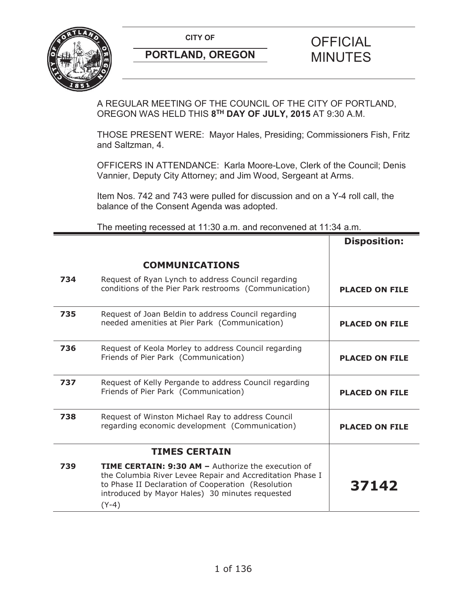

A REGULAR MEETING OF THE COUNCIL OF THE CITY OF PORTLAND, OREGON WAS HELD THIS **8TH DAY OF JULY, 2015** AT 9:30 A.M.

THOSE PRESENT WERE: Mayor Hales, Presiding; Commissioners Fish, Fritz and Saltzman, 4.

OFFICERS IN ATTENDANCE: Karla Moore-Love, Clerk of the Council; Denis Vannier, Deputy City Attorney; and Jim Wood, Sergeant at Arms.

Item Nos. 742 and 743 were pulled for discussion and on a Y-4 roll call, the balance of the Consent Agenda was adopted.

The meeting recessed at 11:30 a.m. and reconvened at 11:34 a.m.

|     |                                                                                                                                                                                                                                            | <b>Disposition:</b>   |
|-----|--------------------------------------------------------------------------------------------------------------------------------------------------------------------------------------------------------------------------------------------|-----------------------|
|     | <b>COMMUNICATIONS</b>                                                                                                                                                                                                                      |                       |
| 734 | Request of Ryan Lynch to address Council regarding<br>conditions of the Pier Park restrooms (Communication)                                                                                                                                | <b>PLACED ON FILE</b> |
| 735 | Request of Joan Beldin to address Council regarding<br>needed amenities at Pier Park (Communication)                                                                                                                                       | <b>PLACED ON FILE</b> |
| 736 | Request of Keola Morley to address Council regarding<br>Friends of Pier Park (Communication)                                                                                                                                               | <b>PLACED ON FILE</b> |
| 737 | Request of Kelly Pergande to address Council regarding<br>Friends of Pier Park (Communication)                                                                                                                                             | <b>PLACED ON FILE</b> |
| 738 | Request of Winston Michael Ray to address Council<br>regarding economic development (Communication)                                                                                                                                        | <b>PLACED ON FILE</b> |
|     | <b>TIMES CERTAIN</b>                                                                                                                                                                                                                       |                       |
| 739 | <b>TIME CERTAIN: 9:30 AM - Authorize the execution of</b><br>the Columbia River Levee Repair and Accreditation Phase I<br>to Phase II Declaration of Cooperation (Resolution<br>introduced by Mayor Hales) 30 minutes requested<br>$(Y-4)$ | 37142                 |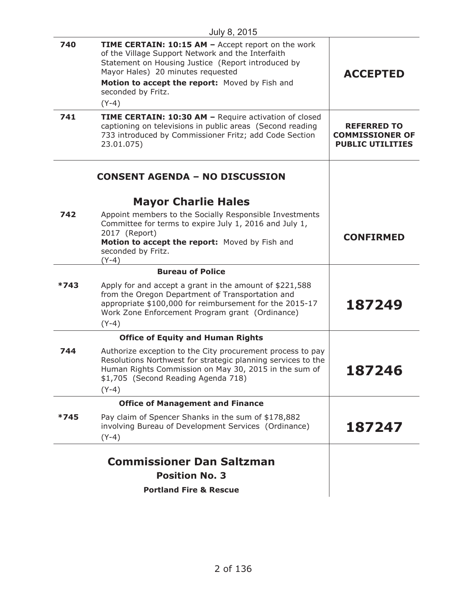| 740  | <b>TIME CERTAIN: 10:15 AM - Accept report on the work</b><br>of the Village Support Network and the Interfaith<br>Statement on Housing Justice (Report introduced by<br>Mayor Hales) 20 minutes requested<br>Motion to accept the report: Moved by Fish and<br>seconded by Fritz.<br>$(Y-4)$ | <b>ACCEPTED</b>                                                         |
|------|----------------------------------------------------------------------------------------------------------------------------------------------------------------------------------------------------------------------------------------------------------------------------------------------|-------------------------------------------------------------------------|
| 741  | TIME CERTAIN: 10:30 AM - Require activation of closed<br>captioning on televisions in public areas (Second reading<br>733 introduced by Commissioner Fritz; add Code Section<br>23.01.075)                                                                                                   | <b>REFERRED TO</b><br><b>COMMISSIONER OF</b><br><b>PUBLIC UTILITIES</b> |
|      | <b>CONSENT AGENDA - NO DISCUSSION</b><br><b>Mayor Charlie Hales</b>                                                                                                                                                                                                                          |                                                                         |
| 742  | Appoint members to the Socially Responsible Investments<br>Committee for terms to expire July 1, 2016 and July 1,<br>2017 (Report)<br>Motion to accept the report: Moved by Fish and<br>seconded by Fritz.<br>$(Y - 4)$                                                                      | <b>CONFIRMED</b>                                                        |
|      | <b>Bureau of Police</b>                                                                                                                                                                                                                                                                      |                                                                         |
| *743 | Apply for and accept a grant in the amount of \$221,588<br>from the Oregon Department of Transportation and<br>appropriate \$100,000 for reimbursement for the 2015-17<br>Work Zone Enforcement Program grant (Ordinance)<br>$(Y-4)$                                                         | 187249                                                                  |
|      | <b>Office of Equity and Human Rights</b>                                                                                                                                                                                                                                                     |                                                                         |
| 744  | Authorize exception to the City procurement process to pay<br>Resolutions Northwest for strategic planning services to the<br>Human Rights Commission on May 30, 2015 in the sum of<br>\$1,705 (Second Reading Agenda 718)<br>$(Y-4)$                                                        | 187246                                                                  |
|      | <b>Office of Management and Finance</b>                                                                                                                                                                                                                                                      |                                                                         |
| *745 | Pay claim of Spencer Shanks in the sum of \$178,882<br>involving Bureau of Development Services (Ordinance)<br>$(Y-4)$                                                                                                                                                                       | 187247                                                                  |
|      | <b>Commissioner Dan Saltzman</b><br><b>Position No. 3</b><br><b>Portland Fire &amp; Rescue</b>                                                                                                                                                                                               |                                                                         |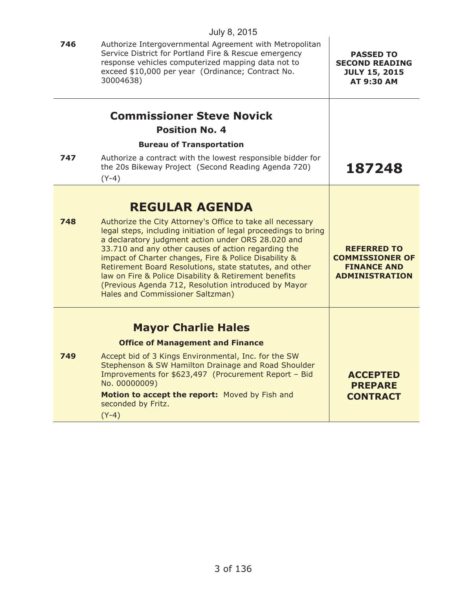|     | July 8, 2015                                                                                                                                                                                                                                                                                                                                                                                                                                                                                                        |                                                                                             |
|-----|---------------------------------------------------------------------------------------------------------------------------------------------------------------------------------------------------------------------------------------------------------------------------------------------------------------------------------------------------------------------------------------------------------------------------------------------------------------------------------------------------------------------|---------------------------------------------------------------------------------------------|
| 746 | Authorize Intergovernmental Agreement with Metropolitan<br>Service District for Portland Fire & Rescue emergency<br>response vehicles computerized mapping data not to<br>exceed \$10,000 per year (Ordinance; Contract No.<br>30004638)                                                                                                                                                                                                                                                                            | <b>PASSED TO</b><br><b>SECOND READING</b><br><b>JULY 15, 2015</b><br><b>AT 9:30 AM</b>      |
|     | <b>Commissioner Steve Novick</b>                                                                                                                                                                                                                                                                                                                                                                                                                                                                                    |                                                                                             |
|     | <b>Position No. 4</b>                                                                                                                                                                                                                                                                                                                                                                                                                                                                                               |                                                                                             |
|     | <b>Bureau of Transportation</b>                                                                                                                                                                                                                                                                                                                                                                                                                                                                                     |                                                                                             |
| 747 | Authorize a contract with the lowest responsible bidder for<br>the 20s Bikeway Project (Second Reading Agenda 720)<br>$(Y-4)$                                                                                                                                                                                                                                                                                                                                                                                       | 187248                                                                                      |
|     | <b>REGULAR AGENDA</b>                                                                                                                                                                                                                                                                                                                                                                                                                                                                                               |                                                                                             |
| 748 | Authorize the City Attorney's Office to take all necessary<br>legal steps, including initiation of legal proceedings to bring<br>a declaratory judgment action under ORS 28.020 and<br>33.710 and any other causes of action regarding the<br>impact of Charter changes, Fire & Police Disability &<br>Retirement Board Resolutions, state statutes, and other<br>law on Fire & Police Disability & Retirement benefits<br>(Previous Agenda 712, Resolution introduced by Mayor<br>Hales and Commissioner Saltzman) | <b>REFERRED TO</b><br><b>COMMISSIONER OF</b><br><b>FINANCE AND</b><br><b>ADMINISTRATION</b> |
|     | <b>Mayor Charlie Hales</b>                                                                                                                                                                                                                                                                                                                                                                                                                                                                                          |                                                                                             |
|     | <b>Office of Management and Finance</b>                                                                                                                                                                                                                                                                                                                                                                                                                                                                             |                                                                                             |
| 749 | Accept bid of 3 Kings Environmental, Inc. for the SW<br>Stephenson & SW Hamilton Drainage and Road Shoulder<br>Improvements for \$623,497 (Procurement Report - Bid<br>No. 00000009)<br>Motion to accept the report: Moved by Fish and<br>seconded by Fritz.                                                                                                                                                                                                                                                        | <b>ACCEPTED</b><br><b>PREPARE</b><br><b>CONTRACT</b>                                        |
|     | $(Y-4)$                                                                                                                                                                                                                                                                                                                                                                                                                                                                                                             |                                                                                             |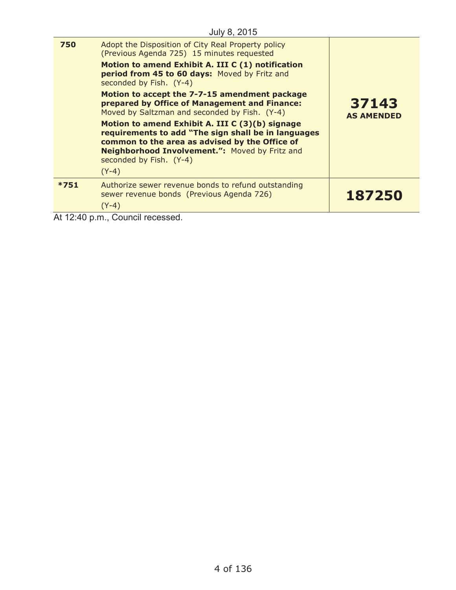|        | July 8, 2015                                                                                                                                                                                                                                                                                                                                                                                                                                                                                                                                                                                                                  |                            |
|--------|-------------------------------------------------------------------------------------------------------------------------------------------------------------------------------------------------------------------------------------------------------------------------------------------------------------------------------------------------------------------------------------------------------------------------------------------------------------------------------------------------------------------------------------------------------------------------------------------------------------------------------|----------------------------|
| 750    | Adopt the Disposition of City Real Property policy<br>(Previous Agenda 725) 15 minutes requested<br>Motion to amend Exhibit A. III C (1) notification<br>period from 45 to 60 days: Moved by Fritz and<br>seconded by Fish. (Y-4)<br>Motion to accept the 7-7-15 amendment package<br>prepared by Office of Management and Finance:<br>Moved by Saltzman and seconded by Fish. (Y-4)<br>Motion to amend Exhibit A. III C (3)(b) signage<br>requirements to add "The sign shall be in languages<br>common to the area as advised by the Office of<br>Neighborhood Involvement.": Moved by Fritz and<br>seconded by Fish. (Y-4) | 37143<br><b>AS AMENDED</b> |
|        | $(Y-4)$                                                                                                                                                                                                                                                                                                                                                                                                                                                                                                                                                                                                                       |                            |
| $*751$ | Authorize sewer revenue bonds to refund outstanding<br>sewer revenue bonds (Previous Agenda 726)<br>$(Y-4)$                                                                                                                                                                                                                                                                                                                                                                                                                                                                                                                   | 187250                     |
|        |                                                                                                                                                                                                                                                                                                                                                                                                                                                                                                                                                                                                                               |                            |

At 12:40 p.m., Council recessed.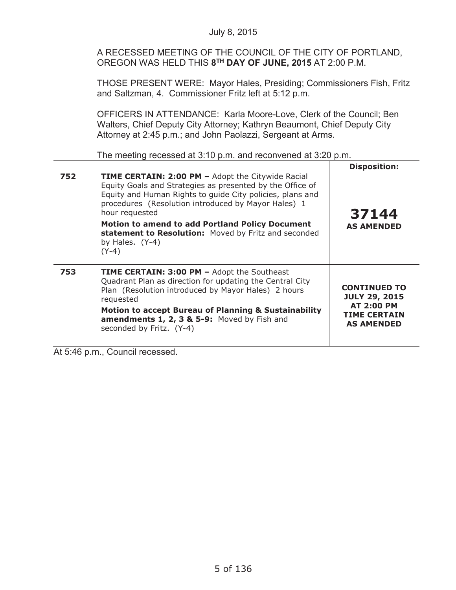A RECESSED MEETING OF THE COUNCIL OF THE CITY OF PORTLAND, OREGON WAS HELD THIS **8TH DAY OF JUNE, 2015** AT 2:00 P.M.

THOSE PRESENT WERE: Mayor Hales, Presiding; Commissioners Fish, Fritz and Saltzman, 4. Commissioner Fritz left at 5:12 p.m.

OFFICERS IN ATTENDANCE: Karla Moore-Love, Clerk of the Council; Ben Walters, Chief Deputy City Attorney; Kathryn Beaumont, Chief Deputy City Attorney at 2:45 p.m.; and John Paolazzi, Sergeant at Arms.

The meeting recessed at 3:10 p.m. and reconvened at 3:20 p.m.

| 752 | <b>TIME CERTAIN: 2:00 PM - Adopt the Citywide Racial</b><br>Equity Goals and Strategies as presented by the Office of<br>Equity and Human Rights to guide City policies, plans and<br>procedures (Resolution introduced by Mayor Hales) 1<br>hour requested<br><b>Motion to amend to add Portland Policy Document</b><br>statement to Resolution: Moved by Fritz and seconded<br>by Hales. $(Y-4)$<br>$(Y-4)$ | <b>Disposition:</b><br>37144<br><b>AS AMENDED</b>                                                            |
|-----|---------------------------------------------------------------------------------------------------------------------------------------------------------------------------------------------------------------------------------------------------------------------------------------------------------------------------------------------------------------------------------------------------------------|--------------------------------------------------------------------------------------------------------------|
| 753 | <b>TIME CERTAIN: 3:00 PM - Adopt the Southeast</b><br>Quadrant Plan as direction for updating the Central City<br>Plan (Resolution introduced by Mayor Hales) 2 hours<br>requested<br><b>Motion to accept Bureau of Planning &amp; Sustainability</b><br>amendments 1, 2, 3 & 5-9: Moved by Fish and<br>seconded by Fritz. (Y-4)                                                                              | <b>CONTINUED TO</b><br><b>JULY 29, 2015</b><br><b>AT 2:00 PM</b><br><b>TIME CERTAIN</b><br><b>AS AMENDED</b> |

At 5:46 p.m., Council recessed.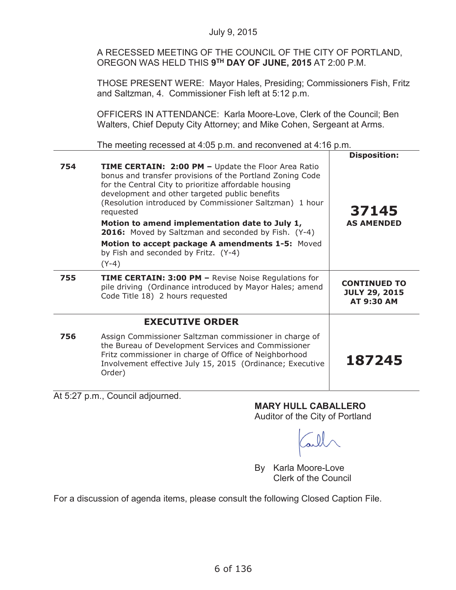A RECESSED MEETING OF THE COUNCIL OF THE CITY OF PORTLAND, OREGON WAS HELD THIS **9TH DAY OF JUNE, 2015** AT 2:00 P.M.

THOSE PRESENT WERE: Mayor Hales, Presiding; Commissioners Fish, Fritz and Saltzman, 4. Commissioner Fish left at 5:12 p.m.

OFFICERS IN ATTENDANCE: Karla Moore-Love, Clerk of the Council; Ben Walters, Chief Deputy City Attorney; and Mike Cohen, Sergeant at Arms.

The meeting recessed at 4:05 p.m. and reconvened at 4:16 p.m.

|     |                                                                                                                                                                                                                                                                                                     | <b>Disposition:</b>                                              |
|-----|-----------------------------------------------------------------------------------------------------------------------------------------------------------------------------------------------------------------------------------------------------------------------------------------------------|------------------------------------------------------------------|
| 754 | TIME CERTAIN: 2:00 PM - Update the Floor Area Ratio<br>bonus and transfer provisions of the Portland Zoning Code<br>for the Central City to prioritize affordable housing<br>development and other targeted public benefits<br>(Resolution introduced by Commissioner Saltzman) 1 hour<br>requested | 37145                                                            |
|     | Motion to amend implementation date to July 1,<br>2016: Moved by Saltzman and seconded by Fish. (Y-4)                                                                                                                                                                                               | <b>AS AMENDED</b>                                                |
|     | Motion to accept package A amendments 1-5: Moved<br>by Fish and seconded by Fritz. (Y-4)                                                                                                                                                                                                            |                                                                  |
|     | $(Y-4)$                                                                                                                                                                                                                                                                                             |                                                                  |
| 755 | <b>TIME CERTAIN: 3:00 PM - Revise Noise Regulations for</b><br>pile driving (Ordinance introduced by Mayor Hales; amend<br>Code Title 18) 2 hours requested                                                                                                                                         | <b>CONTINUED TO</b><br><b>JULY 29, 2015</b><br><b>AT 9:30 AM</b> |
|     | <b>EXECUTIVE ORDER</b>                                                                                                                                                                                                                                                                              |                                                                  |
| 756 | Assign Commissioner Saltzman commissioner in charge of<br>the Bureau of Development Services and Commissioner<br>Fritz commissioner in charge of Office of Neighborhood<br>Involvement effective July 15, 2015 (Ordinance; Executive<br>Order)                                                      | 187245                                                           |

At 5:27 p.m., Council adjourned.

# **MARY HULL CABALLERO**

Auditor of the City of Portland

By Karla Moore-Love Clerk of the Council

For a discussion of agenda items, please consult the following Closed Caption File.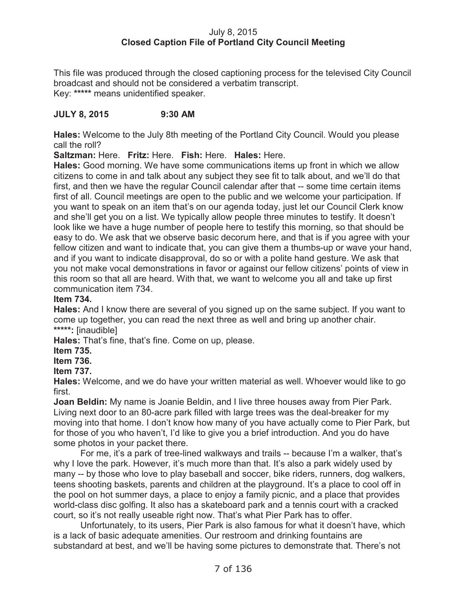# July 8, 2015 **Closed Caption File of Portland City Council Meeting**

This file was produced through the closed captioning process for the televised City Council broadcast and should not be considered a verbatim transcript. Key: **\*\*\*\*\*** means unidentified speaker.

# **JULY 8, 2015 9:30 AM**

**Hales:** Welcome to the July 8th meeting of the Portland City Council. Would you please call the roll?

**Saltzman:** Here. **Fritz:** Here. **Fish:** Here. **Hales:** Here.

**Hales:** Good morning. We have some communications items up front in which we allow citizens to come in and talk about any subject they see fit to talk about, and we'll do that first, and then we have the regular Council calendar after that -- some time certain items first of all. Council meetings are open to the public and we welcome your participation. If you want to speak on an item that's on our agenda today, just let our Council Clerk know and she'll get you on a list. We typically allow people three minutes to testify. It doesn't look like we have a huge number of people here to testify this morning, so that should be easy to do. We ask that we observe basic decorum here, and that is if you agree with your fellow citizen and want to indicate that, you can give them a thumbs-up or wave your hand, and if you want to indicate disapproval, do so or with a polite hand gesture. We ask that you not make vocal demonstrations in favor or against our fellow citizens' points of view in this room so that all are heard. With that, we want to welcome you all and take up first communication item 734.

# **Item 734.**

**Hales:** And I know there are several of you signed up on the same subject. If you want to come up together, you can read the next three as well and bring up another chair. **\*\*\*\*\*:** [inaudible]

**Hales:** That's fine, that's fine. Come on up, please.

**Item 735.**

**Item 736.**

# **Item 737.**

**Hales:** Welcome, and we do have your written material as well. Whoever would like to go first.

**Joan Beldin:** My name is Joanie Beldin, and I live three houses away from Pier Park. Living next door to an 80-acre park filled with large trees was the deal-breaker for my moving into that home. I don't know how many of you have actually come to Pier Park, but for those of you who haven't, I'd like to give you a brief introduction. And you do have some photos in your packet there.

For me, it's a park of tree-lined walkways and trails -- because I'm a walker, that's why I love the park. However, it's much more than that. It's also a park widely used by many -- by those who love to play baseball and soccer, bike riders, runners, dog walkers, teens shooting baskets, parents and children at the playground. It's a place to cool off in the pool on hot summer days, a place to enjoy a family picnic, and a place that provides world-class disc golfing. It also has a skateboard park and a tennis court with a cracked court, so it's not really useable right now. That's what Pier Park has to offer.

Unfortunately, to its users, Pier Park is also famous for what it doesn't have, which is a lack of basic adequate amenities. Our restroom and drinking fountains are substandard at best, and we'll be having some pictures to demonstrate that. There's not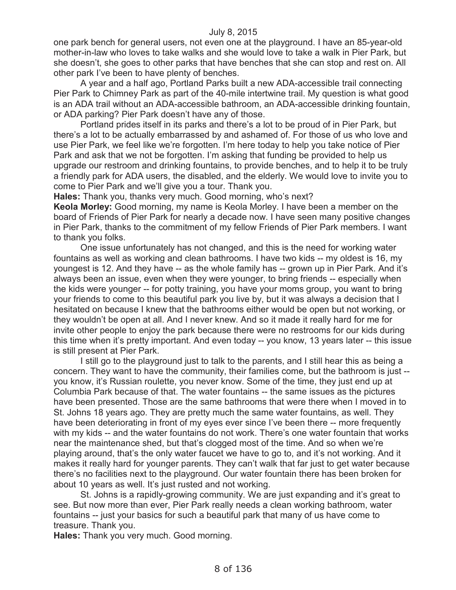one park bench for general users, not even one at the playground. I have an 85-year-old mother-in-law who loves to take walks and she would love to take a walk in Pier Park, but she doesn't, she goes to other parks that have benches that she can stop and rest on. All other park I've been to have plenty of benches.

A year and a half ago, Portland Parks built a new ADA-accessible trail connecting Pier Park to Chimney Park as part of the 40-mile intertwine trail. My question is what good is an ADA trail without an ADA-accessible bathroom, an ADA-accessible drinking fountain, or ADA parking? Pier Park doesn't have any of those.

Portland prides itself in its parks and there's a lot to be proud of in Pier Park, but there's a lot to be actually embarrassed by and ashamed of. For those of us who love and use Pier Park, we feel like we're forgotten. I'm here today to help you take notice of Pier Park and ask that we not be forgotten. I'm asking that funding be provided to help us upgrade our restroom and drinking fountains, to provide benches, and to help it to be truly a friendly park for ADA users, the disabled, and the elderly. We would love to invite you to come to Pier Park and we'll give you a tour. Thank you.

**Hales:** Thank you, thanks very much. Good morning, who's next?

**Keola Morley:** Good morning, my name is Keola Morley. I have been a member on the board of Friends of Pier Park for nearly a decade now. I have seen many positive changes in Pier Park, thanks to the commitment of my fellow Friends of Pier Park members. I want to thank you folks.

One issue unfortunately has not changed, and this is the need for working water fountains as well as working and clean bathrooms. I have two kids -- my oldest is 16, my youngest is 12. And they have -- as the whole family has -- grown up in Pier Park. And it's always been an issue, even when they were younger, to bring friends -- especially when the kids were younger -- for potty training, you have your moms group, you want to bring your friends to come to this beautiful park you live by, but it was always a decision that I hesitated on because I knew that the bathrooms either would be open but not working, or they wouldn't be open at all. And I never knew. And so it made it really hard for me for invite other people to enjoy the park because there were no restrooms for our kids during this time when it's pretty important. And even today -- you know, 13 years later -- this issue is still present at Pier Park.

I still go to the playground just to talk to the parents, and I still hear this as being a concern. They want to have the community, their families come, but the bathroom is just - you know, it's Russian roulette, you never know. Some of the time, they just end up at Columbia Park because of that. The water fountains -- the same issues as the pictures have been presented. Those are the same bathrooms that were there when I moved in to St. Johns 18 years ago. They are pretty much the same water fountains, as well. They have been deteriorating in front of my eyes ever since I've been there -- more frequently with my kids -- and the water fountains do not work. There's one water fountain that works near the maintenance shed, but that's clogged most of the time. And so when we're playing around, that's the only water faucet we have to go to, and it's not working. And it makes it really hard for younger parents. They can't walk that far just to get water because there's no facilities next to the playground. Our water fountain there has been broken for about 10 years as well. It's just rusted and not working.

St. Johns is a rapidly-growing community. We are just expanding and it's great to see. But now more than ever, Pier Park really needs a clean working bathroom, water fountains -- just your basics for such a beautiful park that many of us have come to treasure. Thank you.

**Hales:** Thank you very much. Good morning.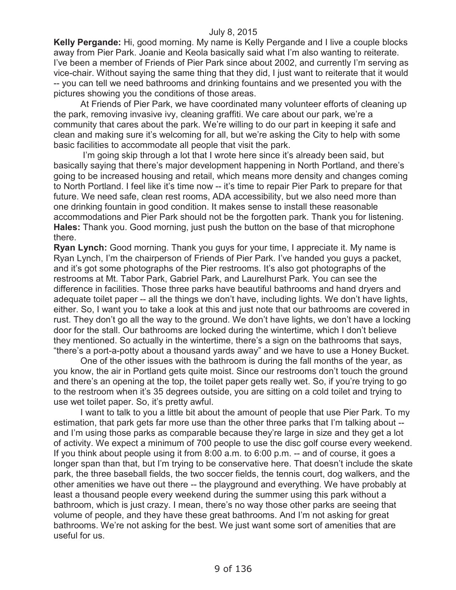**Kelly Pergande:** Hi, good morning. My name is Kelly Pergande and I live a couple blocks away from Pier Park. Joanie and Keola basically said what I'm also wanting to reiterate. I've been a member of Friends of Pier Park since about 2002, and currently I'm serving as vice-chair. Without saying the same thing that they did, I just want to reiterate that it would -- you can tell we need bathrooms and drinking fountains and we presented you with the pictures showing you the conditions of those areas.

At Friends of Pier Park, we have coordinated many volunteer efforts of cleaning up the park, removing invasive ivy, cleaning graffiti. We care about our park, we're a community that cares about the park. We're willing to do our part in keeping it safe and clean and making sure it's welcoming for all, but we're asking the City to help with some basic facilities to accommodate all people that visit the park.

I'm going skip through a lot that I wrote here since it's already been said, but basically saying that there's major development happening in North Portland, and there's going to be increased housing and retail, which means more density and changes coming to North Portland. I feel like it's time now -- it's time to repair Pier Park to prepare for that future. We need safe, clean rest rooms, ADA accessibility, but we also need more than one drinking fountain in good condition. It makes sense to install these reasonable accommodations and Pier Park should not be the forgotten park. Thank you for listening. **Hales:** Thank you. Good morning, just push the button on the base of that microphone there.

**Ryan Lynch:** Good morning. Thank you guys for your time, I appreciate it. My name is Ryan Lynch, I'm the chairperson of Friends of Pier Park. I've handed you guys a packet, and it's got some photographs of the Pier restrooms. It's also got photographs of the restrooms at Mt. Tabor Park, Gabriel Park, and Laurelhurst Park. You can see the difference in facilities. Those three parks have beautiful bathrooms and hand dryers and adequate toilet paper -- all the things we don't have, including lights. We don't have lights, either. So, I want you to take a look at this and just note that our bathrooms are covered in rust. They don't go all the way to the ground. We don't have lights, we don't have a locking door for the stall. Our bathrooms are locked during the wintertime, which I don't believe they mentioned. So actually in the wintertime, there's a sign on the bathrooms that says, "there's a port-a-potty about a thousand yards away" and we have to use a Honey Bucket.

One of the other issues with the bathroom is during the fall months of the year, as you know, the air in Portland gets quite moist. Since our restrooms don't touch the ground and there's an opening at the top, the toilet paper gets really wet. So, if you're trying to go to the restroom when it's 35 degrees outside, you are sitting on a cold toilet and trying to use wet toilet paper. So, it's pretty awful.

I want to talk to you a little bit about the amount of people that use Pier Park. To my estimation, that park gets far more use than the other three parks that I'm talking about - and I'm using those parks as comparable because they're large in size and they get a lot of activity. We expect a minimum of 700 people to use the disc golf course every weekend. If you think about people using it from 8:00 a.m. to 6:00 p.m. -- and of course, it goes a longer span than that, but I'm trying to be conservative here. That doesn't include the skate park, the three baseball fields, the two soccer fields, the tennis court, dog walkers, and the other amenities we have out there -- the playground and everything. We have probably at least a thousand people every weekend during the summer using this park without a bathroom, which is just crazy. I mean, there's no way those other parks are seeing that volume of people, and they have these great bathrooms. And I'm not asking for great bathrooms. We're not asking for the best. We just want some sort of amenities that are useful for us.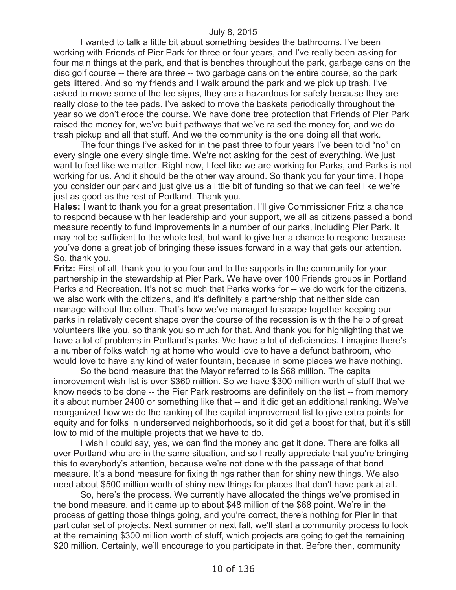I wanted to talk a little bit about something besides the bathrooms. I've been working with Friends of Pier Park for three or four years, and I've really been asking for four main things at the park, and that is benches throughout the park, garbage cans on the disc golf course -- there are three -- two garbage cans on the entire course, so the park gets littered. And so my friends and I walk around the park and we pick up trash. I've asked to move some of the tee signs, they are a hazardous for safety because they are really close to the tee pads. I've asked to move the baskets periodically throughout the year so we don't erode the course. We have done tree protection that Friends of Pier Park raised the money for, we've built pathways that we've raised the money for, and we do trash pickup and all that stuff. And we the community is the one doing all that work.

The four things I've asked for in the past three to four years I've been told "no" on every single one every single time. We're not asking for the best of everything. We just want to feel like we matter. Right now, I feel like we are working for Parks, and Parks is not working for us. And it should be the other way around. So thank you for your time. I hope you consider our park and just give us a little bit of funding so that we can feel like we're just as good as the rest of Portland. Thank you.

**Hales:** I want to thank you for a great presentation. I'll give Commissioner Fritz a chance to respond because with her leadership and your support, we all as citizens passed a bond measure recently to fund improvements in a number of our parks, including Pier Park. It may not be sufficient to the whole lost, but want to give her a chance to respond because you've done a great job of bringing these issues forward in a way that gets our attention. So, thank you.

**Fritz:** First of all, thank you to you four and to the supports in the community for your partnership in the stewardship at Pier Park. We have over 100 Friends groups in Portland Parks and Recreation. It's not so much that Parks works for -- we do work for the citizens, we also work with the citizens, and it's definitely a partnership that neither side can manage without the other. That's how we've managed to scrape together keeping our parks in relatively decent shape over the course of the recession is with the help of great volunteers like you, so thank you so much for that. And thank you for highlighting that we have a lot of problems in Portland's parks. We have a lot of deficiencies. I imagine there's a number of folks watching at home who would love to have a defunct bathroom, who would love to have any kind of water fountain, because in some places we have nothing.

So the bond measure that the Mayor referred to is \$68 million. The capital improvement wish list is over \$360 million. So we have \$300 million worth of stuff that we know needs to be done -- the Pier Park restrooms are definitely on the list -- from memory it's about number 2400 or something like that -- and it did get an additional ranking. We've reorganized how we do the ranking of the capital improvement list to give extra points for equity and for folks in underserved neighborhoods, so it did get a boost for that, but it's still low to mid of the multiple projects that we have to do.

I wish I could say, yes, we can find the money and get it done. There are folks all over Portland who are in the same situation, and so I really appreciate that you're bringing this to everybody's attention, because we're not done with the passage of that bond measure. It's a bond measure for fixing things rather than for shiny new things. We also need about \$500 million worth of shiny new things for places that don't have park at all.

So, here's the process. We currently have allocated the things we've promised in the bond measure, and it came up to about \$48 million of the \$68 point. We're in the process of getting those things going, and you're correct, there's nothing for Pier in that particular set of projects. Next summer or next fall, we'll start a community process to look at the remaining \$300 million worth of stuff, which projects are going to get the remaining \$20 million. Certainly, we'll encourage to you participate in that. Before then, community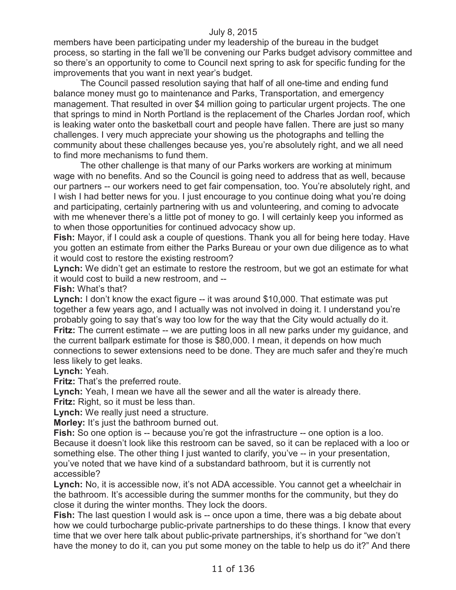members have been participating under my leadership of the bureau in the budget process, so starting in the fall we'll be convening our Parks budget advisory committee and so there's an opportunity to come to Council next spring to ask for specific funding for the improvements that you want in next year's budget.

The Council passed resolution saying that half of all one-time and ending fund balance money must go to maintenance and Parks, Transportation, and emergency management. That resulted in over \$4 million going to particular urgent projects. The one that springs to mind in North Portland is the replacement of the Charles Jordan roof, which is leaking water onto the basketball court and people have fallen. There are just so many challenges. I very much appreciate your showing us the photographs and telling the community about these challenges because yes, you're absolutely right, and we all need to find more mechanisms to fund them.

The other challenge is that many of our Parks workers are working at minimum wage with no benefits. And so the Council is going need to address that as well, because our partners -- our workers need to get fair compensation, too. You're absolutely right, and I wish I had better news for you. I just encourage to you continue doing what you're doing and participating, certainly partnering with us and volunteering, and coming to advocate with me whenever there's a little pot of money to go. I will certainly keep you informed as to when those opportunities for continued advocacy show up.

**Fish:** Mayor, if I could ask a couple of questions. Thank you all for being here today. Have you gotten an estimate from either the Parks Bureau or your own due diligence as to what it would cost to restore the existing restroom?

**Lynch:** We didn't get an estimate to restore the restroom, but we got an estimate for what it would cost to build a new restroom, and --

**Fish:** What's that?

**Lynch:** I don't know the exact figure -- it was around \$10,000. That estimate was put together a few years ago, and I actually was not involved in doing it. I understand you're probably going to say that's way too low for the way that the City would actually do it. **Fritz:** The current estimate -- we are putting loos in all new parks under my guidance, and the current ballpark estimate for those is \$80,000. I mean, it depends on how much connections to sewer extensions need to be done. They are much safer and they're much less likely to get leaks.

**Lynch:** Yeah.

**Fritz:** That's the preferred route.

**Lynch:** Yeah, I mean we have all the sewer and all the water is already there. **Fritz:** Right, so it must be less than.

**Lynch:** We really just need a structure.

**Morley:** It's just the bathroom burned out.

**Fish:** So one option is -- because you're got the infrastructure -- one option is a loo. Because it doesn't look like this restroom can be saved, so it can be replaced with a loo or something else. The other thing I just wanted to clarify, you've -- in your presentation, you've noted that we have kind of a substandard bathroom, but it is currently not accessible?

**Lynch:** No, it is accessible now, it's not ADA accessible. You cannot get a wheelchair in the bathroom. It's accessible during the summer months for the community, but they do close it during the winter months. They lock the doors.

**Fish:** The last question I would ask is -- once upon a time, there was a big debate about how we could turbocharge public-private partnerships to do these things. I know that every time that we over here talk about public-private partnerships, it's shorthand for "we don't have the money to do it, can you put some money on the table to help us do it?" And there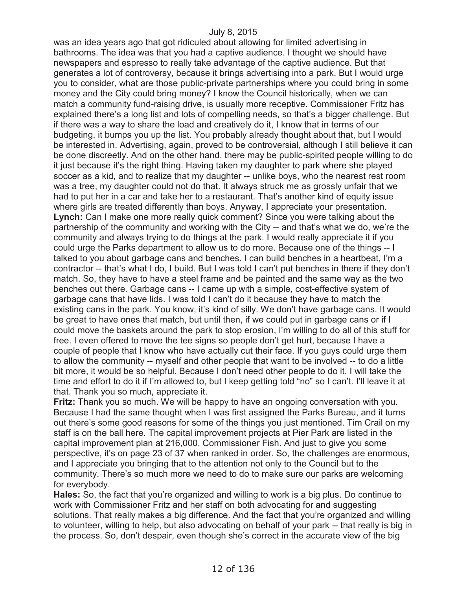was an idea years ago that got ridiculed about allowing for limited advertising in bathrooms. The idea was that you had a captive audience. I thought we should have newspapers and espresso to really take advantage of the captive audience. But that generates a lot of controversy, because it brings advertising into a park. But I would urge you to consider, what are those public-private partnerships where you could bring in some money and the City could bring money? I know the Council historically, when we can match a community fund-raising drive, is usually more receptive. Commissioner Fritz has explained there's a long list and lots of compelling needs, so that's a bigger challenge. But if there was a way to share the load and creatively do it, I know that in terms of our budgeting, it bumps you up the list. You probably already thought about that, but I would be interested in. Advertising, again, proved to be controversial, although I still believe it can be done discreetly. And on the other hand, there may be public-spirited people willing to do it just because it's the right thing. Having taken my daughter to park where she played soccer as a kid, and to realize that my daughter -- unlike boys, who the nearest rest room was a tree, my daughter could not do that. It always struck me as grossly unfair that we had to put her in a car and take her to a restaurant. That's another kind of equity issue where girls are treated differently than boys. Anyway, I appreciate your presentation. **Lynch:** Can I make one more really quick comment? Since you were talking about the partnership of the community and working with the City -- and that's what we do, we're the community and always trying to do things at the park. I would really appreciate it if you could urge the Parks department to allow us to do more. Because one of the things -- I talked to you about garbage cans and benches. I can build benches in a heartbeat, I'm a contractor -- that's what I do, I build. But I was told I can't put benches in there if they don't match. So, they have to have a steel frame and be painted and the same way as the two benches out there. Garbage cans -- I came up with a simple, cost-effective system of garbage cans that have lids. I was told I can't do it because they have to match the existing cans in the park. You know, it's kind of silly. We don't have garbage cans. It would be great to have ones that match, but until then, if we could put in garbage cans or if I could move the baskets around the park to stop erosion, I'm willing to do all of this stuff for free. I even offered to move the tee signs so people don't get hurt, because I have a couple of people that I know who have actually cut their face. If you guys could urge them to allow the community -- myself and other people that want to be involved -- to do a little bit more, it would be so helpful. Because I don't need other people to do it. I will take the time and effort to do it if I'm allowed to, but I keep getting told "no" so I can't. I'll leave it at that. Thank you so much, appreciate it.

**Fritz:** Thank you so much. We will be happy to have an ongoing conversation with you. Because I had the same thought when I was first assigned the Parks Bureau, and it turns out there's some good reasons for some of the things you just mentioned. Tim Crail on my staff is on the ball here. The capital improvement projects at Pier Park are listed in the capital improvement plan at 216,000, Commissioner Fish. And just to give you some perspective, it's on page 23 of 37 when ranked in order. So, the challenges are enormous, and I appreciate you bringing that to the attention not only to the Council but to the community. There's so much more we need to do to make sure our parks are welcoming for everybody.

**Hales:** So, the fact that you're organized and willing to work is a big plus. Do continue to work with Commissioner Fritz and her staff on both advocating for and suggesting solutions. That really makes a big difference. And the fact that you're organized and willing to volunteer, willing to help, but also advocating on behalf of your park -- that really is big in the process. So, don't despair, even though she's correct in the accurate view of the big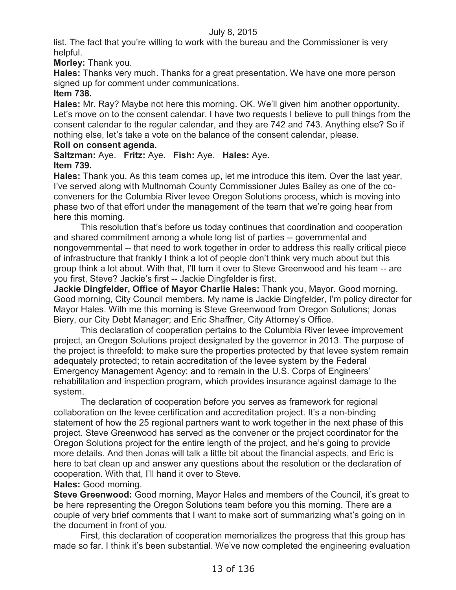list. The fact that you're willing to work with the bureau and the Commissioner is very helpful.

**Morley:** Thank you.

**Hales:** Thanks very much. Thanks for a great presentation. We have one more person signed up for comment under communications.

# **Item 738.**

**Hales:** Mr. Ray? Maybe not here this morning. OK. We'll given him another opportunity. Let's move on to the consent calendar. I have two requests I believe to pull things from the consent calendar to the regular calendar, and they are 742 and 743. Anything else? So if nothing else, let's take a vote on the balance of the consent calendar, please.

# **Roll on consent agenda.**

**Saltzman:** Aye. **Fritz:** Aye. **Fish:** Aye. **Hales:** Aye. **Item 739.**

**Hales:** Thank you. As this team comes up, let me introduce this item. Over the last year, I've served along with Multnomah County Commissioner Jules Bailey as one of the coconveners for the Columbia River levee Oregon Solutions process, which is moving into phase two of that effort under the management of the team that we're going hear from here this morning.

This resolution that's before us today continues that coordination and cooperation and shared commitment among a whole long list of parties -- governmental and nongovernmental -- that need to work together in order to address this really critical piece of infrastructure that frankly I think a lot of people don't think very much about but this group think a lot about. With that, I'll turn it over to Steve Greenwood and his team -- are you first, Steve? Jackie's first -- Jackie Dingfelder is first.

**Jackie Dingfelder, Office of Mayor Charlie Hales:** Thank you, Mayor. Good morning. Good morning, City Council members. My name is Jackie Dingfelder, I'm policy director for Mayor Hales. With me this morning is Steve Greenwood from Oregon Solutions; Jonas Biery, our City Debt Manager; and Eric Shaffner, City Attorney's Office.

This declaration of cooperation pertains to the Columbia River levee improvement project, an Oregon Solutions project designated by the governor in 2013. The purpose of the project is threefold: to make sure the properties protected by that levee system remain adequately protected; to retain accreditation of the levee system by the Federal Emergency Management Agency; and to remain in the U.S. Corps of Engineers' rehabilitation and inspection program, which provides insurance against damage to the system.

The declaration of cooperation before you serves as framework for regional collaboration on the levee certification and accreditation project. It's a non-binding statement of how the 25 regional partners want to work together in the next phase of this project. Steve Greenwood has served as the convener or the project coordinator for the Oregon Solutions project for the entire length of the project, and he's going to provide more details. And then Jonas will talk a little bit about the financial aspects, and Eric is here to bat clean up and answer any questions about the resolution or the declaration of cooperation. With that, I'll hand it over to Steve.

**Hales:** Good morning.

**Steve Greenwood:** Good morning, Mayor Hales and members of the Council, it's great to be here representing the Oregon Solutions team before you this morning. There are a couple of very brief comments that I want to make sort of summarizing what's going on in the document in front of you.

First, this declaration of cooperation memorializes the progress that this group has made so far. I think it's been substantial. We've now completed the engineering evaluation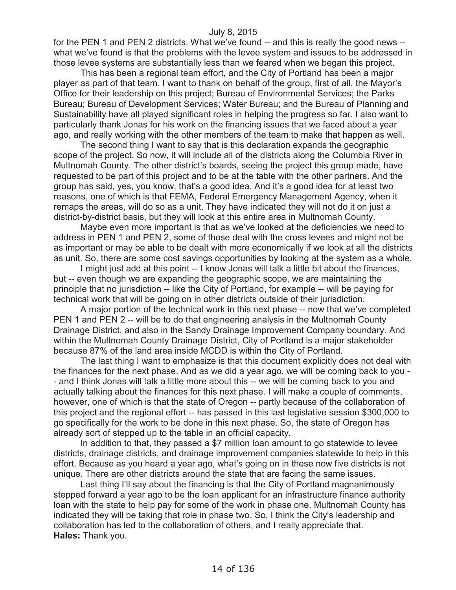for the PEN 1 and PEN 2 districts. What we've found -- and this is really the good news - what we've found is that the problems with the levee system and issues to be addressed in those levee systems are substantially less than we feared when we began this project.

This has been a regional team effort, and the City of Portland has been a major player as part of that team. I want to thank on behalf of the group, first of all, the Mayor's Office for their leadership on this project; Bureau of Environmental Services; the Parks Bureau; Bureau of Development Services; Water Bureau; and the Bureau of Planning and Sustainability have all played significant roles in helping the progress so far. I also want to particularly thank Jonas for his work on the financing issues that we faced about a year ago, and really working with the other members of the team to make that happen as well.

The second thing I want to say that is this declaration expands the geographic scope of the project. So now, it will include all of the districts along the Columbia River in Multnomah County. The other district's boards, seeing the project this group made, have requested to be part of this project and to be at the table with the other partners. And the group has said, yes, you know, that's a good idea. And it's a good idea for at least two reasons, one of which is that FEMA, Federal Emergency Management Agency, when it remaps the areas, will do so as a unit. They have indicated they will not do it on just a district-by-district basis, but they will look at this entire area in Multnomah County.

Maybe even more important is that as we've looked at the deficiencies we need to address in PEN 1 and PEN 2, some of those deal with the cross levees and might not be as important or may be able to be dealt with more economically if we look at all the districts as unit. So, there are some cost savings opportunities by looking at the system as a whole.

I might just add at this point -- I know Jonas will talk a little bit about the finances, but -- even though we are expanding the geographic scope, we are maintaining the principle that no jurisdiction -- like the City of Portland, for example -- will be paying for technical work that will be going on in other districts outside of their jurisdiction.

A major portion of the technical work in this next phase -- now that we've completed PEN 1 and PEN 2 -- will be to do that engineering analysis in the Multnomah County Drainage District, and also in the Sandy Drainage Improvement Company boundary. And within the Multnomah County Drainage District, City of Portland is a major stakeholder because 87% of the land area inside MCDD is within the City of Portland.

The last thing I want to emphasize is that this document explicitly does not deal with the finances for the next phase. And as we did a year ago, we will be coming back to you - - and I think Jonas will talk a little more about this -- we will be coming back to you and actually talking about the finances for this next phase. I will make a couple of comments, however, one of which is that the state of Oregon -- partly because of the collaboration of this project and the regional effort -- has passed in this last legislative session \$300,000 to go specifically for the work to be done in this next phase. So, the state of Oregon has already sort of stepped up to the table in an official capacity.

In addition to that, they passed a \$7 million loan amount to go statewide to levee districts, drainage districts, and drainage improvement companies statewide to help in this effort. Because as you heard a year ago, what's going on in these now five districts is not unique. There are other districts around the state that are facing the same issues.

Last thing I'll say about the financing is that the City of Portland magnanimously stepped forward a year ago to be the loan applicant for an infrastructure finance authority loan with the state to help pay for some of the work in phase one. Multnomah County has indicated they will be taking that role in phase two. So, I think the City's leadership and collaboration has led to the collaboration of others, and I really appreciate that. **Hales:** Thank you.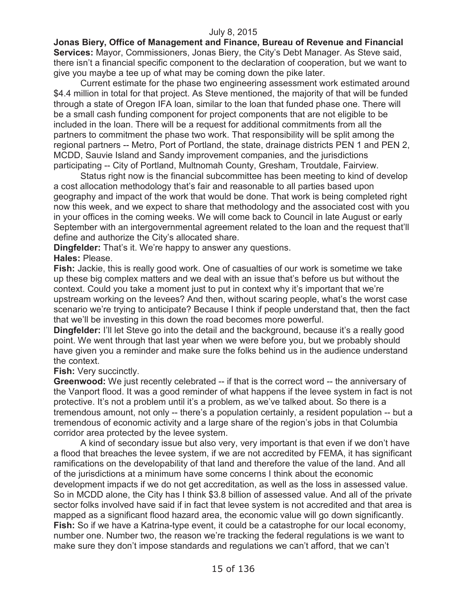**Jonas Biery, Office of Management and Finance, Bureau of Revenue and Financial Services:** Mayor, Commissioners, Jonas Biery, the City's Debt Manager. As Steve said, there isn't a financial specific component to the declaration of cooperation, but we want to give you maybe a tee up of what may be coming down the pike later.

Current estimate for the phase two engineering assessment work estimated around \$4.4 million in total for that project. As Steve mentioned, the majority of that will be funded through a state of Oregon IFA loan, similar to the loan that funded phase one. There will be a small cash funding component for project components that are not eligible to be included in the loan. There will be a request for additional commitments from all the partners to commitment the phase two work. That responsibility will be split among the regional partners -- Metro, Port of Portland, the state, drainage districts PEN 1 and PEN 2, MCDD, Sauvie Island and Sandy improvement companies, and the jurisdictions participating -- City of Portland, Multnomah County, Gresham, Troutdale, Fairview.

Status right now is the financial subcommittee has been meeting to kind of develop a cost allocation methodology that's fair and reasonable to all parties based upon geography and impact of the work that would be done. That work is being completed right now this week, and we expect to share that methodology and the associated cost with you in your offices in the coming weeks. We will come back to Council in late August or early September with an intergovernmental agreement related to the loan and the request that'll define and authorize the City's allocated share.

**Dingfelder:** That's it. We're happy to answer any questions. **Hales:** Please.

**Fish:** Jackie, this is really good work. One of casualties of our work is sometime we take up these big complex matters and we deal with an issue that's before us but without the context. Could you take a moment just to put in context why it's important that we're upstream working on the levees? And then, without scaring people, what's the worst case scenario we're trying to anticipate? Because I think if people understand that, then the fact that we'll be investing in this down the road becomes more powerful.

**Dingfelder:** I'll let Steve go into the detail and the background, because it's a really good point. We went through that last year when we were before you, but we probably should have given you a reminder and make sure the folks behind us in the audience understand the context.

**Fish:** Very succinctly.

**Greenwood:** We just recently celebrated -- if that is the correct word -- the anniversary of the Vanport flood. It was a good reminder of what happens if the levee system in fact is not protective. It's not a problem until it's a problem, as we've talked about. So there is a tremendous amount, not only -- there's a population certainly, a resident population -- but a tremendous of economic activity and a large share of the region's jobs in that Columbia corridor area protected by the levee system.

A kind of secondary issue but also very, very important is that even if we don't have a flood that breaches the levee system, if we are not accredited by FEMA, it has significant ramifications on the developability of that land and therefore the value of the land. And all of the jurisdictions at a minimum have some concerns I think about the economic development impacts if we do not get accreditation, as well as the loss in assessed value. So in MCDD alone, the City has I think \$3.8 billion of assessed value. And all of the private sector folks involved have said if in fact that levee system is not accredited and that area is mapped as a significant flood hazard area, the economic value will go down significantly. **Fish:** So if we have a Katrina-type event, it could be a catastrophe for our local economy, number one. Number two, the reason we're tracking the federal regulations is we want to make sure they don't impose standards and regulations we can't afford, that we can't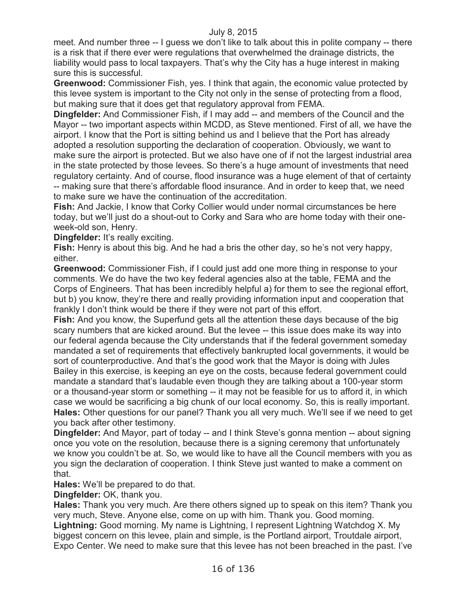meet. And number three -- I guess we don't like to talk about this in polite company -- there is a risk that if there ever were regulations that overwhelmed the drainage districts, the liability would pass to local taxpayers. That's why the City has a huge interest in making sure this is successful.

**Greenwood:** Commissioner Fish, yes. I think that again, the economic value protected by this levee system is important to the City not only in the sense of protecting from a flood, but making sure that it does get that regulatory approval from FEMA.

**Dingfelder:** And Commissioner Fish, if I may add -- and members of the Council and the Mayor -- two important aspects within MCDD, as Steve mentioned. First of all, we have the airport. I know that the Port is sitting behind us and I believe that the Port has already adopted a resolution supporting the declaration of cooperation. Obviously, we want to make sure the airport is protected. But we also have one of if not the largest industrial area in the state protected by those levees. So there's a huge amount of investments that need regulatory certainty. And of course, flood insurance was a huge element of that of certainty -- making sure that there's affordable flood insurance. And in order to keep that, we need to make sure we have the continuation of the accreditation.

**Fish:** And Jackie, I know that Corky Collier would under normal circumstances be here today, but we'll just do a shout-out to Corky and Sara who are home today with their oneweek-old son, Henry.

### **Dingfelder:** It's really exciting.

**Fish:** Henry is about this big. And he had a bris the other day, so he's not very happy, either.

**Greenwood:** Commissioner Fish, if I could just add one more thing in response to your comments. We do have the two key federal agencies also at the table, FEMA and the Corps of Engineers. That has been incredibly helpful a) for them to see the regional effort, but b) you know, they're there and really providing information input and cooperation that frankly I don't think would be there if they were not part of this effort.

**Fish:** And you know, the Superfund gets all the attention these days because of the big scary numbers that are kicked around. But the levee -- this issue does make its way into our federal agenda because the City understands that if the federal government someday mandated a set of requirements that effectively bankrupted local governments, it would be sort of counterproductive. And that's the good work that the Mayor is doing with Jules Bailey in this exercise, is keeping an eye on the costs, because federal government could mandate a standard that's laudable even though they are talking about a 100-year storm or a thousand-year storm or something -- it may not be feasible for us to afford it, in which case we would be sacrificing a big chunk of our local economy. So, this is really important. **Hales:** Other questions for our panel? Thank you all very much. We'll see if we need to get you back after other testimony.

**Dingfelder:** And Mayor, part of today -- and I think Steve's gonna mention -- about signing once you vote on the resolution, because there is a signing ceremony that unfortunately we know you couldn't be at. So, we would like to have all the Council members with you as you sign the declaration of cooperation. I think Steve just wanted to make a comment on that.

**Hales:** We'll be prepared to do that.

**Dingfelder:** OK, thank you.

**Hales:** Thank you very much. Are there others signed up to speak on this item? Thank you very much, Steve. Anyone else, come on up with him. Thank you. Good morning. **Lightning:** Good morning. My name is Lightning, I represent Lightning Watchdog X. My biggest concern on this levee, plain and simple, is the Portland airport, Troutdale airport, Expo Center. We need to make sure that this levee has not been breached in the past. I've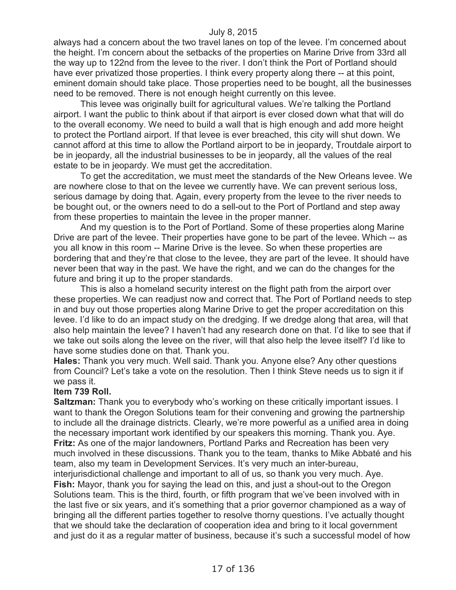always had a concern about the two travel lanes on top of the levee. I'm concerned about the height. I'm concern about the setbacks of the properties on Marine Drive from 33rd all the way up to 122nd from the levee to the river. I don't think the Port of Portland should have ever privatized those properties. I think every property along there -- at this point, eminent domain should take place. Those properties need to be bought, all the businesses need to be removed. There is not enough height currently on this levee.

This levee was originally built for agricultural values. We're talking the Portland airport. I want the public to think about if that airport is ever closed down what that will do to the overall economy. We need to build a wall that is high enough and add more height to protect the Portland airport. If that levee is ever breached, this city will shut down. We cannot afford at this time to allow the Portland airport to be in jeopardy, Troutdale airport to be in jeopardy, all the industrial businesses to be in jeopardy, all the values of the real estate to be in jeopardy. We must get the accreditation.

To get the accreditation, we must meet the standards of the New Orleans levee. We are nowhere close to that on the levee we currently have. We can prevent serious loss, serious damage by doing that. Again, every property from the levee to the river needs to be bought out, or the owners need to do a sell-out to the Port of Portland and step away from these properties to maintain the levee in the proper manner.

And my question is to the Port of Portland. Some of these properties along Marine Drive are part of the levee. Their properties have gone to be part of the levee. Which -- as you all know in this room -- Marine Drive is the levee. So when these properties are bordering that and they're that close to the levee, they are part of the levee. It should have never been that way in the past. We have the right, and we can do the changes for the future and bring it up to the proper standards.

This is also a homeland security interest on the flight path from the airport over these properties. We can readjust now and correct that. The Port of Portland needs to step in and buy out those properties along Marine Drive to get the proper accreditation on this levee. I'd like to do an impact study on the dredging. If we dredge along that area, will that also help maintain the levee? I haven't had any research done on that. I'd like to see that if we take out soils along the levee on the river, will that also help the levee itself? I'd like to have some studies done on that. Thank you.

**Hales:** Thank you very much. Well said. Thank you. Anyone else? Any other questions from Council? Let's take a vote on the resolution. Then I think Steve needs us to sign it if we pass it.

### **Item 739 Roll.**

**Saltzman:** Thank you to everybody who's working on these critically important issues. I want to thank the Oregon Solutions team for their convening and growing the partnership to include all the drainage districts. Clearly, we're more powerful as a unified area in doing the necessary important work identified by our speakers this morning. Thank you. Aye. **Fritz:** As one of the major landowners, Portland Parks and Recreation has been very much involved in these discussions. Thank you to the team, thanks to Mike Abbaté and his team, also my team in Development Services. It's very much an inter-bureau, interjurisdictional challenge and important to all of us, so thank you very much. Aye.

**Fish:** Mayor, thank you for saying the lead on this, and just a shout-out to the Oregon Solutions team. This is the third, fourth, or fifth program that we've been involved with in the last five or six years, and it's something that a prior governor championed as a way of bringing all the different parties together to resolve thorny questions. I've actually thought that we should take the declaration of cooperation idea and bring to it local government and just do it as a regular matter of business, because it's such a successful model of how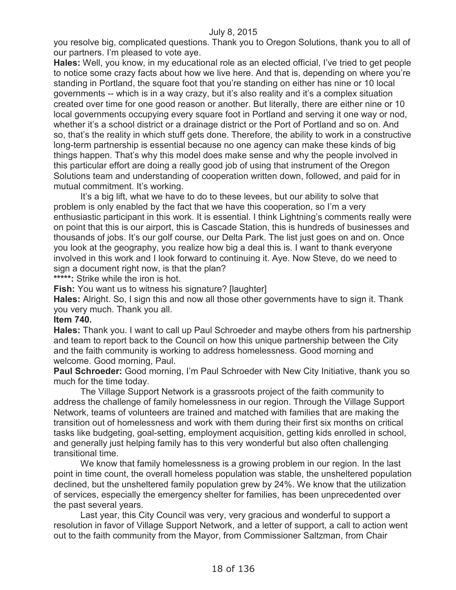you resolve big, complicated questions. Thank you to Oregon Solutions, thank you to all of our partners. I'm pleased to vote aye.

**Hales:** Well, you know, in my educational role as an elected official, I've tried to get people to notice some crazy facts about how we live here. And that is, depending on where you're standing in Portland, the square foot that you're standing on either has nine or 10 local governments -- which is in a way crazy, but it's also reality and it's a complex situation created over time for one good reason or another. But literally, there are either nine or 10 local governments occupying every square foot in Portland and serving it one way or nod, whether it's a school district or a drainage district or the Port of Portland and so on. And so, that's the reality in which stuff gets done. Therefore, the ability to work in a constructive long-term partnership is essential because no one agency can make these kinds of big things happen. That's why this model does make sense and why the people involved in this particular effort are doing a really good job of using that instrument of the Oregon Solutions team and understanding of cooperation written down, followed, and paid for in mutual commitment. It's working.

It's a big lift, what we have to do to these levees, but our ability to solve that problem is only enabled by the fact that we have this cooperation, so I'm a very enthusiastic participant in this work. It is essential. I think Lightning's comments really were on point that this is our airport, this is Cascade Station, this is hundreds of businesses and thousands of jobs. It's our golf course, our Delta Park. The list just goes on and on. Once you look at the geography, you realize how big a deal this is. I want to thank everyone involved in this work and I look forward to continuing it. Aye. Now Steve, do we need to sign a document right now, is that the plan?

**\*\*\*\*\*:** Strike while the iron is hot.

**Fish:** You want us to witness his signature? [laughter]

**Hales:** Alright. So, I sign this and now all those other governments have to sign it. Thank you very much. Thank you all.

### **Item 740.**

**Hales:** Thank you. I want to call up Paul Schroeder and maybe others from his partnership and team to report back to the Council on how this unique partnership between the City and the faith community is working to address homelessness. Good morning and welcome. Good morning, Paul.

**Paul Schroeder:** Good morning, I'm Paul Schroeder with New City Initiative, thank you so much for the time today.

The Village Support Network is a grassroots project of the faith community to address the challenge of family homelessness in our region. Through the Village Support Network, teams of volunteers are trained and matched with families that are making the transition out of homelessness and work with them during their first six months on critical tasks like budgeting, goal-setting, employment acquisition, getting kids enrolled in school, and generally just helping family has to this very wonderful but also often challenging transitional time.

We know that family homelessness is a growing problem in our region. In the last point in time count, the overall homeless population was stable, the unsheltered population declined, but the unsheltered family population grew by 24%. We know that the utilization of services, especially the emergency shelter for families, has been unprecedented over the past several years.

Last year, this City Council was very, very gracious and wonderful to support a resolution in favor of Village Support Network, and a letter of support, a call to action went out to the faith community from the Mayor, from Commissioner Saltzman, from Chair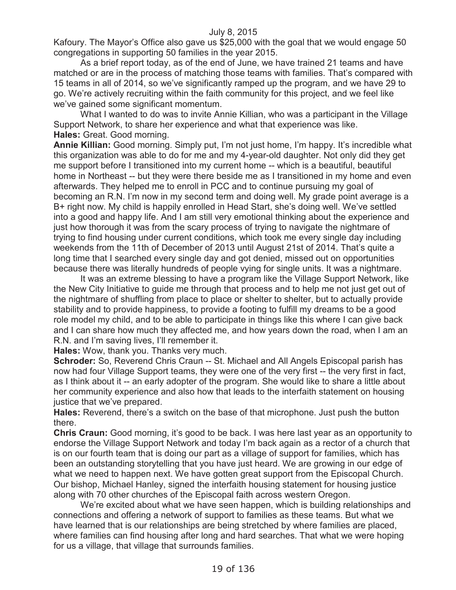Kafoury. The Mayor's Office also gave us \$25,000 with the goal that we would engage 50 congregations in supporting 50 families in the year 2015.

As a brief report today, as of the end of June, we have trained 21 teams and have matched or are in the process of matching those teams with families. That's compared with 15 teams in all of 2014, so we've significantly ramped up the program, and we have 29 to go. We're actively recruiting within the faith community for this project, and we feel like we've gained some significant momentum.

What I wanted to do was to invite Annie Killian, who was a participant in the Village Support Network, to share her experience and what that experience was like. **Hales:** Great. Good morning.

**Annie Killian:** Good morning. Simply put, I'm not just home, I'm happy. It's incredible what this organization was able to do for me and my 4-year-old daughter. Not only did they get me support before I transitioned into my current home -- which is a beautiful, beautiful home in Northeast -- but they were there beside me as I transitioned in my home and even afterwards. They helped me to enroll in PCC and to continue pursuing my goal of becoming an R.N. I'm now in my second term and doing well. My grade point average is a B+ right now. My child is happily enrolled in Head Start, she's doing well. We've settled into a good and happy life. And I am still very emotional thinking about the experience and just how thorough it was from the scary process of trying to navigate the nightmare of trying to find housing under current conditions, which took me every single day including weekends from the 11th of December of 2013 until August 21st of 2014. That's quite a long time that I searched every single day and got denied, missed out on opportunities because there was literally hundreds of people vying for single units. It was a nightmare.

It was an extreme blessing to have a program like the Village Support Network, like the New City Initiative to guide me through that process and to help me not just get out of the nightmare of shuffling from place to place or shelter to shelter, but to actually provide stability and to provide happiness, to provide a footing to fulfill my dreams to be a good role model my child, and to be able to participate in things like this where I can give back and I can share how much they affected me, and how years down the road, when I am an R.N. and I'm saving lives, I'll remember it.

**Hales:** Wow, thank you. Thanks very much.

**Schroder:** So, Reverend Chris Craun -- St. Michael and All Angels Episcopal parish has now had four Village Support teams, they were one of the very first -- the very first in fact, as I think about it -- an early adopter of the program. She would like to share a little about her community experience and also how that leads to the interfaith statement on housing justice that we've prepared.

**Hales:** Reverend, there's a switch on the base of that microphone. Just push the button there.

**Chris Craun:** Good morning, it's good to be back. I was here last year as an opportunity to endorse the Village Support Network and today I'm back again as a rector of a church that is on our fourth team that is doing our part as a village of support for families, which has been an outstanding storytelling that you have just heard. We are growing in our edge of what we need to happen next. We have gotten great support from the Episcopal Church. Our bishop, Michael Hanley, signed the interfaith housing statement for housing justice along with 70 other churches of the Episcopal faith across western Oregon.

We're excited about what we have seen happen, which is building relationships and connections and offering a network of support to families as these teams. But what we have learned that is our relationships are being stretched by where families are placed, where families can find housing after long and hard searches. That what we were hoping for us a village, that village that surrounds families.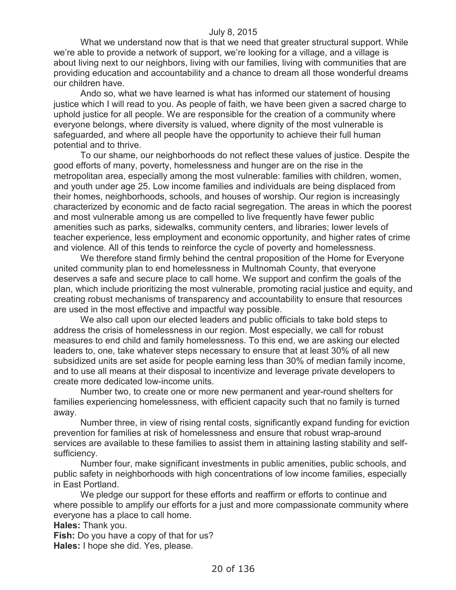What we understand now that is that we need that greater structural support. While we're able to provide a network of support, we're looking for a village, and a village is about living next to our neighbors, living with our families, living with communities that are providing education and accountability and a chance to dream all those wonderful dreams our children have.

Ando so, what we have learned is what has informed our statement of housing justice which I will read to you. As people of faith, we have been given a sacred charge to uphold justice for all people. We are responsible for the creation of a community where everyone belongs, where diversity is valued, where dignity of the most vulnerable is safeguarded, and where all people have the opportunity to achieve their full human potential and to thrive.

To our shame, our neighborhoods do not reflect these values of justice. Despite the good efforts of many, poverty, homelessness and hunger are on the rise in the metropolitan area, especially among the most vulnerable: families with children, women, and youth under age 25. Low income families and individuals are being displaced from their homes, neighborhoods, schools, and houses of worship. Our region is increasingly characterized by economic and de facto racial segregation. The areas in which the poorest and most vulnerable among us are compelled to live frequently have fewer public amenities such as parks, sidewalks, community centers, and libraries; lower levels of teacher experience, less employment and economic opportunity, and higher rates of crime and violence. All of this tends to reinforce the cycle of poverty and homelessness.

We therefore stand firmly behind the central proposition of the Home for Everyone united community plan to end homelessness in Multnomah County, that everyone deserves a safe and secure place to call home. We support and confirm the goals of the plan, which include prioritizing the most vulnerable, promoting racial justice and equity, and creating robust mechanisms of transparency and accountability to ensure that resources are used in the most effective and impactful way possible.

We also call upon our elected leaders and public officials to take bold steps to address the crisis of homelessness in our region. Most especially, we call for robust measures to end child and family homelessness. To this end, we are asking our elected leaders to, one, take whatever steps necessary to ensure that at least 30% of all new subsidized units are set aside for people earning less than 30% of median family income, and to use all means at their disposal to incentivize and leverage private developers to create more dedicated low-income units.

Number two, to create one or more new permanent and year-round shelters for families experiencing homelessness, with efficient capacity such that no family is turned away.

Number three, in view of rising rental costs, significantly expand funding for eviction prevention for families at risk of homelessness and ensure that robust wrap-around services are available to these families to assist them in attaining lasting stability and selfsufficiency.

Number four, make significant investments in public amenities, public schools, and public safety in neighborhoods with high concentrations of low income families, especially in East Portland.

We pledge our support for these efforts and reaffirm or efforts to continue and where possible to amplify our efforts for a just and more compassionate community where everyone has a place to call home.

**Hales:** Thank you.

**Fish:** Do you have a copy of that for us?

**Hales:** I hope she did. Yes, please.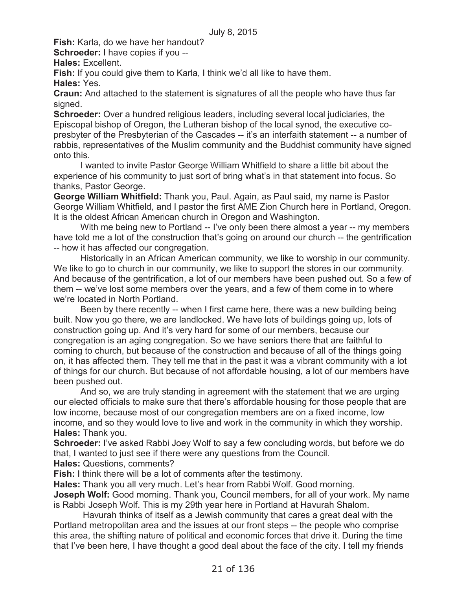**Fish:** Karla, do we have her handout?

**Schroeder:** I have copies if you --

**Hales:** Excellent.

**Fish:** If you could give them to Karla, I think we'd all like to have them.

**Hales:** Yes.

**Craun:** And attached to the statement is signatures of all the people who have thus far signed.

**Schroeder:** Over a hundred religious leaders, including several local judiciaries, the Episcopal bishop of Oregon, the Lutheran bishop of the local synod, the executive copresbyter of the Presbyterian of the Cascades -- it's an interfaith statement -- a number of rabbis, representatives of the Muslim community and the Buddhist community have signed onto this.

I wanted to invite Pastor George William Whitfield to share a little bit about the experience of his community to just sort of bring what's in that statement into focus. So thanks, Pastor George.

**George William Whitfield:** Thank you, Paul. Again, as Paul said, my name is Pastor George William Whitfield, and I pastor the first AME Zion Church here in Portland, Oregon. It is the oldest African American church in Oregon and Washington.

With me being new to Portland -- I've only been there almost a year -- my members have told me a lot of the construction that's going on around our church -- the gentrification -- how it has affected our congregation.

Historically in an African American community, we like to worship in our community. We like to go to church in our community, we like to support the stores in our community. And because of the gentrification, a lot of our members have been pushed out. So a few of them -- we've lost some members over the years, and a few of them come in to where we're located in North Portland.

Been by there recently -- when I first came here, there was a new building being built. Now you go there, we are landlocked. We have lots of buildings going up, lots of construction going up. And it's very hard for some of our members, because our congregation is an aging congregation. So we have seniors there that are faithful to coming to church, but because of the construction and because of all of the things going on, it has affected them. They tell me that in the past it was a vibrant community with a lot of things for our church. But because of not affordable housing, a lot of our members have been pushed out.

And so, we are truly standing in agreement with the statement that we are urging our elected officials to make sure that there's affordable housing for those people that are low income, because most of our congregation members are on a fixed income, low income, and so they would love to live and work in the community in which they worship. **Hales:** Thank you.

**Schroeder:** I've asked Rabbi Joey Wolf to say a few concluding words, but before we do that, I wanted to just see if there were any questions from the Council.

**Hales:** Questions, comments?

**Fish:** I think there will be a lot of comments after the testimony.

**Hales:** Thank you all very much. Let's hear from Rabbi Wolf. Good morning.

**Joseph Wolf:** Good morning. Thank you, Council members, for all of your work. My name is Rabbi Joseph Wolf. This is my 29th year here in Portland at Havurah Shalom.

Havurah thinks of itself as a Jewish community that cares a great deal with the Portland metropolitan area and the issues at our front steps -- the people who comprise this area, the shifting nature of political and economic forces that drive it. During the time that I've been here, I have thought a good deal about the face of the city. I tell my friends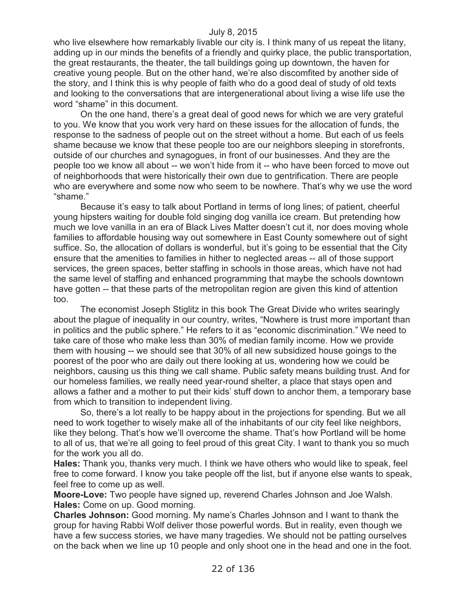who live elsewhere how remarkably livable our city is. I think many of us repeat the litany, adding up in our minds the benefits of a friendly and quirky place, the public transportation, the great restaurants, the theater, the tall buildings going up downtown, the haven for creative young people. But on the other hand, we're also discomfited by another side of the story, and I think this is why people of faith who do a good deal of study of old texts and looking to the conversations that are intergenerational about living a wise life use the word "shame" in this document.

On the one hand, there's a great deal of good news for which we are very grateful to you. We know that you work very hard on these issues for the allocation of funds, the response to the sadness of people out on the street without a home. But each of us feels shame because we know that these people too are our neighbors sleeping in storefronts, outside of our churches and synagogues, in front of our businesses. And they are the people too we know all about -- we won't hide from it -- who have been forced to move out of neighborhoods that were historically their own due to gentrification. There are people who are everywhere and some now who seem to be nowhere. That's why we use the word "shame."

Because it's easy to talk about Portland in terms of long lines; of patient, cheerful young hipsters waiting for double fold singing dog vanilla ice cream. But pretending how much we love vanilla in an era of Black Lives Matter doesn't cut it, nor does moving whole families to affordable housing way out somewhere in East County somewhere out of sight suffice. So, the allocation of dollars is wonderful, but it's going to be essential that the City ensure that the amenities to families in hither to neglected areas -- all of those support services, the green spaces, better staffing in schools in those areas, which have not had the same level of staffing and enhanced programming that maybe the schools downtown have gotten -- that these parts of the metropolitan region are given this kind of attention too.

The economist Joseph Stiglitz in this book The Great Divide who writes searingly about the plague of inequality in our country, writes, "Nowhere is trust more important than in politics and the public sphere." He refers to it as "economic discrimination." We need to take care of those who make less than 30% of median family income. How we provide them with housing -- we should see that 30% of all new subsidized house goings to the poorest of the poor who are daily out there looking at us, wondering how we could be neighbors, causing us this thing we call shame. Public safety means building trust. And for our homeless families, we really need year-round shelter, a place that stays open and allows a father and a mother to put their kids' stuff down to anchor them, a temporary base from which to transition to independent living.

So, there's a lot really to be happy about in the projections for spending. But we all need to work together to wisely make all of the inhabitants of our city feel like neighbors, like they belong. That's how we'll overcome the shame. That's how Portland will be home to all of us, that we're all going to feel proud of this great City. I want to thank you so much for the work you all do.

**Hales:** Thank you, thanks very much. I think we have others who would like to speak, feel free to come forward. I know you take people off the list, but if anyone else wants to speak, feel free to come up as well.

**Moore-Love:** Two people have signed up, reverend Charles Johnson and Joe Walsh. **Hales:** Come on up. Good morning.

**Charles Johnson:** Good morning. My name's Charles Johnson and I want to thank the group for having Rabbi Wolf deliver those powerful words. But in reality, even though we have a few success stories, we have many tragedies. We should not be patting ourselves on the back when we line up 10 people and only shoot one in the head and one in the foot.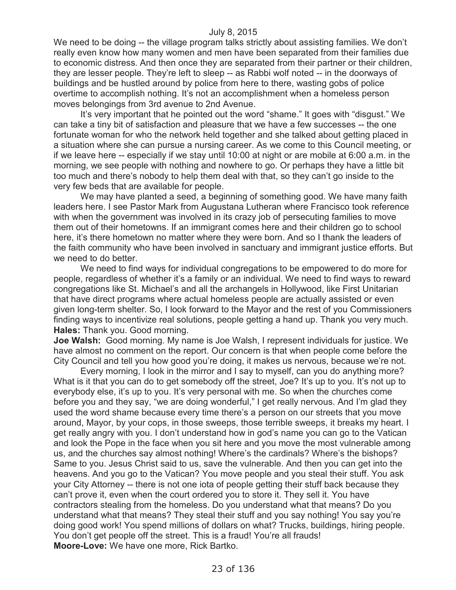We need to be doing -- the village program talks strictly about assisting families. We don't really even know how many women and men have been separated from their families due to economic distress. And then once they are separated from their partner or their children, they are lesser people. They're left to sleep -- as Rabbi wolf noted -- in the doorways of buildings and be hustled around by police from here to there, wasting gobs of police overtime to accomplish nothing. It's not an accomplishment when a homeless person moves belongings from 3rd avenue to 2nd Avenue.

It's very important that he pointed out the word "shame." It goes with "disgust." We can take a tiny bit of satisfaction and pleasure that we have a few successes -- the one fortunate woman for who the network held together and she talked about getting placed in a situation where she can pursue a nursing career. As we come to this Council meeting, or if we leave here -- especially if we stay until 10:00 at night or are mobile at 6:00 a.m. in the morning, we see people with nothing and nowhere to go. Or perhaps they have a little bit too much and there's nobody to help them deal with that, so they can't go inside to the very few beds that are available for people.

We may have planted a seed, a beginning of something good. We have many faith leaders here. I see Pastor Mark from Augustana Lutheran where Francisco took reference with when the government was involved in its crazy job of persecuting families to move them out of their hometowns. If an immigrant comes here and their children go to school here, it's there hometown no matter where they were born. And so I thank the leaders of the faith community who have been involved in sanctuary and immigrant justice efforts. But we need to do better.

We need to find ways for individual congregations to be empowered to do more for people, regardless of whether it's a family or an individual. We need to find ways to reward congregations like St. Michael's and all the archangels in Hollywood, like First Unitarian that have direct programs where actual homeless people are actually assisted or even given long-term shelter. So, I look forward to the Mayor and the rest of you Commissioners finding ways to incentivize real solutions, people getting a hand up. Thank you very much. **Hales:** Thank you. Good morning.

**Joe Walsh:** Good morning. My name is Joe Walsh, I represent individuals for justice. We have almost no comment on the report. Our concern is that when people come before the City Council and tell you how good you're doing, it makes us nervous, because we're not.

Every morning, I look in the mirror and I say to myself, can you do anything more? What is it that you can do to get somebody off the street, Joe? It's up to you. It's not up to everybody else, it's up to you. It's very personal with me. So when the churches come before you and they say, "we are doing wonderful," I get really nervous. And I'm glad they used the word shame because every time there's a person on our streets that you move around, Mayor, by your cops, in those sweeps, those terrible sweeps, it breaks my heart. I get really angry with you. I don't understand how in god's name you can go to the Vatican and look the Pope in the face when you sit here and you move the most vulnerable among us, and the churches say almost nothing! Where's the cardinals? Where's the bishops? Same to you. Jesus Christ said to us, save the vulnerable. And then you can get into the heavens. And you go to the Vatican? You move people and you steal their stuff. You ask your City Attorney -- there is not one iota of people getting their stuff back because they can't prove it, even when the court ordered you to store it. They sell it. You have contractors stealing from the homeless. Do you understand what that means? Do you understand what that means? They steal their stuff and you say nothing! You say you're doing good work! You spend millions of dollars on what? Trucks, buildings, hiring people. You don't get people off the street. This is a fraud! You're all frauds! **Moore-Love:** We have one more, Rick Bartko.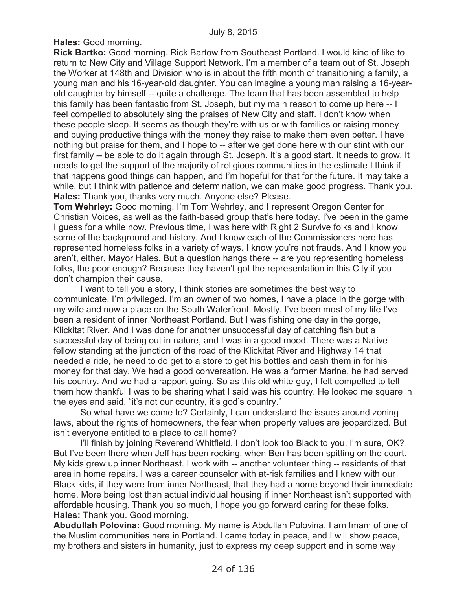**Hales:** Good morning.

**Rick Bartko:** Good morning. Rick Bartow from Southeast Portland. I would kind of like to return to New City and Village Support Network. I'm a member of a team out of St. Joseph the Worker at 148th and Division who is in about the fifth month of transitioning a family, a young man and his 16-year-old daughter. You can imagine a young man raising a 16-yearold daughter by himself -- quite a challenge. The team that has been assembled to help this family has been fantastic from St. Joseph, but my main reason to come up here -- I feel compelled to absolutely sing the praises of New City and staff. I don't know when these people sleep. It seems as though they're with us or with families or raising money and buying productive things with the money they raise to make them even better. I have nothing but praise for them, and I hope to -- after we get done here with our stint with our first family -- be able to do it again through St. Joseph. It's a good start. It needs to grow. It needs to get the support of the majority of religious communities in the estimate I think if that happens good things can happen, and I'm hopeful for that for the future. It may take a while, but I think with patience and determination, we can make good progress. Thank you. **Hales:** Thank you, thanks very much. Anyone else? Please.

**Tom Wehrley:** Good morning. I'm Tom Wehrley, and I represent Oregon Center for Christian Voices, as well as the faith-based group that's here today. I've been in the game I guess for a while now. Previous time, I was here with Right 2 Survive folks and I know some of the background and history. And I know each of the Commissioners here has represented homeless folks in a variety of ways. I know you're not frauds. And I know you aren't, either, Mayor Hales. But a question hangs there -- are you representing homeless folks, the poor enough? Because they haven't got the representation in this City if you don't champion their cause.

I want to tell you a story, I think stories are sometimes the best way to communicate. I'm privileged. I'm an owner of two homes, I have a place in the gorge with my wife and now a place on the South Waterfront. Mostly, I've been most of my life I've been a resident of inner Northeast Portland. But I was fishing one day in the gorge, Klickitat River. And I was done for another unsuccessful day of catching fish but a successful day of being out in nature, and I was in a good mood. There was a Native fellow standing at the junction of the road of the Klickitat River and Highway 14 that needed a ride, he need to do get to a store to get his bottles and cash them in for his money for that day. We had a good conversation. He was a former Marine, he had served his country. And we had a rapport going. So as this old white guy, I felt compelled to tell them how thankful I was to be sharing what I said was his country. He looked me square in the eyes and said, "it's not our country, it's god's country."

So what have we come to? Certainly, I can understand the issues around zoning laws, about the rights of homeowners, the fear when property values are jeopardized. But isn't everyone entitled to a place to call home?

I'll finish by joining Reverend Whitfield. I don't look too Black to you, I'm sure, OK? But I've been there when Jeff has been rocking, when Ben has been spitting on the court. My kids grew up inner Northeast. I work with -- another volunteer thing -- residents of that area in home repairs. I was a career counselor with at-risk families and I knew with our Black kids, if they were from inner Northeast, that they had a home beyond their immediate home. More being lost than actual individual housing if inner Northeast isn't supported with affordable housing. Thank you so much, I hope you go forward caring for these folks. **Hales:** Thank you. Good morning.

**Abudullah Polovina:** Good morning. My name is Abdullah Polovina, I am Imam of one of the Muslim communities here in Portland. I came today in peace, and I will show peace, my brothers and sisters in humanity, just to express my deep support and in some way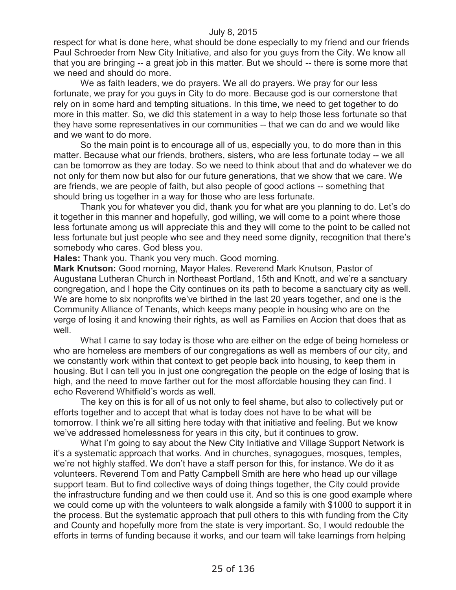respect for what is done here, what should be done especially to my friend and our friends Paul Schroeder from New City Initiative, and also for you guys from the City. We know all that you are bringing -- a great job in this matter. But we should -- there is some more that we need and should do more.

We as faith leaders, we do prayers. We all do prayers. We pray for our less fortunate, we pray for you guys in City to do more. Because god is our cornerstone that rely on in some hard and tempting situations. In this time, we need to get together to do more in this matter. So, we did this statement in a way to help those less fortunate so that they have some representatives in our communities -- that we can do and we would like and we want to do more.

So the main point is to encourage all of us, especially you, to do more than in this matter. Because what our friends, brothers, sisters, who are less fortunate today -- we all can be tomorrow as they are today. So we need to think about that and do whatever we do not only for them now but also for our future generations, that we show that we care. We are friends, we are people of faith, but also people of good actions -- something that should bring us together in a way for those who are less fortunate.

Thank you for whatever you did, thank you for what are you planning to do. Let's do it together in this manner and hopefully, god willing, we will come to a point where those less fortunate among us will appreciate this and they will come to the point to be called not less fortunate but just people who see and they need some dignity, recognition that there's somebody who cares. God bless you.

**Hales:** Thank you. Thank you very much. Good morning.

**Mark Knutson:** Good morning, Mayor Hales. Reverend Mark Knutson, Pastor of Augustana Lutheran Church in Northeast Portland, 15th and Knott, and we're a sanctuary congregation, and I hope the City continues on its path to become a sanctuary city as well. We are home to six nonprofits we've birthed in the last 20 years together, and one is the Community Alliance of Tenants, which keeps many people in housing who are on the verge of losing it and knowing their rights, as well as Families en Accion that does that as well.

What I came to say today is those who are either on the edge of being homeless or who are homeless are members of our congregations as well as members of our city, and we constantly work within that context to get people back into housing, to keep them in housing. But I can tell you in just one congregation the people on the edge of losing that is high, and the need to move farther out for the most affordable housing they can find. I echo Reverend Whitfield's words as well.

The key on this is for all of us not only to feel shame, but also to collectively put or efforts together and to accept that what is today does not have to be what will be tomorrow. I think we're all sitting here today with that initiative and feeling. But we know we've addressed homelessness for years in this city, but it continues to grow.

What I'm going to say about the New City Initiative and Village Support Network is it's a systematic approach that works. And in churches, synagogues, mosques, temples, we're not highly staffed. We don't have a staff person for this, for instance. We do it as volunteers. Reverend Tom and Patty Campbell Smith are here who head up our village support team. But to find collective ways of doing things together, the City could provide the infrastructure funding and we then could use it. And so this is one good example where we could come up with the volunteers to walk alongside a family with \$1000 to support it in the process. But the systematic approach that pull others to this with funding from the City and County and hopefully more from the state is very important. So, I would redouble the efforts in terms of funding because it works, and our team will take learnings from helping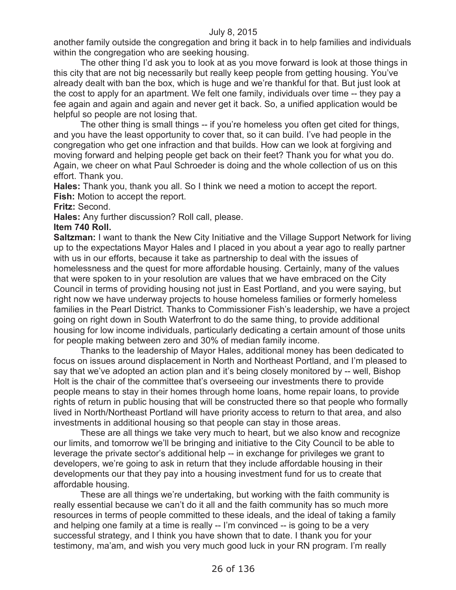another family outside the congregation and bring it back in to help families and individuals within the congregation who are seeking housing.

The other thing I'd ask you to look at as you move forward is look at those things in this city that are not big necessarily but really keep people from getting housing. You've already dealt with ban the box, which is huge and we're thankful for that. But just look at the cost to apply for an apartment. We felt one family, individuals over time -- they pay a fee again and again and again and never get it back. So, a unified application would be helpful so people are not losing that.

The other thing is small things -- if you're homeless you often get cited for things, and you have the least opportunity to cover that, so it can build. I've had people in the congregation who get one infraction and that builds. How can we look at forgiving and moving forward and helping people get back on their feet? Thank you for what you do. Again, we cheer on what Paul Schroeder is doing and the whole collection of us on this effort. Thank you.

**Hales:** Thank you, thank you all. So I think we need a motion to accept the report. Fish: Motion to accept the report.

### **Fritz:** Second.

**Hales:** Any further discussion? Roll call, please.

#### **Item 740 Roll.**

**Saltzman:** I want to thank the New City Initiative and the Village Support Network for living up to the expectations Mayor Hales and I placed in you about a year ago to really partner with us in our efforts, because it take as partnership to deal with the issues of homelessness and the quest for more affordable housing. Certainly, many of the values that were spoken to in your resolution are values that we have embraced on the City Council in terms of providing housing not just in East Portland, and you were saying, but right now we have underway projects to house homeless families or formerly homeless families in the Pearl District. Thanks to Commissioner Fish's leadership, we have a project going on right down in South Waterfront to do the same thing, to provide additional housing for low income individuals, particularly dedicating a certain amount of those units for people making between zero and 30% of median family income.

Thanks to the leadership of Mayor Hales, additional money has been dedicated to focus on issues around displacement in North and Northeast Portland, and I'm pleased to say that we've adopted an action plan and it's being closely monitored by -- well, Bishop Holt is the chair of the committee that's overseeing our investments there to provide people means to stay in their homes through home loans, home repair loans, to provide rights of return in public housing that will be constructed there so that people who formally lived in North/Northeast Portland will have priority access to return to that area, and also investments in additional housing so that people can stay in those areas.

These are all things we take very much to heart, but we also know and recognize our limits, and tomorrow we'll be bringing and initiative to the City Council to be able to leverage the private sector's additional help -- in exchange for privileges we grant to developers, we're going to ask in return that they include affordable housing in their developments our that they pay into a housing investment fund for us to create that affordable housing.

These are all things we're undertaking, but working with the faith community is really essential because we can't do it all and the faith community has so much more resources in terms of people committed to these ideals, and the ideal of taking a family and helping one family at a time is really -- I'm convinced -- is going to be a very successful strategy, and I think you have shown that to date. I thank you for your testimony, ma'am, and wish you very much good luck in your RN program. I'm really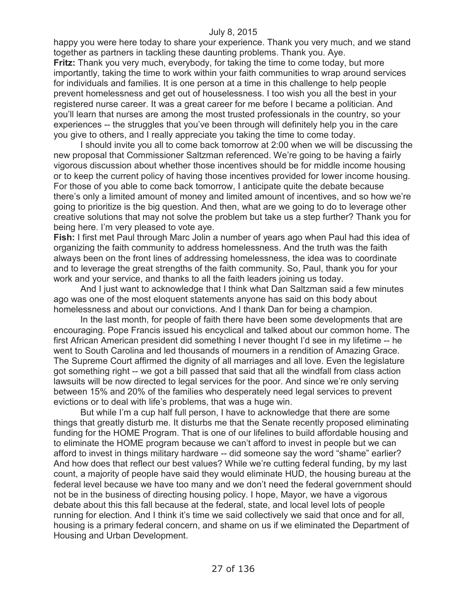happy you were here today to share your experience. Thank you very much, and we stand together as partners in tackling these daunting problems. Thank you. Aye. **Fritz:** Thank you very much, everybody, for taking the time to come today, but more

importantly, taking the time to work within your faith communities to wrap around services for individuals and families. It is one person at a time in this challenge to help people prevent homelessness and get out of houselessness. I too wish you all the best in your registered nurse career. It was a great career for me before I became a politician. And you'll learn that nurses are among the most trusted professionals in the country, so your experiences -- the struggles that you've been through will definitely help you in the care you give to others, and I really appreciate you taking the time to come today.

I should invite you all to come back tomorrow at 2:00 when we will be discussing the new proposal that Commissioner Saltzman referenced. We're going to be having a fairly vigorous discussion about whether those incentives should be for middle income housing or to keep the current policy of having those incentives provided for lower income housing. For those of you able to come back tomorrow, I anticipate quite the debate because there's only a limited amount of money and limited amount of incentives, and so how we're going to prioritize is the big question. And then, what are we going to do to leverage other creative solutions that may not solve the problem but take us a step further? Thank you for being here. I'm very pleased to vote aye.

**Fish:** I first met Paul through Marc Jolin a number of years ago when Paul had this idea of organizing the faith community to address homelessness. And the truth was the faith always been on the front lines of addressing homelessness, the idea was to coordinate and to leverage the great strengths of the faith community. So, Paul, thank you for your work and your service, and thanks to all the faith leaders joining us today.

And I just want to acknowledge that I think what Dan Saltzman said a few minutes ago was one of the most eloquent statements anyone has said on this body about homelessness and about our convictions. And I thank Dan for being a champion.

In the last month, for people of faith there have been some developments that are encouraging. Pope Francis issued his encyclical and talked about our common home. The first African American president did something I never thought I'd see in my lifetime -- he went to South Carolina and led thousands of mourners in a rendition of Amazing Grace. The Supreme Court affirmed the dignity of all marriages and all love. Even the legislature got something right -- we got a bill passed that said that all the windfall from class action lawsuits will be now directed to legal services for the poor. And since we're only serving between 15% and 20% of the families who desperately need legal services to prevent evictions or to deal with life's problems, that was a huge win.

But while I'm a cup half full person, I have to acknowledge that there are some things that greatly disturb me. It disturbs me that the Senate recently proposed eliminating funding for the HOME Program. That is one of our lifelines to build affordable housing and to eliminate the HOME program because we can't afford to invest in people but we can afford to invest in things military hardware -- did someone say the word "shame" earlier? And how does that reflect our best values? While we're cutting federal funding, by my last count, a majority of people have said they would eliminate HUD, the housing bureau at the federal level because we have too many and we don't need the federal government should not be in the business of directing housing policy. I hope, Mayor, we have a vigorous debate about this this fall because at the federal, state, and local level lots of people running for election. And I think it's time we said collectively we said that once and for all, housing is a primary federal concern, and shame on us if we eliminated the Department of Housing and Urban Development.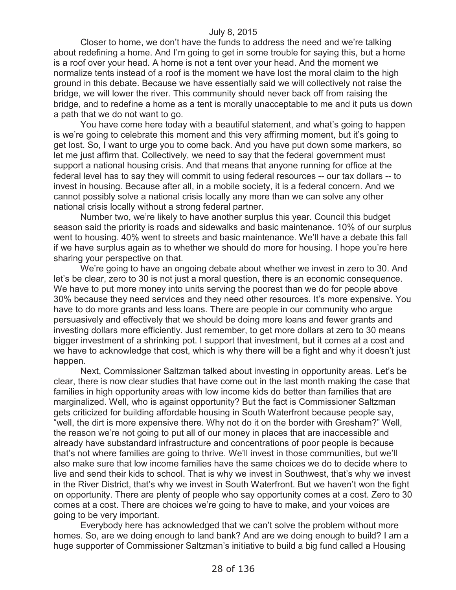Closer to home, we don't have the funds to address the need and we're talking about redefining a home. And I'm going to get in some trouble for saying this, but a home is a roof over your head. A home is not a tent over your head. And the moment we normalize tents instead of a roof is the moment we have lost the moral claim to the high ground in this debate. Because we have essentially said we will collectively not raise the bridge, we will lower the river. This community should never back off from raising the bridge, and to redefine a home as a tent is morally unacceptable to me and it puts us down a path that we do not want to go.

You have come here today with a beautiful statement, and what's going to happen is we're going to celebrate this moment and this very affirming moment, but it's going to get lost. So, I want to urge you to come back. And you have put down some markers, so let me just affirm that. Collectively, we need to say that the federal government must support a national housing crisis. And that means that anyone running for office at the federal level has to say they will commit to using federal resources -- our tax dollars -- to invest in housing. Because after all, in a mobile society, it is a federal concern. And we cannot possibly solve a national crisis locally any more than we can solve any other national crisis locally without a strong federal partner.

Number two, we're likely to have another surplus this year. Council this budget season said the priority is roads and sidewalks and basic maintenance. 10% of our surplus went to housing. 40% went to streets and basic maintenance. We'll have a debate this fall if we have surplus again as to whether we should do more for housing. I hope you're here sharing your perspective on that.

We're going to have an ongoing debate about whether we invest in zero to 30. And let's be clear, zero to 30 is not just a moral question, there is an economic consequence. We have to put more money into units serving the poorest than we do for people above 30% because they need services and they need other resources. It's more expensive. You have to do more grants and less loans. There are people in our community who argue persuasively and effectively that we should be doing more loans and fewer grants and investing dollars more efficiently. Just remember, to get more dollars at zero to 30 means bigger investment of a shrinking pot. I support that investment, but it comes at a cost and we have to acknowledge that cost, which is why there will be a fight and why it doesn't just happen.

Next, Commissioner Saltzman talked about investing in opportunity areas. Let's be clear, there is now clear studies that have come out in the last month making the case that families in high opportunity areas with low income kids do better than families that are marginalized. Well, who is against opportunity? But the fact is Commissioner Saltzman gets criticized for building affordable housing in South Waterfront because people say, "well, the dirt is more expensive there. Why not do it on the border with Gresham?" Well, the reason we're not going to put all of our money in places that are inaccessible and already have substandard infrastructure and concentrations of poor people is because that's not where families are going to thrive. We'll invest in those communities, but we'll also make sure that low income families have the same choices we do to decide where to live and send their kids to school. That is why we invest in Southwest, that's why we invest in the River District, that's why we invest in South Waterfront. But we haven't won the fight on opportunity. There are plenty of people who say opportunity comes at a cost. Zero to 30 comes at a cost. There are choices we're going to have to make, and your voices are going to be very important.

Everybody here has acknowledged that we can't solve the problem without more homes. So, are we doing enough to land bank? And are we doing enough to build? I am a huge supporter of Commissioner Saltzman's initiative to build a big fund called a Housing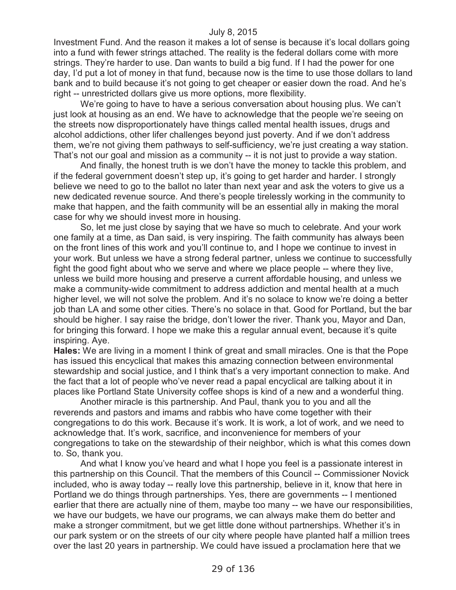Investment Fund. And the reason it makes a lot of sense is because it's local dollars going into a fund with fewer strings attached. The reality is the federal dollars come with more strings. They're harder to use. Dan wants to build a big fund. If I had the power for one day, I'd put a lot of money in that fund, because now is the time to use those dollars to land bank and to build because it's not going to get cheaper or easier down the road. And he's right -- unrestricted dollars give us more options, more flexibility.

We're going to have to have a serious conversation about housing plus. We can't just look at housing as an end. We have to acknowledge that the people we're seeing on the streets now disproportionately have things called mental health issues, drugs and alcohol addictions, other lifer challenges beyond just poverty. And if we don't address them, we're not giving them pathways to self-sufficiency, we're just creating a way station. That's not our goal and mission as a community -- it is not just to provide a way station.

And finally, the honest truth is we don't have the money to tackle this problem, and if the federal government doesn't step up, it's going to get harder and harder. I strongly believe we need to go to the ballot no later than next year and ask the voters to give us a new dedicated revenue source. And there's people tirelessly working in the community to make that happen, and the faith community will be an essential ally in making the moral case for why we should invest more in housing.

So, let me just close by saying that we have so much to celebrate. And your work one family at a time, as Dan said, is very inspiring. The faith community has always been on the front lines of this work and you'll continue to, and I hope we continue to invest in your work. But unless we have a strong federal partner, unless we continue to successfully fight the good fight about who we serve and where we place people -- where they live, unless we build more housing and preserve a current affordable housing, and unless we make a community-wide commitment to address addiction and mental health at a much higher level, we will not solve the problem. And it's no solace to know we're doing a better job than LA and some other cities. There's no solace in that. Good for Portland, but the bar should be higher. I say raise the bridge, don't lower the river. Thank you, Mayor and Dan, for bringing this forward. I hope we make this a regular annual event, because it's quite inspiring. Aye.

**Hales:** We are living in a moment I think of great and small miracles. One is that the Pope has issued this encyclical that makes this amazing connection between environmental stewardship and social justice, and I think that's a very important connection to make. And the fact that a lot of people who've never read a papal encyclical are talking about it in places like Portland State University coffee shops is kind of a new and a wonderful thing.

Another miracle is this partnership. And Paul, thank you to you and all the reverends and pastors and imams and rabbis who have come together with their congregations to do this work. Because it's work. It is work, a lot of work, and we need to acknowledge that. It's work, sacrifice, and inconvenience for members of your congregations to take on the stewardship of their neighbor, which is what this comes down to. So, thank you.

And what I know you've heard and what I hope you feel is a passionate interest in this partnership on this Council. That the members of this Council -- Commissioner Novick included, who is away today -- really love this partnership, believe in it, know that here in Portland we do things through partnerships. Yes, there are governments -- I mentioned earlier that there are actually nine of them, maybe too many -- we have our responsibilities, we have our budgets, we have our programs, we can always make them do better and make a stronger commitment, but we get little done without partnerships. Whether it's in our park system or on the streets of our city where people have planted half a million trees over the last 20 years in partnership. We could have issued a proclamation here that we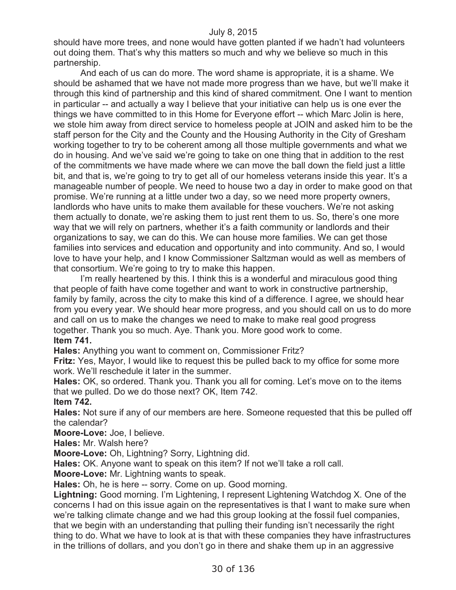should have more trees, and none would have gotten planted if we hadn't had volunteers out doing them. That's why this matters so much and why we believe so much in this partnership.

And each of us can do more. The word shame is appropriate, it is a shame. We should be ashamed that we have not made more progress than we have, but we'll make it through this kind of partnership and this kind of shared commitment. One I want to mention in particular -- and actually a way I believe that your initiative can help us is one ever the things we have committed to in this Home for Everyone effort -- which Marc Jolin is here, we stole him away from direct service to homeless people at JOIN and asked him to be the staff person for the City and the County and the Housing Authority in the City of Gresham working together to try to be coherent among all those multiple governments and what we do in housing. And we've said we're going to take on one thing that in addition to the rest of the commitments we have made where we can move the ball down the field just a little bit, and that is, we're going to try to get all of our homeless veterans inside this year. It's a manageable number of people. We need to house two a day in order to make good on that promise. We're running at a little under two a day, so we need more property owners, landlords who have units to make them available for these vouchers. We're not asking them actually to donate, we're asking them to just rent them to us. So, there's one more way that we will rely on partners, whether it's a faith community or landlords and their organizations to say, we can do this. We can house more families. We can get those families into services and education and opportunity and into community. And so, I would love to have your help, and I know Commissioner Saltzman would as well as members of that consortium. We're going to try to make this happen.

I'm really heartened by this. I think this is a wonderful and miraculous good thing that people of faith have come together and want to work in constructive partnership, family by family, across the city to make this kind of a difference. I agree, we should hear from you every year. We should hear more progress, and you should call on us to do more and call on us to make the changes we need to make to make real good progress together. Thank you so much. Aye. Thank you. More good work to come. **Item 741.**

**Hales:** Anything you want to comment on, Commissioner Fritz?

**Fritz:** Yes, Mayor, I would like to request this be pulled back to my office for some more work. We'll reschedule it later in the summer.

**Hales:** OK, so ordered. Thank you. Thank you all for coming. Let's move on to the items that we pulled. Do we do those next? OK, Item 742.

**Item 742.**

**Hales:** Not sure if any of our members are here. Someone requested that this be pulled off the calendar?

**Moore-Love:** Joe, I believe.

**Hales:** Mr. Walsh here?

**Moore-Love:** Oh, Lightning? Sorry, Lightning did.

**Hales:** OK. Anyone want to speak on this item? If not we'll take a roll call.

**Moore-Love:** Mr. Lightning wants to speak.

**Hales:** Oh, he is here -- sorry. Come on up. Good morning.

**Lightning:** Good morning. I'm Lightening, I represent Lightening Watchdog X. One of the concerns I had on this issue again on the representatives is that I want to make sure when we're talking climate change and we had this group looking at the fossil fuel companies, that we begin with an understanding that pulling their funding isn't necessarily the right thing to do. What we have to look at is that with these companies they have infrastructures in the trillions of dollars, and you don't go in there and shake them up in an aggressive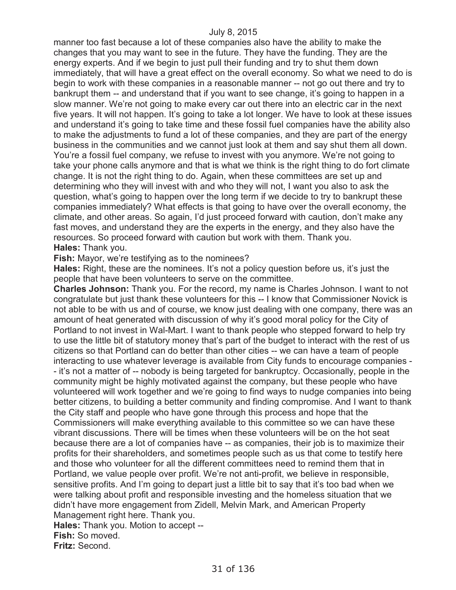manner too fast because a lot of these companies also have the ability to make the changes that you may want to see in the future. They have the funding. They are the energy experts. And if we begin to just pull their funding and try to shut them down immediately, that will have a great effect on the overall economy. So what we need to do is begin to work with these companies in a reasonable manner -- not go out there and try to bankrupt them -- and understand that if you want to see change, it's going to happen in a slow manner. We're not going to make every car out there into an electric car in the next five years. It will not happen. It's going to take a lot longer. We have to look at these issues and understand it's going to take time and these fossil fuel companies have the ability also to make the adjustments to fund a lot of these companies, and they are part of the energy business in the communities and we cannot just look at them and say shut them all down. You're a fossil fuel company, we refuse to invest with you anymore. We're not going to take your phone calls anymore and that is what we think is the right thing to do fort climate change. It is not the right thing to do. Again, when these committees are set up and determining who they will invest with and who they will not, I want you also to ask the question, what's going to happen over the long term if we decide to try to bankrupt these companies immediately? What effects is that going to have over the overall economy, the climate, and other areas. So again, I'd just proceed forward with caution, don't make any fast moves, and understand they are the experts in the energy, and they also have the resources. So proceed forward with caution but work with them. Thank you. **Hales:** Thank you.

**Fish:** Mayor, we're testifying as to the nominees?

**Hales:** Right, these are the nominees. It's not a policy question before us, it's just the people that have been volunteers to serve on the committee.

**Charles Johnson:** Thank you. For the record, my name is Charles Johnson. I want to not congratulate but just thank these volunteers for this -- I know that Commissioner Novick is not able to be with us and of course, we know just dealing with one company, there was an amount of heat generated with discussion of why it's good moral policy for the City of Portland to not invest in Wal-Mart. I want to thank people who stepped forward to help try to use the little bit of statutory money that's part of the budget to interact with the rest of us citizens so that Portland can do better than other cities -- we can have a team of people interacting to use whatever leverage is available from City funds to encourage companies - - it's not a matter of -- nobody is being targeted for bankruptcy. Occasionally, people in the community might be highly motivated against the company, but these people who have volunteered will work together and we're going to find ways to nudge companies into being better citizens, to building a better community and finding compromise. And I want to thank the City staff and people who have gone through this process and hope that the Commissioners will make everything available to this committee so we can have these vibrant discussions. There will be times when these volunteers will be on the hot seat because there are a lot of companies have -- as companies, their job is to maximize their profits for their shareholders, and sometimes people such as us that come to testify here and those who volunteer for all the different committees need to remind them that in Portland, we value people over profit. We're not anti-profit, we believe in responsible, sensitive profits. And I'm going to depart just a little bit to say that it's too bad when we were talking about profit and responsible investing and the homeless situation that we didn't have more engagement from Zidell, Melvin Mark, and American Property Management right here. Thank you. **Hales:** Thank you. Motion to accept --

**Fish:** So moved.

**Fritz:** Second.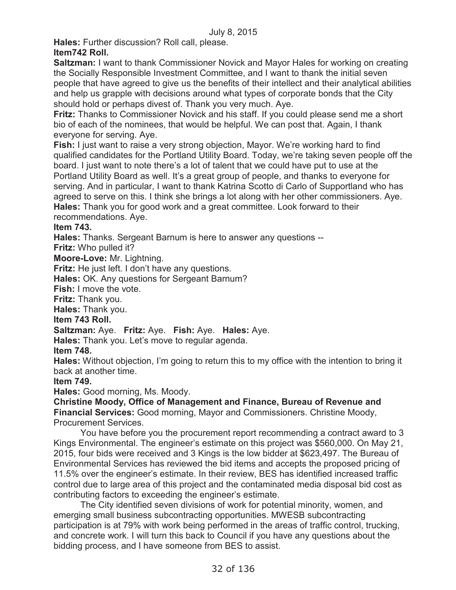**Hales:** Further discussion? Roll call, please.

# **Item742 Roll.**

**Saltzman:** I want to thank Commissioner Novick and Mayor Hales for working on creating the Socially Responsible Investment Committee, and I want to thank the initial seven people that have agreed to give us the benefits of their intellect and their analytical abilities and help us grapple with decisions around what types of corporate bonds that the City should hold or perhaps divest of. Thank you very much. Aye.

**Fritz:** Thanks to Commissioner Novick and his staff. If you could please send me a short bio of each of the nominees, that would be helpful. We can post that. Again, I thank everyone for serving. Aye.

**Fish:** I just want to raise a very strong objection, Mayor. We're working hard to find qualified candidates for the Portland Utility Board. Today, we're taking seven people off the board. I just want to note there's a lot of talent that we could have put to use at the Portland Utility Board as well. It's a great group of people, and thanks to everyone for serving. And in particular, I want to thank Katrina Scotto di Carlo of Supportland who has agreed to serve on this. I think she brings a lot along with her other commissioners. Aye. **Hales:** Thank you for good work and a great committee. Look forward to their recommendations. Aye.

**Item 743.**

**Hales:** Thanks. Sergeant Barnum is here to answer any questions --

**Fritz:** Who pulled it?

**Moore-Love:** Mr. Lightning.

**Fritz:** He just left. I don't have any questions.

**Hales:** OK. Any questions for Sergeant Barnum?

**Fish:** I move the vote.

**Fritz:** Thank you.

**Hales:** Thank you.

**Item 743 Roll.**

# **Saltzman:** Aye. **Fritz:** Aye. **Fish:** Aye. **Hales:** Aye.

**Hales:** Thank you. Let's move to regular agenda.

**Item 748.**

**Hales:** Without objection, I'm going to return this to my office with the intention to bring it back at another time.

**Item 749.**

**Hales:** Good morning, Ms. Moody.

**Christine Moody, Office of Management and Finance, Bureau of Revenue and Financial Services:** Good morning, Mayor and Commissioners. Christine Moody, Procurement Services.

You have before you the procurement report recommending a contract award to 3 Kings Environmental. The engineer's estimate on this project was \$560,000. On May 21, 2015, four bids were received and 3 Kings is the low bidder at \$623,497. The Bureau of Environmental Services has reviewed the bid items and accepts the proposed pricing of 11.5% over the engineer's estimate. In their review, BES has identified increased traffic control due to large area of this project and the contaminated media disposal bid cost as contributing factors to exceeding the engineer's estimate.

The City identified seven divisions of work for potential minority, women, and emerging small business subcontracting opportunities. MWESB subcontracting participation is at 79% with work being performed in the areas of traffic control, trucking, and concrete work. I will turn this back to Council if you have any questions about the bidding process, and I have someone from BES to assist.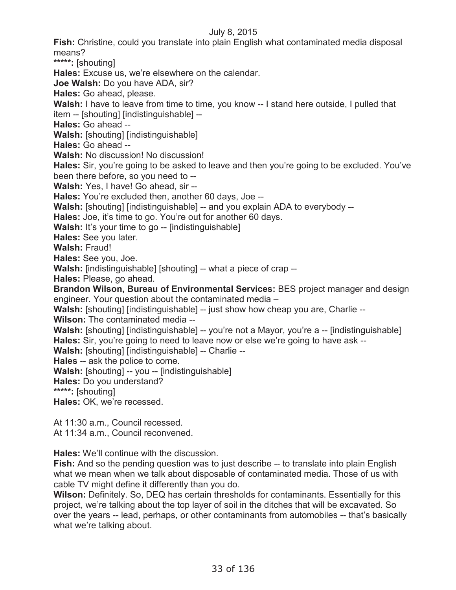**Fish:** Christine, could you translate into plain English what contaminated media disposal means?

**\*\*\*\*\*:** [shouting]

**Hales:** Excuse us, we're elsewhere on the calendar.

**Joe Walsh:** Do you have ADA, sir?

**Hales:** Go ahead, please.

Walsh: I have to leave from time to time, you know -- I stand here outside, I pulled that

item -- [shouting] [indistinguishable] --

**Hales:** Go ahead --

**Walsh:** [shouting] [indistinguishable]

**Hales:** Go ahead --

**Walsh:** No discussion! No discussion!

**Hales:** Sir, you're going to be asked to leave and then you're going to be excluded. You've been there before, so you need to --

**Walsh:** Yes, I have! Go ahead, sir --

**Hales:** You're excluded then, another 60 days, Joe --

**Walsh:** [shouting] [indistinguishable] -- and you explain ADA to everybody --

**Hales:** Joe, it's time to go. You're out for another 60 days.

**Walsh:** It's your time to go -- [indistinguishable]

**Hales:** See you later.

**Walsh:** Fraud!

**Hales:** See you, Joe.

**Walsh:** [indistinguishable] [shouting] -- what a piece of crap --

**Hales:** Please, go ahead.

**Brandon Wilson, Bureau of Environmental Services:** BES project manager and design engineer. Your question about the contaminated media –

**Walsh:** [shouting] [indistinguishable] -- just show how cheap you are, Charlie --

**Wilson:** The contaminated media --

**Walsh:** [shouting] [indistinguishable] -- you're not a Mayor, you're a -- [indistinguishable] **Hales:** Sir, you're going to need to leave now or else we're going to have ask --

**Walsh:** [shouting] [indistinguishable] -- Charlie --

**Hales** -- ask the police to come.

**Walsh:** [shouting] -- you -- [indistinguishable]

**Hales:** Do you understand?

**\*\*\*\*\*:** [shouting]

**Hales:** OK, we're recessed.

At 11:30 a.m., Council recessed. At 11:34 a.m., Council reconvened.

**Hales:** We'll continue with the discussion.

Fish: And so the pending question was to just describe -- to translate into plain English what we mean when we talk about disposable of contaminated media. Those of us with cable TV might define it differently than you do.

**Wilson:** Definitely. So, DEQ has certain thresholds for contaminants. Essentially for this project, we're talking about the top layer of soil in the ditches that will be excavated. So over the years -- lead, perhaps, or other contaminants from automobiles -- that's basically what we're talking about.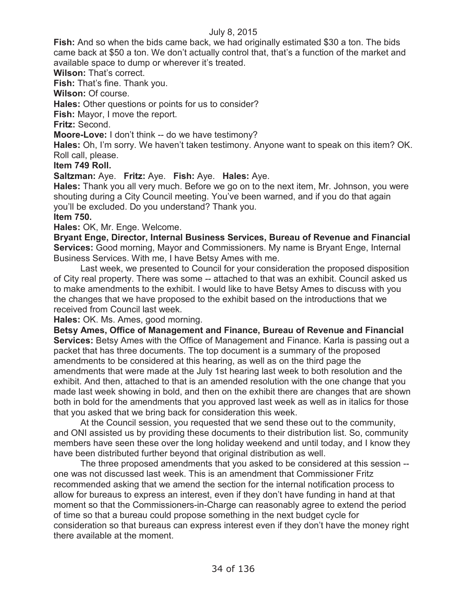**Fish:** And so when the bids came back, we had originally estimated \$30 a ton. The bids came back at \$50 a ton. We don't actually control that, that's a function of the market and available space to dump or wherever it's treated.

**Wilson:** That's correct.

**Fish:** That's fine. Thank you.

**Wilson:** Of course.

**Hales:** Other questions or points for us to consider?

**Fish:** Mayor, I move the report.

**Fritz:** Second.

**Moore-Love:** I don't think -- do we have testimony?

**Hales:** Oh, I'm sorry. We haven't taken testimony. Anyone want to speak on this item? OK. Roll call, please.

# **Item 749 Roll.**

**Saltzman:** Aye. **Fritz:** Aye. **Fish:** Aye. **Hales:** Aye.

**Hales:** Thank you all very much. Before we go on to the next item, Mr. Johnson, you were shouting during a City Council meeting. You've been warned, and if you do that again you'll be excluded. Do you understand? Thank you.

# **Item 750.**

**Hales:** OK, Mr. Enge. Welcome.

**Bryant Enge, Director, Internal Business Services, Bureau of Revenue and Financial Services:** Good morning, Mayor and Commissioners. My name is Bryant Enge, Internal Business Services. With me, I have Betsy Ames with me.

Last week, we presented to Council for your consideration the proposed disposition of City real property. There was some -- attached to that was an exhibit. Council asked us to make amendments to the exhibit. I would like to have Betsy Ames to discuss with you the changes that we have proposed to the exhibit based on the introductions that we received from Council last week.

**Hales:** OK. Ms. Ames, good morning.

**Betsy Ames, Office of Management and Finance, Bureau of Revenue and Financial Services:** Betsy Ames with the Office of Management and Finance. Karla is passing out a packet that has three documents. The top document is a summary of the proposed amendments to be considered at this hearing, as well as on the third page the amendments that were made at the July 1st hearing last week to both resolution and the exhibit. And then, attached to that is an amended resolution with the one change that you made last week showing in bold, and then on the exhibit there are changes that are shown both in bold for the amendments that you approved last week as well as in italics for those that you asked that we bring back for consideration this week.

At the Council session, you requested that we send these out to the community, and ONI assisted us by providing these documents to their distribution list. So, community members have seen these over the long holiday weekend and until today, and I know they have been distributed further beyond that original distribution as well.

The three proposed amendments that you asked to be considered at this session - one was not discussed last week. This is an amendment that Commissioner Fritz recommended asking that we amend the section for the internal notification process to allow for bureaus to express an interest, even if they don't have funding in hand at that moment so that the Commissioners-in-Charge can reasonably agree to extend the period of time so that a bureau could propose something in the next budget cycle for consideration so that bureaus can express interest even if they don't have the money right there available at the moment.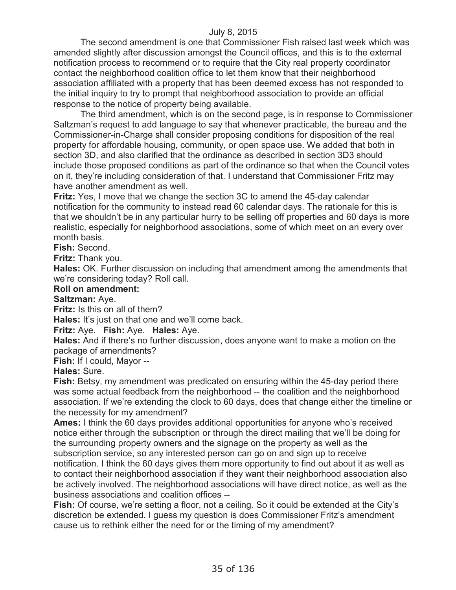The second amendment is one that Commissioner Fish raised last week which was amended slightly after discussion amongst the Council offices, and this is to the external notification process to recommend or to require that the City real property coordinator contact the neighborhood coalition office to let them know that their neighborhood association affiliated with a property that has been deemed excess has not responded to the initial inquiry to try to prompt that neighborhood association to provide an official response to the notice of property being available.

The third amendment, which is on the second page, is in response to Commissioner Saltzman's request to add language to say that whenever practicable, the bureau and the Commissioner-in-Charge shall consider proposing conditions for disposition of the real property for affordable housing, community, or open space use. We added that both in section 3D, and also clarified that the ordinance as described in section 3D3 should include those proposed conditions as part of the ordinance so that when the Council votes on it, they're including consideration of that. I understand that Commissioner Fritz may have another amendment as well.

**Fritz:** Yes, I move that we change the section 3C to amend the 45-day calendar notification for the community to instead read 60 calendar days. The rationale for this is that we shouldn't be in any particular hurry to be selling off properties and 60 days is more realistic, especially for neighborhood associations, some of which meet on an every over month basis.

**Fish:** Second.

**Fritz:** Thank you.

**Hales:** OK. Further discussion on including that amendment among the amendments that we're considering today? Roll call.

#### **Roll on amendment:**

### **Saltzman:** Aye.

**Fritz:** Is this on all of them?

**Hales:** It's just on that one and we'll come back.

**Fritz:** Aye. **Fish:** Aye. **Hales:** Aye.

**Hales:** And if there's no further discussion, does anyone want to make a motion on the package of amendments?

**Fish:** If I could, Mayor --

**Hales:** Sure.

**Fish:** Betsy, my amendment was predicated on ensuring within the 45-day period there was some actual feedback from the neighborhood -- the coalition and the neighborhood association. If we're extending the clock to 60 days, does that change either the timeline or the necessity for my amendment?

**Ames:** I think the 60 days provides additional opportunities for anyone who's received notice either through the subscription or through the direct mailing that we'll be doing for the surrounding property owners and the signage on the property as well as the subscription service, so any interested person can go on and sign up to receive notification. I think the 60 days gives them more opportunity to find out about it as well as to contact their neighborhood association if they want their neighborhood association also be actively involved. The neighborhood associations will have direct notice, as well as the business associations and coalition offices --

**Fish:** Of course, we're setting a floor, not a ceiling. So it could be extended at the City's discretion be extended. I guess my question is does Commissioner Fritz's amendment cause us to rethink either the need for or the timing of my amendment?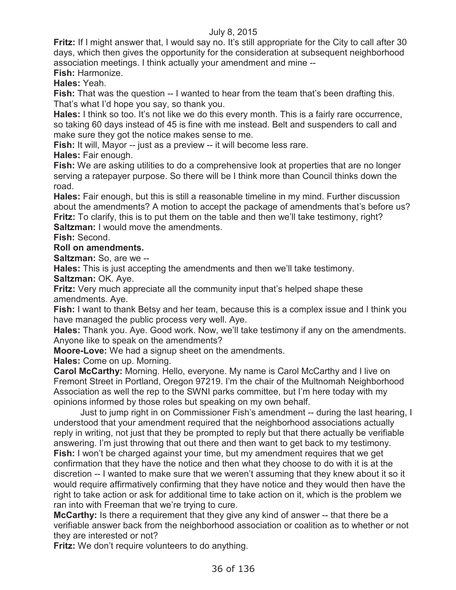**Fritz:** If I might answer that, I would say no. It's still appropriate for the City to call after 30 days, which then gives the opportunity for the consideration at subsequent neighborhood association meetings. I think actually your amendment and mine --

**Fish:** Harmonize.

**Hales:** Yeah.

**Fish:** That was the question -- I wanted to hear from the team that's been drafting this. That's what I'd hope you say, so thank you.

**Hales:** I think so too. It's not like we do this every month. This is a fairly rare occurrence, so taking 60 days instead of 45 is fine with me instead. Belt and suspenders to call and make sure they got the notice makes sense to me.

**Fish:** It will, Mayor -- just as a preview -- it will become less rare.

**Hales:** Fair enough.

**Fish:** We are asking utilities to do a comprehensive look at properties that are no longer serving a ratepayer purpose. So there will be I think more than Council thinks down the road.

**Hales:** Fair enough, but this is still a reasonable timeline in my mind. Further discussion about the amendments? A motion to accept the package of amendments that's before us? **Fritz:** To clarify, this is to put them on the table and then we'll take testimony, right? **Saltzman:** I would move the amendments.

**Fish:** Second.

# **Roll on amendments.**

**Saltzman:** So, are we --

**Hales:** This is just accepting the amendments and then we'll take testimony.

**Saltzman:** OK. Aye.

**Fritz:** Very much appreciate all the community input that's helped shape these amendments. Aye.

**Fish:** I want to thank Betsy and her team, because this is a complex issue and I think you have managed the public process very well. Aye.

**Hales:** Thank you. Aye. Good work. Now, we'll take testimony if any on the amendments. Anyone like to speak on the amendments?

**Moore-Love:** We had a signup sheet on the amendments.

**Hales:** Come on up. Morning.

**Carol McCarthy:** Morning. Hello, everyone. My name is Carol McCarthy and I live on Fremont Street in Portland, Oregon 97219. I'm the chair of the Multnomah Neighborhood Association as well the rep to the SWNI parks committee, but I'm here today with my opinions informed by those roles but speaking on my own behalf.

Just to jump right in on Commissioner Fish's amendment -- during the last hearing, I understood that your amendment required that the neighborhood associations actually reply in writing, not just that they be prompted to reply but that there actually be verifiable answering. I'm just throwing that out there and then want to get back to my testimony. **Fish:** I won't be charged against your time, but my amendment requires that we get confirmation that they have the notice and then what they choose to do with it is at the discretion -- I wanted to make sure that we weren't assuming that they knew about it so it would require affirmatively confirming that they have notice and they would then have the right to take action or ask for additional time to take action on it, which is the problem we ran into with Freeman that we're trying to cure.

**McCarthy:** Is there a requirement that they give any kind of answer -- that there be a verifiable answer back from the neighborhood association or coalition as to whether or not they are interested or not?

**Fritz:** We don't require volunteers to do anything.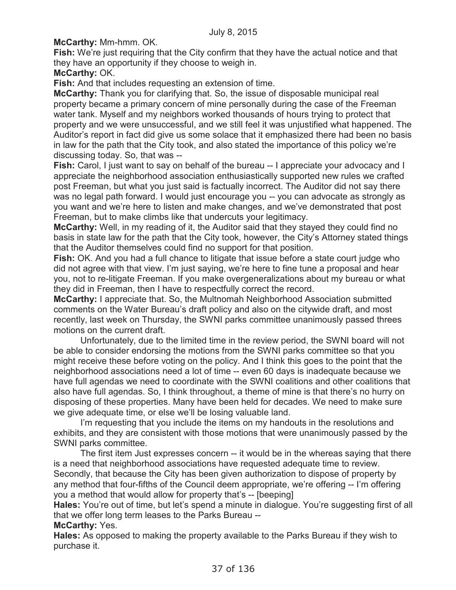**McCarthy:** Mm-hmm. OK.

**Fish:** We're just requiring that the City confirm that they have the actual notice and that they have an opportunity if they choose to weigh in.

**McCarthy:** OK.

**Fish:** And that includes requesting an extension of time.

**McCarthy:** Thank you for clarifying that. So, the issue of disposable municipal real property became a primary concern of mine personally during the case of the Freeman water tank. Myself and my neighbors worked thousands of hours trying to protect that property and we were unsuccessful, and we still feel it was unjustified what happened. The Auditor's report in fact did give us some solace that it emphasized there had been no basis in law for the path that the City took, and also stated the importance of this policy we're discussing today. So, that was --

**Fish:** Carol, I just want to say on behalf of the bureau -- I appreciate your advocacy and I appreciate the neighborhood association enthusiastically supported new rules we crafted post Freeman, but what you just said is factually incorrect. The Auditor did not say there was no legal path forward. I would just encourage you -- you can advocate as strongly as you want and we're here to listen and make changes, and we've demonstrated that post Freeman, but to make climbs like that undercuts your legitimacy.

**McCarthy:** Well, in my reading of it, the Auditor said that they stayed they could find no basis in state law for the path that the City took, however, the City's Attorney stated things that the Auditor themselves could find no support for that position.

**Fish:** OK. And you had a full chance to litigate that issue before a state court judge who did not agree with that view. I'm just saying, we're here to fine tune a proposal and hear you, not to re-litigate Freeman. If you make overgeneralizations about my bureau or what they did in Freeman, then I have to respectfully correct the record.

**McCarthy:** I appreciate that. So, the Multnomah Neighborhood Association submitted comments on the Water Bureau's draft policy and also on the citywide draft, and most recently, last week on Thursday, the SWNI parks committee unanimously passed threes motions on the current draft.

Unfortunately, due to the limited time in the review period, the SWNI board will not be able to consider endorsing the motions from the SWNI parks committee so that you might receive these before voting on the policy. And I think this goes to the point that the neighborhood associations need a lot of time -- even 60 days is inadequate because we have full agendas we need to coordinate with the SWNI coalitions and other coalitions that also have full agendas. So, I think throughout, a theme of mine is that there's no hurry on disposing of these properties. Many have been held for decades. We need to make sure we give adequate time, or else we'll be losing valuable land.

I'm requesting that you include the items on my handouts in the resolutions and exhibits, and they are consistent with those motions that were unanimously passed by the SWNI parks committee.

The first item Just expresses concern -- it would be in the whereas saying that there is a need that neighborhood associations have requested adequate time to review. Secondly, that because the City has been given authorization to dispose of property by any method that four-fifths of the Council deem appropriate, we're offering -- I'm offering you a method that would allow for property that's -- [beeping]

**Hales:** You're out of time, but let's spend a minute in dialogue. You're suggesting first of all that we offer long term leases to the Parks Bureau --

# **McCarthy:** Yes.

**Hales:** As opposed to making the property available to the Parks Bureau if they wish to purchase it.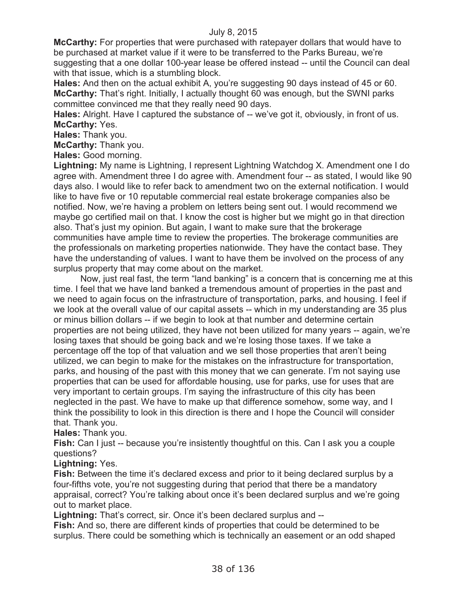**McCarthy:** For properties that were purchased with ratepayer dollars that would have to be purchased at market value if it were to be transferred to the Parks Bureau, we're suggesting that a one dollar 100-year lease be offered instead -- until the Council can deal with that issue, which is a stumbling block.

**Hales:** And then on the actual exhibit A, you're suggesting 90 days instead of 45 or 60. **McCarthy:** That's right. Initially, I actually thought 60 was enough, but the SWNI parks committee convinced me that they really need 90 days.

**Hales:** Alright. Have I captured the substance of -- we've got it, obviously, in front of us. **McCarthy:** Yes.

**Hales:** Thank you.

**McCarthy:** Thank you.

**Hales:** Good morning.

**Lightning:** My name is Lightning, I represent Lightning Watchdog X. Amendment one I do agree with. Amendment three I do agree with. Amendment four -- as stated, I would like 90 days also. I would like to refer back to amendment two on the external notification. I would like to have five or 10 reputable commercial real estate brokerage companies also be notified. Now, we're having a problem on letters being sent out. I would recommend we maybe go certified mail on that. I know the cost is higher but we might go in that direction also. That's just my opinion. But again, I want to make sure that the brokerage communities have ample time to review the properties. The brokerage communities are the professionals on marketing properties nationwide. They have the contact base. They have the understanding of values. I want to have them be involved on the process of any surplus property that may come about on the market.

Now, just real fast, the term "land banking" is a concern that is concerning me at this time. I feel that we have land banked a tremendous amount of properties in the past and we need to again focus on the infrastructure of transportation, parks, and housing. I feel if we look at the overall value of our capital assets -- which in my understanding are 35 plus or minus billion dollars -- if we begin to look at that number and determine certain properties are not being utilized, they have not been utilized for many years -- again, we're losing taxes that should be going back and we're losing those taxes. If we take a percentage off the top of that valuation and we sell those properties that aren't being utilized, we can begin to make for the mistakes on the infrastructure for transportation, parks, and housing of the past with this money that we can generate. I'm not saying use properties that can be used for affordable housing, use for parks, use for uses that are very important to certain groups. I'm saying the infrastructure of this city has been neglected in the past. We have to make up that difference somehow, some way, and I think the possibility to look in this direction is there and I hope the Council will consider that. Thank you.

#### **Hales:** Thank you.

**Fish:** Can I just -- because you're insistently thoughtful on this. Can I ask you a couple questions?

# **Lightning:** Yes.

**Fish:** Between the time it's declared excess and prior to it being declared surplus by a four-fifths vote, you're not suggesting during that period that there be a mandatory appraisal, correct? You're talking about once it's been declared surplus and we're going out to market place.

**Lightning:** That's correct, sir. Once it's been declared surplus and --

**Fish:** And so, there are different kinds of properties that could be determined to be surplus. There could be something which is technically an easement or an odd shaped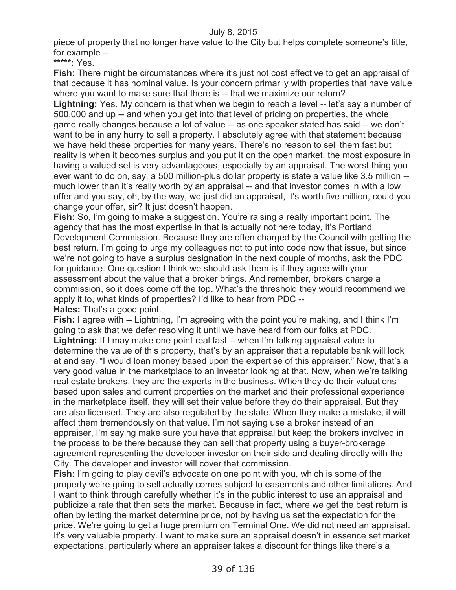piece of property that no longer have value to the City but helps complete someone's title, for example --

**\*\*\*\*\*:** Yes.

**Fish:** There might be circumstances where it's just not cost effective to get an appraisal of that because it has nominal value. Is your concern primarily with properties that have value where you want to make sure that there is -- that we maximize our return?

**Lightning:** Yes. My concern is that when we begin to reach a level -- let's say a number of 500,000 and up -- and when you get into that level of pricing on properties, the whole game really changes because a lot of value -- as one speaker stated has said -- we don't want to be in any hurry to sell a property. I absolutely agree with that statement because we have held these properties for many years. There's no reason to sell them fast but reality is when it becomes surplus and you put it on the open market, the most exposure in having a valued set is very advantageous, especially by an appraisal. The worst thing you ever want to do on, say, a 500 million-plus dollar property is state a value like 3.5 million - much lower than it's really worth by an appraisal -- and that investor comes in with a low offer and you say, oh, by the way, we just did an appraisal, it's worth five million, could you change your offer, sir? It just doesn't happen.

**Fish:** So, I'm going to make a suggestion. You're raising a really important point. The agency that has the most expertise in that is actually not here today, it's Portland Development Commission. Because they are often charged by the Council with getting the best return. I'm going to urge my colleagues not to put into code now that issue, but since we're not going to have a surplus designation in the next couple of months, ask the PDC for guidance. One question I think we should ask them is if they agree with your assessment about the value that a broker brings. And remember, brokers charge a commission, so it does come off the top. What's the threshold they would recommend we apply it to, what kinds of properties? I'd like to hear from PDC --

**Hales:** That's a good point.

**Fish:** I agree with -- Lightning, I'm agreeing with the point you're making, and I think I'm going to ask that we defer resolving it until we have heard from our folks at PDC. **Lightning:** If I may make one point real fast -- when I'm talking appraisal value to determine the value of this property, that's by an appraiser that a reputable bank will look at and say, "I would loan money based upon the expertise of this appraiser." Now, that's a very good value in the marketplace to an investor looking at that. Now, when we're talking real estate brokers, they are the experts in the business. When they do their valuations based upon sales and current properties on the market and their professional experience in the marketplace itself, they will set their value before they do their appraisal. But they are also licensed. They are also regulated by the state. When they make a mistake, it will affect them tremendously on that value. I'm not saying use a broker instead of an appraiser, I'm saying make sure you have that appraisal but keep the brokers involved in the process to be there because they can sell that property using a buyer-brokerage agreement representing the developer investor on their side and dealing directly with the City. The developer and investor will cover that commission.

**Fish:** I'm going to play devil's advocate on one point with you, which is some of the property we're going to sell actually comes subject to easements and other limitations. And I want to think through carefully whether it's in the public interest to use an appraisal and publicize a rate that then sets the market. Because in fact, where we get the best return is often by letting the market determine price, not by having us set the expectation for the price. We're going to get a huge premium on Terminal One. We did not need an appraisal. It's very valuable property. I want to make sure an appraisal doesn't in essence set market expectations, particularly where an appraiser takes a discount for things like there's a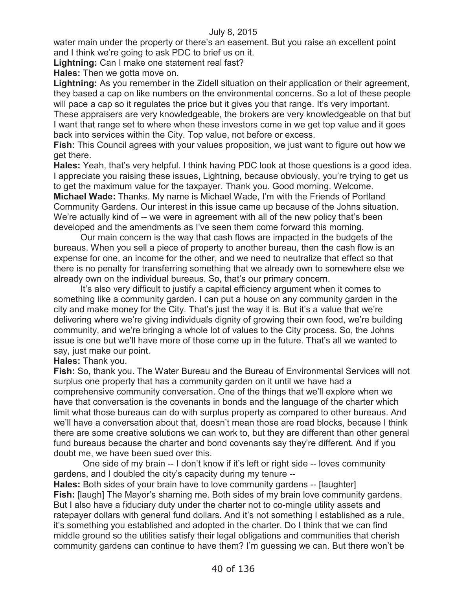water main under the property or there's an easement. But you raise an excellent point and I think we're going to ask PDC to brief us on it.

**Lightning:** Can I make one statement real fast?

**Hales:** Then we gotta move on.

**Lightning:** As you remember in the Zidell situation on their application or their agreement, they based a cap on like numbers on the environmental concerns. So a lot of these people will pace a cap so it regulates the price but it gives you that range. It's very important. These appraisers are very knowledgeable, the brokers are very knowledgeable on that but I want that range set to where when these investors come in we get top value and it goes back into services within the City. Top value, not before or excess.

**Fish:** This Council agrees with your values proposition, we just want to figure out how we get there.

**Hales:** Yeah, that's very helpful. I think having PDC look at those questions is a good idea. I appreciate you raising these issues, Lightning, because obviously, you're trying to get us to get the maximum value for the taxpayer. Thank you. Good morning. Welcome. **Michael Wade:** Thanks. My name is Michael Wade, I'm with the Friends of Portland Community Gardens. Our interest in this issue came up because of the Johns situation. We're actually kind of -- we were in agreement with all of the new policy that's been developed and the amendments as I've seen them come forward this morning.

Our main concern is the way that cash flows are impacted in the budgets of the bureaus. When you sell a piece of property to another bureau, then the cash flow is an expense for one, an income for the other, and we need to neutralize that effect so that there is no penalty for transferring something that we already own to somewhere else we already own on the individual bureaus. So, that's our primary concern.

It's also very difficult to justify a capital efficiency argument when it comes to something like a community garden. I can put a house on any community garden in the city and make money for the City. That's just the way it is. But it's a value that we're delivering where we're giving individuals dignity of growing their own food, we're building community, and we're bringing a whole lot of values to the City process. So, the Johns issue is one but we'll have more of those come up in the future. That's all we wanted to say, just make our point.

#### **Hales:** Thank you.

**Fish:** So, thank you. The Water Bureau and the Bureau of Environmental Services will not surplus one property that has a community garden on it until we have had a comprehensive community conversation. One of the things that we'll explore when we have that conversation is the covenants in bonds and the language of the charter which limit what those bureaus can do with surplus property as compared to other bureaus. And we'll have a conversation about that, doesn't mean those are road blocks, because I think there are some creative solutions we can work to, but they are different than other general fund bureaus because the charter and bond covenants say they're different. And if you doubt me, we have been sued over this.

One side of my brain -- I don't know if it's left or right side -- loves community gardens, and I doubled the city's capacity during my tenure --

**Hales:** Both sides of your brain have to love community gardens -- [laughter] **Fish:** [laugh] The Mayor's shaming me. Both sides of my brain love community gardens. But I also have a fiduciary duty under the charter not to co-mingle utility assets and ratepayer dollars with general fund dollars. And it's not something I established as a rule, it's something you established and adopted in the charter. Do I think that we can find middle ground so the utilities satisfy their legal obligations and communities that cherish community gardens can continue to have them? I'm guessing we can. But there won't be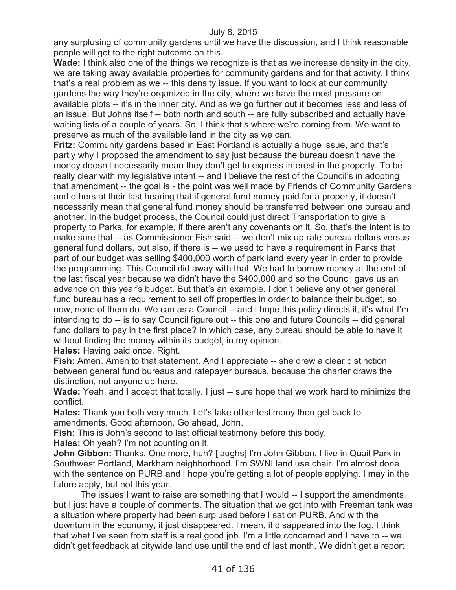any surplusing of community gardens until we have the discussion, and I think reasonable people will get to the right outcome on this.

**Wade:** I think also one of the things we recognize is that as we increase density in the city, we are taking away available properties for community gardens and for that activity. I think that's a real problem as we -- this density issue. If you want to look at our community gardens the way they're organized in the city, where we have the most pressure on available plots -- it's in the inner city. And as we go further out it becomes less and less of an issue. But Johns itself -- both north and south -- are fully subscribed and actually have waiting lists of a couple of years. So, I think that's where we're coming from. We want to preserve as much of the available land in the city as we can.

**Fritz:** Community gardens based in East Portland is actually a huge issue, and that's partly why I proposed the amendment to say just because the bureau doesn't have the money doesn't necessarily mean they don't get to express interest in the property. To be really clear with my legislative intent -- and I believe the rest of the Council's in adopting that amendment -- the goal is - the point was well made by Friends of Community Gardens and others at their last hearing that if general fund money paid for a property, it doesn't necessarily mean that general fund money should be transferred between one bureau and another. In the budget process, the Council could just direct Transportation to give a property to Parks, for example, if there aren't any covenants on it. So, that's the intent is to make sure that -- as Commissioner Fish said -- we don't mix up rate bureau dollars versus general fund dollars, but also, if there is -- we used to have a requirement in Parks that part of our budget was selling \$400,000 worth of park land every year in order to provide the programming. This Council did away with that. We had to borrow money at the end of the last fiscal year because we didn't have the \$400,000 and so the Council gave us an advance on this year's budget. But that's an example. I don't believe any other general fund bureau has a requirement to sell off properties in order to balance their budget, so now, none of them do. We can as a Council -- and I hope this policy directs it, it's what I'm intending to do -- is to say Council figure out -- this one and future Councils -- did general fund dollars to pay in the first place? In which case, any bureau should be able to have it without finding the money within its budget, in my opinion.

**Hales:** Having paid once. Right.

**Fish:** Amen. Amen to that statement. And I appreciate -- she drew a clear distinction between general fund bureaus and ratepayer bureaus, because the charter draws the distinction, not anyone up here.

**Wade:** Yeah, and I accept that totally. I just -- sure hope that we work hard to minimize the conflict.

**Hales:** Thank you both very much. Let's take other testimony then get back to amendments. Good afternoon. Go ahead, John.

**Fish:** This is John's second to last official testimony before this body.

**Hales:** Oh yeah? I'm not counting on it.

**John Gibbon:** Thanks. One more, huh? [laughs] I'm John Gibbon, I live in Quail Park in Southwest Portland, Markham neighborhood. I'm SWNI land use chair. I'm almost done with the sentence on PURB and I hope you're getting a lot of people applying. I may in the future apply, but not this year.

The issues I want to raise are something that I would -- I support the amendments, but I just have a couple of comments. The situation that we got into with Freeman tank was a situation where property had been surplused before I sat on PURB. And with the downturn in the economy, it just disappeared. I mean, it disappeared into the fog. I think that what I've seen from staff is a real good job. I'm a little concerned and I have to -- we didn't get feedback at citywide land use until the end of last month. We didn't get a report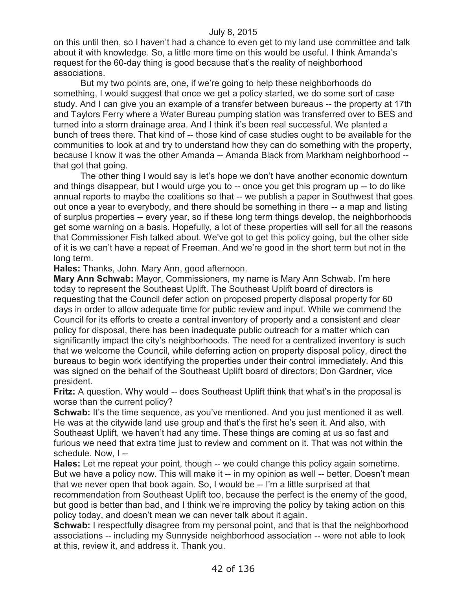on this until then, so I haven't had a chance to even get to my land use committee and talk about it with knowledge. So, a little more time on this would be useful. I think Amanda's request for the 60-day thing is good because that's the reality of neighborhood associations.

But my two points are, one, if we're going to help these neighborhoods do something, I would suggest that once we get a policy started, we do some sort of case study. And I can give you an example of a transfer between bureaus -- the property at 17th and Taylors Ferry where a Water Bureau pumping station was transferred over to BES and turned into a storm drainage area. And I think it's been real successful. We planted a bunch of trees there. That kind of -- those kind of case studies ought to be available for the communities to look at and try to understand how they can do something with the property, because I know it was the other Amanda -- Amanda Black from Markham neighborhood - that got that going.

The other thing I would say is let's hope we don't have another economic downturn and things disappear, but I would urge you to -- once you get this program up -- to do like annual reports to maybe the coalitions so that -- we publish a paper in Southwest that goes out once a year to everybody, and there should be something in there -- a map and listing of surplus properties -- every year, so if these long term things develop, the neighborhoods get some warning on a basis. Hopefully, a lot of these properties will sell for all the reasons that Commissioner Fish talked about. We've got to get this policy going, but the other side of it is we can't have a repeat of Freeman. And we're good in the short term but not in the long term.

**Hales:** Thanks, John. Mary Ann, good afternoon.

**Mary Ann Schwab:** Mayor, Commissioners, my name is Mary Ann Schwab. I'm here today to represent the Southeast Uplift. The Southeast Uplift board of directors is requesting that the Council defer action on proposed property disposal property for 60 days in order to allow adequate time for public review and input. While we commend the Council for its efforts to create a central inventory of property and a consistent and clear policy for disposal, there has been inadequate public outreach for a matter which can significantly impact the city's neighborhoods. The need for a centralized inventory is such that we welcome the Council, while deferring action on property disposal policy, direct the bureaus to begin work identifying the properties under their control immediately. And this was signed on the behalf of the Southeast Uplift board of directors; Don Gardner, vice president.

**Fritz:** A question. Why would -- does Southeast Uplift think that what's in the proposal is worse than the current policy?

**Schwab:** It's the time sequence, as you've mentioned. And you just mentioned it as well. He was at the citywide land use group and that's the first he's seen it. And also, with Southeast Uplift, we haven't had any time. These things are coming at us so fast and furious we need that extra time just to review and comment on it. That was not within the schedule. Now, I --

**Hales:** Let me repeat your point, though -- we could change this policy again sometime. But we have a policy now. This will make it -- in my opinion as well -- better. Doesn't mean that we never open that book again. So, I would be -- I'm a little surprised at that recommendation from Southeast Uplift too, because the perfect is the enemy of the good, but good is better than bad, and I think we're improving the policy by taking action on this policy today, and doesn't mean we can never talk about it again.

**Schwab:** I respectfully disagree from my personal point, and that is that the neighborhood associations -- including my Sunnyside neighborhood association -- were not able to look at this, review it, and address it. Thank you.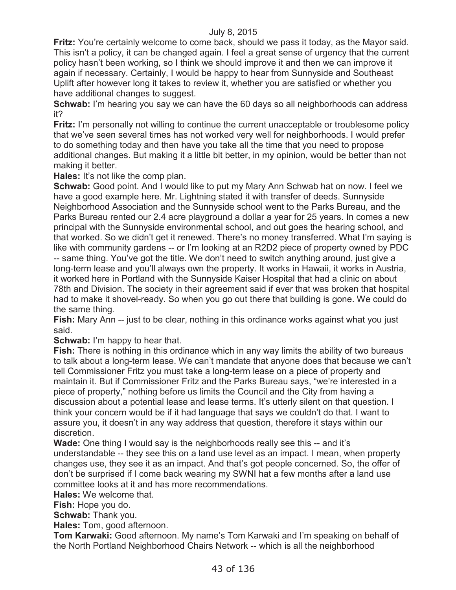**Fritz:** You're certainly welcome to come back, should we pass it today, as the Mayor said. This isn't a policy, it can be changed again. I feel a great sense of urgency that the current policy hasn't been working, so I think we should improve it and then we can improve it again if necessary. Certainly, I would be happy to hear from Sunnyside and Southeast Uplift after however long it takes to review it, whether you are satisfied or whether you have additional changes to suggest.

**Schwab:** I'm hearing you say we can have the 60 days so all neighborhoods can address it?

**Fritz:** I'm personally not willing to continue the current unacceptable or troublesome policy that we've seen several times has not worked very well for neighborhoods. I would prefer to do something today and then have you take all the time that you need to propose additional changes. But making it a little bit better, in my opinion, would be better than not making it better.

**Hales:** It's not like the comp plan.

**Schwab:** Good point. And I would like to put my Mary Ann Schwab hat on now. I feel we have a good example here. Mr. Lightning stated it with transfer of deeds. Sunnyside Neighborhood Association and the Sunnyside school went to the Parks Bureau, and the Parks Bureau rented our 2.4 acre playground a dollar a year for 25 years. In comes a new principal with the Sunnyside environmental school, and out goes the hearing school, and that worked. So we didn't get it renewed. There's no money transferred. What I'm saying is like with community gardens -- or I'm looking at an R2D2 piece of property owned by PDC -- same thing. You've got the title. We don't need to switch anything around, just give a long-term lease and you'll always own the property. It works in Hawaii, it works in Austria, it worked here in Portland with the Sunnyside Kaiser Hospital that had a clinic on about 78th and Division. The society in their agreement said if ever that was broken that hospital had to make it shovel-ready. So when you go out there that building is gone. We could do the same thing.

**Fish:** Mary Ann -- just to be clear, nothing in this ordinance works against what you just said.

**Schwab:** I'm happy to hear that.

**Fish:** There is nothing in this ordinance which in any way limits the ability of two bureaus to talk about a long-term lease. We can't mandate that anyone does that because we can't tell Commissioner Fritz you must take a long-term lease on a piece of property and maintain it. But if Commissioner Fritz and the Parks Bureau says, "we're interested in a piece of property," nothing before us limits the Council and the City from having a discussion about a potential lease and lease terms. It's utterly silent on that question. I think your concern would be if it had language that says we couldn't do that. I want to assure you, it doesn't in any way address that question, therefore it stays within our discretion.

**Wade:** One thing I would say is the neighborhoods really see this -- and it's understandable -- they see this on a land use level as an impact. I mean, when property changes use, they see it as an impact. And that's got people concerned. So, the offer of don't be surprised if I come back wearing my SWNI hat a few months after a land use committee looks at it and has more recommendations.

**Hales:** We welcome that.

**Fish:** Hope you do.

**Schwab:** Thank you.

**Hales:** Tom, good afternoon.

**Tom Karwaki:** Good afternoon. My name's Tom Karwaki and I'm speaking on behalf of the North Portland Neighborhood Chairs Network -- which is all the neighborhood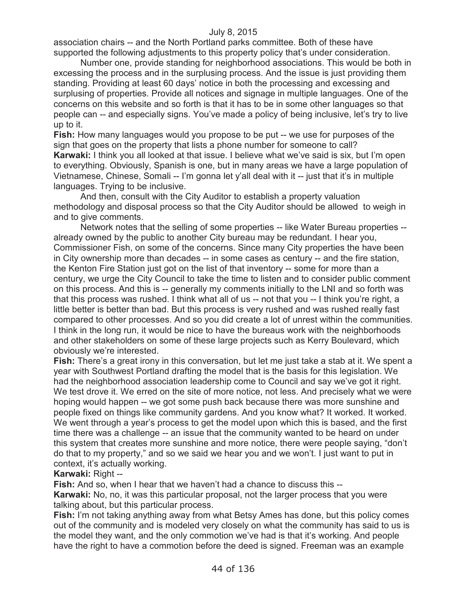association chairs -- and the North Portland parks committee. Both of these have supported the following adjustments to this property policy that's under consideration.

Number one, provide standing for neighborhood associations. This would be both in excessing the process and in the surplusing process. And the issue is just providing them standing. Providing at least 60 days' notice in both the processing and excessing and surplusing of properties. Provide all notices and signage in multiple languages. One of the concerns on this website and so forth is that it has to be in some other languages so that people can -- and especially signs. You've made a policy of being inclusive, let's try to live up to it.

**Fish:** How many languages would you propose to be put -- we use for purposes of the sign that goes on the property that lists a phone number for someone to call?

**Karwaki:** I think you all looked at that issue. I believe what we've said is six, but I'm open to everything. Obviously, Spanish is one, but in many areas we have a large population of Vietnamese, Chinese, Somali -- I'm gonna let y'all deal with it -- just that it's in multiple languages. Trying to be inclusive.

And then, consult with the City Auditor to establish a property valuation methodology and disposal process so that the City Auditor should be allowed to weigh in and to give comments.

Network notes that the selling of some properties -- like Water Bureau properties - already owned by the public to another City bureau may be redundant. I hear you, Commissioner Fish, on some of the concerns. Since many City properties the have been in City ownership more than decades -- in some cases as century -- and the fire station, the Kenton Fire Station just got on the list of that inventory -- some for more than a century, we urge the City Council to take the time to listen and to consider public comment on this process. And this is -- generally my comments initially to the LNI and so forth was that this process was rushed. I think what all of us -- not that you -- I think you're right, a little better is better than bad. But this process is very rushed and was rushed really fast compared to other processes. And so you did create a lot of unrest within the communities. I think in the long run, it would be nice to have the bureaus work with the neighborhoods and other stakeholders on some of these large projects such as Kerry Boulevard, which obviously we're interested.

**Fish:** There's a great irony in this conversation, but let me just take a stab at it. We spent a year with Southwest Portland drafting the model that is the basis for this legislation. We had the neighborhood association leadership come to Council and say we've got it right. We test drove it. We erred on the site of more notice, not less. And precisely what we were hoping would happen -- we got some push back because there was more sunshine and people fixed on things like community gardens. And you know what? It worked. It worked. We went through a year's process to get the model upon which this is based, and the first time there was a challenge -- an issue that the community wanted to be heard on under this system that creates more sunshine and more notice, there were people saying, "don't do that to my property," and so we said we hear you and we won't. I just want to put in context, it's actually working.

# **Karwaki:** Right --

**Fish:** And so, when I hear that we haven't had a chance to discuss this --

**Karwaki:** No, no, it was this particular proposal, not the larger process that you were talking about, but this particular process.

**Fish:** I'm not taking anything away from what Betsy Ames has done, but this policy comes out of the community and is modeled very closely on what the community has said to us is the model they want, and the only commotion we've had is that it's working. And people have the right to have a commotion before the deed is signed. Freeman was an example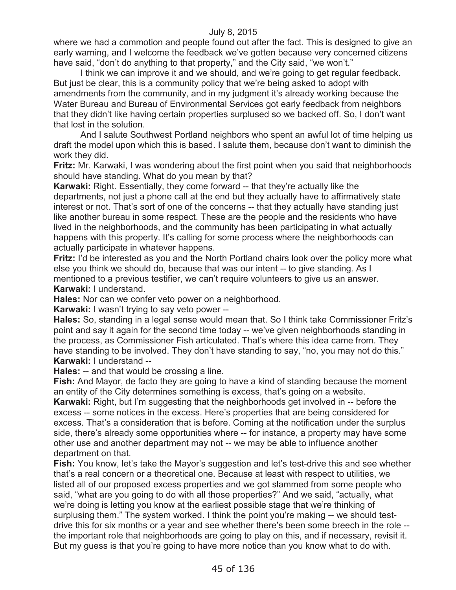where we had a commotion and people found out after the fact. This is designed to give an early warning, and I welcome the feedback we've gotten because very concerned citizens have said, "don't do anything to that property," and the City said, "we won't."

I think we can improve it and we should, and we're going to get regular feedback. But just be clear, this is a community policy that we're being asked to adopt with amendments from the community, and in my judgment it's already working because the Water Bureau and Bureau of Environmental Services got early feedback from neighbors that they didn't like having certain properties surplused so we backed off. So, I don't want that lost in the solution.

And I salute Southwest Portland neighbors who spent an awful lot of time helping us draft the model upon which this is based. I salute them, because don't want to diminish the work they did.

**Fritz:** Mr. Karwaki, I was wondering about the first point when you said that neighborhoods should have standing. What do you mean by that?

**Karwaki:** Right. Essentially, they come forward -- that they're actually like the departments, not just a phone call at the end but they actually have to affirmatively state interest or not. That's sort of one of the concerns -- that they actually have standing just like another bureau in some respect. These are the people and the residents who have lived in the neighborhoods, and the community has been participating in what actually happens with this property. It's calling for some process where the neighborhoods can actually participate in whatever happens.

**Fritz:** I'd be interested as you and the North Portland chairs look over the policy more what else you think we should do, because that was our intent -- to give standing. As I mentioned to a previous testifier, we can't require volunteers to give us an answer. **Karwaki:** I understand.

**Hales:** Nor can we confer veto power on a neighborhood.

**Karwaki:** I wasn't trying to say veto power --

**Hales:** So, standing in a legal sense would mean that. So I think take Commissioner Fritz's point and say it again for the second time today -- we've given neighborhoods standing in the process, as Commissioner Fish articulated. That's where this idea came from. They have standing to be involved. They don't have standing to say, "no, you may not do this." **Karwaki:** I understand --

**Hales:** -- and that would be crossing a line.

**Fish:** And Mayor, de facto they are going to have a kind of standing because the moment an entity of the City determines something is excess, that's going on a website. **Karwaki:** Right, but I'm suggesting that the neighborhoods get involved in -- before the excess -- some notices in the excess. Here's properties that are being considered for excess. That's a consideration that is before. Coming at the notification under the surplus side, there's already some opportunities where -- for instance, a property may have some other use and another department may not -- we may be able to influence another department on that.

**Fish:** You know, let's take the Mayor's suggestion and let's test-drive this and see whether that's a real concern or a theoretical one. Because at least with respect to utilities, we listed all of our proposed excess properties and we got slammed from some people who said, "what are you going to do with all those properties?" And we said, "actually, what we're doing is letting you know at the earliest possible stage that we're thinking of surplusing them." The system worked. I think the point you're making -- we should testdrive this for six months or a year and see whether there's been some breech in the role - the important role that neighborhoods are going to play on this, and if necessary, revisit it. But my guess is that you're going to have more notice than you know what to do with.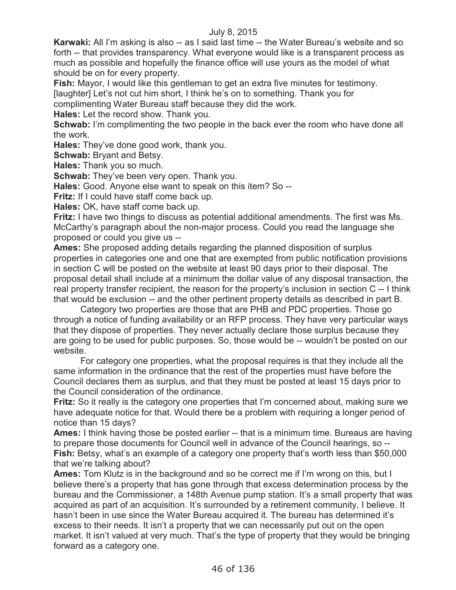**Karwaki:** All I'm asking is also -- as I said last time -- the Water Bureau's website and so forth -- that provides transparency. What everyone would like is a transparent process as much as possible and hopefully the finance office will use yours as the model of what should be on for every property.

**Fish:** Mayor, I would like this gentleman to get an extra five minutes for testimony. [laughter] Let's not cut him short, I think he's on to something. Thank you for

complimenting Water Bureau staff because they did the work.

**Hales:** Let the record show. Thank you.

**Schwab:** I'm complimenting the two people in the back ever the room who have done all the work.

**Hales:** They've done good work, thank you.

**Schwab: Bryant and Betsy.** 

**Hales:** Thank you so much.

**Schwab:** They've been very open. Thank you.

**Hales:** Good. Anyone else want to speak on this item? So --

**Fritz:** If I could have staff come back up.

**Hales:** OK, have staff come back up.

**Fritz:** I have two things to discuss as potential additional amendments. The first was Ms. McCarthy's paragraph about the non-major process. Could you read the language she proposed or could you give us --

**Ames:** She proposed adding details regarding the planned disposition of surplus properties in categories one and one that are exempted from public notification provisions in section C will be posted on the website at least 90 days prior to their disposal. The proposal detail shall include at a minimum the dollar value of any disposal transaction, the real property transfer recipient, the reason for the property's inclusion in section C -- I think that would be exclusion -- and the other pertinent property details as described in part B.

Category two properties are those that are PHB and PDC properties. Those go through a notice of funding availability or an RFP process. They have very particular ways that they dispose of properties. They never actually declare those surplus because they are going to be used for public purposes. So, those would be -- wouldn't be posted on our website.

For category one properties, what the proposal requires is that they include all the same information in the ordinance that the rest of the properties must have before the Council declares them as surplus, and that they must be posted at least 15 days prior to the Council consideration of the ordinance.

**Fritz:** So it really is the category one properties that I'm concerned about, making sure we have adequate notice for that. Would there be a problem with requiring a longer period of notice than 15 days?

**Ames:** I think having those be posted earlier -- that is a minimum time. Bureaus are having to prepare those documents for Council well in advance of the Council hearings, so -- **Fish:** Betsy, what's an example of a category one property that's worth less than \$50,000 that we're talking about?

**Ames:** Tom Klutz is in the background and so he correct me if I'm wrong on this, but I believe there's a property that has gone through that excess determination process by the bureau and the Commissioner, a 148th Avenue pump station. It's a small property that was acquired as part of an acquisition. It's surrounded by a retirement community, I believe. It hasn't been in use since the Water Bureau acquired it. The bureau has determined it's excess to their needs. It isn't a property that we can necessarily put out on the open market. It isn't valued at very much. That's the type of property that they would be bringing forward as a category one.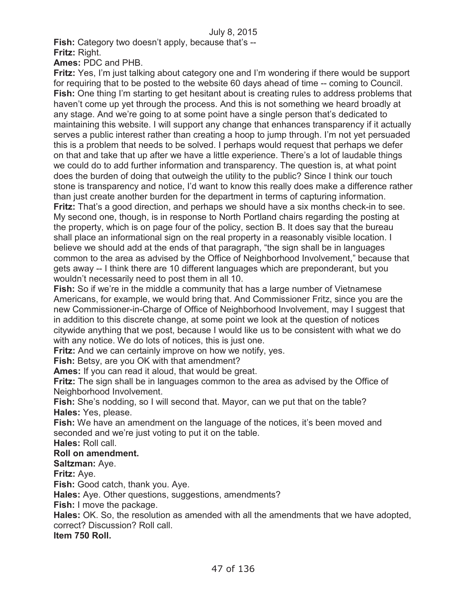**Fish:** Category two doesn't apply, because that's --

**Fritz:** Right.

**Ames:** PDC and PHB.

**Fritz:** Yes, I'm just talking about category one and I'm wondering if there would be support for requiring that to be posted to the website 60 days ahead of time -- coming to Council. **Fish:** One thing I'm starting to get hesitant about is creating rules to address problems that haven't come up yet through the process. And this is not something we heard broadly at any stage. And we're going to at some point have a single person that's dedicated to maintaining this website. I will support any change that enhances transparency if it actually serves a public interest rather than creating a hoop to jump through. I'm not yet persuaded this is a problem that needs to be solved. I perhaps would request that perhaps we defer on that and take that up after we have a little experience. There's a lot of laudable things we could do to add further information and transparency. The question is, at what point does the burden of doing that outweigh the utility to the public? Since I think our touch stone is transparency and notice, I'd want to know this really does make a difference rather than just create another burden for the department in terms of capturing information. **Fritz:** That's a good direction, and perhaps we should have a six months check-in to see. My second one, though, is in response to North Portland chairs regarding the posting at the property, which is on page four of the policy, section B. It does say that the bureau shall place an informational sign on the real property in a reasonably visible location. I believe we should add at the ends of that paragraph, "the sign shall be in languages common to the area as advised by the Office of Neighborhood Involvement," because that gets away -- I think there are 10 different languages which are preponderant, but you wouldn't necessarily need to post them in all 10.

Fish: So if we're in the middle a community that has a large number of Vietnamese Americans, for example, we would bring that. And Commissioner Fritz, since you are the new Commissioner-in-Charge of Office of Neighborhood Involvement, may I suggest that in addition to this discrete change, at some point we look at the question of notices citywide anything that we post, because I would like us to be consistent with what we do with any notice. We do lots of notices, this is just one.

**Fritz:** And we can certainly improve on how we notify, yes.

**Fish:** Betsy, are you OK with that amendment?

**Ames:** If you can read it aloud, that would be great.

**Fritz:** The sign shall be in languages common to the area as advised by the Office of Neighborhood Involvement.

**Fish:** She's nodding, so I will second that. Mayor, can we put that on the table? **Hales:** Yes, please.

**Fish:** We have an amendment on the language of the notices, it's been moved and seconded and we're just voting to put it on the table.

**Hales:** Roll call.

# **Roll on amendment.**

**Saltzman:** Aye.

**Fritz:** Aye.

**Fish:** Good catch, thank you. Aye.

**Hales:** Aye. Other questions, suggestions, amendments?

**Fish:** I move the package.

**Hales:** OK. So, the resolution as amended with all the amendments that we have adopted, correct? Discussion? Roll call.

**Item 750 Roll.**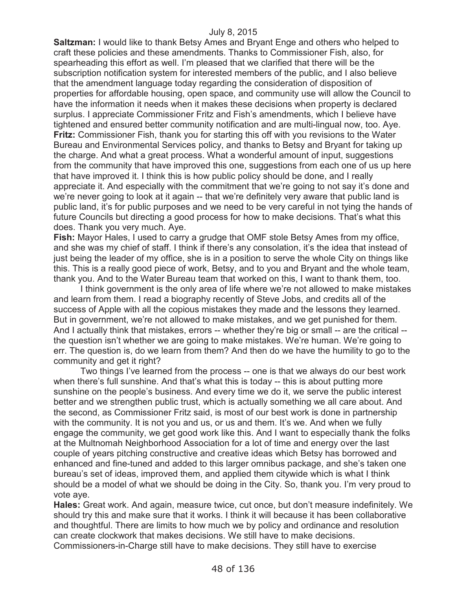**Saltzman:** I would like to thank Betsy Ames and Bryant Enge and others who helped to craft these policies and these amendments. Thanks to Commissioner Fish, also, for spearheading this effort as well. I'm pleased that we clarified that there will be the subscription notification system for interested members of the public, and I also believe that the amendment language today regarding the consideration of disposition of properties for affordable housing, open space, and community use will allow the Council to have the information it needs when it makes these decisions when property is declared surplus. I appreciate Commissioner Fritz and Fish's amendments, which I believe have tightened and ensured better community notification and are multi-lingual now, too. Aye. **Fritz:** Commissioner Fish, thank you for starting this off with you revisions to the Water Bureau and Environmental Services policy, and thanks to Betsy and Bryant for taking up the charge. And what a great process. What a wonderful amount of input, suggestions from the community that have improved this one, suggestions from each one of us up here that have improved it. I think this is how public policy should be done, and I really appreciate it. And especially with the commitment that we're going to not say it's done and we're never going to look at it again -- that we're definitely very aware that public land is public land, it's for public purposes and we need to be very careful in not tying the hands of future Councils but directing a good process for how to make decisions. That's what this does. Thank you very much. Aye.

**Fish:** Mayor Hales, I used to carry a grudge that OMF stole Betsy Ames from my office, and she was my chief of staff. I think if there's any consolation, it's the idea that instead of just being the leader of my office, she is in a position to serve the whole City on things like this. This is a really good piece of work, Betsy, and to you and Bryant and the whole team, thank you. And to the Water Bureau team that worked on this, I want to thank them, too.

I think government is the only area of life where we're not allowed to make mistakes and learn from them. I read a biography recently of Steve Jobs, and credits all of the success of Apple with all the copious mistakes they made and the lessons they learned. But in government, we're not allowed to make mistakes, and we get punished for them. And I actually think that mistakes, errors -- whether they're big or small -- are the critical -the question isn't whether we are going to make mistakes. We're human. We're going to err. The question is, do we learn from them? And then do we have the humility to go to the community and get it right?

Two things I've learned from the process -- one is that we always do our best work when there's full sunshine. And that's what this is today -- this is about putting more sunshine on the people's business. And every time we do it, we serve the public interest better and we strengthen public trust, which is actually something we all care about. And the second, as Commissioner Fritz said, is most of our best work is done in partnership with the community. It is not you and us, or us and them. It's we. And when we fully engage the community, we get good work like this. And I want to especially thank the folks at the Multnomah Neighborhood Association for a lot of time and energy over the last couple of years pitching constructive and creative ideas which Betsy has borrowed and enhanced and fine-tuned and added to this larger omnibus package, and she's taken one bureau's set of ideas, improved them, and applied them citywide which is what I think should be a model of what we should be doing in the City. So, thank you. I'm very proud to vote aye.

**Hales:** Great work. And again, measure twice, cut once, but don't measure indefinitely. We should try this and make sure that it works. I think it will because it has been collaborative and thoughtful. There are limits to how much we by policy and ordinance and resolution can create clockwork that makes decisions. We still have to make decisions. Commissioners-in-Charge still have to make decisions. They still have to exercise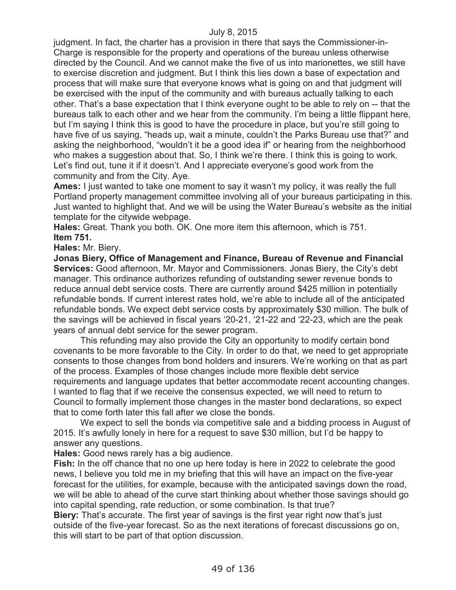judgment. In fact, the charter has a provision in there that says the Commissioner-in-Charge is responsible for the property and operations of the bureau unless otherwise directed by the Council. And we cannot make the five of us into marionettes, we still have to exercise discretion and judgment. But I think this lies down a base of expectation and process that will make sure that everyone knows what is going on and that judgment will be exercised with the input of the community and with bureaus actually talking to each other. That's a base expectation that I think everyone ought to be able to rely on -- that the bureaus talk to each other and we hear from the community. I'm being a little flippant here, but I'm saying I think this is good to have the procedure in place, but you're still going to have five of us saying, "heads up, wait a minute, couldn't the Parks Bureau use that?" and asking the neighborhood, "wouldn't it be a good idea if" or hearing from the neighborhood who makes a suggestion about that. So, I think we're there. I think this is going to work. Let's find out, tune it if it doesn't. And I appreciate everyone's good work from the community and from the City. Aye.

**Ames:** I just wanted to take one moment to say it wasn't my policy, it was really the full Portland property management committee involving all of your bureaus participating in this. Just wanted to highlight that. And we will be using the Water Bureau's website as the initial template for the citywide webpage.

**Hales:** Great. Thank you both. OK. One more item this afternoon, which is 751. **Item 751.**

**Hales:** Mr. Biery.

**Jonas Biery, Office of Management and Finance, Bureau of Revenue and Financial Services:** Good afternoon, Mr. Mayor and Commissioners. Jonas Biery, the City's debt manager. This ordinance authorizes refunding of outstanding sewer revenue bonds to reduce annual debt service costs. There are currently around \$425 million in potentially refundable bonds. If current interest rates hold, we're able to include all of the anticipated refundable bonds. We expect debt service costs by approximately \$30 million. The bulk of the savings will be achieved in fiscal years '20-21, '21-22 and '22-23, which are the peak years of annual debt service for the sewer program.

This refunding may also provide the City an opportunity to modify certain bond covenants to be more favorable to the City. In order to do that, we need to get appropriate consents to those changes from bond holders and insurers. We're working on that as part of the process. Examples of those changes include more flexible debt service requirements and language updates that better accommodate recent accounting changes. I wanted to flag that if we receive the consensus expected, we will need to return to Council to formally implement those changes in the master bond declarations, so expect that to come forth later this fall after we close the bonds.

We expect to sell the bonds via competitive sale and a bidding process in August of 2015. It's awfully lonely in here for a request to save \$30 million, but I'd be happy to answer any questions.

**Hales:** Good news rarely has a big audience.

**Fish:** In the off chance that no one up here today is here in 2022 to celebrate the good news, I believe you told me in my briefing that this will have an impact on the five-year forecast for the utilities, for example, because with the anticipated savings down the road, we will be able to ahead of the curve start thinking about whether those savings should go into capital spending, rate reduction, or some combination. Is that true?

**Biery:** That's accurate. The first year of savings is the first year right now that's just outside of the five-year forecast. So as the next iterations of forecast discussions go on, this will start to be part of that option discussion.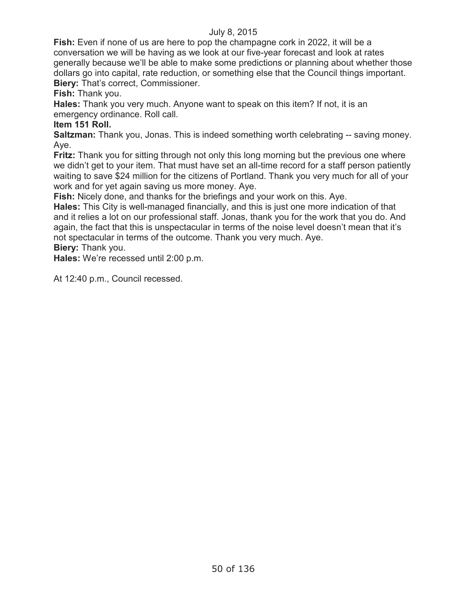**Fish:** Even if none of us are here to pop the champagne cork in 2022, it will be a conversation we will be having as we look at our five-year forecast and look at rates generally because we'll be able to make some predictions or planning about whether those dollars go into capital, rate reduction, or something else that the Council things important. **Biery:** That's correct, Commissioner.

**Fish:** Thank you.

**Hales:** Thank you very much. Anyone want to speak on this item? If not, it is an emergency ordinance. Roll call.

# **Item 151 Roll.**

**Saltzman:** Thank you, Jonas. This is indeed something worth celebrating -- saving money. Aye.

**Fritz:** Thank you for sitting through not only this long morning but the previous one where we didn't get to your item. That must have set an all-time record for a staff person patiently waiting to save \$24 million for the citizens of Portland. Thank you very much for all of your work and for yet again saving us more money. Aye.

**Fish:** Nicely done, and thanks for the briefings and your work on this. Aye.

**Hales:** This City is well-managed financially, and this is just one more indication of that and it relies a lot on our professional staff. Jonas, thank you for the work that you do. And again, the fact that this is unspectacular in terms of the noise level doesn't mean that it's not spectacular in terms of the outcome. Thank you very much. Aye.

**Biery:** Thank you.

**Hales:** We're recessed until 2:00 p.m.

At 12:40 p.m., Council recessed.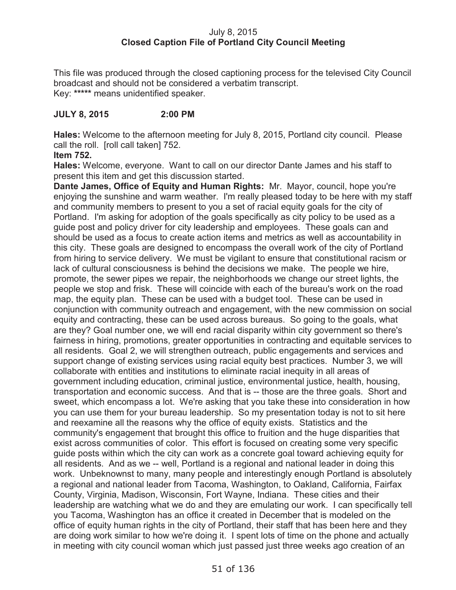# July 8, 2015 **Closed Caption File of Portland City Council Meeting**

This file was produced through the closed captioning process for the televised City Council broadcast and should not be considered a verbatim transcript. Key: **\*\*\*\*\*** means unidentified speaker.

# **JULY 8, 2015 2:00 PM**

**Hales:** Welcome to the afternoon meeting for July 8, 2015, Portland city council. Please call the roll. [roll call taken] 752.

## **Item 752.**

**Hales:** Welcome, everyone. Want to call on our director Dante James and his staff to present this item and get this discussion started.

**Dante James, Office of Equity and Human Rights:** Mr. Mayor, council, hope you're enjoying the sunshine and warm weather. I'm really pleased today to be here with my staff and community members to present to you a set of racial equity goals for the city of Portland. I'm asking for adoption of the goals specifically as city policy to be used as a guide post and policy driver for city leadership and employees. These goals can and should be used as a focus to create action items and metrics as well as accountability in this city. These goals are designed to encompass the overall work of the city of Portland from hiring to service delivery. We must be vigilant to ensure that constitutional racism or lack of cultural consciousness is behind the decisions we make. The people we hire, promote, the sewer pipes we repair, the neighborhoods we change our street lights, the people we stop and frisk. These will coincide with each of the bureau's work on the road map, the equity plan. These can be used with a budget tool. These can be used in conjunction with community outreach and engagement, with the new commission on social equity and contracting, these can be used across bureaus. So going to the goals, what are they? Goal number one, we will end racial disparity within city government so there's fairness in hiring, promotions, greater opportunities in contracting and equitable services to all residents. Goal 2, we will strengthen outreach, public engagements and services and support change of existing services using racial equity best practices. Number 3, we will collaborate with entities and institutions to eliminate racial inequity in all areas of government including education, criminal justice, environmental justice, health, housing, transportation and economic success. And that is -- those are the three goals. Short and sweet, which encompass a lot. We're asking that you take these into consideration in how you can use them for your bureau leadership. So my presentation today is not to sit here and reexamine all the reasons why the office of equity exists. Statistics and the community's engagement that brought this office to fruition and the huge disparities that exist across communities of color. This effort is focused on creating some very specific guide posts within which the city can work as a concrete goal toward achieving equity for all residents. And as we -- well, Portland is a regional and national leader in doing this work. Unbeknownst to many, many people and interestingly enough Portland is absolutely a regional and national leader from Tacoma, Washington, to Oakland, California, Fairfax County, Virginia, Madison, Wisconsin, Fort Wayne, Indiana. These cities and their leadership are watching what we do and they are emulating our work. I can specifically tell you Tacoma, Washington has an office it created in December that is modeled on the office of equity human rights in the city of Portland, their staff that has been here and they are doing work similar to how we're doing it. I spent lots of time on the phone and actually in meeting with city council woman which just passed just three weeks ago creation of an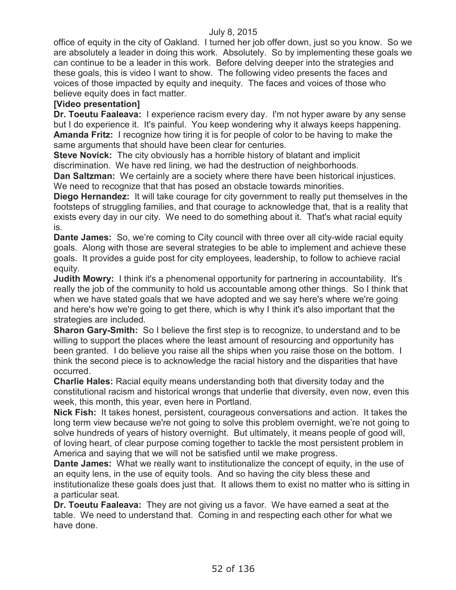office of equity in the city of Oakland. I turned her job offer down, just so you know. So we are absolutely a leader in doing this work. Absolutely. So by implementing these goals we can continue to be a leader in this work. Before delving deeper into the strategies and these goals, this is video I want to show. The following video presents the faces and voices of those impacted by equity and inequity. The faces and voices of those who believe equity does in fact matter.

## **[Video presentation]**

**Dr. Toeutu Faaleava:** I experience racism every day. I'm not hyper aware by any sense but I do experience it. It's painful. You keep wondering why it always keeps happening. **Amanda Fritz:** I recognize how tiring it is for people of color to be having to make the same arguments that should have been clear for centuries.

**Steve Novick:** The city obviously has a horrible history of blatant and implicit discrimination. We have red lining, we had the destruction of neighborhoods.

**Dan Saltzman:** We certainly are a society where there have been historical injustices. We need to recognize that that has posed an obstacle towards minorities.

**Diego Hernandez:** It will take courage for city government to really put themselves in the footsteps of struggling families, and that courage to acknowledge that, that is a reality that exists every day in our city. We need to do something about it. That's what racial equity is.

**Dante James:** So, we're coming to City council with three over all city-wide racial equity goals. Along with those are several strategies to be able to implement and achieve these goals. It provides a guide post for city employees, leadership, to follow to achieve racial equity.

**Judith Mowry:** I think it's a phenomenal opportunity for partnering in accountability. It's really the job of the community to hold us accountable among other things. So I think that when we have stated goals that we have adopted and we say here's where we're going and here's how we're going to get there, which is why I think it's also important that the strategies are included.

**Sharon Gary-Smith:** So I believe the first step is to recognize, to understand and to be willing to support the places where the least amount of resourcing and opportunity has been granted. I do believe you raise all the ships when you raise those on the bottom. I think the second piece is to acknowledge the racial history and the disparities that have occurred.

**Charlie Hales:** Racial equity means understanding both that diversity today and the constitutional racism and historical wrongs that underlie that diversity, even now, even this week, this month, this year, even here in Portland.

**Nick Fish:** It takes honest, persistent, courageous conversations and action. It takes the long term view because we're not going to solve this problem overnight, we're not going to solve hundreds of years of history overnight. But ultimately, it means people of good will, of loving heart, of clear purpose coming together to tackle the most persistent problem in America and saying that we will not be satisfied until we make progress.

**Dante James:** What we really want to institutionalize the concept of equity, in the use of an equity lens, in the use of equity tools. And so having the city bless these and institutionalize these goals does just that. It allows them to exist no matter who is sitting in a particular seat.

**Dr. Toeutu Faaleava:** They are not giving us a favor. We have earned a seat at the table. We need to understand that. Coming in and respecting each other for what we have done.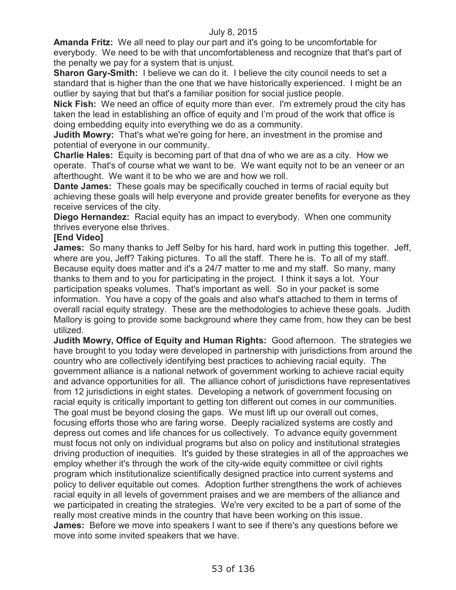**Amanda Fritz:** We all need to play our part and it's going to be uncomfortable for everybody. We need to be with that uncomfortableness and recognize that that's part of the penalty we pay for a system that is unjust.

**Sharon Gary-Smith:** I believe we can do it. I believe the city council needs to set a standard that is higher than the one that we have historically experienced. I might be an outlier by saying that but that's a familiar position for social justice people.

**Nick Fish:** We need an office of equity more than ever. I'm extremely proud the city has taken the lead in establishing an office of equity and I'm proud of the work that office is doing embedding equity into everything we do as a community.

**Judith Mowry:** That's what we're going for here, an investment in the promise and potential of everyone in our community.

**Charlie Hales:** Equity is becoming part of that dna of who we are as a city. How we operate. That's of course what we want to be. We want equity not to be an veneer or an afterthought. We want it to be who we are and how we roll.

**Dante James:** These goals may be specifically couched in terms of racial equity but achieving these goals will help everyone and provide greater benefits for everyone as they receive services of the city.

**Diego Hernandez:** Racial equity has an impact to everybody. When one community thrives everyone else thrives.

## **[End Video]**

**James:** So many thanks to Jeff Selby for his hard, hard work in putting this together. Jeff, where are you, Jeff? Taking pictures. To all the staff. There he is. To all of my staff. Because equity does matter and it's a 24/7 matter to me and my staff. So many, many thanks to them and to you for participating in the project. I think it says a lot. Your participation speaks volumes. That's important as well. So in your packet is some information. You have a copy of the goals and also what's attached to them in terms of overall racial equity strategy. These are the methodologies to achieve these goals. Judith Mallory is going to provide some background where they came from, how they can be best utilized.

**Judith Mowry, Office of Equity and Human Rights:** Good afternoon. The strategies we have brought to you today were developed in partnership with jurisdictions from around the country who are collectively identifying best practices to achieving racial equity. The government alliance is a national network of government working to achieve racial equity and advance opportunities for all. The alliance cohort of jurisdictions have representatives from 12 jurisdictions in eight states. Developing a network of government focusing on racial equity is critically important to getting ton different out comes in our communities. The goal must be beyond closing the gaps. We must lift up our overall out comes, focusing efforts those who are faring worse. Deeply racialized systems are costly and depress out comes and life chances for us collectively. To advance equity government must focus not only on individual programs but also on policy and institutional strategies driving production of inequities. It's guided by these strategies in all of the approaches we employ whether it's through the work of the city-wide equity committee or civil rights program which institutionalize scientifically designed practice into current systems and policy to deliver equitable out comes. Adoption further strengthens the work of achieves racial equity in all levels of government praises and we are members of the alliance and we participated in creating the strategies. We're very excited to be a part of some of the really most creative minds in the country that have been working on this issue. **James:** Before we move into speakers I want to see if there's any questions before we move into some invited speakers that we have.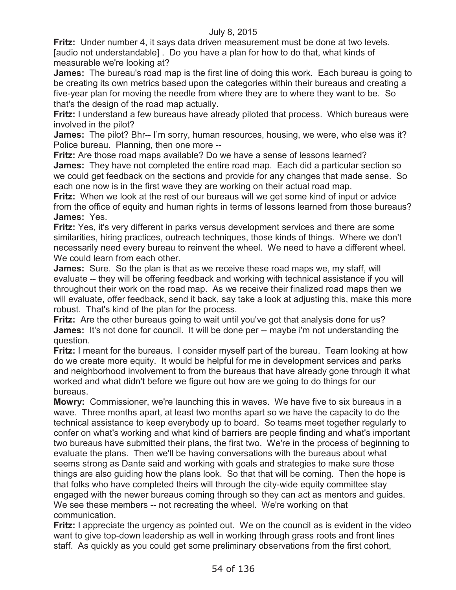**Fritz:** Under number 4, it says data driven measurement must be done at two levels. [audio not understandable] . Do you have a plan for how to do that, what kinds of measurable we're looking at?

**James:** The bureau's road map is the first line of doing this work. Each bureau is going to be creating its own metrics based upon the categories within their bureaus and creating a five-year plan for moving the needle from where they are to where they want to be. So that's the design of the road map actually.

**Fritz:** I understand a few bureaus have already piloted that process. Which bureaus were involved in the pilot?

**James:** The pilot? Bhr-- I'm sorry, human resources, housing, we were, who else was it? Police bureau. Planning, then one more --

**Fritz:** Are those road maps available? Do we have a sense of lessons learned? **James:** They have not completed the entire road map. Each did a particular section so we could get feedback on the sections and provide for any changes that made sense. So each one now is in the first wave they are working on their actual road map.

**Fritz:** When we look at the rest of our bureaus will we get some kind of input or advice from the office of equity and human rights in terms of lessons learned from those bureaus? **James:** Yes.

**Fritz:** Yes, it's very different in parks versus development services and there are some similarities, hiring practices, outreach techniques, those kinds of things. Where we don't necessarily need every bureau to reinvent the wheel. We need to have a different wheel. We could learn from each other.

**James:** Sure. So the plan is that as we receive these road maps we, my staff, will evaluate -- they will be offering feedback and working with technical assistance if you will throughout their work on the road map. As we receive their finalized road maps then we will evaluate, offer feedback, send it back, say take a look at adjusting this, make this more robust. That's kind of the plan for the process.

**Fritz:** Are the other bureaus going to wait until you've got that analysis done for us? **James:** It's not done for council. It will be done per -- maybe i'm not understanding the question.

**Fritz:** I meant for the bureaus. I consider myself part of the bureau. Team looking at how do we create more equity. It would be helpful for me in development services and parks and neighborhood involvement to from the bureaus that have already gone through it what worked and what didn't before we figure out how are we going to do things for our bureaus.

**Mowry:** Commissioner, we're launching this in waves. We have five to six bureaus in a wave. Three months apart, at least two months apart so we have the capacity to do the technical assistance to keep everybody up to board. So teams meet together regularly to confer on what's working and what kind of barriers are people finding and what's important two bureaus have submitted their plans, the first two. We're in the process of beginning to evaluate the plans. Then we'll be having conversations with the bureaus about what seems strong as Dante said and working with goals and strategies to make sure those things are also guiding how the plans look. So that that will be coming. Then the hope is that folks who have completed theirs will through the city-wide equity committee stay engaged with the newer bureaus coming through so they can act as mentors and guides. We see these members -- not recreating the wheel. We're working on that communication.

**Fritz:** I appreciate the urgency as pointed out. We on the council as is evident in the video want to give top-down leadership as well in working through grass roots and front lines staff. As quickly as you could get some preliminary observations from the first cohort,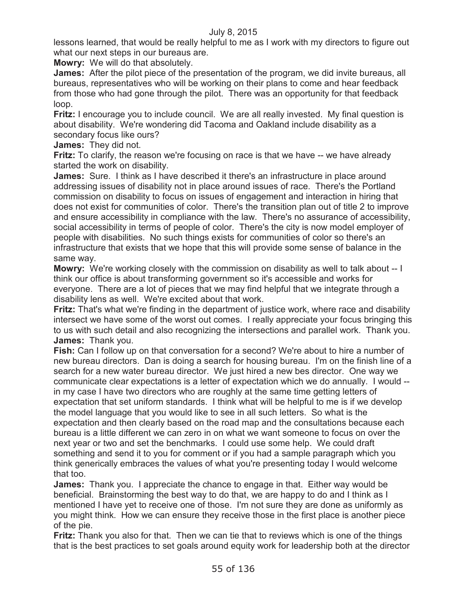lessons learned, that would be really helpful to me as I work with my directors to figure out what our next steps in our bureaus are.

**Mowry:** We will do that absolutely.

**James:** After the pilot piece of the presentation of the program, we did invite bureaus, all bureaus, representatives who will be working on their plans to come and hear feedback from those who had gone through the pilot. There was an opportunity for that feedback loop.

**Fritz:** I encourage you to include council. We are all really invested. My final question is about disability. We're wondering did Tacoma and Oakland include disability as a secondary focus like ours?

**James:** They did not.

**Fritz:** To clarify, the reason we're focusing on race is that we have -- we have already started the work on disability.

**James:** Sure. I think as I have described it there's an infrastructure in place around addressing issues of disability not in place around issues of race. There's the Portland commission on disability to focus on issues of engagement and interaction in hiring that does not exist for communities of color. There's the transition plan out of title 2 to improve and ensure accessibility in compliance with the law. There's no assurance of accessibility, social accessibility in terms of people of color. There's the city is now model employer of people with disabilities. No such things exists for communities of color so there's an infrastructure that exists that we hope that this will provide some sense of balance in the same way.

**Mowry:** We're working closely with the commission on disability as well to talk about -- I think our office is about transforming government so it's accessible and works for everyone. There are a lot of pieces that we may find helpful that we integrate through a disability lens as well. We're excited about that work.

**Fritz:** That's what we're finding in the department of justice work, where race and disability intersect we have some of the worst out comes. I really appreciate your focus bringing this to us with such detail and also recognizing the intersections and parallel work. Thank you. **James:** Thank you.

**Fish:** Can I follow up on that conversation for a second? We're about to hire a number of new bureau directors. Dan is doing a search for housing bureau. I'm on the finish line of a search for a new water bureau director. We just hired a new bes director. One way we communicate clear expectations is a letter of expectation which we do annually. I would - in my case I have two directors who are roughly at the same time getting letters of expectation that set uniform standards. I think what will be helpful to me is if we develop the model language that you would like to see in all such letters. So what is the expectation and then clearly based on the road map and the consultations because each bureau is a little different we can zero in on what we want someone to focus on over the next year or two and set the benchmarks. I could use some help. We could draft something and send it to you for comment or if you had a sample paragraph which you think generically embraces the values of what you're presenting today I would welcome that too.

**James:** Thank you. I appreciate the chance to engage in that. Either way would be beneficial. Brainstorming the best way to do that, we are happy to do and I think as I mentioned I have yet to receive one of those. I'm not sure they are done as uniformly as you might think. How we can ensure they receive those in the first place is another piece of the pie.

**Fritz:** Thank you also for that. Then we can tie that to reviews which is one of the things that is the best practices to set goals around equity work for leadership both at the director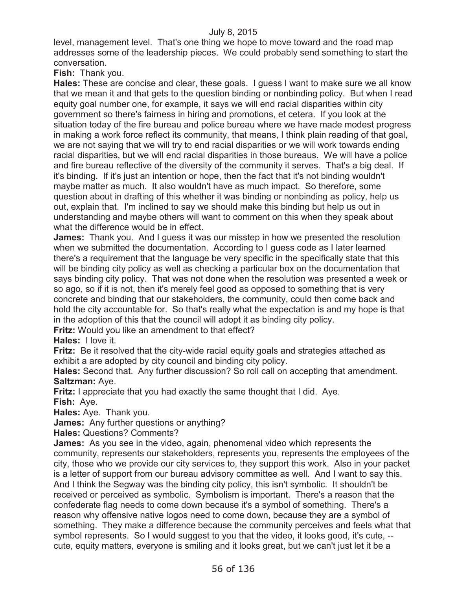level, management level. That's one thing we hope to move toward and the road map addresses some of the leadership pieces. We could probably send something to start the conversation.

**Fish:** Thank you.

**Hales:** These are concise and clear, these goals. I guess I want to make sure we all know that we mean it and that gets to the question binding or nonbinding policy. But when I read equity goal number one, for example, it says we will end racial disparities within city government so there's fairness in hiring and promotions, et cetera. If you look at the situation today of the fire bureau and police bureau where we have made modest progress in making a work force reflect its community, that means, I think plain reading of that goal, we are not saying that we will try to end racial disparities or we will work towards ending racial disparities, but we will end racial disparities in those bureaus. We will have a police and fire bureau reflective of the diversity of the community it serves. That's a big deal. If it's binding. If it's just an intention or hope, then the fact that it's not binding wouldn't maybe matter as much. It also wouldn't have as much impact. So therefore, some question about in drafting of this whether it was binding or nonbinding as policy, help us out, explain that. I'm inclined to say we should make this binding but help us out in understanding and maybe others will want to comment on this when they speak about what the difference would be in effect.

**James:** Thank you. And I guess it was our misstep in how we presented the resolution when we submitted the documentation. According to I guess code as I later learned there's a requirement that the language be very specific in the specifically state that this will be binding city policy as well as checking a particular box on the documentation that says binding city policy. That was not done when the resolution was presented a week or so ago, so if it is not, then it's merely feel good as opposed to something that is very concrete and binding that our stakeholders, the community, could then come back and hold the city accountable for. So that's really what the expectation is and my hope is that in the adoption of this that the council will adopt it as binding city policy.

**Fritz:** Would you like an amendment to that effect?

**Hales:** I love it.

**Fritz:** Be it resolved that the city-wide racial equity goals and strategies attached as exhibit a are adopted by city council and binding city policy.

**Hales:** Second that. Any further discussion? So roll call on accepting that amendment. **Saltzman:** Aye.

**Fritz:** I appreciate that you had exactly the same thought that I did. Aye. **Fish:** Aye.

**Hales:** Aye. Thank you.

**James:** Any further questions or anything?

**Hales:** Questions? Comments?

**James:** As you see in the video, again, phenomenal video which represents the community, represents our stakeholders, represents you, represents the employees of the city, those who we provide our city services to, they support this work. Also in your packet is a letter of support from our bureau advisory committee as well. And I want to say this. And I think the Segway was the binding city policy, this isn't symbolic. It shouldn't be received or perceived as symbolic. Symbolism is important. There's a reason that the confederate flag needs to come down because it's a symbol of something. There's a reason why offensive native logos need to come down, because they are a symbol of something. They make a difference because the community perceives and feels what that symbol represents. So I would suggest to you that the video, it looks good, it's cute, - cute, equity matters, everyone is smiling and it looks great, but we can't just let it be a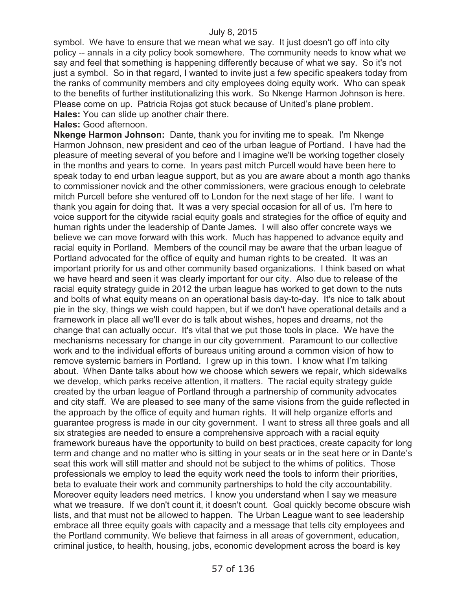symbol. We have to ensure that we mean what we say. It just doesn't go off into city policy -- annals in a city policy book somewhere. The community needs to know what we say and feel that something is happening differently because of what we say. So it's not just a symbol. So in that regard, I wanted to invite just a few specific speakers today from the ranks of community members and city employees doing equity work. Who can speak to the benefits of further institutionalizing this work. So Nkenge Harmon Johnson is here. Please come on up. Patricia Rojas got stuck because of United's plane problem. **Hales:** You can slide up another chair there.

**Hales:** Good afternoon.

**Nkenge Harmon Johnson:** Dante, thank you for inviting me to speak. I'm Nkenge Harmon Johnson, new president and ceo of the urban league of Portland. I have had the pleasure of meeting several of you before and I imagine we'll be working together closely in the months and years to come. In years past mitch Purcell would have been here to speak today to end urban league support, but as you are aware about a month ago thanks to commissioner novick and the other commissioners, were gracious enough to celebrate mitch Purcell before she ventured off to London for the next stage of her life. I want to thank you again for doing that. It was a very special occasion for all of us. I'm here to voice support for the citywide racial equity goals and strategies for the office of equity and human rights under the leadership of Dante James. I will also offer concrete ways we believe we can move forward with this work. Much has happened to advance equity and racial equity in Portland. Members of the council may be aware that the urban league of Portland advocated for the office of equity and human rights to be created. It was an important priority for us and other community based organizations. I think based on what we have heard and seen it was clearly important for our city. Also due to release of the racial equity strategy guide in 2012 the urban league has worked to get down to the nuts and bolts of what equity means on an operational basis day-to-day. It's nice to talk about pie in the sky, things we wish could happen, but if we don't have operational details and a framework in place all we'll ever do is talk about wishes, hopes and dreams, not the change that can actually occur. It's vital that we put those tools in place. We have the mechanisms necessary for change in our city government. Paramount to our collective work and to the individual efforts of bureaus uniting around a common vision of how to remove systemic barriers in Portland. I grew up in this town. I know what I'm talking about. When Dante talks about how we choose which sewers we repair, which sidewalks we develop, which parks receive attention, it matters. The racial equity strategy guide created by the urban league of Portland through a partnership of community advocates and city staff. We are pleased to see many of the same visions from the guide reflected in the approach by the office of equity and human rights. It will help organize efforts and guarantee progress is made in our city government. I want to stress all three goals and all six strategies are needed to ensure a comprehensive approach with a racial equity framework bureaus have the opportunity to build on best practices, create capacity for long term and change and no matter who is sitting in your seats or in the seat here or in Dante's seat this work will still matter and should not be subject to the whims of politics. Those professionals we employ to lead the equity work need the tools to inform their priorities, beta to evaluate their work and community partnerships to hold the city accountability. Moreover equity leaders need metrics. I know you understand when I say we measure what we treasure. If we don't count it, it doesn't count. Goal quickly become obscure wish lists, and that must not be allowed to happen. The Urban League want to see leadership embrace all three equity goals with capacity and a message that tells city employees and the Portland community. We believe that fairness in all areas of government, education, criminal justice, to health, housing, jobs, economic development across the board is key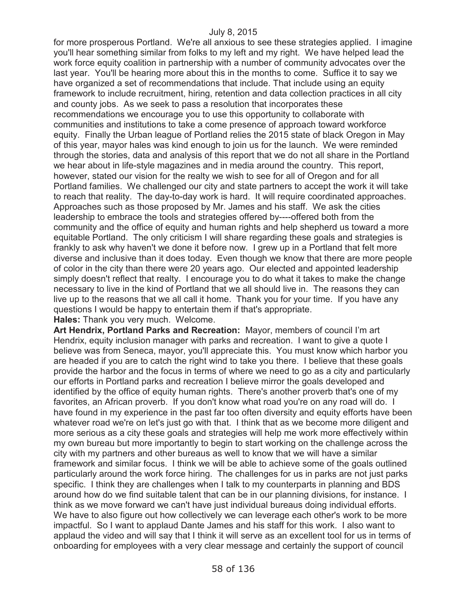for more prosperous Portland. We're all anxious to see these strategies applied. I imagine you'll hear something similar from folks to my left and my right. We have helped lead the work force equity coalition in partnership with a number of community advocates over the last year. You'll be hearing more about this in the months to come. Suffice it to say we have organized a set of recommendations that include. That include using an equity framework to include recruitment, hiring, retention and data collection practices in all city and county jobs. As we seek to pass a resolution that incorporates these recommendations we encourage you to use this opportunity to collaborate with communities and institutions to take a come presence of approach toward workforce equity. Finally the Urban league of Portland relies the 2015 state of black Oregon in May of this year, mayor hales was kind enough to join us for the launch. We were reminded through the stories, data and analysis of this report that we do not all share in the Portland we hear about in life-style magazines and in media around the country. This report, however, stated our vision for the realty we wish to see for all of Oregon and for all Portland families. We challenged our city and state partners to accept the work it will take to reach that reality. The day-to-day work is hard. It will require coordinated approaches. Approaches such as those proposed by Mr. James and his staff. We ask the cities leadership to embrace the tools and strategies offered by----offered both from the community and the office of equity and human rights and help shepherd us toward a more equitable Portland. The only criticism I will share regarding these goals and strategies is frankly to ask why haven't we done it before now. I grew up in a Portland that felt more diverse and inclusive than it does today. Even though we know that there are more people of color in the city than there were 20 years ago. Our elected and appointed leadership simply doesn't reflect that realty. I encourage you to do what it takes to make the change necessary to live in the kind of Portland that we all should live in. The reasons they can live up to the reasons that we all call it home. Thank you for your time. If you have any questions I would be happy to entertain them if that's appropriate.

**Hales:** Thank you very much. Welcome.

**Art Hendrix, Portland Parks and Recreation:** Mayor, members of council I'm art Hendrix, equity inclusion manager with parks and recreation. I want to give a quote I believe was from Seneca, mayor, you'll appreciate this. You must know which harbor you are headed if you are to catch the right wind to take you there. I believe that these goals provide the harbor and the focus in terms of where we need to go as a city and particularly our efforts in Portland parks and recreation I believe mirror the goals developed and identified by the office of equity human rights. There's another proverb that's one of my favorites, an African proverb. If you don't know what road you're on any road will do. I have found in my experience in the past far too often diversity and equity efforts have been whatever road we're on let's just go with that. I think that as we become more diligent and more serious as a city these goals and strategies will help me work more effectively within my own bureau but more importantly to begin to start working on the challenge across the city with my partners and other bureaus as well to know that we will have a similar framework and similar focus. I think we will be able to achieve some of the goals outlined particularly around the work force hiring. The challenges for us in parks are not just parks specific. I think they are challenges when I talk to my counterparts in planning and BDS around how do we find suitable talent that can be in our planning divisions, for instance. I think as we move forward we can't have just individual bureaus doing individual efforts. We have to also figure out how collectively we can leverage each other's work to be more impactful. So I want to applaud Dante James and his staff for this work. I also want to applaud the video and will say that I think it will serve as an excellent tool for us in terms of onboarding for employees with a very clear message and certainly the support of council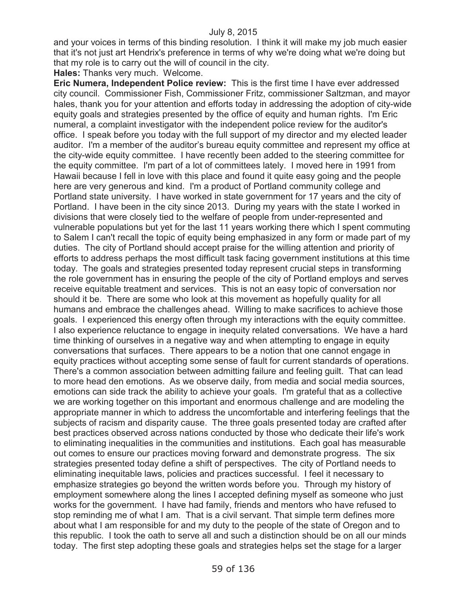and your voices in terms of this binding resolution. I think it will make my job much easier that it's not just art Hendrix's preference in terms of why we're doing what we're doing but that my role is to carry out the will of council in the city.

#### **Hales:** Thanks very much. Welcome.

**Eric Numera, Independent Police review:** This is the first time I have ever addressed city council. Commissioner Fish, Commissioner Fritz, commissioner Saltzman, and mayor hales, thank you for your attention and efforts today in addressing the adoption of city-wide equity goals and strategies presented by the office of equity and human rights. I'm Eric numeral, a complaint investigator with the independent police review for the auditor's office. I speak before you today with the full support of my director and my elected leader auditor. I'm a member of the auditor's bureau equity committee and represent my office at the city-wide equity committee. I have recently been added to the steering committee for the equity committee. I'm part of a lot of committees lately. I moved here in 1991 from Hawaii because I fell in love with this place and found it quite easy going and the people here are very generous and kind. I'm a product of Portland community college and Portland state university. I have worked in state government for 17 years and the city of Portland. I have been in the city since 2013. During my years with the state I worked in divisions that were closely tied to the welfare of people from under-represented and vulnerable populations but yet for the last 11 years working there which I spent commuting to Salem I can't recall the topic of equity being emphasized in any form or made part of my duties. The city of Portland should accept praise for the willing attention and priority of efforts to address perhaps the most difficult task facing government institutions at this time today. The goals and strategies presented today represent crucial steps in transforming the role government has in ensuring the people of the city of Portland employs and serves receive equitable treatment and services. This is not an easy topic of conversation nor should it be. There are some who look at this movement as hopefully quality for all humans and embrace the challenges ahead. Willing to make sacrifices to achieve those goals. I experienced this energy often through my interactions with the equity committee. I also experience reluctance to engage in inequity related conversations. We have a hard time thinking of ourselves in a negative way and when attempting to engage in equity conversations that surfaces. There appears to be a notion that one cannot engage in equity practices without accepting some sense of fault for current standards of operations. There's a common association between admitting failure and feeling guilt. That can lead to more head den emotions. As we observe daily, from media and social media sources, emotions can side track the ability to achieve your goals. I'm grateful that as a collective we are working together on this important and enormous challenge and are modeling the appropriate manner in which to address the uncomfortable and interfering feelings that the subjects of racism and disparity cause. The three goals presented today are crafted after best practices observed across nations conducted by those who dedicate their life's work to eliminating inequalities in the communities and institutions. Each goal has measurable out comes to ensure our practices moving forward and demonstrate progress. The six strategies presented today define a shift of perspectives. The city of Portland needs to eliminating inequitable laws, policies and practices successful. I feel it necessary to emphasize strategies go beyond the written words before you. Through my history of employment somewhere along the lines I accepted defining myself as someone who just works for the government. I have had family, friends and mentors who have refused to stop reminding me of what I am. That is a civil servant. That simple term defines more about what I am responsible for and my duty to the people of the state of Oregon and to this republic. I took the oath to serve all and such a distinction should be on all our minds today. The first step adopting these goals and strategies helps set the stage for a larger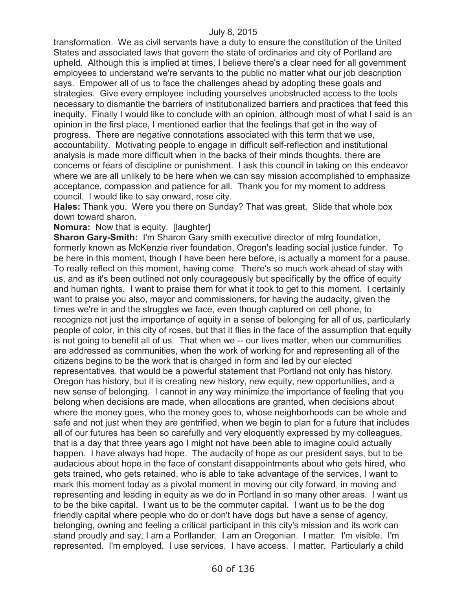transformation. We as civil servants have a duty to ensure the constitution of the United States and associated laws that govern the state of ordinaries and city of Portland are upheld. Although this is implied at times, I believe there's a clear need for all government employees to understand we're servants to the public no matter what our job description says. Empower all of us to face the challenges ahead by adopting these goals and strategies. Give every employee including yourselves unobstructed access to the tools necessary to dismantle the barriers of institutionalized barriers and practices that feed this inequity. Finally I would like to conclude with an opinion, although most of what I said is an opinion in the first place, I mentioned earlier that the feelings that get in the way of progress. There are negative connotations associated with this term that we use, accountability. Motivating people to engage in difficult self-reflection and institutional analysis is made more difficult when in the backs of their minds thoughts, there are concerns or fears of discipline or punishment. I ask this council in taking on this endeavor where we are all unlikely to be here when we can say mission accomplished to emphasize acceptance, compassion and patience for all. Thank you for my moment to address council. I would like to say onward, rose city.

**Hales:** Thank you. Were you there on Sunday? That was great. Slide that whole box down toward sharon.

**Nomura:** Now that is equity. [laughter]

**Sharon Gary-Smith:** I'm Sharon Gary smith executive director of mlrg foundation, formerly known as McKenzie river foundation, Oregon's leading social justice funder. To be here in this moment, though I have been here before, is actually a moment for a pause. To really reflect on this moment, having come. There's so much work ahead of stay with us, and as it's been outlined not only courageously but specifically by the office of equity and human rights. I want to praise them for what it took to get to this moment. I certainly want to praise you also, mayor and commissioners, for having the audacity, given the times we're in and the struggles we face, even though captured on cell phone, to recognize not just the importance of equity in a sense of belonging for all of us, particularly people of color, in this city of roses, but that it flies in the face of the assumption that equity is not going to benefit all of us. That when we -- our lives matter, when our communities are addressed as communities, when the work of working for and representing all of the citizens begins to be the work that is charged in form and led by our elected representatives, that would be a powerful statement that Portland not only has history, Oregon has history, but it is creating new history, new equity, new opportunities, and a new sense of belonging. I cannot in any way minimize the importance of feeling that you belong when decisions are made, when allocations are granted, when decisions about where the money goes, who the money goes to, whose neighborhoods can be whole and safe and not just when they are gentrified, when we begin to plan for a future that includes all of our futures has been so carefully and very eloquently expressed by my colleagues, that is a day that three years ago I might not have been able to imagine could actually happen. I have always had hope. The audacity of hope as our president says, but to be audacious about hope in the face of constant disappointments about who gets hired, who gets trained, who gets retained, who is able to take advantage of the services, I want to mark this moment today as a pivotal moment in moving our city forward, in moving and representing and leading in equity as we do in Portland in so many other areas. I want us to be the bike capital. I want us to be the commuter capital. I want us to be the dog friendly capital where people who do or don't have dogs but have a sense of agency, belonging, owning and feeling a critical participant in this city's mission and its work can stand proudly and say, I am a Portlander. I am an Oregonian. I matter. I'm visible. I'm represented. I'm employed. I use services. I have access. I matter. Particularly a child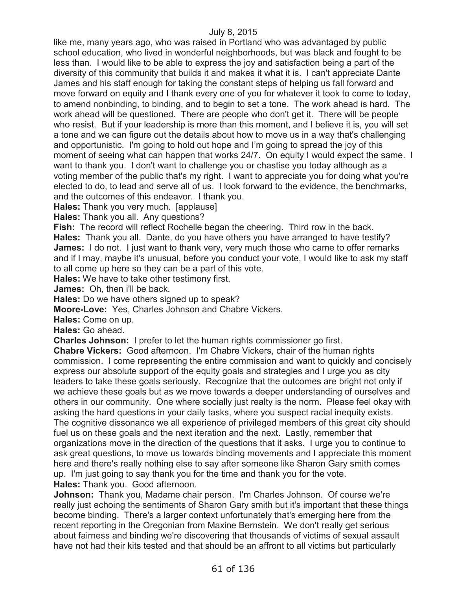like me, many years ago, who was raised in Portland who was advantaged by public school education, who lived in wonderful neighborhoods, but was black and fought to be less than. I would like to be able to express the joy and satisfaction being a part of the diversity of this community that builds it and makes it what it is. I can't appreciate Dante James and his staff enough for taking the constant steps of helping us fall forward and move forward on equity and I thank every one of you for whatever it took to come to today, to amend nonbinding, to binding, and to begin to set a tone. The work ahead is hard. The work ahead will be questioned. There are people who don't get it. There will be people who resist. But if your leadership is more than this moment, and I believe it is, you will set a tone and we can figure out the details about how to move us in a way that's challenging and opportunistic. I'm going to hold out hope and I'm going to spread the joy of this moment of seeing what can happen that works 24/7. On equity I would expect the same. I want to thank you. I don't want to challenge you or chastise you today although as a voting member of the public that's my right. I want to appreciate you for doing what you're elected to do, to lead and serve all of us. I look forward to the evidence, the benchmarks, and the outcomes of this endeavor. I thank you.

**Hales:** Thank you very much. [applause]

**Hales:** Thank you all. Any questions?

**Fish:** The record will reflect Rochelle began the cheering. Third row in the back.

**Hales:** Thank you all. Dante, do you have others you have arranged to have testify? **James:** I do not. I just want to thank very, very much those who came to offer remarks and if I may, maybe it's unusual, before you conduct your vote, I would like to ask my staff to all come up here so they can be a part of this vote.

**Hales:** We have to take other testimony first.

**James:** Oh, then i'll be back.

**Hales:** Do we have others signed up to speak?

**Moore-Love:** Yes, Charles Johnson and Chabre Vickers.

**Hales:** Come on up.

**Hales:** Go ahead.

**Charles Johnson:** I prefer to let the human rights commissioner go first.

**Chabre Vickers:** Good afternoon. I'm Chabre Vickers, chair of the human rights commission. I come representing the entire commission and want to quickly and concisely express our absolute support of the equity goals and strategies and I urge you as city leaders to take these goals seriously. Recognize that the outcomes are bright not only if we achieve these goals but as we move towards a deeper understanding of ourselves and others in our community. One where socially just realty is the norm. Please feel okay with asking the hard questions in your daily tasks, where you suspect racial inequity exists. The cognitive dissonance we all experience of privileged members of this great city should fuel us on these goals and the next iteration and the next. Lastly, remember that organizations move in the direction of the questions that it asks. I urge you to continue to ask great questions, to move us towards binding movements and I appreciate this moment here and there's really nothing else to say after someone like Sharon Gary smith comes up. I'm just going to say thank you for the time and thank you for the vote. **Hales:** Thank you. Good afternoon.

**Johnson:** Thank you, Madame chair person. I'm Charles Johnson. Of course we're really just echoing the sentiments of Sharon Gary smith but it's important that these things become binding. There's a larger context unfortunately that's emerging here from the recent reporting in the Oregonian from Maxine Bernstein. We don't really get serious about fairness and binding we're discovering that thousands of victims of sexual assault have not had their kits tested and that should be an affront to all victims but particularly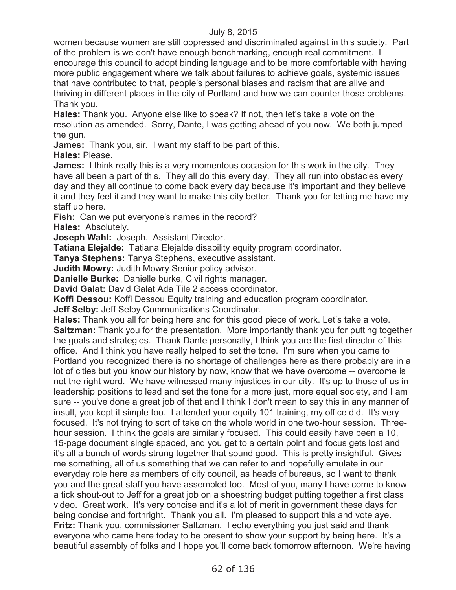women because women are still oppressed and discriminated against in this society. Part of the problem is we don't have enough benchmarking, enough real commitment. I encourage this council to adopt binding language and to be more comfortable with having more public engagement where we talk about failures to achieve goals, systemic issues that have contributed to that, people's personal biases and racism that are alive and thriving in different places in the city of Portland and how we can counter those problems. Thank you.

**Hales:** Thank you. Anyone else like to speak? If not, then let's take a vote on the resolution as amended. Sorry, Dante, I was getting ahead of you now. We both jumped the gun.

**James:** Thank you, sir. I want my staff to be part of this.

**Hales:** Please.

**James:** I think really this is a very momentous occasion for this work in the city. They have all been a part of this. They all do this every day. They all run into obstacles every day and they all continue to come back every day because it's important and they believe it and they feel it and they want to make this city better. Thank you for letting me have my staff up here.

**Fish:** Can we put everyone's names in the record? **Hales:** Absolutely.

**Joseph Wahl:** Joseph. Assistant Director.

**Tatiana Elejalde:** Tatiana Elejalde disability equity program coordinator.

**Tanya Stephens:** Tanya Stephens, executive assistant.

**Judith Mowry:** Judith Mowry Senior policy advisor.

**Danielle Burke:** Danielle burke, Civil rights manager.

**David Galat:** David Galat Ada Tile 2 access coordinator.

**Koffi Dessou:** Koffi Dessou Equity training and education program coordinator.

**Jeff Selby:** Jeff Selby Communications Coordinator.

**Hales:** Thank you all for being here and for this good piece of work. Let's take a vote. **Saltzman:** Thank you for the presentation. More importantly thank you for putting together the goals and strategies. Thank Dante personally, I think you are the first director of this office. And I think you have really helped to set the tone. I'm sure when you came to Portland you recognized there is no shortage of challenges here as there probably are in a lot of cities but you know our history by now, know that we have overcome -- overcome is not the right word. We have witnessed many injustices in our city. It's up to those of us in leadership positions to lead and set the tone for a more just, more equal society, and I am sure -- you've done a great job of that and I think I don't mean to say this in any manner of insult, you kept it simple too. I attended your equity 101 training, my office did. It's very focused. It's not trying to sort of take on the whole world in one two-hour session. Threehour session. I think the goals are similarly focused. This could easily have been a 10, 15-page document single spaced, and you get to a certain point and focus gets lost and it's all a bunch of words strung together that sound good. This is pretty insightful. Gives me something, all of us something that we can refer to and hopefully emulate in our everyday role here as members of city council, as heads of bureaus, so I want to thank you and the great staff you have assembled too. Most of you, many I have come to know a tick shout-out to Jeff for a great job on a shoestring budget putting together a first class video. Great work. It's very concise and it's a lot of merit in government these days for being concise and forthright. Thank you all. I'm pleased to support this and vote aye. **Fritz:** Thank you, commissioner Saltzman. I echo everything you just said and thank everyone who came here today to be present to show your support by being here. It's a beautiful assembly of folks and I hope you'll come back tomorrow afternoon. We're having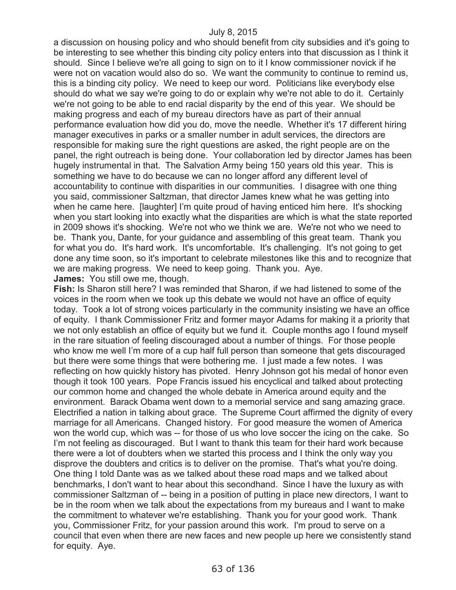a discussion on housing policy and who should benefit from city subsidies and it's going to be interesting to see whether this binding city policy enters into that discussion as I think it should. Since I believe we're all going to sign on to it I know commissioner novick if he were not on vacation would also do so. We want the community to continue to remind us, this is a binding city policy. We need to keep our word. Politicians like everybody else should do what we say we're going to do or explain why we're not able to do it. Certainly we're not going to be able to end racial disparity by the end of this year. We should be making progress and each of my bureau directors have as part of their annual performance evaluation how did you do, move the needle. Whether it's 17 different hiring manager executives in parks or a smaller number in adult services, the directors are responsible for making sure the right questions are asked, the right people are on the panel, the right outreach is being done. Your collaboration led by director James has been hugely instrumental in that. The Salvation Army being 150 years old this year. This is something we have to do because we can no longer afford any different level of accountability to continue with disparities in our communities. I disagree with one thing you said, commissioner Saltzman, that director James knew what he was getting into when he came here. [laughter] I'm quite proud of having enticed him here. It's shocking when you start looking into exactly what the disparities are which is what the state reported in 2009 shows it's shocking. We're not who we think we are. We're not who we need to be. Thank you, Dante, for your guidance and assembling of this great team. Thank you for what you do. It's hard work. It's uncomfortable. It's challenging. It's not going to get done any time soon, so it's important to celebrate milestones like this and to recognize that we are making progress. We need to keep going. Thank you. Aye. **James:** You still owe me, though.

**Fish:** Is Sharon still here? I was reminded that Sharon, if we had listened to some of the voices in the room when we took up this debate we would not have an office of equity today. Took a lot of strong voices particularly in the community insisting we have an office of equity. I thank Commissioner Fritz and former mayor Adams for making it a priority that we not only establish an office of equity but we fund it. Couple months ago I found myself in the rare situation of feeling discouraged about a number of things. For those people who know me well I'm more of a cup half full person than someone that gets discouraged but there were some things that were bothering me. I just made a few notes. I was reflecting on how quickly history has pivoted. Henry Johnson got his medal of honor even though it took 100 years. Pope Francis issued his encyclical and talked about protecting our common home and changed the whole debate in America around equity and the environment. Barack Obama went down to a memorial service and sang amazing grace. Electrified a nation in talking about grace. The Supreme Court affirmed the dignity of every marriage for all Americans. Changed history. For good measure the women of America won the world cup, which was -- for those of us who love soccer the icing on the cake. So I'm not feeling as discouraged. But I want to thank this team for their hard work because there were a lot of doubters when we started this process and I think the only way you disprove the doubters and critics is to deliver on the promise. That's what you're doing. One thing I told Dante was as we talked about these road maps and we talked about benchmarks, I don't want to hear about this secondhand. Since I have the luxury as with commissioner Saltzman of -- being in a position of putting in place new directors, I want to be in the room when we talk about the expectations from my bureaus and I want to make the commitment to whatever we're establishing. Thank you for your good work. Thank you, Commissioner Fritz, for your passion around this work. I'm proud to serve on a council that even when there are new faces and new people up here we consistently stand for equity. Aye.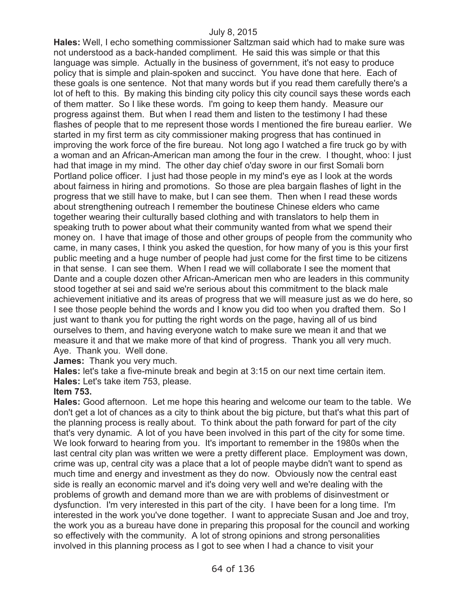**Hales:** Well, I echo something commissioner Saltzman said which had to make sure was not understood as a back-handed compliment. He said this was simple or that this language was simple. Actually in the business of government, it's not easy to produce policy that is simple and plain-spoken and succinct. You have done that here. Each of these goals is one sentence. Not that many words but if you read them carefully there's a lot of heft to this. By making this binding city policy this city council says these words each of them matter. So I like these words. I'm going to keep them handy. Measure our progress against them. But when I read them and listen to the testimony I had these flashes of people that to me represent those words I mentioned the fire bureau earlier. We started in my first term as city commissioner making progress that has continued in improving the work force of the fire bureau. Not long ago I watched a fire truck go by with a woman and an African-American man among the four in the crew. I thought, whoo: I just had that image in my mind. The other day chief o'day swore in our first Somali born Portland police officer. I just had those people in my mind's eye as I look at the words about fairness in hiring and promotions. So those are plea bargain flashes of light in the progress that we still have to make, but I can see them. Then when I read these words about strengthening outreach I remember the boutinese Chinese elders who came together wearing their culturally based clothing and with translators to help them in speaking truth to power about what their community wanted from what we spend their money on. I have that image of those and other groups of people from the community who came, in many cases, I think you asked the question, for how many of you is this your first public meeting and a huge number of people had just come for the first time to be citizens in that sense. I can see them. When I read we will collaborate I see the moment that Dante and a couple dozen other African-American men who are leaders in this community stood together at sei and said we're serious about this commitment to the black male achievement initiative and its areas of progress that we will measure just as we do here, so I see those people behind the words and I know you did too when you drafted them. So I just want to thank you for putting the right words on the page, having all of us bind ourselves to them, and having everyone watch to make sure we mean it and that we measure it and that we make more of that kind of progress. Thank you all very much. Aye. Thank you. Well done.

**James:** Thank you very much.

**Hales:** let's take a five-minute break and begin at 3:15 on our next time certain item. **Hales:** Let's take item 753, please.

#### **Item 753.**

**Hales:** Good afternoon. Let me hope this hearing and welcome our team to the table. We don't get a lot of chances as a city to think about the big picture, but that's what this part of the planning process is really about. To think about the path forward for part of the city that's very dynamic. A lot of you have been involved in this part of the city for some time. We look forward to hearing from you. It's important to remember in the 1980s when the last central city plan was written we were a pretty different place. Employment was down, crime was up, central city was a place that a lot of people maybe didn't want to spend as much time and energy and investment as they do now. Obviously now the central east side is really an economic marvel and it's doing very well and we're dealing with the problems of growth and demand more than we are with problems of disinvestment or dysfunction. I'm very interested in this part of the city. I have been for a long time. I'm interested in the work you've done together. I want to appreciate Susan and Joe and troy, the work you as a bureau have done in preparing this proposal for the council and working so effectively with the community. A lot of strong opinions and strong personalities involved in this planning process as I got to see when I had a chance to visit your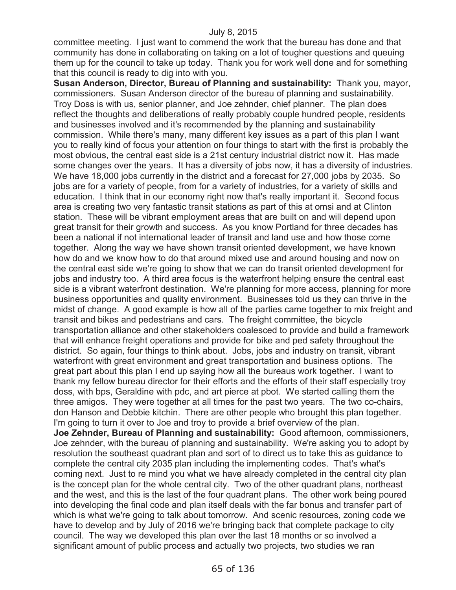committee meeting. I just want to commend the work that the bureau has done and that community has done in collaborating on taking on a lot of tougher questions and queuing them up for the council to take up today. Thank you for work well done and for something that this council is ready to dig into with you.

**Susan Anderson, Director, Bureau of Planning and sustainability:** Thank you, mayor, commissioners. Susan Anderson director of the bureau of planning and sustainability. Troy Doss is with us, senior planner, and Joe zehnder, chief planner. The plan does reflect the thoughts and deliberations of really probably couple hundred people, residents and businesses involved and it's recommended by the planning and sustainability commission. While there's many, many different key issues as a part of this plan I want you to really kind of focus your attention on four things to start with the first is probably the most obvious, the central east side is a 21st century industrial district now it. Has made some changes over the years. It has a diversity of jobs now, it has a diversity of industries. We have 18,000 jobs currently in the district and a forecast for 27,000 jobs by 2035. So jobs are for a variety of people, from for a variety of industries, for a variety of skills and education. I think that in our economy right now that's really important it. Second focus area is creating two very fantastic transit stations as part of this at omsi and at Clinton station. These will be vibrant employment areas that are built on and will depend upon great transit for their growth and success. As you know Portland for three decades has been a national if not international leader of transit and land use and how those come together. Along the way we have shown transit oriented development, we have known how do and we know how to do that around mixed use and around housing and now on the central east side we're going to show that we can do transit oriented development for jobs and industry too. A third area focus is the waterfront helping ensure the central east side is a vibrant waterfront destination. We're planning for more access, planning for more business opportunities and quality environment. Businesses told us they can thrive in the midst of change. A good example is how all of the parties came together to mix freight and transit and bikes and pedestrians and cars. The freight committee, the bicycle transportation alliance and other stakeholders coalesced to provide and build a framework that will enhance freight operations and provide for bike and ped safety throughout the district. So again, four things to think about. Jobs, jobs and industry on transit, vibrant waterfront with great environment and great transportation and business options. The great part about this plan I end up saying how all the bureaus work together. I want to thank my fellow bureau director for their efforts and the efforts of their staff especially troy doss, with bps, Geraldine with pdc, and art pierce at pbot. We started calling them the three amigos. They were together at all times for the past two years. The two co-chairs, don Hanson and Debbie kitchin. There are other people who brought this plan together. I'm going to turn it over to Joe and troy to provide a brief overview of the plan.

**Joe Zehnder, Bureau of Planning and sustainability:** Good afternoon, commissioners, Joe zehnder, with the bureau of planning and sustainability. We're asking you to adopt by resolution the southeast quadrant plan and sort of to direct us to take this as guidance to complete the central city 2035 plan including the implementing codes. That's what's coming next. Just to re mind you what we have already completed in the central city plan is the concept plan for the whole central city. Two of the other quadrant plans, northeast and the west, and this is the last of the four quadrant plans. The other work being poured into developing the final code and plan itself deals with the far bonus and transfer part of which is what we're going to talk about tomorrow. And scenic resources, zoning code we have to develop and by July of 2016 we're bringing back that complete package to city council. The way we developed this plan over the last 18 months or so involved a significant amount of public process and actually two projects, two studies we ran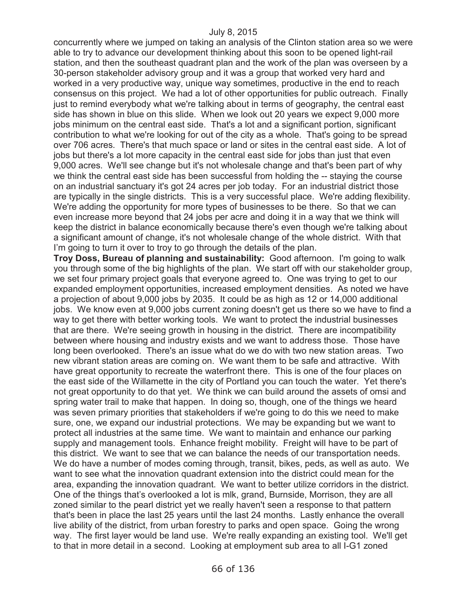concurrently where we jumped on taking an analysis of the Clinton station area so we were able to try to advance our development thinking about this soon to be opened light-rail station, and then the southeast quadrant plan and the work of the plan was overseen by a 30-person stakeholder advisory group and it was a group that worked very hard and worked in a very productive way, unique way sometimes, productive in the end to reach consensus on this project. We had a lot of other opportunities for public outreach. Finally just to remind everybody what we're talking about in terms of geography, the central east side has shown in blue on this slide. When we look out 20 years we expect 9,000 more jobs minimum on the central east side. That's a lot and a significant portion, significant contribution to what we're looking for out of the city as a whole. That's going to be spread over 706 acres. There's that much space or land or sites in the central east side. A lot of jobs but there's a lot more capacity in the central east side for jobs than just that even 9,000 acres. We'll see change but it's not wholesale change and that's been part of why we think the central east side has been successful from holding the -- staying the course on an industrial sanctuary it's got 24 acres per job today. For an industrial district those are typically in the single districts. This is a very successful place. We're adding flexibility. We're adding the opportunity for more types of businesses to be there. So that we can even increase more beyond that 24 jobs per acre and doing it in a way that we think will keep the district in balance economically because there's even though we're talking about a significant amount of change, it's not wholesale change of the whole district. With that I'm going to turn it over to troy to go through the details of the plan.

**Troy Doss, Bureau of planning and sustainability:** Good afternoon. I'm going to walk you through some of the big highlights of the plan. We start off with our stakeholder group, we set four primary project goals that everyone agreed to. One was trying to get to our expanded employment opportunities, increased employment densities. As noted we have a projection of about 9,000 jobs by 2035. It could be as high as 12 or 14,000 additional jobs. We know even at 9,000 jobs current zoning doesn't get us there so we have to find a way to get there with better working tools. We want to protect the industrial businesses that are there. We're seeing growth in housing in the district. There are incompatibility between where housing and industry exists and we want to address those. Those have long been overlooked. There's an issue what do we do with two new station areas. Two new vibrant station areas are coming on. We want them to be safe and attractive. With have great opportunity to recreate the waterfront there. This is one of the four places on the east side of the Willamette in the city of Portland you can touch the water. Yet there's not great opportunity to do that yet. We think we can build around the assets of omsi and spring water trail to make that happen. In doing so, though, one of the things we heard was seven primary priorities that stakeholders if we're going to do this we need to make sure, one, we expand our industrial protections. We may be expanding but we want to protect all industries at the same time. We want to maintain and enhance our parking supply and management tools. Enhance freight mobility. Freight will have to be part of this district. We want to see that we can balance the needs of our transportation needs. We do have a number of modes coming through, transit, bikes, peds, as well as auto. We want to see what the innovation quadrant extension into the district could mean for the area, expanding the innovation quadrant. We want to better utilize corridors in the district. One of the things that's overlooked a lot is mlk, grand, Burnside, Morrison, they are all zoned similar to the pearl district yet we really haven't seen a response to that pattern that's been in place the last 25 years until the last 24 months. Lastly enhance the overall live ability of the district, from urban forestry to parks and open space. Going the wrong way. The first layer would be land use. We're really expanding an existing tool. We'll get to that in more detail in a second. Looking at employment sub area to all I-G1 zoned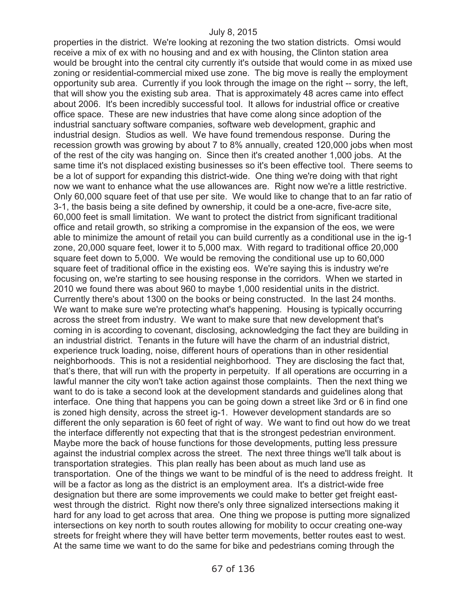properties in the district. We're looking at rezoning the two station districts. Omsi would receive a mix of ex with no housing and and ex with housing, the Clinton station area would be brought into the central city currently it's outside that would come in as mixed use zoning or residential-commercial mixed use zone. The big move is really the employment opportunity sub area. Currently if you look through the image on the right -- sorry, the left, that will show you the existing sub area. That is approximately 48 acres came into effect about 2006. It's been incredibly successful tool. It allows for industrial office or creative office space. These are new industries that have come along since adoption of the industrial sanctuary software companies, software web development, graphic and industrial design. Studios as well. We have found tremendous response. During the recession growth was growing by about 7 to 8% annually, created 120,000 jobs when most of the rest of the city was hanging on. Since then it's created another 1,000 jobs. At the same time it's not displaced existing businesses so it's been effective tool. There seems to be a lot of support for expanding this district-wide. One thing we're doing with that right now we want to enhance what the use allowances are. Right now we're a little restrictive. Only 60,000 square feet of that use per site. We would like to change that to an far ratio of 3-1, the basis being a site defined by ownership, it could be a one-acre, five-acre site, 60,000 feet is small limitation. We want to protect the district from significant traditional office and retail growth, so striking a compromise in the expansion of the eos, we were able to minimize the amount of retail you can build currently as a conditional use in the ig-1 zone, 20,000 square feet, lower it to 5,000 max. With regard to traditional office 20,000 square feet down to 5,000. We would be removing the conditional use up to 60,000 square feet of traditional office in the existing eos. We're saying this is industry we're focusing on, we're starting to see housing response in the corridors. When we started in 2010 we found there was about 960 to maybe 1,000 residential units in the district. Currently there's about 1300 on the books or being constructed. In the last 24 months. We want to make sure we're protecting what's happening. Housing is typically occurring across the street from industry. We want to make sure that new development that's coming in is according to covenant, disclosing, acknowledging the fact they are building in an industrial district. Tenants in the future will have the charm of an industrial district, experience truck loading, noise, different hours of operations than in other residential neighborhoods. This is not a residential neighborhood. They are disclosing the fact that, that's there, that will run with the property in perpetuity. If all operations are occurring in a lawful manner the city won't take action against those complaints. Then the next thing we want to do is take a second look at the development standards and guidelines along that interface. One thing that happens you can be going down a street like 3rd or 6 in find one is zoned high density, across the street ig-1. However development standards are so different the only separation is 60 feet of right of way. We want to find out how do we treat the interface differently not expecting that that is the strongest pedestrian environment. Maybe more the back of house functions for those developments, putting less pressure against the industrial complex across the street. The next three things we'll talk about is transportation strategies. This plan really has been about as much land use as transportation. One of the things we want to be mindful of is the need to address freight. It will be a factor as long as the district is an employment area. It's a district-wide free designation but there are some improvements we could make to better get freight eastwest through the district. Right now there's only three signalized intersections making it hard for any load to get across that area. One thing we propose is putting more signalized intersections on key north to south routes allowing for mobility to occur creating one-way streets for freight where they will have better term movements, better routes east to west. At the same time we want to do the same for bike and pedestrians coming through the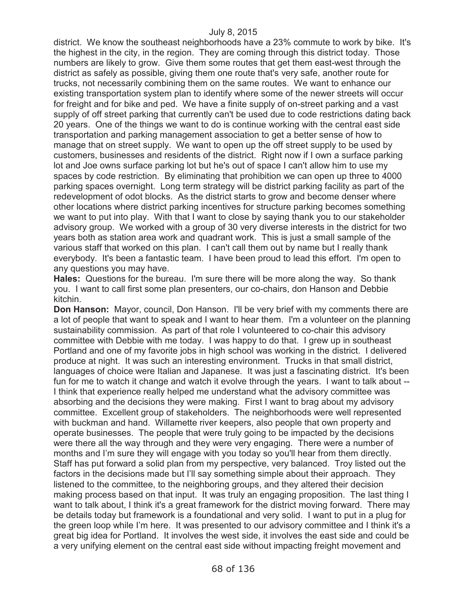district. We know the southeast neighborhoods have a 23% commute to work by bike. It's the highest in the city, in the region. They are coming through this district today. Those numbers are likely to grow. Give them some routes that get them east-west through the district as safely as possible, giving them one route that's very safe, another route for trucks, not necessarily combining them on the same routes. We want to enhance our existing transportation system plan to identify where some of the newer streets will occur for freight and for bike and ped. We have a finite supply of on-street parking and a vast supply of off street parking that currently can't be used due to code restrictions dating back 20 years. One of the things we want to do is continue working with the central east side transportation and parking management association to get a better sense of how to manage that on street supply. We want to open up the off street supply to be used by customers, businesses and residents of the district. Right now if I own a surface parking lot and Joe owns surface parking lot but he's out of space I can't allow him to use my spaces by code restriction. By eliminating that prohibition we can open up three to 4000 parking spaces overnight. Long term strategy will be district parking facility as part of the redevelopment of odot blocks. As the district starts to grow and become denser where other locations where district parking incentives for structure parking becomes something we want to put into play. With that I want to close by saying thank you to our stakeholder advisory group. We worked with a group of 30 very diverse interests in the district for two years both as station area work and quadrant work. This is just a small sample of the various staff that worked on this plan. I can't call them out by name but I really thank everybody. It's been a fantastic team. I have been proud to lead this effort. I'm open to any questions you may have.

**Hales:** Questions for the bureau. I'm sure there will be more along the way. So thank you. I want to call first some plan presenters, our co-chairs, don Hanson and Debbie kitchin.

**Don Hanson:** Mayor, council, Don Hanson. I'll be very brief with my comments there are a lot of people that want to speak and I want to hear them. I'm a volunteer on the planning sustainability commission. As part of that role I volunteered to co-chair this advisory committee with Debbie with me today. I was happy to do that. I grew up in southeast Portland and one of my favorite jobs in high school was working in the district. I delivered produce at night. It was such an interesting environment. Trucks in that small district, languages of choice were Italian and Japanese. It was just a fascinating district. It's been fun for me to watch it change and watch it evolve through the years. I want to talk about -- I think that experience really helped me understand what the advisory committee was absorbing and the decisions they were making. First I want to brag about my advisory committee. Excellent group of stakeholders. The neighborhoods were well represented with buckman and hand. Willamette river keepers, also people that own property and operate businesses. The people that were truly going to be impacted by the decisions were there all the way through and they were very engaging. There were a number of months and I'm sure they will engage with you today so you'll hear from them directly. Staff has put forward a solid plan from my perspective, very balanced. Troy listed out the factors in the decisions made but I'll say something simple about their approach. They listened to the committee, to the neighboring groups, and they altered their decision making process based on that input. It was truly an engaging proposition. The last thing I want to talk about, I think it's a great framework for the district moving forward. There may be details today but framework is a foundational and very solid. I want to put in a plug for the green loop while I'm here. It was presented to our advisory committee and I think it's a great big idea for Portland. It involves the west side, it involves the east side and could be a very unifying element on the central east side without impacting freight movement and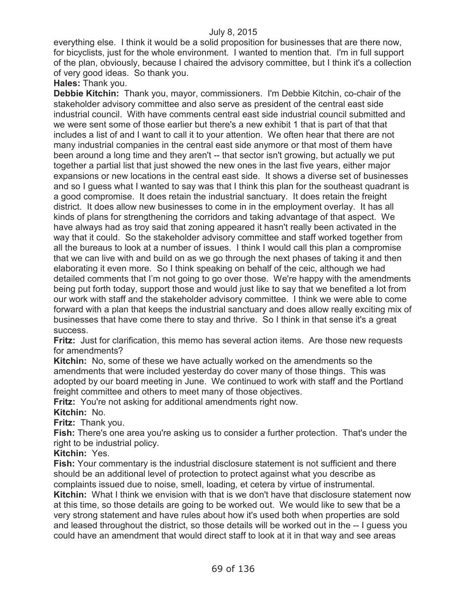everything else. I think it would be a solid proposition for businesses that are there now, for bicyclists, just for the whole environment. I wanted to mention that. I'm in full support of the plan, obviously, because I chaired the advisory committee, but I think it's a collection of very good ideas. So thank you.

**Hales:** Thank you.

**Debbie Kitchin:** Thank you, mayor, commissioners. I'm Debbie Kitchin, co-chair of the stakeholder advisory committee and also serve as president of the central east side industrial council. With have comments central east side industrial council submitted and we were sent some of those earlier but there's a new exhibit 1 that is part of that that includes a list of and I want to call it to your attention. We often hear that there are not many industrial companies in the central east side anymore or that most of them have been around a long time and they aren't -- that sector isn't growing, but actually we put together a partial list that just showed the new ones in the last five years, either major expansions or new locations in the central east side. It shows a diverse set of businesses and so I guess what I wanted to say was that I think this plan for the southeast quadrant is a good compromise. It does retain the industrial sanctuary. It does retain the freight district. It does allow new businesses to come in in the employment overlay. It has all kinds of plans for strengthening the corridors and taking advantage of that aspect. We have always had as troy said that zoning appeared it hasn't really been activated in the way that it could. So the stakeholder advisory committee and staff worked together from all the bureaus to look at a number of issues. I think I would call this plan a compromise that we can live with and build on as we go through the next phases of taking it and then elaborating it even more. So I think speaking on behalf of the ceic, although we had detailed comments that I'm not going to go over those. We're happy with the amendments being put forth today, support those and would just like to say that we benefited a lot from our work with staff and the stakeholder advisory committee. I think we were able to come forward with a plan that keeps the industrial sanctuary and does allow really exciting mix of businesses that have come there to stay and thrive. So I think in that sense it's a great success.

**Fritz:** Just for clarification, this memo has several action items. Are those new requests for amendments?

**Kitchin:** No, some of these we have actually worked on the amendments so the amendments that were included yesterday do cover many of those things. This was adopted by our board meeting in June. We continued to work with staff and the Portland freight committee and others to meet many of those objectives.

**Fritz:** You're not asking for additional amendments right now.

**Kitchin:** No.

**Fritz:** Thank you.

**Fish:** There's one area you're asking us to consider a further protection. That's under the right to be industrial policy.

**Kitchin:** Yes.

**Fish:** Your commentary is the industrial disclosure statement is not sufficient and there should be an additional level of protection to protect against what you describe as complaints issued due to noise, smell, loading, et cetera by virtue of instrumental. **Kitchin:** What I think we envision with that is we don't have that disclosure statement now

at this time, so those details are going to be worked out. We would like to sew that be a very strong statement and have rules about how it's used both when properties are sold and leased throughout the district, so those details will be worked out in the -- I guess you could have an amendment that would direct staff to look at it in that way and see areas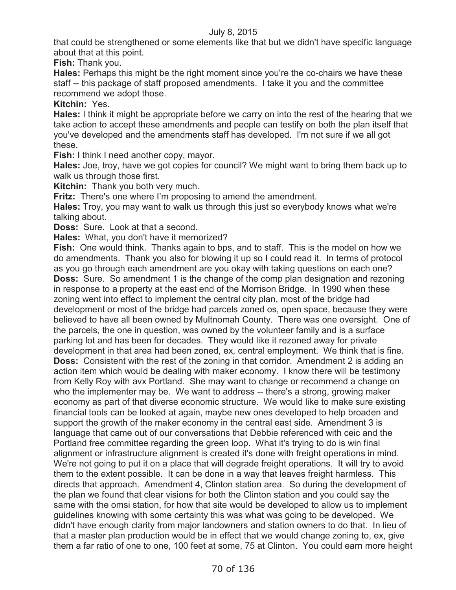that could be strengthened or some elements like that but we didn't have specific language about that at this point.

**Fish:** Thank you.

**Hales:** Perhaps this might be the right moment since you're the co-chairs we have these staff -- this package of staff proposed amendments. I take it you and the committee recommend we adopt those.

**Kitchin:** Yes.

**Hales:** I think it might be appropriate before we carry on into the rest of the hearing that we take action to accept these amendments and people can testify on both the plan itself that you've developed and the amendments staff has developed. I'm not sure if we all got these.

**Fish:** I think I need another copy, mayor.

**Hales:** Joe, troy, have we got copies for council? We might want to bring them back up to walk us through those first.

**Kitchin:** Thank you both very much.

**Fritz:** There's one where I'm proposing to amend the amendment.

**Hales:** Troy, you may want to walk us through this just so everybody knows what we're talking about.

**Doss:** Sure. Look at that a second.

**Hales:** What, you don't have it memorized?

**Fish:** One would think. Thanks again to bps, and to staff. This is the model on how we do amendments. Thank you also for blowing it up so I could read it. In terms of protocol as you go through each amendment are you okay with taking questions on each one? **Doss:** Sure. So amendment 1 is the change of the comp plan designation and rezoning in response to a property at the east end of the Morrison Bridge. In 1990 when these zoning went into effect to implement the central city plan, most of the bridge had development or most of the bridge had parcels zoned os, open space, because they were believed to have all been owned by Multnomah County. There was one oversight. One of the parcels, the one in question, was owned by the volunteer family and is a surface parking lot and has been for decades. They would like it rezoned away for private development in that area had been zoned, ex, central employment. We think that is fine. **Doss:** Consistent with the rest of the zoning in that corridor. Amendment 2 is adding an action item which would be dealing with maker economy. I know there will be testimony from Kelly Roy with avx Portland. She may want to change or recommend a change on who the implementer may be. We want to address -- there's a strong, growing maker economy as part of that diverse economic structure. We would like to make sure existing financial tools can be looked at again, maybe new ones developed to help broaden and support the growth of the maker economy in the central east side. Amendment 3 is language that came out of our conversations that Debbie referenced with ceic and the Portland free committee regarding the green loop. What it's trying to do is win final alignment or infrastructure alignment is created it's done with freight operations in mind. We're not going to put it on a place that will degrade freight operations. It will try to avoid them to the extent possible. It can be done in a way that leaves freight harmless. This directs that approach. Amendment 4, Clinton station area. So during the development of the plan we found that clear visions for both the Clinton station and you could say the same with the omsi station, for how that site would be developed to allow us to implement guidelines knowing with some certainty this was what was going to be developed. We didn't have enough clarity from major landowners and station owners to do that. In lieu of that a master plan production would be in effect that we would change zoning to, ex, give them a far ratio of one to one, 100 feet at some, 75 at Clinton. You could earn more height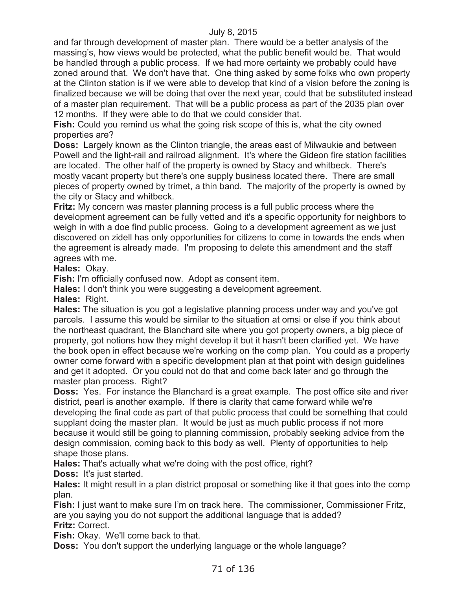and far through development of master plan. There would be a better analysis of the massing's, how views would be protected, what the public benefit would be. That would be handled through a public process. If we had more certainty we probably could have zoned around that. We don't have that. One thing asked by some folks who own property at the Clinton station is if we were able to develop that kind of a vision before the zoning is finalized because we will be doing that over the next year, could that be substituted instead of a master plan requirement. That will be a public process as part of the 2035 plan over 12 months. If they were able to do that we could consider that.

**Fish:** Could you remind us what the going risk scope of this is, what the city owned properties are?

**Doss:** Largely known as the Clinton triangle, the areas east of Milwaukie and between Powell and the light-rail and railroad alignment. It's where the Gideon fire station facilities are located. The other half of the property is owned by Stacy and whitbeck. There's mostly vacant property but there's one supply business located there. There are small pieces of property owned by trimet, a thin band. The majority of the property is owned by the city or Stacy and whitbeck.

**Fritz:** My concern was master planning process is a full public process where the development agreement can be fully vetted and it's a specific opportunity for neighbors to weigh in with a doe find public process. Going to a development agreement as we just discovered on zidell has only opportunities for citizens to come in towards the ends when the agreement is already made. I'm proposing to delete this amendment and the staff agrees with me.

**Hales:** Okay.

**Fish:** I'm officially confused now. Adopt as consent item.

**Hales:** I don't think you were suggesting a development agreement.

**Hales:** Right.

**Hales:** The situation is you got a legislative planning process under way and you've got parcels. I assume this would be similar to the situation at omsi or else if you think about the northeast quadrant, the Blanchard site where you got property owners, a big piece of property, got notions how they might develop it but it hasn't been clarified yet. We have the book open in effect because we're working on the comp plan. You could as a property owner come forward with a specific development plan at that point with design guidelines and get it adopted. Or you could not do that and come back later and go through the master plan process. Right?

**Doss:** Yes. For instance the Blanchard is a great example. The post office site and river district, pearl is another example. If there is clarity that came forward while we're developing the final code as part of that public process that could be something that could supplant doing the master plan. It would be just as much public process if not more because it would still be going to planning commission, probably seeking advice from the design commission, coming back to this body as well. Plenty of opportunities to help shape those plans.

**Hales:** That's actually what we're doing with the post office, right? **Doss:** It's just started.

**Hales:** It might result in a plan district proposal or something like it that goes into the comp plan.

**Fish:** I just want to make sure I'm on track here. The commissioner, Commissioner Fritz, are you saying you do not support the additional language that is added? **Fritz:** Correct.

**Fish:** Okay. We'll come back to that.

**Doss:** You don't support the underlying language or the whole language?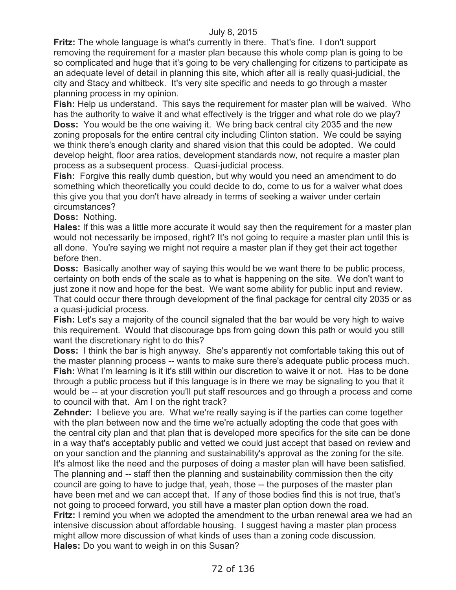**Fritz:** The whole language is what's currently in there. That's fine. I don't support removing the requirement for a master plan because this whole comp plan is going to be so complicated and huge that it's going to be very challenging for citizens to participate as an adequate level of detail in planning this site, which after all is really quasi-judicial, the city and Stacy and whitbeck. It's very site specific and needs to go through a master planning process in my opinion.

**Fish:** Help us understand. This says the requirement for master plan will be waived. Who has the authority to waive it and what effectively is the trigger and what role do we play? **Doss:** You would be the one waiving it. We bring back central city 2035 and the new zoning proposals for the entire central city including Clinton station. We could be saying we think there's enough clarity and shared vision that this could be adopted. We could develop height, floor area ratios, development standards now, not require a master plan process as a subsequent process. Quasi-judicial process.

**Fish:** Forgive this really dumb question, but why would you need an amendment to do something which theoretically you could decide to do, come to us for a waiver what does this give you that you don't have already in terms of seeking a waiver under certain circumstances?

**Doss:** Nothing.

**Hales:** If this was a little more accurate it would say then the requirement for a master plan would not necessarily be imposed, right? It's not going to require a master plan until this is all done. You're saying we might not require a master plan if they get their act together before then.

**Doss:** Basically another way of saying this would be we want there to be public process, certainty on both ends of the scale as to what is happening on the site. We don't want to just zone it now and hope for the best. We want some ability for public input and review. That could occur there through development of the final package for central city 2035 or as a quasi-judicial process.

**Fish:** Let's say a majority of the council signaled that the bar would be very high to waive this requirement. Would that discourage bps from going down this path or would you still want the discretionary right to do this?

**Doss:** I think the bar is high anyway. She's apparently not comfortable taking this out of the master planning process -- wants to make sure there's adequate public process much. **Fish:** What I'm learning is it it's still within our discretion to waive it or not. Has to be done through a public process but if this language is in there we may be signaling to you that it would be -- at your discretion you'll put staff resources and go through a process and come to council with that. Am I on the right track?

**Zehnder:** I believe you are. What we're really saying is if the parties can come together with the plan between now and the time we're actually adopting the code that goes with the central city plan and that plan that is developed more specifics for the site can be done in a way that's acceptably public and vetted we could just accept that based on review and on your sanction and the planning and sustainability's approval as the zoning for the site. It's almost like the need and the purposes of doing a master plan will have been satisfied. The planning and -- staff then the planning and sustainability commission then the city council are going to have to judge that, yeah, those -- the purposes of the master plan have been met and we can accept that. If any of those bodies find this is not true, that's not going to proceed forward, you still have a master plan option down the road. **Fritz:** I remind you when we adopted the amendment to the urban renewal area we had an intensive discussion about affordable housing. I suggest having a master plan process might allow more discussion of what kinds of uses than a zoning code discussion. **Hales:** Do you want to weigh in on this Susan?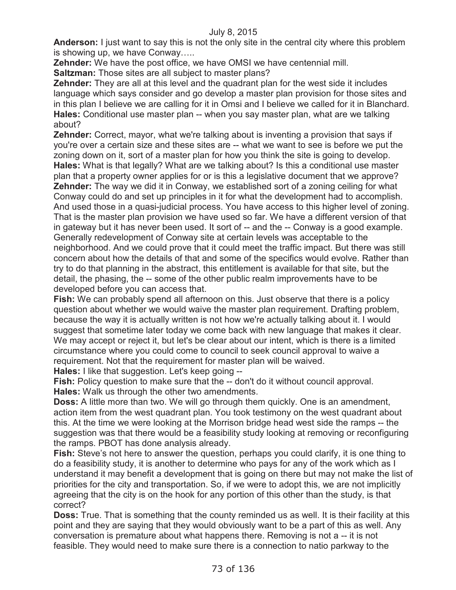**Anderson:** I just want to say this is not the only site in the central city where this problem is showing up, we have Conway…..

**Zehnder:** We have the post office, we have OMSI we have centennial mill.

**Saltzman:** Those sites are all subject to master plans?

**Zehnder:** They are all at this level and the quadrant plan for the west side it includes language which says consider and go develop a master plan provision for those sites and in this plan I believe we are calling for it in Omsi and I believe we called for it in Blanchard. **Hales:** Conditional use master plan -- when you say master plan, what are we talking about?

**Zehnder:** Correct, mayor, what we're talking about is inventing a provision that says if you're over a certain size and these sites are -- what we want to see is before we put the zoning down on it, sort of a master plan for how you think the site is going to develop. **Hales:** What is that legally? What are we talking about? Is this a conditional use master plan that a property owner applies for or is this a legislative document that we approve? **Zehnder:** The way we did it in Conway, we established sort of a zoning ceiling for what Conway could do and set up principles in it for what the development had to accomplish. And used those in a quasi-judicial process. You have access to this higher level of zoning. That is the master plan provision we have used so far. We have a different version of that in gateway but it has never been used. It sort of -- and the -- Conway is a good example. Generally redevelopment of Conway site at certain levels was acceptable to the neighborhood. And we could prove that it could meet the traffic impact. But there was still concern about how the details of that and some of the specifics would evolve. Rather than try to do that planning in the abstract, this entitlement is available for that site, but the detail, the phasing, the -- some of the other public realm improvements have to be developed before you can access that.

**Fish:** We can probably spend all afternoon on this. Just observe that there is a policy question about whether we would waive the master plan requirement. Drafting problem, because the way it is actually written is not how we're actually talking about it. I would suggest that sometime later today we come back with new language that makes it clear. We may accept or reject it, but let's be clear about our intent, which is there is a limited circumstance where you could come to council to seek council approval to waive a requirement. Not that the requirement for master plan will be waived.

**Hales:** I like that suggestion. Let's keep going --

**Fish:** Policy question to make sure that the -- don't do it without council approval. **Hales:** Walk us through the other two amendments.

**Doss:** A little more than two. We will go through them quickly. One is an amendment, action item from the west quadrant plan. You took testimony on the west quadrant about this. At the time we were looking at the Morrison bridge head west side the ramps -- the suggestion was that there would be a feasibility study looking at removing or reconfiguring the ramps. PBOT has done analysis already.

**Fish:** Steve's not here to answer the question, perhaps you could clarify, it is one thing to do a feasibility study, it is another to determine who pays for any of the work which as I understand it may benefit a development that is going on there but may not make the list of priorities for the city and transportation. So, if we were to adopt this, we are not implicitly agreeing that the city is on the hook for any portion of this other than the study, is that correct?

**Doss:** True. That is something that the county reminded us as well. It is their facility at this point and they are saying that they would obviously want to be a part of this as well. Any conversation is premature about what happens there. Removing is not a -- it is not feasible. They would need to make sure there is a connection to natio parkway to the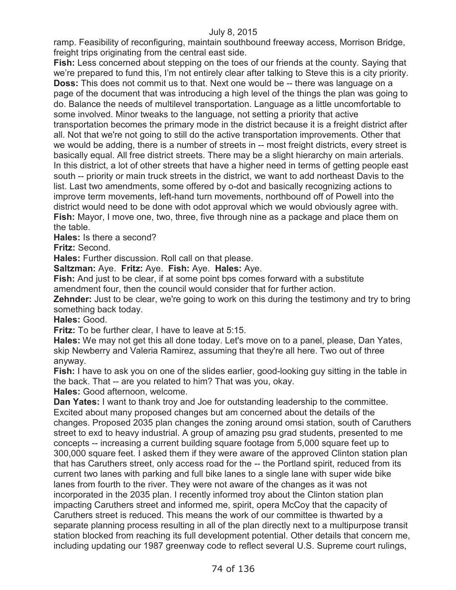ramp. Feasibility of reconfiguring, maintain southbound freeway access, Morrison Bridge, freight trips originating from the central east side.

**Fish:** Less concerned about stepping on the toes of our friends at the county. Saying that we're prepared to fund this, I'm not entirely clear after talking to Steve this is a city priority. **Doss:** This does not commit us to that. Next one would be -- there was language on a page of the document that was introducing a high level of the things the plan was going to do. Balance the needs of multilevel transportation. Language as a little uncomfortable to some involved. Minor tweaks to the language, not setting a priority that active transportation becomes the primary mode in the district because it is a freight district after all. Not that we're not going to still do the active transportation improvements. Other that we would be adding, there is a number of streets in -- most freight districts, every street is basically equal. All free district streets. There may be a slight hierarchy on main arterials. In this district, a lot of other streets that have a higher need in terms of getting people east south -- priority or main truck streets in the district, we want to add northeast Davis to the list. Last two amendments, some offered by o-dot and basically recognizing actions to improve term movements, left-hand turn movements, northbound off of Powell into the district would need to be done with odot approval which we would obviously agree with. **Fish:** Mayor, I move one, two, three, five through nine as a package and place them on the table.

**Hales:** Is there a second?

**Fritz:** Second.

**Hales:** Further discussion. Roll call on that please.

**Saltzman:** Aye. **Fritz:** Aye. **Fish:** Aye. **Hales:** Aye.

**Fish:** And just to be clear, if at some point bps comes forward with a substitute amendment four, then the council would consider that for further action.

**Zehnder:** Just to be clear, we're going to work on this during the testimony and try to bring something back today.

**Hales:** Good.

**Fritz:** To be further clear, I have to leave at 5:15.

**Hales:** We may not get this all done today. Let's move on to a panel, please, Dan Yates, skip Newberry and Valeria Ramirez, assuming that they're all here. Two out of three anyway.

**Fish:** I have to ask you on one of the slides earlier, good-looking guy sitting in the table in the back. That -- are you related to him? That was you, okay.

**Hales:** Good afternoon, welcome.

**Dan Yates:** I want to thank troy and Joe for outstanding leadership to the committee. Excited about many proposed changes but am concerned about the details of the changes. Proposed 2035 plan changes the zoning around omsi station, south of Caruthers street to exd to heavy industrial. A group of amazing psu grad students, presented to me concepts -- increasing a current building square footage from 5,000 square feet up to 300,000 square feet. I asked them if they were aware of the approved Clinton station plan that has Caruthers street, only access road for the -- the Portland spirit, reduced from its current two lanes with parking and full bike lanes to a single lane with super wide bike lanes from fourth to the river. They were not aware of the changes as it was not incorporated in the 2035 plan. I recently informed troy about the Clinton station plan impacting Caruthers street and informed me, spirit, opera McCoy that the capacity of Caruthers street is reduced. This means the work of our committee is thwarted by a separate planning process resulting in all of the plan directly next to a multipurpose transit station blocked from reaching its full development potential. Other details that concern me, including updating our 1987 greenway code to reflect several U.S. Supreme court rulings,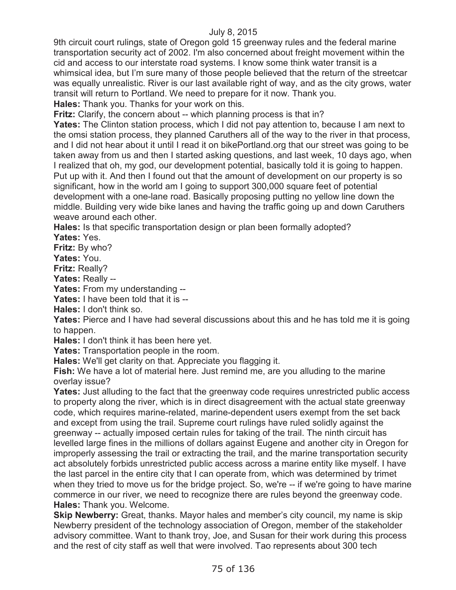9th circuit court rulings, state of Oregon gold 15 greenway rules and the federal marine transportation security act of 2002. I'm also concerned about freight movement within the cid and access to our interstate road systems. I know some think water transit is a whimsical idea, but I'm sure many of those people believed that the return of the streetcar was equally unrealistic. River is our last available right of way, and as the city grows, water transit will return to Portland. We need to prepare for it now. Thank you.

**Hales:** Thank you. Thanks for your work on this.

**Fritz:** Clarify, the concern about -- which planning process is that in?

**Yates:** The Clinton station process, which I did not pay attention to, because I am next to the omsi station process, they planned Caruthers all of the way to the river in that process, and I did not hear about it until I read it on bikePortland.org that our street was going to be taken away from us and then I started asking questions, and last week, 10 days ago, when I realized that oh, my god, our development potential, basically told it is going to happen. Put up with it. And then I found out that the amount of development on our property is so significant, how in the world am I going to support 300,000 square feet of potential development with a one-lane road. Basically proposing putting no yellow line down the middle. Building very wide bike lanes and having the traffic going up and down Caruthers weave around each other.

**Hales:** Is that specific transportation design or plan been formally adopted?

**Yates:** Yes.

**Fritz:** By who?

**Yates:** You.

**Fritz:** Really?

**Yates:** Really --

Yates: From my understanding --

**Yates:** I have been told that it is --

**Hales:** I don't think so.

**Yates:** Pierce and I have had several discussions about this and he has told me it is going to happen.

**Hales:** I don't think it has been here yet.

**Yates:** Transportation people in the room.

**Hales:** We'll get clarity on that. Appreciate you flagging it.

**Fish:** We have a lot of material here. Just remind me, are you alluding to the marine overlay issue?

**Yates:** Just alluding to the fact that the greenway code requires unrestricted public access to property along the river, which is in direct disagreement with the actual state greenway code, which requires marine-related, marine-dependent users exempt from the set back and except from using the trail. Supreme court rulings have ruled solidly against the greenway -- actually imposed certain rules for taking of the trail. The ninth circuit has levelled large fines in the millions of dollars against Eugene and another city in Oregon for improperly assessing the trail or extracting the trail, and the marine transportation security act absolutely forbids unrestricted public access across a marine entity like myself. I have the last parcel in the entire city that I can operate from, which was determined by trimet when they tried to move us for the bridge project. So, we're -- if we're going to have marine commerce in our river, we need to recognize there are rules beyond the greenway code. **Hales:** Thank you. Welcome.

**Skip Newberry:** Great, thanks. Mayor hales and member's city council, my name is skip Newberry president of the technology association of Oregon, member of the stakeholder advisory committee. Want to thank troy, Joe, and Susan for their work during this process and the rest of city staff as well that were involved. Tao represents about 300 tech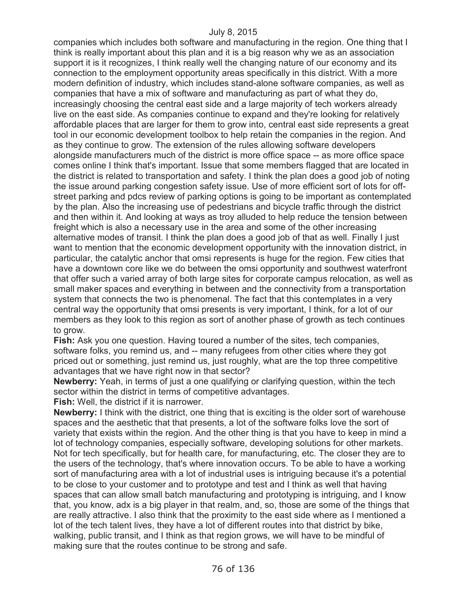companies which includes both software and manufacturing in the region. One thing that I think is really important about this plan and it is a big reason why we as an association support it is it recognizes, I think really well the changing nature of our economy and its connection to the employment opportunity areas specifically in this district. With a more modern definition of industry, which includes stand-alone software companies, as well as companies that have a mix of software and manufacturing as part of what they do, increasingly choosing the central east side and a large majority of tech workers already live on the east side. As companies continue to expand and they're looking for relatively affordable places that are larger for them to grow into, central east side represents a great tool in our economic development toolbox to help retain the companies in the region. And as they continue to grow. The extension of the rules allowing software developers alongside manufacturers much of the district is more office space -- as more office space comes online I think that's important. Issue that some members flagged that are located in the district is related to transportation and safety. I think the plan does a good job of noting the issue around parking congestion safety issue. Use of more efficient sort of lots for offstreet parking and pdcs review of parking options is going to be important as contemplated by the plan. Also the increasing use of pedestrians and bicycle traffic through the district and then within it. And looking at ways as troy alluded to help reduce the tension between freight which is also a necessary use in the area and some of the other increasing alternative modes of transit. I think the plan does a good job of that as well. Finally I just want to mention that the economic development opportunity with the innovation district, in particular, the catalytic anchor that omsi represents is huge for the region. Few cities that have a downtown core like we do between the omsi opportunity and southwest waterfront that offer such a varied array of both large sites for corporate campus relocation, as well as small maker spaces and everything in between and the connectivity from a transportation system that connects the two is phenomenal. The fact that this contemplates in a very central way the opportunity that omsi presents is very important, I think, for a lot of our members as they look to this region as sort of another phase of growth as tech continues to grow.

**Fish:** Ask you one question. Having toured a number of the sites, tech companies, software folks, you remind us, and -- many refugees from other cities where they got priced out or something, just remind us, just roughly, what are the top three competitive advantages that we have right now in that sector?

**Newberry:** Yeah, in terms of just a one qualifying or clarifying question, within the tech sector within the district in terms of competitive advantages.

**Fish:** Well, the district if it is narrower.

**Newberry:** I think with the district, one thing that is exciting is the older sort of warehouse spaces and the aesthetic that that presents, a lot of the software folks love the sort of variety that exists within the region. And the other thing is that you have to keep in mind a lot of technology companies, especially software, developing solutions for other markets. Not for tech specifically, but for health care, for manufacturing, etc. The closer they are to the users of the technology, that's where innovation occurs. To be able to have a working sort of manufacturing area with a lot of industrial uses is intriguing because it's a potential to be close to your customer and to prototype and test and I think as well that having spaces that can allow small batch manufacturing and prototyping is intriguing, and I know that, you know, adx is a big player in that realm, and, so, those are some of the things that are really attractive. I also think that the proximity to the east side where as I mentioned a lot of the tech talent lives, they have a lot of different routes into that district by bike, walking, public transit, and I think as that region grows, we will have to be mindful of making sure that the routes continue to be strong and safe.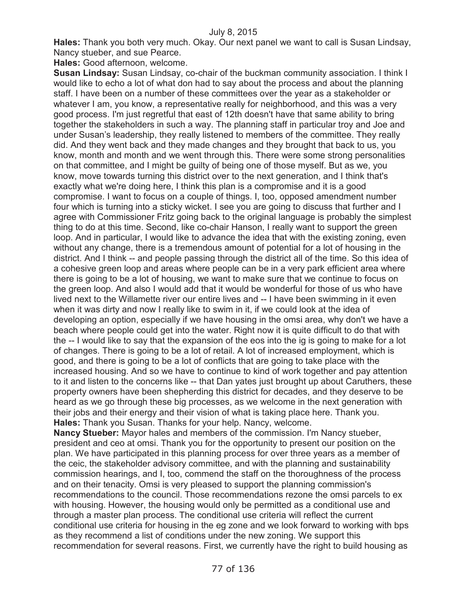**Hales:** Thank you both very much. Okay. Our next panel we want to call is Susan Lindsay, Nancy stueber, and sue Pearce.

**Hales:** Good afternoon, welcome.

**Susan Lindsay:** Susan Lindsay, co-chair of the buckman community association. I think I would like to echo a lot of what don had to say about the process and about the planning staff. I have been on a number of these committees over the year as a stakeholder or whatever I am, you know, a representative really for neighborhood, and this was a very good process. I'm just regretful that east of 12th doesn't have that same ability to bring together the stakeholders in such a way. The planning staff in particular troy and Joe and under Susan's leadership, they really listened to members of the committee. They really did. And they went back and they made changes and they brought that back to us, you know, month and month and we went through this. There were some strong personalities on that committee, and I might be guilty of being one of those myself. But as we, you know, move towards turning this district over to the next generation, and I think that's exactly what we're doing here, I think this plan is a compromise and it is a good compromise. I want to focus on a couple of things. I, too, opposed amendment number four which is turning into a sticky wicket. I see you are going to discuss that further and I agree with Commissioner Fritz going back to the original language is probably the simplest thing to do at this time. Second, like co-chair Hanson, I really want to support the green loop. And in particular, I would like to advance the idea that with the existing zoning, even without any change, there is a tremendous amount of potential for a lot of housing in the district. And I think -- and people passing through the district all of the time. So this idea of a cohesive green loop and areas where people can be in a very park efficient area where there is going to be a lot of housing, we want to make sure that we continue to focus on the green loop. And also I would add that it would be wonderful for those of us who have lived next to the Willamette river our entire lives and -- I have been swimming in it even when it was dirty and now I really like to swim in it, if we could look at the idea of developing an option, especially if we have housing in the omsi area, why don't we have a beach where people could get into the water. Right now it is quite difficult to do that with the -- I would like to say that the expansion of the eos into the ig is going to make for a lot of changes. There is going to be a lot of retail. A lot of increased employment, which is good, and there is going to be a lot of conflicts that are going to take place with the increased housing. And so we have to continue to kind of work together and pay attention to it and listen to the concerns like -- that Dan yates just brought up about Caruthers, these property owners have been shepherding this district for decades, and they deserve to be heard as we go through these big processes, as we welcome in the next generation with their jobs and their energy and their vision of what is taking place here. Thank you. **Hales:** Thank you Susan. Thanks for your help. Nancy, welcome.

**Nancy Stueber:** Mayor hales and members of the commission. I'm Nancy stueber, president and ceo at omsi. Thank you for the opportunity to present our position on the plan. We have participated in this planning process for over three years as a member of the ceic, the stakeholder advisory committee, and with the planning and sustainability commission hearings, and I, too, commend the staff on the thoroughness of the process and on their tenacity. Omsi is very pleased to support the planning commission's recommendations to the council. Those recommendations rezone the omsi parcels to ex with housing. However, the housing would only be permitted as a conditional use and through a master plan process. The conditional use criteria will reflect the current conditional use criteria for housing in the eg zone and we look forward to working with bps as they recommend a list of conditions under the new zoning. We support this recommendation for several reasons. First, we currently have the right to build housing as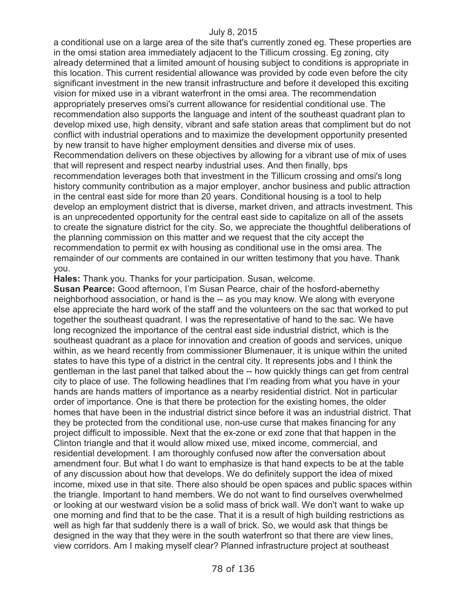a conditional use on a large area of the site that's currently zoned eg. These properties are in the omsi station area immediately adjacent to the Tillicum crossing. Eg zoning, city already determined that a limited amount of housing subject to conditions is appropriate in this location. This current residential allowance was provided by code even before the city significant investment in the new transit infrastructure and before it developed this exciting vision for mixed use in a vibrant waterfront in the omsi area. The recommendation appropriately preserves omsi's current allowance for residential conditional use. The recommendation also supports the language and intent of the southeast quadrant plan to develop mixed use, high density, vibrant and safe station areas that compliment but do not conflict with industrial operations and to maximize the development opportunity presented by new transit to have higher employment densities and diverse mix of uses. Recommendation delivers on these objectives by allowing for a vibrant use of mix of uses that will represent and respect nearby industrial uses. And then finally, bps recommendation leverages both that investment in the Tillicum crossing and omsi's long history community contribution as a major employer, anchor business and public attraction in the central east side for more than 20 years. Conditional housing is a tool to help develop an employment district that is diverse, market driven, and attracts investment. This is an unprecedented opportunity for the central east side to capitalize on all of the assets to create the signature district for the city. So, we appreciate the thoughtful deliberations of the planning commission on this matter and we request that the city accept the recommendation to permit ex with housing as conditional use in the omsi area. The remainder of our comments are contained in our written testimony that you have. Thank you.

**Hales:** Thank you. Thanks for your participation. Susan, welcome.

**Susan Pearce:** Good afternoon, I'm Susan Pearce, chair of the hosford-abernethy neighborhood association, or hand is the -- as you may know. We along with everyone else appreciate the hard work of the staff and the volunteers on the sac that worked to put together the southeast quadrant. I was the representative of hand to the sac. We have long recognized the importance of the central east side industrial district, which is the southeast quadrant as a place for innovation and creation of goods and services, unique within, as we heard recently from commissioner Blumenauer, it is unique within the united states to have this type of a district in the central city. It represents jobs and I think the gentleman in the last panel that talked about the -- how quickly things can get from central city to place of use. The following headlines that I'm reading from what you have in your hands are hands matters of importance as a nearby residential district. Not in particular order of importance. One is that there be protection for the existing homes, the older homes that have been in the industrial district since before it was an industrial district. That they be protected from the conditional use, non-use curse that makes financing for any project difficult to impossible. Next that the ex-zone or exd zone that that happen in the Clinton triangle and that it would allow mixed use, mixed income, commercial, and residential development. I am thoroughly confused now after the conversation about amendment four. But what I do want to emphasize is that hand expects to be at the table of any discussion about how that develops. We do definitely support the idea of mixed income, mixed use in that site. There also should be open spaces and public spaces within the triangle. Important to hand members. We do not want to find ourselves overwhelmed or looking at our westward vision be a solid mass of brick wall. We don't want to wake up one morning and find that to be the case. That it is a result of high building restrictions as well as high far that suddenly there is a wall of brick. So, we would ask that things be designed in the way that they were in the south waterfront so that there are view lines, view corridors. Am I making myself clear? Planned infrastructure project at southeast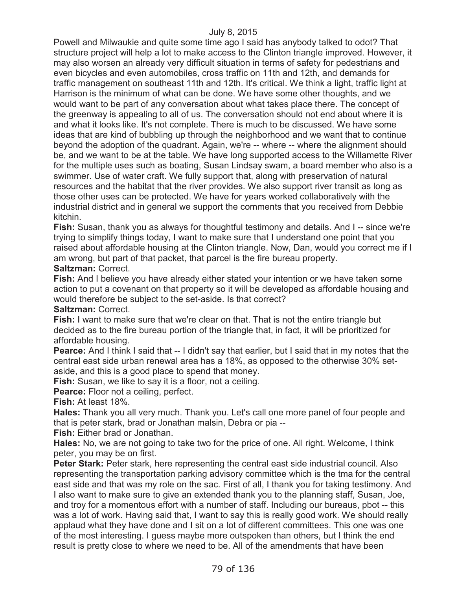Powell and Milwaukie and quite some time ago I said has anybody talked to odot? That structure project will help a lot to make access to the Clinton triangle improved. However, it may also worsen an already very difficult situation in terms of safety for pedestrians and even bicycles and even automobiles, cross traffic on 11th and 12th, and demands for traffic management on southeast 11th and 12th. It's critical. We think a light, traffic light at Harrison is the minimum of what can be done. We have some other thoughts, and we would want to be part of any conversation about what takes place there. The concept of the greenway is appealing to all of us. The conversation should not end about where it is and what it looks like. It's not complete. There is much to be discussed. We have some ideas that are kind of bubbling up through the neighborhood and we want that to continue beyond the adoption of the quadrant. Again, we're -- where -- where the alignment should be, and we want to be at the table. We have long supported access to the Willamette River for the multiple uses such as boating, Susan Lindsay swam, a board member who also is a swimmer. Use of water craft. We fully support that, along with preservation of natural resources and the habitat that the river provides. We also support river transit as long as those other uses can be protected. We have for years worked collaboratively with the industrial district and in general we support the comments that you received from Debbie kitchin.

**Fish:** Susan, thank you as always for thoughtful testimony and details. And I -- since we're trying to simplify things today, I want to make sure that I understand one point that you raised about affordable housing at the Clinton triangle. Now, Dan, would you correct me if I am wrong, but part of that packet, that parcel is the fire bureau property. **Saltzman:** Correct.

**Fish:** And I believe you have already either stated your intention or we have taken some action to put a covenant on that property so it will be developed as affordable housing and would therefore be subject to the set-aside. Is that correct?

**Saltzman:** Correct.

**Fish:** I want to make sure that we're clear on that. That is not the entire triangle but decided as to the fire bureau portion of the triangle that, in fact, it will be prioritized for affordable housing.

**Pearce:** And I think I said that -- I didn't say that earlier, but I said that in my notes that the central east side urban renewal area has a 18%, as opposed to the otherwise 30% setaside, and this is a good place to spend that money.

**Fish:** Susan, we like to say it is a floor, not a ceiling.

**Pearce:** Floor not a ceiling, perfect.

**Fish:** At least 18%.

**Hales:** Thank you all very much. Thank you. Let's call one more panel of four people and that is peter stark, brad or Jonathan malsin, Debra or pia --

**Fish:** Either brad or Jonathan.

**Hales:** No, we are not going to take two for the price of one. All right. Welcome, I think peter, you may be on first.

**Peter Stark:** Peter stark, here representing the central east side industrial council. Also representing the transportation parking advisory committee which is the tma for the central east side and that was my role on the sac. First of all, I thank you for taking testimony. And I also want to make sure to give an extended thank you to the planning staff, Susan, Joe, and troy for a momentous effort with a number of staff. Including our bureaus, pbot -- this was a lot of work. Having said that, I want to say this is really good work. We should really applaud what they have done and I sit on a lot of different committees. This one was one of the most interesting. I guess maybe more outspoken than others, but I think the end result is pretty close to where we need to be. All of the amendments that have been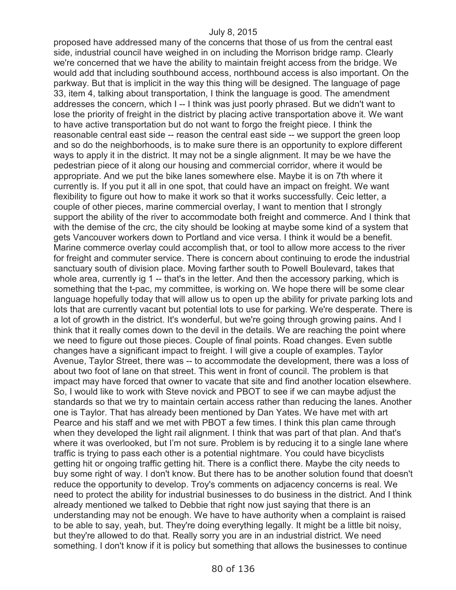proposed have addressed many of the concerns that those of us from the central east side, industrial council have weighed in on including the Morrison bridge ramp. Clearly we're concerned that we have the ability to maintain freight access from the bridge. We would add that including southbound access, northbound access is also important. On the parkway. But that is implicit in the way this thing will be designed. The language of page 33, item 4, talking about transportation, I think the language is good. The amendment addresses the concern, which I -- I think was just poorly phrased. But we didn't want to lose the priority of freight in the district by placing active transportation above it. We want to have active transportation but do not want to forgo the freight piece. I think the reasonable central east side -- reason the central east side -- we support the green loop and so do the neighborhoods, is to make sure there is an opportunity to explore different ways to apply it in the district. It may not be a single alignment. It may be we have the pedestrian piece of it along our housing and commercial corridor, where it would be appropriate. And we put the bike lanes somewhere else. Maybe it is on 7th where it currently is. If you put it all in one spot, that could have an impact on freight. We want flexibility to figure out how to make it work so that it works successfully. Ceic letter, a couple of other pieces, marine commercial overlay, I want to mention that I strongly support the ability of the river to accommodate both freight and commerce. And I think that with the demise of the crc, the city should be looking at maybe some kind of a system that gets Vancouver workers down to Portland and vice versa. I think it would be a benefit. Marine commerce overlay could accomplish that, or tool to allow more access to the river for freight and commuter service. There is concern about continuing to erode the industrial sanctuary south of division place. Moving farther south to Powell Boulevard, takes that whole area, currently ig 1 -- that's in the letter. And then the accessory parking, which is something that the t-pac, my committee, is working on. We hope there will be some clear language hopefully today that will allow us to open up the ability for private parking lots and lots that are currently vacant but potential lots to use for parking. We're desperate. There is a lot of growth in the district. It's wonderful, but we're going through growing pains. And I think that it really comes down to the devil in the details. We are reaching the point where we need to figure out those pieces. Couple of final points. Road changes. Even subtle changes have a significant impact to freight. I will give a couple of examples. Taylor Avenue, Taylor Street, there was -- to accommodate the development, there was a loss of about two foot of lane on that street. This went in front of council. The problem is that impact may have forced that owner to vacate that site and find another location elsewhere. So, I would like to work with Steve novick and PBOT to see if we can maybe adjust the standards so that we try to maintain certain access rather than reducing the lanes. Another one is Taylor. That has already been mentioned by Dan Yates. We have met with art Pearce and his staff and we met with PBOT a few times. I think this plan came through when they developed the light rail alignment. I think that was part of that plan. And that's where it was overlooked, but I'm not sure. Problem is by reducing it to a single lane where traffic is trying to pass each other is a potential nightmare. You could have bicyclists getting hit or ongoing traffic getting hit. There is a conflict there. Maybe the city needs to buy some right of way. I don't know. But there has to be another solution found that doesn't reduce the opportunity to develop. Troy's comments on adjacency concerns is real. We need to protect the ability for industrial businesses to do business in the district. And I think already mentioned we talked to Debbie that right now just saying that there is an understanding may not be enough. We have to have authority when a complaint is raised to be able to say, yeah, but. They're doing everything legally. It might be a little bit noisy, but they're allowed to do that. Really sorry you are in an industrial district. We need something. I don't know if it is policy but something that allows the businesses to continue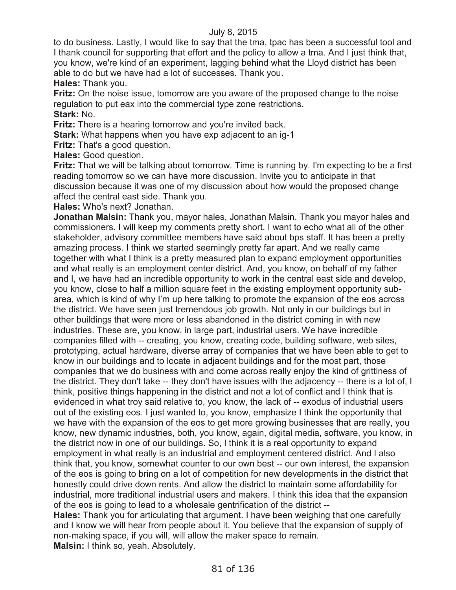to do business. Lastly, I would like to say that the tma, tpac has been a successful tool and I thank council for supporting that effort and the policy to allow a tma. And I just think that, you know, we're kind of an experiment, lagging behind what the Lloyd district has been able to do but we have had a lot of successes. Thank you.

**Hales:** Thank you.

**Fritz:** On the noise issue, tomorrow are you aware of the proposed change to the noise regulation to put eax into the commercial type zone restrictions. **Stark:** No.

**Fritz:** There is a hearing tomorrow and you're invited back.

**Stark:** What happens when you have exp adjacent to an ig-1

**Fritz:** That's a good question.

**Hales:** Good question.

**Fritz:** That we will be talking about tomorrow. Time is running by. I'm expecting to be a first reading tomorrow so we can have more discussion. Invite you to anticipate in that discussion because it was one of my discussion about how would the proposed change affect the central east side. Thank you.

**Hales:** Who's next? Jonathan.

**Jonathan Malsin:** Thank you, mayor hales, Jonathan Malsin. Thank you mayor hales and commissioners. I will keep my comments pretty short. I want to echo what all of the other stakeholder, advisory committee members have said about bps staff. It has been a pretty amazing process. I think we started seemingly pretty far apart. And we really came together with what I think is a pretty measured plan to expand employment opportunities and what really is an employment center district. And, you know, on behalf of my father and I, we have had an incredible opportunity to work in the central east side and develop, you know, close to half a million square feet in the existing employment opportunity subarea, which is kind of why I'm up here talking to promote the expansion of the eos across the district. We have seen just tremendous job growth. Not only in our buildings but in other buildings that were more or less abandoned in the district coming in with new industries. These are, you know, in large part, industrial users. We have incredible companies filled with -- creating, you know, creating code, building software, web sites, prototyping, actual hardware, diverse array of companies that we have been able to get to know in our buildings and to locate in adjacent buildings and for the most part, those companies that we do business with and come across really enjoy the kind of grittiness of the district. They don't take -- they don't have issues with the adjacency -- there is a lot of, I think, positive things happening in the district and not a lot of conflict and I think that is evidenced in what troy said relative to, you know, the lack of -- exodus of industrial users out of the existing eos. I just wanted to, you know, emphasize I think the opportunity that we have with the expansion of the eos to get more growing businesses that are really, you know, new dynamic industries, both, you know, again, digital media, software, you know, in the district now in one of our buildings. So, I think it is a real opportunity to expand employment in what really is an industrial and employment centered district. And I also think that, you know, somewhat counter to our own best -- our own interest, the expansion of the eos is going to bring on a lot of competition for new developments in the district that honestly could drive down rents. And allow the district to maintain some affordability for industrial, more traditional industrial users and makers. I think this idea that the expansion of the eos is going to lead to a wholesale gentrification of the district -- **Hales:** Thank you for articulating that argument. I have been weighing that one carefully and I know we will hear from people about it. You believe that the expansion of supply of non-making space, if you will, will allow the maker space to remain.

**Malsin:** I think so, yeah. Absolutely.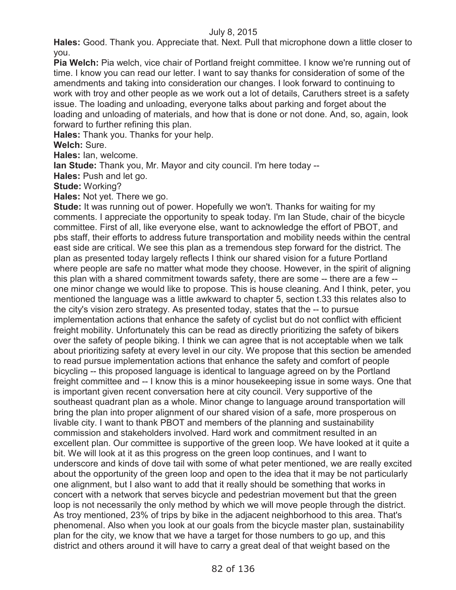**Hales:** Good. Thank you. Appreciate that. Next. Pull that microphone down a little closer to you.

**Pia Welch:** Pia welch, vice chair of Portland freight committee. I know we're running out of time. I know you can read our letter. I want to say thanks for consideration of some of the amendments and taking into consideration our changes. I look forward to continuing to work with troy and other people as we work out a lot of details, Caruthers street is a safety issue. The loading and unloading, everyone talks about parking and forget about the loading and unloading of materials, and how that is done or not done. And, so, again, look forward to further refining this plan.

**Hales:** Thank you. Thanks for your help.

**Welch:** Sure.

**Hales:** Ian, welcome.

**Ian Stude:** Thank you, Mr. Mayor and city council. I'm here today --

**Hales:** Push and let go.

**Stude:** Working?

**Hales:** Not yet. There we go.

**Stude:** It was running out of power. Hopefully we won't. Thanks for waiting for my comments. I appreciate the opportunity to speak today. I'm Ian Stude, chair of the bicycle committee. First of all, like everyone else, want to acknowledge the effort of PBOT, and pbs staff, their efforts to address future transportation and mobility needs within the central east side are critical. We see this plan as a tremendous step forward for the district. The plan as presented today largely reflects I think our shared vision for a future Portland where people are safe no matter what mode they choose. However, in the spirit of aligning this plan with a shared commitment towards safety, there are some -- there are a few - one minor change we would like to propose. This is house cleaning. And I think, peter, you mentioned the language was a little awkward to chapter 5, section t.33 this relates also to the city's vision zero strategy. As presented today, states that the -- to pursue implementation actions that enhance the safety of cyclist but do not conflict with efficient freight mobility. Unfortunately this can be read as directly prioritizing the safety of bikers over the safety of people biking. I think we can agree that is not acceptable when we talk about prioritizing safety at every level in our city. We propose that this section be amended to read pursue implementation actions that enhance the safety and comfort of people bicycling -- this proposed language is identical to language agreed on by the Portland freight committee and -- I know this is a minor housekeeping issue in some ways. One that is important given recent conversation here at city council. Very supportive of the southeast quadrant plan as a whole. Minor change to language around transportation will bring the plan into proper alignment of our shared vision of a safe, more prosperous on livable city. I want to thank PBOT and members of the planning and sustainability commission and stakeholders involved. Hard work and commitment resulted in an excellent plan. Our committee is supportive of the green loop. We have looked at it quite a bit. We will look at it as this progress on the green loop continues, and I want to underscore and kinds of dove tail with some of what peter mentioned, we are really excited about the opportunity of the green loop and open to the idea that it may be not particularly one alignment, but I also want to add that it really should be something that works in concert with a network that serves bicycle and pedestrian movement but that the green loop is not necessarily the only method by which we will move people through the district. As troy mentioned, 23% of trips by bike in the adjacent neighborhood to this area. That's phenomenal. Also when you look at our goals from the bicycle master plan, sustainability plan for the city, we know that we have a target for those numbers to go up, and this district and others around it will have to carry a great deal of that weight based on the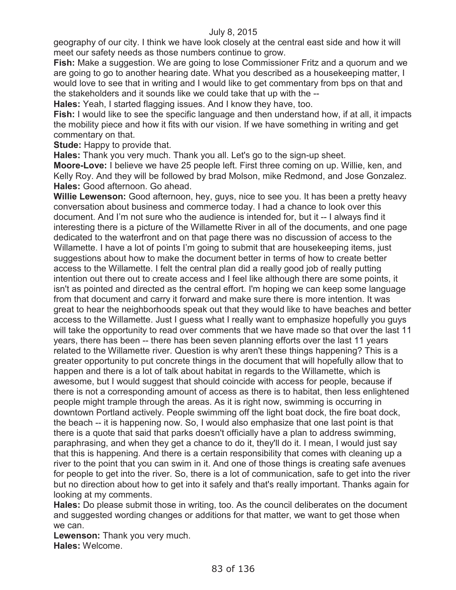geography of our city. I think we have look closely at the central east side and how it will meet our safety needs as those numbers continue to grow.

**Fish:** Make a suggestion. We are going to lose Commissioner Fritz and a quorum and we are going to go to another hearing date. What you described as a housekeeping matter, I would love to see that in writing and I would like to get commentary from bps on that and the stakeholders and it sounds like we could take that up with the --

**Hales:** Yeah, I started flagging issues. And I know they have, too.

**Fish:** I would like to see the specific language and then understand how, if at all, it impacts the mobility piece and how it fits with our vision. If we have something in writing and get commentary on that.

**Stude:** Happy to provide that.

**Hales:** Thank you very much. Thank you all. Let's go to the sign-up sheet.

**Moore-Love:** I believe we have 25 people left. First three coming on up. Willie, ken, and Kelly Roy. And they will be followed by brad Molson, mike Redmond, and Jose Gonzalez. **Hales:** Good afternoon. Go ahead.

**Willie Lewenson:** Good afternoon, hey, guys, nice to see you. It has been a pretty heavy conversation about business and commerce today. I had a chance to look over this document. And I'm not sure who the audience is intended for, but it -- I always find it interesting there is a picture of the Willamette River in all of the documents, and one page dedicated to the waterfront and on that page there was no discussion of access to the Willamette. I have a lot of points I'm going to submit that are housekeeping items, just suggestions about how to make the document better in terms of how to create better access to the Willamette. I felt the central plan did a really good job of really putting intention out there out to create access and I feel like although there are some points, it isn't as pointed and directed as the central effort. I'm hoping we can keep some language from that document and carry it forward and make sure there is more intention. It was great to hear the neighborhoods speak out that they would like to have beaches and better access to the Willamette. Just I guess what I really want to emphasize hopefully you guys will take the opportunity to read over comments that we have made so that over the last 11 years, there has been -- there has been seven planning efforts over the last 11 years related to the Willamette river. Question is why aren't these things happening? This is a greater opportunity to put concrete things in the document that will hopefully allow that to happen and there is a lot of talk about habitat in regards to the Willamette, which is awesome, but I would suggest that should coincide with access for people, because if there is not a corresponding amount of access as there is to habitat, then less enlightened people might trample through the areas. As it is right now, swimming is occurring in downtown Portland actively. People swimming off the light boat dock, the fire boat dock, the beach -- it is happening now. So, I would also emphasize that one last point is that there is a quote that said that parks doesn't officially have a plan to address swimming, paraphrasing, and when they get a chance to do it, they'll do it. I mean, I would just say that this is happening. And there is a certain responsibility that comes with cleaning up a river to the point that you can swim in it. And one of those things is creating safe avenues for people to get into the river. So, there is a lot of communication, safe to get into the river but no direction about how to get into it safely and that's really important. Thanks again for looking at my comments.

**Hales:** Do please submit those in writing, too. As the council deliberates on the document and suggested wording changes or additions for that matter, we want to get those when we can.

**Lewenson:** Thank you very much. **Hales:** Welcome.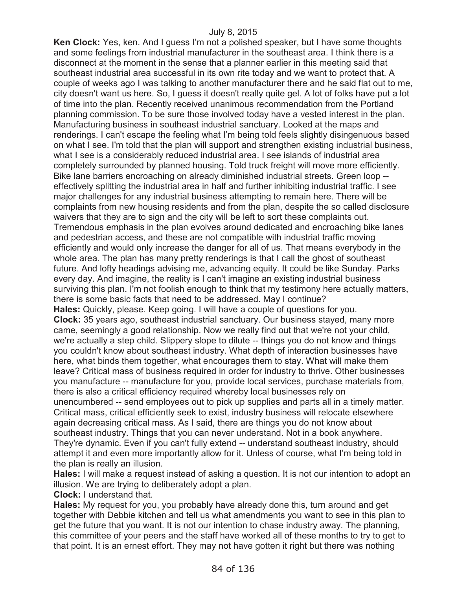**Ken Clock:** Yes, ken. And I guess I'm not a polished speaker, but I have some thoughts and some feelings from industrial manufacturer in the southeast area. I think there is a disconnect at the moment in the sense that a planner earlier in this meeting said that southeast industrial area successful in its own rite today and we want to protect that. A couple of weeks ago I was talking to another manufacturer there and he said flat out to me, city doesn't want us here. So, I guess it doesn't really quite gel. A lot of folks have put a lot of time into the plan. Recently received unanimous recommendation from the Portland planning commission. To be sure those involved today have a vested interest in the plan. Manufacturing business in southeast industrial sanctuary. Looked at the maps and renderings. I can't escape the feeling what I'm being told feels slightly disingenuous based on what I see. I'm told that the plan will support and strengthen existing industrial business, what I see is a considerably reduced industrial area. I see islands of industrial area completely surrounded by planned housing. Told truck freight will move more efficiently. Bike lane barriers encroaching on already diminished industrial streets. Green loop - effectively splitting the industrial area in half and further inhibiting industrial traffic. I see major challenges for any industrial business attempting to remain here. There will be complaints from new housing residents and from the plan, despite the so called disclosure waivers that they are to sign and the city will be left to sort these complaints out. Tremendous emphasis in the plan evolves around dedicated and encroaching bike lanes and pedestrian access, and these are not compatible with industrial traffic moving efficiently and would only increase the danger for all of us. That means everybody in the whole area. The plan has many pretty renderings is that I call the ghost of southeast future. And lofty headings advising me, advancing equity. It could be like Sunday. Parks every day. And imagine, the reality is I can't imagine an existing industrial business surviving this plan. I'm not foolish enough to think that my testimony here actually matters, there is some basic facts that need to be addressed. May I continue? **Hales:** Quickly, please. Keep going. I will have a couple of questions for you. **Clock:** 35 years ago, southeast industrial sanctuary. Our business stayed, many more came, seemingly a good relationship. Now we really find out that we're not your child, we're actually a step child. Slippery slope to dilute -- things you do not know and things you couldn't know about southeast industry. What depth of interaction businesses have here, what binds them together, what encourages them to stay. What will make them leave? Critical mass of business required in order for industry to thrive. Other businesses you manufacture -- manufacture for you, provide local services, purchase materials from, there is also a critical efficiency required whereby local businesses rely on unencumbered -- send employees out to pick up supplies and parts all in a timely matter. Critical mass, critical efficiently seek to exist, industry business will relocate elsewhere again decreasing critical mass. As I said, there are things you do not know about southeast industry. Things that you can never understand. Not in a book anywhere. They're dynamic. Even if you can't fully extend -- understand southeast industry, should attempt it and even more importantly allow for it. Unless of course, what I'm being told in the plan is really an illusion.

**Hales:** I will make a request instead of asking a question. It is not our intention to adopt an illusion. We are trying to deliberately adopt a plan.

**Clock:** I understand that.

**Hales:** My request for you, you probably have already done this, turn around and get together with Debbie kitchen and tell us what amendments you want to see in this plan to get the future that you want. It is not our intention to chase industry away. The planning, this committee of your peers and the staff have worked all of these months to try to get to that point. It is an ernest effort. They may not have gotten it right but there was nothing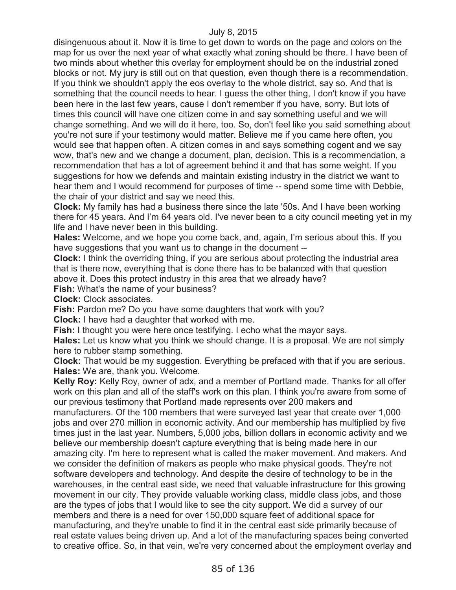disingenuous about it. Now it is time to get down to words on the page and colors on the map for us over the next year of what exactly what zoning should be there. I have been of two minds about whether this overlay for employment should be on the industrial zoned blocks or not. My jury is still out on that question, even though there is a recommendation. If you think we shouldn't apply the eos overlay to the whole district, say so. And that is something that the council needs to hear. I guess the other thing, I don't know if you have been here in the last few years, cause I don't remember if you have, sorry. But lots of times this council will have one citizen come in and say something useful and we will change something. And we will do it here, too. So, don't feel like you said something about you're not sure if your testimony would matter. Believe me if you came here often, you would see that happen often. A citizen comes in and says something cogent and we say wow, that's new and we change a document, plan, decision. This is a recommendation, a recommendation that has a lot of agreement behind it and that has some weight. If you suggestions for how we defends and maintain existing industry in the district we want to hear them and I would recommend for purposes of time -- spend some time with Debbie, the chair of your district and say we need this.

**Clock:** My family has had a business there since the late '50s. And I have been working there for 45 years. And I'm 64 years old. I've never been to a city council meeting yet in my life and I have never been in this building.

**Hales:** Welcome, and we hope you come back, and, again, I'm serious about this. If you have suggestions that you want us to change in the document --

**Clock:** I think the overriding thing, if you are serious about protecting the industrial area that is there now, everything that is done there has to be balanced with that question above it. Does this protect industry in this area that we already have?

**Fish:** What's the name of your business?

**Clock:** Clock associates.

**Fish:** Pardon me? Do you have some daughters that work with you?

**Clock:** I have had a daughter that worked with me.

**Fish:** I thought you were here once testifying. I echo what the mayor says.

**Hales:** Let us know what you think we should change. It is a proposal. We are not simply here to rubber stamp something.

**Clock:** That would be my suggestion. Everything be prefaced with that if you are serious. **Hales:** We are, thank you. Welcome.

**Kelly Roy:** Kelly Roy, owner of adx, and a member of Portland made. Thanks for all offer work on this plan and all of the staff's work on this plan. I think you're aware from some of our previous testimony that Portland made represents over 200 makers and

manufacturers. Of the 100 members that were surveyed last year that create over 1,000 jobs and over 270 million in economic activity. And our membership has multiplied by five times just in the last year. Numbers, 5,000 jobs, billion dollars in economic activity and we believe our membership doesn't capture everything that is being made here in our amazing city. I'm here to represent what is called the maker movement. And makers. And we consider the definition of makers as people who make physical goods. They're not software developers and technology. And despite the desire of technology to be in the warehouses, in the central east side, we need that valuable infrastructure for this growing movement in our city. They provide valuable working class, middle class jobs, and those are the types of jobs that I would like to see the city support. We did a survey of our members and there is a need for over 150,000 square feet of additional space for manufacturing, and they're unable to find it in the central east side primarily because of real estate values being driven up. And a lot of the manufacturing spaces being converted to creative office. So, in that vein, we're very concerned about the employment overlay and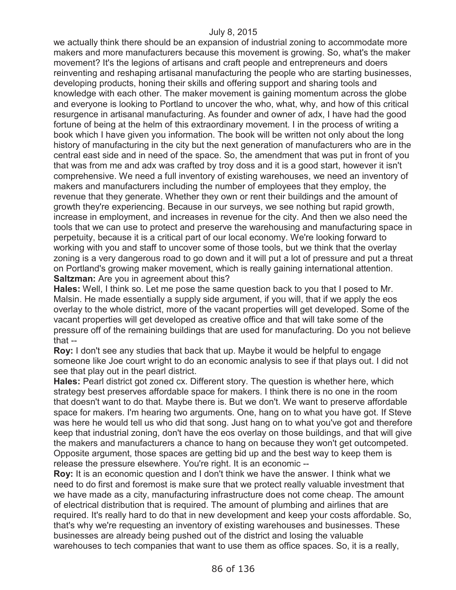we actually think there should be an expansion of industrial zoning to accommodate more makers and more manufacturers because this movement is growing. So, what's the maker movement? It's the legions of artisans and craft people and entrepreneurs and doers reinventing and reshaping artisanal manufacturing the people who are starting businesses, developing products, honing their skills and offering support and sharing tools and knowledge with each other. The maker movement is gaining momentum across the globe and everyone is looking to Portland to uncover the who, what, why, and how of this critical resurgence in artisanal manufacturing. As founder and owner of adx, I have had the good fortune of being at the helm of this extraordinary movement. I in the process of writing a book which I have given you information. The book will be written not only about the long history of manufacturing in the city but the next generation of manufacturers who are in the central east side and in need of the space. So, the amendment that was put in front of you that was from me and adx was crafted by troy doss and it is a good start, however it isn't comprehensive. We need a full inventory of existing warehouses, we need an inventory of makers and manufacturers including the number of employees that they employ, the revenue that they generate. Whether they own or rent their buildings and the amount of growth they're experiencing. Because in our surveys, we see nothing but rapid growth, increase in employment, and increases in revenue for the city. And then we also need the tools that we can use to protect and preserve the warehousing and manufacturing space in perpetuity, because it is a critical part of our local economy. We're looking forward to working with you and staff to uncover some of those tools, but we think that the overlay zoning is a very dangerous road to go down and it will put a lot of pressure and put a threat on Portland's growing maker movement, which is really gaining international attention. **Saltzman:** Are you in agreement about this?

**Hales:** Well, I think so. Let me pose the same question back to you that I posed to Mr. Malsin. He made essentially a supply side argument, if you will, that if we apply the eos overlay to the whole district, more of the vacant properties will get developed. Some of the vacant properties will get developed as creative office and that will take some of the pressure off of the remaining buildings that are used for manufacturing. Do you not believe that --

**Roy:** I don't see any studies that back that up. Maybe it would be helpful to engage someone like Joe court wright to do an economic analysis to see if that plays out. I did not see that play out in the pearl district.

**Hales:** Pearl district got zoned cx. Different story. The question is whether here, which strategy best preserves affordable space for makers. I think there is no one in the room that doesn't want to do that. Maybe there is. But we don't. We want to preserve affordable space for makers. I'm hearing two arguments. One, hang on to what you have got. If Steve was here he would tell us who did that song. Just hang on to what you've got and therefore keep that industrial zoning, don't have the eos overlay on those buildings, and that will give the makers and manufacturers a chance to hang on because they won't get outcompeted. Opposite argument, those spaces are getting bid up and the best way to keep them is release the pressure elsewhere. You're right. It is an economic --

**Roy:** It is an economic question and I don't think we have the answer. I think what we need to do first and foremost is make sure that we protect really valuable investment that we have made as a city, manufacturing infrastructure does not come cheap. The amount of electrical distribution that is required. The amount of plumbing and airlines that are required. It's really hard to do that in new development and keep your costs affordable. So, that's why we're requesting an inventory of existing warehouses and businesses. These businesses are already being pushed out of the district and losing the valuable warehouses to tech companies that want to use them as office spaces. So, it is a really,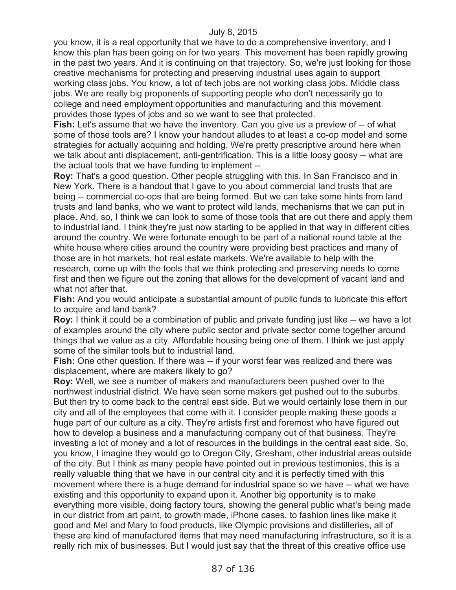you know, it is a real opportunity that we have to do a comprehensive inventory, and I know this plan has been going on for two years. This movement has been rapidly growing in the past two years. And it is continuing on that trajectory. So, we're just looking for those creative mechanisms for protecting and preserving industrial uses again to support working class jobs. You know, a lot of tech jobs are not working class jobs. Middle class jobs. We are really big proponents of supporting people who don't necessarily go to college and need employment opportunities and manufacturing and this movement provides those types of jobs and so we want to see that protected.

**Fish:** Let's assume that we have the inventory. Can you give us a preview of -- of what some of those tools are? I know your handout alludes to at least a co-op model and some strategies for actually acquiring and holding. We're pretty prescriptive around here when we talk about anti displacement, anti-gentrification. This is a little loosy goosy -- what are the actual tools that we have funding to implement --

**Roy:** That's a good question. Other people struggling with this. In San Francisco and in New York. There is a handout that I gave to you about commercial land trusts that are being -- commercial co-ops that are being formed. But we can take some hints from land trusts and land banks, who we want to protect wild lands, mechanisms that we can put in place. And, so, I think we can look to some of those tools that are out there and apply them to industrial land. I think they're just now starting to be applied in that way in different cities around the country. We were fortunate enough to be part of a national round table at the white house where cities around the country were providing best practices and many of those are in hot markets, hot real estate markets. We're available to help with the research, come up with the tools that we think protecting and preserving needs to come first and then we figure out the zoning that allows for the development of vacant land and what not after that.

**Fish:** And you would anticipate a substantial amount of public funds to lubricate this effort to acquire and land bank?

**Roy:** I think it could be a combination of public and private funding just like -- we have a lot of examples around the city where public sector and private sector come together around things that we value as a city. Affordable housing being one of them. I think we just apply some of the similar tools but to industrial land.

**Fish:** One other question. If there was -- if your worst fear was realized and there was displacement, where are makers likely to go?

**Roy:** Well, we see a number of makers and manufacturers been pushed over to the northwest industrial district. We have seen some makers get pushed out to the suburbs. But then try to come back to the central east side. But we would certainly lose them in our city and all of the employees that come with it. I consider people making these goods a huge part of our culture as a city. They're artists first and foremost who have figured out how to develop a business and a manufacturing company out of that business. They're investing a lot of money and a lot of resources in the buildings in the central east side. So, you know, I imagine they would go to Oregon City, Gresham, other industrial areas outside of the city. But I think as many people have pointed out in previous testimonies, this is a really valuable thing that we have in our central city and it is perfectly timed with this movement where there is a huge demand for industrial space so we have -- what we have existing and this opportunity to expand upon it. Another big opportunity is to make everything more visible, doing factory tours, showing the general public what's being made in our district from art paint, to growth made, iPhone cases, to fashion lines like make it good and Mel and Mary to food products, like Olympic provisions and distilleries, all of these are kind of manufactured items that may need manufacturing infrastructure, so it is a really rich mix of businesses. But I would just say that the threat of this creative office use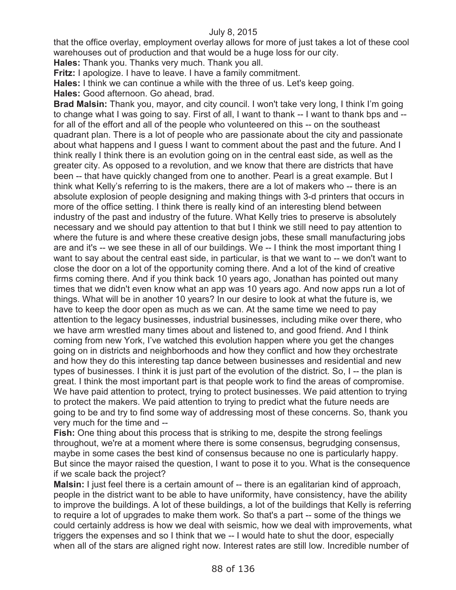that the office overlay, employment overlay allows for more of just takes a lot of these cool warehouses out of production and that would be a huge loss for our city.

**Hales:** Thank you. Thanks very much. Thank you all.

**Fritz:** I apologize. I have to leave. I have a family commitment.

**Hales:** I think we can continue a while with the three of us. Let's keep going.

**Hales:** Good afternoon. Go ahead, brad.

**Brad Malsin:** Thank you, mayor, and city council. I won't take very long, I think I'm going to change what I was going to say. First of all, I want to thank -- I want to thank bps and - for all of the effort and all of the people who volunteered on this -- on the southeast quadrant plan. There is a lot of people who are passionate about the city and passionate about what happens and I guess I want to comment about the past and the future. And I think really I think there is an evolution going on in the central east side, as well as the greater city. As opposed to a revolution, and we know that there are districts that have been -- that have quickly changed from one to another. Pearl is a great example. But I think what Kelly's referring to is the makers, there are a lot of makers who -- there is an absolute explosion of people designing and making things with 3-d printers that occurs in more of the office setting. I think there is really kind of an interesting blend between industry of the past and industry of the future. What Kelly tries to preserve is absolutely necessary and we should pay attention to that but I think we still need to pay attention to where the future is and where these creative design jobs, these small manufacturing jobs are and it's -- we see these in all of our buildings. We -- I think the most important thing I want to say about the central east side, in particular, is that we want to -- we don't want to close the door on a lot of the opportunity coming there. And a lot of the kind of creative firms coming there. And if you think back 10 years ago, Jonathan has pointed out many times that we didn't even know what an app was 10 years ago. And now apps run a lot of things. What will be in another 10 years? In our desire to look at what the future is, we have to keep the door open as much as we can. At the same time we need to pay attention to the legacy businesses, industrial businesses, including mike over there, who we have arm wrestled many times about and listened to, and good friend. And I think coming from new York, I've watched this evolution happen where you get the changes going on in districts and neighborhoods and how they conflict and how they orchestrate and how they do this interesting tap dance between businesses and residential and new types of businesses. I think it is just part of the evolution of the district. So, I -- the plan is great. I think the most important part is that people work to find the areas of compromise. We have paid attention to protect, trying to protect businesses. We paid attention to trying to protect the makers. We paid attention to trying to predict what the future needs are going to be and try to find some way of addressing most of these concerns. So, thank you very much for the time and --

**Fish:** One thing about this process that is striking to me, despite the strong feelings throughout, we're at a moment where there is some consensus, begrudging consensus, maybe in some cases the best kind of consensus because no one is particularly happy. But since the mayor raised the question, I want to pose it to you. What is the consequence if we scale back the project?

**Malsin:** I just feel there is a certain amount of -- there is an egalitarian kind of approach, people in the district want to be able to have uniformity, have consistency, have the ability to improve the buildings. A lot of these buildings, a lot of the buildings that Kelly is referring to require a lot of upgrades to make them work. So that's a part -- some of the things we could certainly address is how we deal with seismic, how we deal with improvements, what triggers the expenses and so I think that we -- I would hate to shut the door, especially when all of the stars are aligned right now. Interest rates are still low. Incredible number of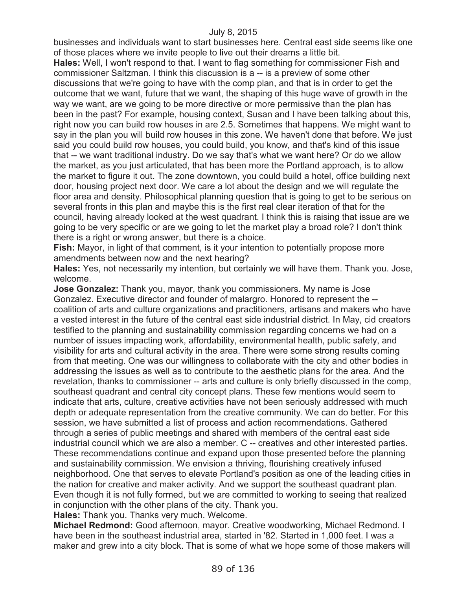businesses and individuals want to start businesses here. Central east side seems like one of those places where we invite people to live out their dreams a little bit.

**Hales:** Well, I won't respond to that. I want to flag something for commissioner Fish and commissioner Saltzman. I think this discussion is a -- is a preview of some other discussions that we're going to have with the comp plan, and that is in order to get the outcome that we want, future that we want, the shaping of this huge wave of growth in the way we want, are we going to be more directive or more permissive than the plan has been in the past? For example, housing context, Susan and I have been talking about this, right now you can build row houses in are 2.5. Sometimes that happens. We might want to say in the plan you will build row houses in this zone. We haven't done that before. We just said you could build row houses, you could build, you know, and that's kind of this issue that -- we want traditional industry. Do we say that's what we want here? Or do we allow the market, as you just articulated, that has been more the Portland approach, is to allow the market to figure it out. The zone downtown, you could build a hotel, office building next door, housing project next door. We care a lot about the design and we will regulate the floor area and density. Philosophical planning question that is going to get to be serious on several fronts in this plan and maybe this is the first real clear iteration of that for the council, having already looked at the west quadrant. I think this is raising that issue are we going to be very specific or are we going to let the market play a broad role? I don't think there is a right or wrong answer, but there is a choice.

**Fish:** Mayor, in light of that comment, is it your intention to potentially propose more amendments between now and the next hearing?

**Hales:** Yes, not necessarily my intention, but certainly we will have them. Thank you. Jose, welcome.

**Jose Gonzalez:** Thank you, mayor, thank you commissioners. My name is Jose Gonzalez. Executive director and founder of malargro. Honored to represent the - coalition of arts and culture organizations and practitioners, artisans and makers who have a vested interest in the future of the central east side industrial district. In May, cid creators testified to the planning and sustainability commission regarding concerns we had on a number of issues impacting work, affordability, environmental health, public safety, and visibility for arts and cultural activity in the area. There were some strong results coming from that meeting. One was our willingness to collaborate with the city and other bodies in addressing the issues as well as to contribute to the aesthetic plans for the area. And the revelation, thanks to commissioner -- arts and culture is only briefly discussed in the comp, southeast quadrant and central city concept plans. These few mentions would seem to indicate that arts, culture, creative activities have not been seriously addressed with much depth or adequate representation from the creative community. We can do better. For this session, we have submitted a list of process and action recommendations. Gathered through a series of public meetings and shared with members of the central east side industrial council which we are also a member. C -- creatives and other interested parties. These recommendations continue and expand upon those presented before the planning and sustainability commission. We envision a thriving, flourishing creatively infused neighborhood. One that serves to elevate Portland's position as one of the leading cities in the nation for creative and maker activity. And we support the southeast quadrant plan. Even though it is not fully formed, but we are committed to working to seeing that realized in conjunction with the other plans of the city. Thank you.

**Hales:** Thank you. Thanks very much. Welcome.

**Michael Redmond:** Good afternoon, mayor. Creative woodworking, Michael Redmond. I have been in the southeast industrial area, started in '82. Started in 1,000 feet. I was a maker and grew into a city block. That is some of what we hope some of those makers will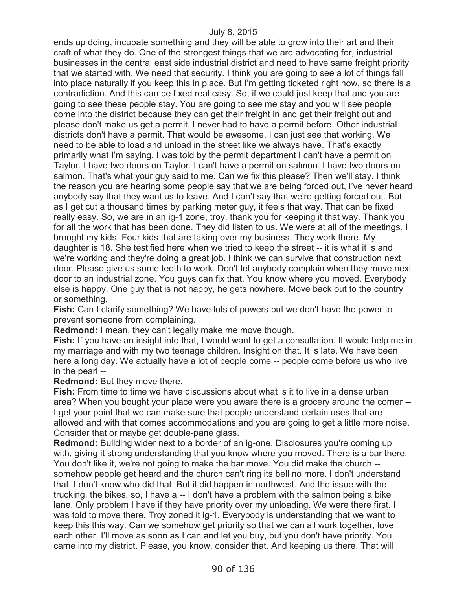ends up doing, incubate something and they will be able to grow into their art and their craft of what they do. One of the strongest things that we are advocating for, industrial businesses in the central east side industrial district and need to have same freight priority that we started with. We need that security. I think you are going to see a lot of things fall into place naturally if you keep this in place. But I'm getting ticketed right now, so there is a contradiction. And this can be fixed real easy. So, if we could just keep that and you are going to see these people stay. You are going to see me stay and you will see people come into the district because they can get their freight in and get their freight out and please don't make us get a permit. I never had to have a permit before. Other industrial districts don't have a permit. That would be awesome. I can just see that working. We need to be able to load and unload in the street like we always have. That's exactly primarily what I'm saying. I was told by the permit department I can't have a permit on Taylor. I have two doors on Taylor. I can't have a permit on salmon. I have two doors on salmon. That's what your guy said to me. Can we fix this please? Then we'll stay. I think the reason you are hearing some people say that we are being forced out, I've never heard anybody say that they want us to leave. And I can't say that we're getting forced out. But as I get cut a thousand times by parking meter guy, it feels that way. That can be fixed really easy. So, we are in an ig-1 zone, troy, thank you for keeping it that way. Thank you for all the work that has been done. They did listen to us. We were at all of the meetings. I brought my kids. Four kids that are taking over my business. They work there. My daughter is 18. She testified here when we tried to keep the street -- it is what it is and we're working and they're doing a great job. I think we can survive that construction next door. Please give us some teeth to work. Don't let anybody complain when they move next door to an industrial zone. You guys can fix that. You know where you moved. Everybody else is happy. One guy that is not happy, he gets nowhere. Move back out to the country or something.

**Fish:** Can I clarify something? We have lots of powers but we don't have the power to prevent someone from complaining.

**Redmond:** I mean, they can't legally make me move though.

**Fish:** If you have an insight into that, I would want to get a consultation. It would help me in my marriage and with my two teenage children. Insight on that. It is late. We have been here a long day. We actually have a lot of people come -- people come before us who live in the pearl --

**Redmond:** But they move there.

**Fish:** From time to time we have discussions about what is it to live in a dense urban area? When you bought your place were you aware there is a grocery around the corner -- I get your point that we can make sure that people understand certain uses that are allowed and with that comes accommodations and you are going to get a little more noise. Consider that or maybe get double-pane glass.

**Redmond:** Building wider next to a border of an ig-one. Disclosures you're coming up with, giving it strong understanding that you know where you moved. There is a bar there. You don't like it, we're not going to make the bar move. You did make the church - somehow people get heard and the church can't ring its bell no more. I don't understand that. I don't know who did that. But it did happen in northwest. And the issue with the trucking, the bikes, so, I have a -- I don't have a problem with the salmon being a bike lane. Only problem I have if they have priority over my unloading. We were there first. I was told to move there. Troy zoned it ig-1. Everybody is understanding that we want to keep this this way. Can we somehow get priority so that we can all work together, love each other, I'll move as soon as I can and let you buy, but you don't have priority. You came into my district. Please, you know, consider that. And keeping us there. That will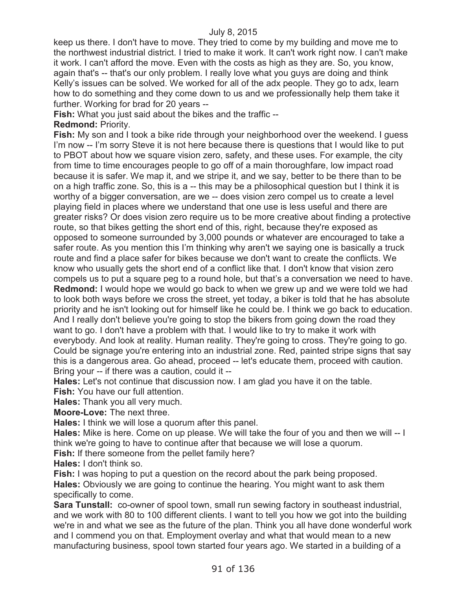keep us there. I don't have to move. They tried to come by my building and move me to the northwest industrial district. I tried to make it work. It can't work right now. I can't make it work. I can't afford the move. Even with the costs as high as they are. So, you know, again that's -- that's our only problem. I really love what you guys are doing and think Kelly's issues can be solved. We worked for all of the adx people. They go to adx, learn how to do something and they come down to us and we professionally help them take it further. Working for brad for 20 years --

**Fish:** What you just said about the bikes and the traffic --

## **Redmond:** Priority.

**Fish:** My son and I took a bike ride through your neighborhood over the weekend. I guess I'm now -- I'm sorry Steve it is not here because there is questions that I would like to put to PBOT about how we square vision zero, safety, and these uses. For example, the city from time to time encourages people to go off of a main thoroughfare, low impact road because it is safer. We map it, and we stripe it, and we say, better to be there than to be on a high traffic zone. So, this is a -- this may be a philosophical question but I think it is worthy of a bigger conversation, are we -- does vision zero compel us to create a level playing field in places where we understand that one use is less useful and there are greater risks? Or does vision zero require us to be more creative about finding a protective route, so that bikes getting the short end of this, right, because they're exposed as opposed to someone surrounded by 3,000 pounds or whatever are encouraged to take a safer route. As you mention this I'm thinking why aren't we saying one is basically a truck route and find a place safer for bikes because we don't want to create the conflicts. We know who usually gets the short end of a conflict like that. I don't know that vision zero compels us to put a square peg to a round hole, but that's a conversation we need to have. **Redmond:** I would hope we would go back to when we grew up and we were told we had to look both ways before we cross the street, yet today, a biker is told that he has absolute priority and he isn't looking out for himself like he could be. I think we go back to education. And I really don't believe you're going to stop the bikers from going down the road they want to go. I don't have a problem with that. I would like to try to make it work with everybody. And look at reality. Human reality. They're going to cross. They're going to go. Could be signage you're entering into an industrial zone. Red, painted stripe signs that say this is a dangerous area. Go ahead, proceed -- let's educate them, proceed with caution. Bring your -- if there was a caution, could it --

**Hales:** Let's not continue that discussion now. I am glad you have it on the table.

**Fish:** You have our full attention.

**Hales:** Thank you all very much.

**Moore-Love:** The next three.

**Hales:** I think we will lose a quorum after this panel.

**Hales:** Mike is here. Come on up please. We will take the four of you and then we will -- I think we're going to have to continue after that because we will lose a quorum.

**Fish:** If there someone from the pellet family here?

**Hales:** I don't think so.

**Fish:** I was hoping to put a question on the record about the park being proposed. **Hales:** Obviously we are going to continue the hearing. You might want to ask them specifically to come.

**Sara Tunstall:** co-owner of spool town, small run sewing factory in southeast industrial, and we work with 80 to 100 different clients. I want to tell you how we got into the building we're in and what we see as the future of the plan. Think you all have done wonderful work and I commend you on that. Employment overlay and what that would mean to a new manufacturing business, spool town started four years ago. We started in a building of a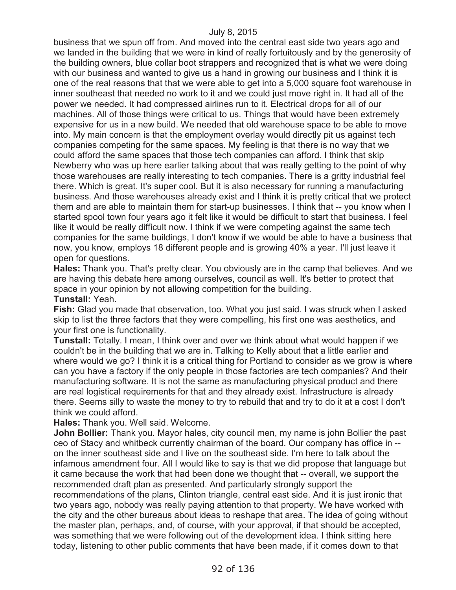business that we spun off from. And moved into the central east side two years ago and we landed in the building that we were in kind of really fortuitously and by the generosity of the building owners, blue collar boot strappers and recognized that is what we were doing with our business and wanted to give us a hand in growing our business and I think it is one of the real reasons that that we were able to get into a 5,000 square foot warehouse in inner southeast that needed no work to it and we could just move right in. It had all of the power we needed. It had compressed airlines run to it. Electrical drops for all of our machines. All of those things were critical to us. Things that would have been extremely expensive for us in a new build. We needed that old warehouse space to be able to move into. My main concern is that the employment overlay would directly pit us against tech companies competing for the same spaces. My feeling is that there is no way that we could afford the same spaces that those tech companies can afford. I think that skip Newberry who was up here earlier talking about that was really getting to the point of why those warehouses are really interesting to tech companies. There is a gritty industrial feel there. Which is great. It's super cool. But it is also necessary for running a manufacturing business. And those warehouses already exist and I think it is pretty critical that we protect them and are able to maintain them for start-up businesses. I think that -- you know when I started spool town four years ago it felt like it would be difficult to start that business. I feel like it would be really difficult now. I think if we were competing against the same tech companies for the same buildings, I don't know if we would be able to have a business that now, you know, employs 18 different people and is growing 40% a year. I'll just leave it open for questions.

**Hales:** Thank you. That's pretty clear. You obviously are in the camp that believes. And we are having this debate here among ourselves, council as well. It's better to protect that space in your opinion by not allowing competition for the building. **Tunstall:** Yeah.

**Fish:** Glad you made that observation, too. What you just said. I was struck when I asked skip to list the three factors that they were compelling, his first one was aesthetics, and your first one is functionality.

**Tunstall:** Totally. I mean, I think over and over we think about what would happen if we couldn't be in the building that we are in. Talking to Kelly about that a little earlier and where would we go? I think it is a critical thing for Portland to consider as we grow is where can you have a factory if the only people in those factories are tech companies? And their manufacturing software. It is not the same as manufacturing physical product and there are real logistical requirements for that and they already exist. Infrastructure is already there. Seems silly to waste the money to try to rebuild that and try to do it at a cost I don't think we could afford.

**Hales:** Thank you. Well said. Welcome.

**John Bollier:** Thank you. Mayor hales, city council men, my name is john Bollier the past ceo of Stacy and whitbeck currently chairman of the board. Our company has office in - on the inner southeast side and I live on the southeast side. I'm here to talk about the infamous amendment four. All I would like to say is that we did propose that language but it came because the work that had been done we thought that -- overall, we support the recommended draft plan as presented. And particularly strongly support the recommendations of the plans, Clinton triangle, central east side. And it is just ironic that two years ago, nobody was really paying attention to that property. We have worked with the city and the other bureaus about ideas to reshape that area. The idea of going without the master plan, perhaps, and, of course, with your approval, if that should be accepted, was something that we were following out of the development idea. I think sitting here today, listening to other public comments that have been made, if it comes down to that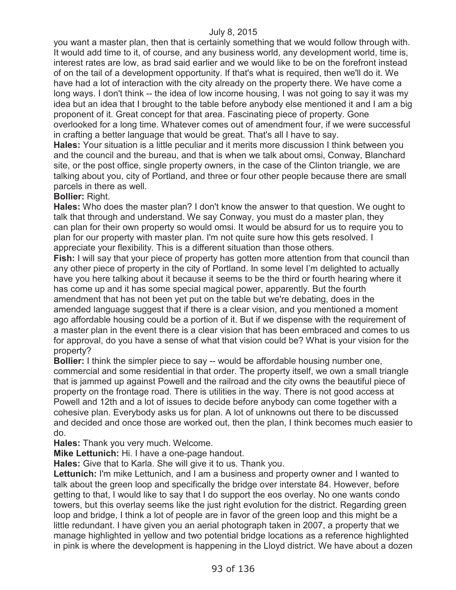you want a master plan, then that is certainly something that we would follow through with. It would add time to it, of course, and any business world, any development world, time is, interest rates are low, as brad said earlier and we would like to be on the forefront instead of on the tail of a development opportunity. If that's what is required, then we'll do it. We have had a lot of interaction with the city already on the property there. We have come a long ways. I don't think -- the idea of low income housing, I was not going to say it was my idea but an idea that I brought to the table before anybody else mentioned it and I am a big proponent of it. Great concept for that area. Fascinating piece of property. Gone overlooked for a long time. Whatever comes out of amendment four, if we were successful in crafting a better language that would be great. That's all I have to say.

**Hales:** Your situation is a little peculiar and it merits more discussion I think between you and the council and the bureau, and that is when we talk about omsi, Conway, Blanchard site, or the post office, single property owners, in the case of the Clinton triangle, we are talking about you, city of Portland, and three or four other people because there are small parcels in there as well.

#### **Bollier:** Right.

**Hales:** Who does the master plan? I don't know the answer to that question. We ought to talk that through and understand. We say Conway, you must do a master plan, they can plan for their own property so would omsi. It would be absurd for us to require you to plan for our property with master plan. I'm not quite sure how this gets resolved. I appreciate your flexibility. This is a different situation than those others.

**Fish:** I will say that your piece of property has gotten more attention from that council than any other piece of property in the city of Portland. In some level I'm delighted to actually have you here talking about it because it seems to be the third or fourth hearing where it has come up and it has some special magical power, apparently. But the fourth amendment that has not been yet put on the table but we're debating, does in the amended language suggest that if there is a clear vision, and you mentioned a moment ago affordable housing could be a portion of it. But if we dispense with the requirement of a master plan in the event there is a clear vision that has been embraced and comes to us for approval, do you have a sense of what that vision could be? What is your vision for the property?

**Bollier:** I think the simpler piece to say -- would be affordable housing number one, commercial and some residential in that order. The property itself, we own a small triangle that is jammed up against Powell and the railroad and the city owns the beautiful piece of property on the frontage road. There is utilities in the way. There is not good access at Powell and 12th and a lot of issues to decide before anybody can come together with a cohesive plan. Everybody asks us for plan. A lot of unknowns out there to be discussed and decided and once those are worked out, then the plan, I think becomes much easier to do.

**Hales:** Thank you very much. Welcome.

**Mike Lettunich:** Hi. I have a one-page handout.

**Hales:** Give that to Karla. She will give it to us. Thank you.

**Lettunich:** I'm mike Lettunich, and I am a business and property owner and I wanted to talk about the green loop and specifically the bridge over interstate 84. However, before getting to that, I would like to say that I do support the eos overlay. No one wants condo towers, but this overlay seems like the just right evolution for the district. Regarding green loop and bridge, I think a lot of people are in favor of the green loop and this might be a little redundant. I have given you an aerial photograph taken in 2007, a property that we manage highlighted in yellow and two potential bridge locations as a reference highlighted in pink is where the development is happening in the Lloyd district. We have about a dozen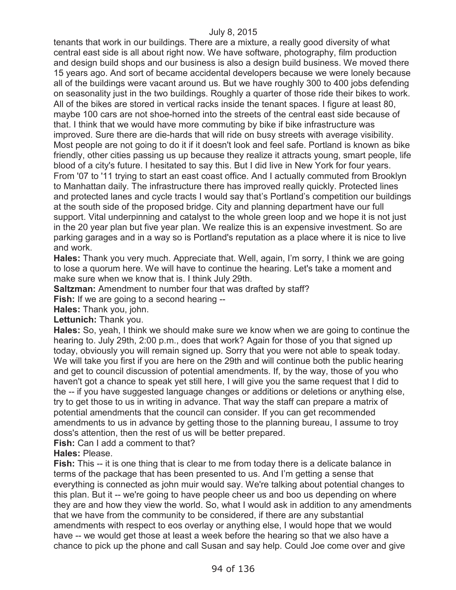tenants that work in our buildings. There are a mixture, a really good diversity of what central east side is all about right now. We have software, photography, film production and design build shops and our business is also a design build business. We moved there 15 years ago. And sort of became accidental developers because we were lonely because all of the buildings were vacant around us. But we have roughly 300 to 400 jobs defending on seasonality just in the two buildings. Roughly a quarter of those ride their bikes to work. All of the bikes are stored in vertical racks inside the tenant spaces. I figure at least 80, maybe 100 cars are not shoe-horned into the streets of the central east side because of that. I think that we would have more commuting by bike if bike infrastructure was improved. Sure there are die-hards that will ride on busy streets with average visibility. Most people are not going to do it if it doesn't look and feel safe. Portland is known as bike friendly, other cities passing us up because they realize it attracts young, smart people, life blood of a city's future. I hesitated to say this. But I did live in New York for four years. From '07 to '11 trying to start an east coast office. And I actually commuted from Brooklyn to Manhattan daily. The infrastructure there has improved really quickly. Protected lines and protected lanes and cycle tracts I would say that's Portland's competition our buildings at the south side of the proposed bridge. City and planning department have our full support. Vital underpinning and catalyst to the whole green loop and we hope it is not just in the 20 year plan but five year plan. We realize this is an expensive investment. So are parking garages and in a way so is Portland's reputation as a place where it is nice to live and work.

**Hales:** Thank you very much. Appreciate that. Well, again, I'm sorry, I think we are going to lose a quorum here. We will have to continue the hearing. Let's take a moment and make sure when we know that is. I think July 29th.

**Saltzman:** Amendment to number four that was drafted by staff?

**Fish:** If we are going to a second hearing --

**Hales:** Thank you, john.

**Lettunich:** Thank you.

**Hales:** So, yeah, I think we should make sure we know when we are going to continue the hearing to. July 29th, 2:00 p.m., does that work? Again for those of you that signed up today, obviously you will remain signed up. Sorry that you were not able to speak today. We will take you first if you are here on the 29th and will continue both the public hearing and get to council discussion of potential amendments. If, by the way, those of you who haven't got a chance to speak yet still here, I will give you the same request that I did to the -- if you have suggested language changes or additions or deletions or anything else, try to get those to us in writing in advance. That way the staff can prepare a matrix of potential amendments that the council can consider. If you can get recommended amendments to us in advance by getting those to the planning bureau, I assume to troy doss's attention, then the rest of us will be better prepared.

**Fish:** Can I add a comment to that?

**Hales:** Please.

Fish: This -- it is one thing that is clear to me from today there is a delicate balance in terms of the package that has been presented to us. And I'm getting a sense that everything is connected as john muir would say. We're talking about potential changes to this plan. But it -- we're going to have people cheer us and boo us depending on where they are and how they view the world. So, what I would ask in addition to any amendments that we have from the community to be considered, if there are any substantial amendments with respect to eos overlay or anything else, I would hope that we would have -- we would get those at least a week before the hearing so that we also have a chance to pick up the phone and call Susan and say help. Could Joe come over and give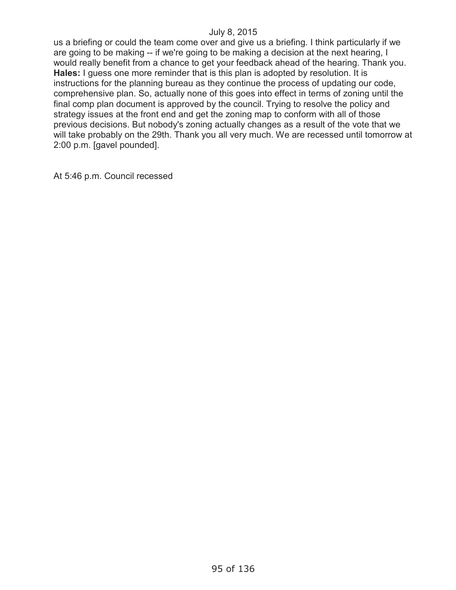us a briefing or could the team come over and give us a briefing. I think particularly if we are going to be making -- if we're going to be making a decision at the next hearing, I would really benefit from a chance to get your feedback ahead of the hearing. Thank you. **Hales:** I guess one more reminder that is this plan is adopted by resolution. It is instructions for the planning bureau as they continue the process of updating our code, comprehensive plan. So, actually none of this goes into effect in terms of zoning until the final comp plan document is approved by the council. Trying to resolve the policy and strategy issues at the front end and get the zoning map to conform with all of those previous decisions. But nobody's zoning actually changes as a result of the vote that we will take probably on the 29th. Thank you all very much. We are recessed until tomorrow at 2:00 p.m. [gavel pounded].

At 5:46 p.m. Council recessed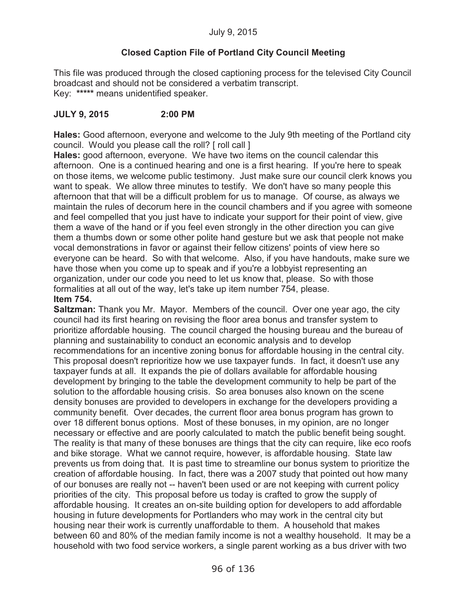# **Closed Caption File of Portland City Council Meeting**

This file was produced through the closed captioning process for the televised City Council broadcast and should not be considered a verbatim transcript. Key: **\*\*\*\*\*** means unidentified speaker.

# **JULY 9, 2015 2:00 PM**

**Hales:** Good afternoon, everyone and welcome to the July 9th meeting of the Portland city council. Would you please call the roll? [ roll call ]

**Hales:** good afternoon, everyone. We have two items on the council calendar this afternoon. One is a continued hearing and one is a first hearing. If you're here to speak on those items, we welcome public testimony. Just make sure our council clerk knows you want to speak. We allow three minutes to testify. We don't have so many people this afternoon that that will be a difficult problem for us to manage. Of course, as always we maintain the rules of decorum here in the council chambers and if you agree with someone and feel compelled that you just have to indicate your support for their point of view, give them a wave of the hand or if you feel even strongly in the other direction you can give them a thumbs down or some other polite hand gesture but we ask that people not make vocal demonstrations in favor or against their fellow citizens' points of view here so everyone can be heard. So with that welcome. Also, if you have handouts, make sure we have those when you come up to speak and if you're a lobbyist representing an organization, under our code you need to let us know that, please. So with those formalities at all out of the way, let's take up item number 754, please. **Item 754.**

**Saltzman:** Thank you Mr. Mayor. Members of the council. Over one year ago, the city council had its first hearing on revising the floor area bonus and transfer system to prioritize affordable housing. The council charged the housing bureau and the bureau of planning and sustainability to conduct an economic analysis and to develop recommendations for an incentive zoning bonus for affordable housing in the central city. This proposal doesn't reprioritize how we use taxpayer funds. In fact, it doesn't use any taxpayer funds at all. It expands the pie of dollars available for affordable housing development by bringing to the table the development community to help be part of the solution to the affordable housing crisis. So area bonuses also known on the scene density bonuses are provided to developers in exchange for the developers providing a community benefit. Over decades, the current floor area bonus program has grown to over 18 different bonus options. Most of these bonuses, in my opinion, are no longer necessary or effective and are poorly calculated to match the public benefit being sought. The reality is that many of these bonuses are things that the city can require, like eco roofs and bike storage. What we cannot require, however, is affordable housing. State law prevents us from doing that. It is past time to streamline our bonus system to prioritize the creation of affordable housing. In fact, there was a 2007 study that pointed out how many of our bonuses are really not -- haven't been used or are not keeping with current policy priorities of the city. This proposal before us today is crafted to grow the supply of affordable housing. It creates an on-site building option for developers to add affordable housing in future developments for Portlanders who may work in the central city but housing near their work is currently unaffordable to them. A household that makes between 60 and 80% of the median family income is not a wealthy household. It may be a household with two food service workers, a single parent working as a bus driver with two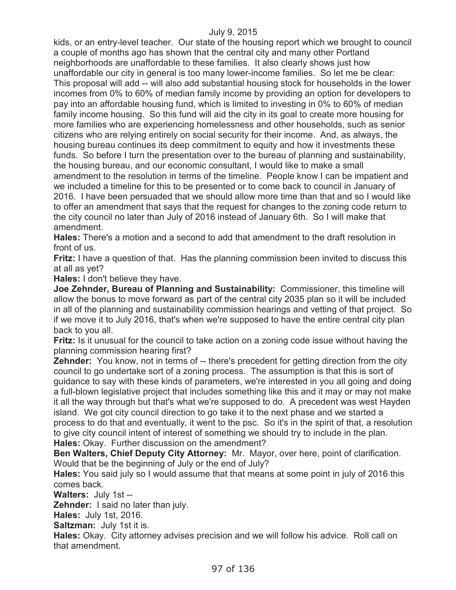kids, or an entry-level teacher. Our state of the housing report which we brought to council a couple of months ago has shown that the central city and many other Portland neighborhoods are unaffordable to these families. It also clearly shows just how unaffordable our city in general is too many lower-income families. So let me be clear: This proposal will add -- will also add substantial housing stock for households in the lower incomes from 0% to 60% of median family income by providing an option for developers to pay into an affordable housing fund, which is limited to investing in 0% to 60% of median family income housing. So this fund will aid the city in its goal to create more housing for more families who are experiencing homelessness and other households, such as senior citizens who are relying entirely on social security for their income. And, as always, the housing bureau continues its deep commitment to equity and how it investments these funds. So before I turn the presentation over to the bureau of planning and sustainability, the housing bureau, and our economic consultant, I would like to make a small amendment to the resolution in terms of the timeline. People know I can be impatient and we included a timeline for this to be presented or to come back to council in January of 2016. I have been persuaded that we should allow more time than that and so I would like to offer an amendment that says that the request for changes to the zoning code return to the city council no later than July of 2016 instead of January 6th. So I will make that amendment.

**Hales:** There's a motion and a second to add that amendment to the draft resolution in front of us.

**Fritz:** I have a question of that. Has the planning commission been invited to discuss this at all as yet?

**Hales:** I don't believe they have.

**Joe Zehnder, Bureau of Planning and Sustainability:** Commissioner, this timeline will allow the bonus to move forward as part of the central city 2035 plan so it will be included in all of the planning and sustainability commission hearings and vetting of that project. So if we move it to July 2016, that's when we're supposed to have the entire central city plan back to you all.

**Fritz:** Is it unusual for the council to take action on a zoning code issue without having the planning commission hearing first?

**Zehnder:** You know, not in terms of -- there's precedent for getting direction from the city council to go undertake sort of a zoning process. The assumption is that this is sort of guidance to say with these kinds of parameters, we're interested in you all going and doing a full-blown legislative project that includes something like this and it may or may not make it all the way through but that's what we're supposed to do. A precedent was west Hayden island. We got city council direction to go take it to the next phase and we started a process to do that and eventually, it went to the psc. So it's in the spirit of that, a resolution to give city council intent of interest of something we should try to include in the plan. **Hales:** Okay. Further discussion on the amendment?

**Ben Walters, Chief Deputy City Attorney:** Mr. Mayor, over here, point of clarification. Would that be the beginning of July or the end of July?

**Hales:** You said july so I would assume that that means at some point in july of 2016 this comes back.

**Walters:** July 1st --

**Zehnder:** I said no later than july.

**Hales:** July 1st, 2016.

**Saltzman:** July 1st it is.

**Hales:** Okay. City attorney advises precision and we will follow his advice. Roll call on that amendment.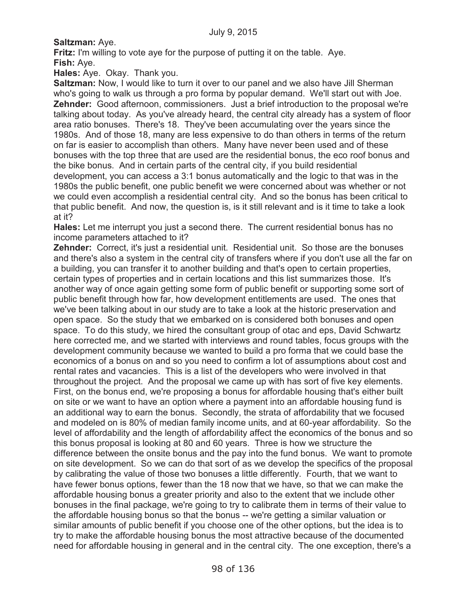**Saltzman:** Aye.

**Fritz:** I'm willing to vote aye for the purpose of putting it on the table. Aye. **Fish:** Aye.

**Hales:** Aye. Okay. Thank you.

**Saltzman:** Now, I would like to turn it over to our panel and we also have Jill Sherman who's going to walk us through a pro forma by popular demand. We'll start out with Joe. **Zehnder:** Good afternoon, commissioners. Just a brief introduction to the proposal we're talking about today. As you've already heard, the central city already has a system of floor area ratio bonuses. There's 18. They've been accumulating over the years since the 1980s. And of those 18, many are less expensive to do than others in terms of the return on far is easier to accomplish than others. Many have never been used and of these bonuses with the top three that are used are the residential bonus, the eco roof bonus and the bike bonus. And in certain parts of the central city, if you build residential development, you can access a 3:1 bonus automatically and the logic to that was in the 1980s the public benefit, one public benefit we were concerned about was whether or not we could even accomplish a residential central city. And so the bonus has been critical to that public benefit. And now, the question is, is it still relevant and is it time to take a look at it?

**Hales:** Let me interrupt you just a second there. The current residential bonus has no income parameters attached to it?

**Zehnder:** Correct, it's just a residential unit. Residential unit. So those are the bonuses and there's also a system in the central city of transfers where if you don't use all the far on a building, you can transfer it to another building and that's open to certain properties, certain types of properties and in certain locations and this list summarizes those. It's another way of once again getting some form of public benefit or supporting some sort of public benefit through how far, how development entitlements are used. The ones that we've been talking about in our study are to take a look at the historic preservation and open space. So the study that we embarked on is considered both bonuses and open space. To do this study, we hired the consultant group of otac and eps, David Schwartz here corrected me, and we started with interviews and round tables, focus groups with the development community because we wanted to build a pro forma that we could base the economics of a bonus on and so you need to confirm a lot of assumptions about cost and rental rates and vacancies. This is a list of the developers who were involved in that throughout the project. And the proposal we came up with has sort of five key elements. First, on the bonus end, we're proposing a bonus for affordable housing that's either built on site or we want to have an option where a payment into an affordable housing fund is an additional way to earn the bonus. Secondly, the strata of affordability that we focused and modeled on is 80% of median family income units, and at 60-year affordability. So the level of affordability and the length of affordability affect the economics of the bonus and so this bonus proposal is looking at 80 and 60 years. Three is how we structure the difference between the onsite bonus and the pay into the fund bonus. We want to promote on site development. So we can do that sort of as we develop the specifics of the proposal by calibrating the value of those two bonuses a little differently. Fourth, that we want to have fewer bonus options, fewer than the 18 now that we have, so that we can make the affordable housing bonus a greater priority and also to the extent that we include other bonuses in the final package, we're going to try to calibrate them in terms of their value to the affordable housing bonus so that the bonus -- we're getting a similar valuation or similar amounts of public benefit if you choose one of the other options, but the idea is to try to make the affordable housing bonus the most attractive because of the documented need for affordable housing in general and in the central city. The one exception, there's a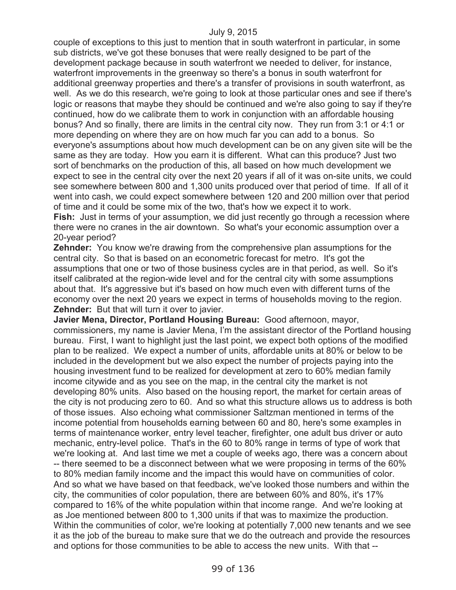couple of exceptions to this just to mention that in south waterfront in particular, in some sub districts, we've got these bonuses that were really designed to be part of the development package because in south waterfront we needed to deliver, for instance, waterfront improvements in the greenway so there's a bonus in south waterfront for additional greenway properties and there's a transfer of provisions in south waterfront, as well. As we do this research, we're going to look at those particular ones and see if there's logic or reasons that maybe they should be continued and we're also going to say if they're continued, how do we calibrate them to work in conjunction with an affordable housing bonus? And so finally, there are limits in the central city now. They run from 3:1 or 4:1 or more depending on where they are on how much far you can add to a bonus. So everyone's assumptions about how much development can be on any given site will be the same as they are today. How you earn it is different. What can this produce? Just two sort of benchmarks on the production of this, all based on how much development we expect to see in the central city over the next 20 years if all of it was on-site units, we could see somewhere between 800 and 1,300 units produced over that period of time. If all of it went into cash, we could expect somewhere between 120 and 200 million over that period of time and it could be some mix of the two, that's how we expect it to work. Fish: Just in terms of your assumption, we did just recently go through a recession where there were no cranes in the air downtown. So what's your economic assumption over a

20-year period?

**Zehnder:** You know we're drawing from the comprehensive plan assumptions for the central city. So that is based on an econometric forecast for metro. It's got the assumptions that one or two of those business cycles are in that period, as well. So it's itself calibrated at the region-wide level and for the central city with some assumptions about that. It's aggressive but it's based on how much even with different turns of the economy over the next 20 years we expect in terms of households moving to the region. **Zehnder:** But that will turn it over to javier.

**Javier Mena, Director, Portland Housing Bureau:** Good afternoon, mayor, commissioners, my name is Javier Mena, I'm the assistant director of the Portland housing bureau. First, I want to highlight just the last point, we expect both options of the modified plan to be realized. We expect a number of units, affordable units at 80% or below to be included in the development but we also expect the number of projects paying into the housing investment fund to be realized for development at zero to 60% median family income citywide and as you see on the map, in the central city the market is not developing 80% units. Also based on the housing report, the market for certain areas of the city is not producing zero to 60. And so what this structure allows us to address is both of those issues. Also echoing what commissioner Saltzman mentioned in terms of the income potential from households earning between 60 and 80, here's some examples in terms of maintenance worker, entry level teacher, firefighter, one adult bus driver or auto mechanic, entry-level police. That's in the 60 to 80% range in terms of type of work that we're looking at. And last time we met a couple of weeks ago, there was a concern about -- there seemed to be a disconnect between what we were proposing in terms of the 60% to 80% median family income and the impact this would have on communities of color. And so what we have based on that feedback, we've looked those numbers and within the city, the communities of color population, there are between 60% and 80%, it's 17% compared to 16% of the white population within that income range. And we're looking at as Joe mentioned between 800 to 1,300 units if that was to maximize the production. Within the communities of color, we're looking at potentially 7,000 new tenants and we see it as the job of the bureau to make sure that we do the outreach and provide the resources and options for those communities to be able to access the new units. With that --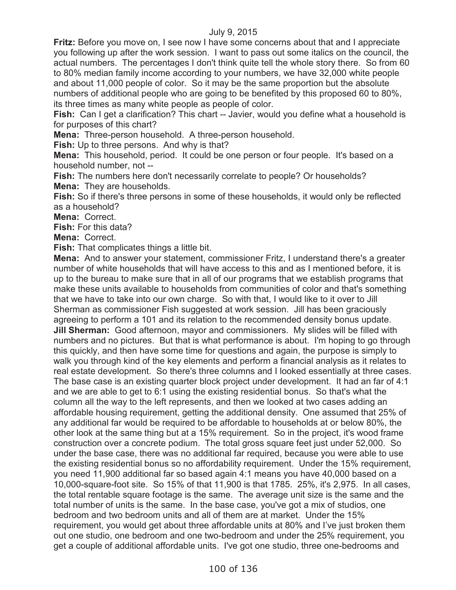**Fritz:** Before you move on, I see now I have some concerns about that and I appreciate you following up after the work session. I want to pass out some italics on the council, the actual numbers. The percentages I don't think quite tell the whole story there. So from 60 to 80% median family income according to your numbers, we have 32,000 white people and about 11,000 people of color. So it may be the same proportion but the absolute numbers of additional people who are going to be benefited by this proposed 60 to 80%, its three times as many white people as people of color.

**Fish:** Can I get a clarification? This chart -- Javier, would you define what a household is for purposes of this chart?

**Mena:** Three-person household. A three-person household.

**Fish:** Up to three persons. And why is that?

**Mena:** This household, period. It could be one person or four people. It's based on a household number, not --

**Fish:** The numbers here don't necessarily correlate to people? Or households? **Mena:** They are households.

**Fish:** So if there's three persons in some of these households, it would only be reflected as a household?

**Mena:** Correct.

**Fish:** For this data?

**Mena:** Correct.

**Fish:** That complicates things a little bit.

**Mena:** And to answer your statement, commissioner Fritz, I understand there's a greater number of white households that will have access to this and as I mentioned before, it is up to the bureau to make sure that in all of our programs that we establish programs that make these units available to households from communities of color and that's something that we have to take into our own charge. So with that, I would like to it over to Jill Sherman as commissioner Fish suggested at work session. Jill has been graciously agreeing to perform a 101 and its relation to the recommended density bonus update. **Jill Sherman:** Good afternoon, mayor and commissioners. My slides will be filled with numbers and no pictures. But that is what performance is about. I'm hoping to go through this quickly, and then have some time for questions and again, the purpose is simply to walk you through kind of the key elements and perform a financial analysis as it relates to real estate development. So there's three columns and I looked essentially at three cases. The base case is an existing quarter block project under development. It had an far of 4:1 and we are able to get to 6:1 using the existing residential bonus. So that's what the column all the way to the left represents, and then we looked at two cases adding an affordable housing requirement, getting the additional density. One assumed that 25% of any additional far would be required to be affordable to households at or below 80%, the other look at the same thing but at a 15% requirement. So in the project, it's wood frame construction over a concrete podium. The total gross square feet just under 52,000. So under the base case, there was no additional far required, because you were able to use the existing residential bonus so no affordability requirement. Under the 15% requirement, you need 11,900 additional far so based again 4:1 means you have 40,000 based on a 10,000-square-foot site. So 15% of that 11,900 is that 1785. 25%, it's 2,975. In all cases, the total rentable square footage is the same. The average unit size is the same and the total number of units is the same. In the base case, you've got a mix of studios, one bedroom and two bedroom units and all of them are at market. Under the 15% requirement, you would get about three affordable units at 80% and I've just broken them out one studio, one bedroom and one two-bedroom and under the 25% requirement, you get a couple of additional affordable units. I've got one studio, three one-bedrooms and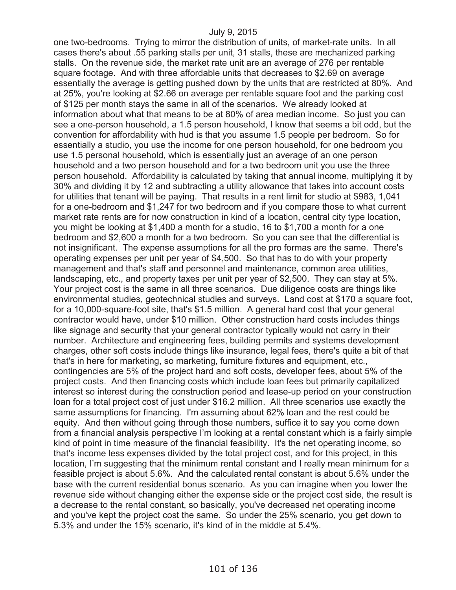one two-bedrooms. Trying to mirror the distribution of units, of market-rate units. In all cases there's about .55 parking stalls per unit, 31 stalls, these are mechanized parking stalls. On the revenue side, the market rate unit are an average of 276 per rentable square footage. And with three affordable units that decreases to \$2.69 on average essentially the average is getting pushed down by the units that are restricted at 80%. And at 25%, you're looking at \$2.66 on average per rentable square foot and the parking cost of \$125 per month stays the same in all of the scenarios. We already looked at information about what that means to be at 80% of area median income. So just you can see a one-person household, a 1.5 person household, I know that seems a bit odd, but the convention for affordability with hud is that you assume 1.5 people per bedroom. So for essentially a studio, you use the income for one person household, for one bedroom you use 1.5 personal household, which is essentially just an average of an one person household and a two person household and for a two bedroom unit you use the three person household. Affordability is calculated by taking that annual income, multiplying it by 30% and dividing it by 12 and subtracting a utility allowance that takes into account costs for utilities that tenant will be paying. That results in a rent limit for studio at \$983, 1,041 for a one-bedroom and \$1,247 for two bedroom and if you compare those to what current market rate rents are for now construction in kind of a location, central city type location, you might be looking at \$1,400 a month for a studio, 16 to \$1,700 a month for a one bedroom and \$2,600 a month for a two bedroom. So you can see that the differential is not insignificant. The expense assumptions for all the pro formas are the same. There's operating expenses per unit per year of \$4,500. So that has to do with your property management and that's staff and personnel and maintenance, common area utilities, landscaping, etc., and property taxes per unit per year of \$2,500. They can stay at 5%. Your project cost is the same in all three scenarios. Due diligence costs are things like environmental studies, geotechnical studies and surveys. Land cost at \$170 a square foot, for a 10,000-square-foot site, that's \$1.5 million. A general hard cost that your general contractor would have, under \$10 million. Other construction hard costs includes things like signage and security that your general contractor typically would not carry in their number. Architecture and engineering fees, building permits and systems development charges, other soft costs include things like insurance, legal fees, there's quite a bit of that that's in here for marketing, so marketing, furniture fixtures and equipment, etc., contingencies are 5% of the project hard and soft costs, developer fees, about 5% of the project costs. And then financing costs which include loan fees but primarily capitalized interest so interest during the construction period and lease-up period on your construction loan for a total project cost of just under \$16.2 million. All three scenarios use exactly the same assumptions for financing. I'm assuming about 62% loan and the rest could be equity. And then without going through those numbers, suffice it to say you come down from a financial analysis perspective I'm looking at a rental constant which is a fairly simple kind of point in time measure of the financial feasibility. It's the net operating income, so that's income less expenses divided by the total project cost, and for this project, in this location, I'm suggesting that the minimum rental constant and I really mean minimum for a feasible project is about 5.6%. And the calculated rental constant is about 5.6% under the base with the current residential bonus scenario. As you can imagine when you lower the revenue side without changing either the expense side or the project cost side, the result is a decrease to the rental constant, so basically, you've decreased net operating income and you've kept the project cost the same. So under the 25% scenario, you get down to 5.3% and under the 15% scenario, it's kind of in the middle at 5.4%.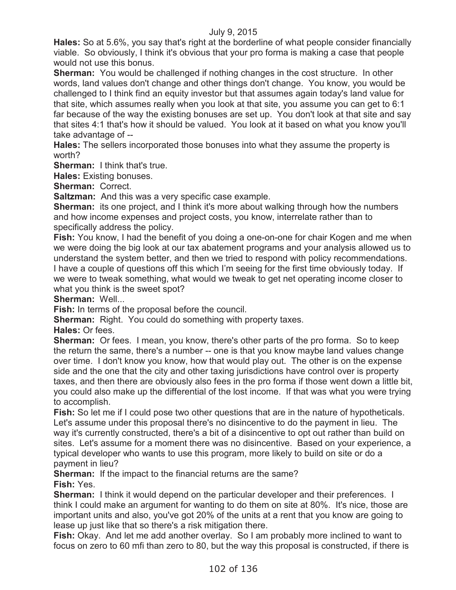**Hales:** So at 5.6%, you say that's right at the borderline of what people consider financially viable. So obviously, I think it's obvious that your pro forma is making a case that people would not use this bonus.

**Sherman:** You would be challenged if nothing changes in the cost structure. In other words, land values don't change and other things don't change. You know, you would be challenged to I think find an equity investor but that assumes again today's land value for that site, which assumes really when you look at that site, you assume you can get to 6:1 far because of the way the existing bonuses are set up. You don't look at that site and say that sites 4:1 that's how it should be valued. You look at it based on what you know you'll take advantage of --

**Hales:** The sellers incorporated those bonuses into what they assume the property is worth?

**Sherman:** I think that's true.

**Hales:** Existing bonuses.

**Sherman:** Correct.

**Saltzman:** And this was a very specific case example.

**Sherman:** its one project, and I think it's more about walking through how the numbers and how income expenses and project costs, you know, interrelate rather than to specifically address the policy.

**Fish:** You know, I had the benefit of you doing a one-on-one for chair Kogen and me when we were doing the big look at our tax abatement programs and your analysis allowed us to understand the system better, and then we tried to respond with policy recommendations. I have a couple of questions off this which I'm seeing for the first time obviously today. If we were to tweak something, what would we tweak to get net operating income closer to what you think is the sweet spot?

**Sherman:** Well...

**Fish:** In terms of the proposal before the council.

**Sherman:** Right. You could do something with property taxes.

**Hales:** Or fees.

**Sherman:** Or fees. I mean, you know, there's other parts of the pro forma. So to keep the return the same, there's a number -- one is that you know maybe land values change over time. I don't know you know, how that would play out. The other is on the expense side and the one that the city and other taxing jurisdictions have control over is property taxes, and then there are obviously also fees in the pro forma if those went down a little bit, you could also make up the differential of the lost income. If that was what you were trying to accomplish.

**Fish:** So let me if I could pose two other questions that are in the nature of hypotheticals. Let's assume under this proposal there's no disincentive to do the payment in lieu. The way it's currently constructed, there's a bit of a disincentive to opt out rather than build on sites. Let's assume for a moment there was no disincentive. Based on your experience, a typical developer who wants to use this program, more likely to build on site or do a payment in lieu?

**Sherman:** If the impact to the financial returns are the same? **Fish:** Yes.

**Sherman:** I think it would depend on the particular developer and their preferences. I think I could make an argument for wanting to do them on site at 80%. It's nice, those are important units and also, you've got 20% of the units at a rent that you know are going to lease up just like that so there's a risk mitigation there.

**Fish:** Okay. And let me add another overlay. So I am probably more inclined to want to focus on zero to 60 mfi than zero to 80, but the way this proposal is constructed, if there is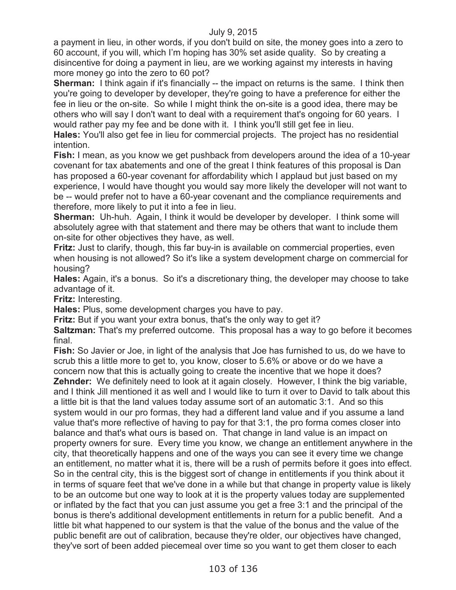a payment in lieu, in other words, if you don't build on site, the money goes into a zero to 60 account, if you will, which I'm hoping has 30% set aside quality. So by creating a disincentive for doing a payment in lieu, are we working against my interests in having more money go into the zero to 60 pot?

**Sherman:** I think again if it's financially -- the impact on returns is the same. I think then you're going to developer by developer, they're going to have a preference for either the fee in lieu or the on-site. So while I might think the on-site is a good idea, there may be others who will say I don't want to deal with a requirement that's ongoing for 60 years. I would rather pay my fee and be done with it. I think you'll still get fee in lieu.

**Hales:** You'll also get fee in lieu for commercial projects. The project has no residential intention.

**Fish:** I mean, as you know we get pushback from developers around the idea of a 10-year covenant for tax abatements and one of the great I think features of this proposal is Dan has proposed a 60-year covenant for affordability which I applaud but just based on my experience, I would have thought you would say more likely the developer will not want to be -- would prefer not to have a 60-year covenant and the compliance requirements and therefore, more likely to put it into a fee in lieu.

**Sherman:** Uh-huh. Again, I think it would be developer by developer. I think some will absolutely agree with that statement and there may be others that want to include them on-site for other objectives they have, as well.

**Fritz:** Just to clarify, though, this far buy-in is available on commercial properties, even when housing is not allowed? So it's like a system development charge on commercial for housing?

**Hales:** Again, it's a bonus. So it's a discretionary thing, the developer may choose to take advantage of it.

**Fritz:** Interesting.

**Hales:** Plus, some development charges you have to pay.

**Fritz:** But if you want your extra bonus, that's the only way to get it?

**Saltzman:** That's my preferred outcome. This proposal has a way to go before it becomes final.

**Fish:** So Javier or Joe, in light of the analysis that Joe has furnished to us, do we have to scrub this a little more to get to, you know, closer to 5.6% or above or do we have a concern now that this is actually going to create the incentive that we hope it does?

**Zehnder:** We definitely need to look at it again closely. However, I think the big variable, and I think Jill mentioned it as well and I would like to turn it over to David to talk about this a little bit is that the land values today assume sort of an automatic 3:1. And so this system would in our pro formas, they had a different land value and if you assume a land value that's more reflective of having to pay for that 3:1, the pro forma comes closer into balance and that's what ours is based on. That change in land value is an impact on property owners for sure. Every time you know, we change an entitlement anywhere in the city, that theoretically happens and one of the ways you can see it every time we change an entitlement, no matter what it is, there will be a rush of permits before it goes into effect. So in the central city, this is the biggest sort of change in entitlements if you think about it in terms of square feet that we've done in a while but that change in property value is likely to be an outcome but one way to look at it is the property values today are supplemented or inflated by the fact that you can just assume you get a free 3:1 and the principal of the bonus is there's additional development entitlements in return for a public benefit. And a little bit what happened to our system is that the value of the bonus and the value of the public benefit are out of calibration, because they're older, our objectives have changed, they've sort of been added piecemeal over time so you want to get them closer to each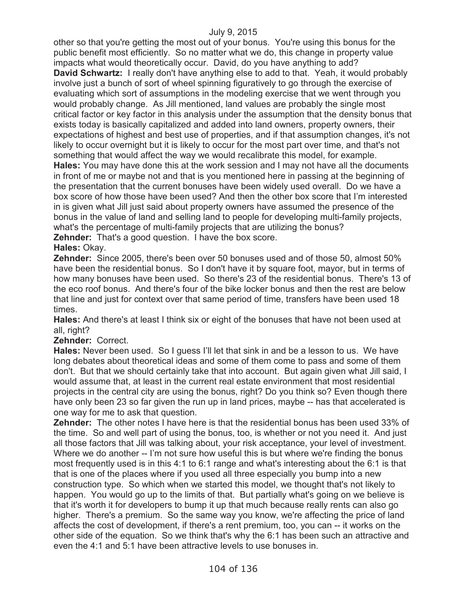other so that you're getting the most out of your bonus. You're using this bonus for the public benefit most efficiently. So no matter what we do, this change in property value impacts what would theoretically occur. David, do you have anything to add? **David Schwartz:** I really don't have anything else to add to that. Yeah, it would probably involve just a bunch of sort of wheel spinning figuratively to go through the exercise of evaluating which sort of assumptions in the modeling exercise that we went through you would probably change. As Jill mentioned, land values are probably the single most critical factor or key factor in this analysis under the assumption that the density bonus that exists today is basically capitalized and added into land owners, property owners, their expectations of highest and best use of properties, and if that assumption changes, it's not likely to occur overnight but it is likely to occur for the most part over time, and that's not something that would affect the way we would recalibrate this model, for example. **Hales:** You may have done this at the work session and I may not have all the documents in front of me or maybe not and that is you mentioned here in passing at the beginning of the presentation that the current bonuses have been widely used overall. Do we have a box score of how those have been used? And then the other box score that I'm interested in is given what Jill just said about property owners have assumed the presence of the bonus in the value of land and selling land to people for developing multi-family projects, what's the percentage of multi-family projects that are utilizing the bonus? **Zehnder:** That's a good question. I have the box score.

**Hales:** Okay.

**Zehnder:** Since 2005, there's been over 50 bonuses used and of those 50, almost 50% have been the residential bonus. So I don't have it by square foot, mayor, but in terms of how many bonuses have been used. So there's 23 of the residential bonus. There's 13 of the eco roof bonus. And there's four of the bike locker bonus and then the rest are below that line and just for context over that same period of time, transfers have been used 18 times.

**Hales:** And there's at least I think six or eight of the bonuses that have not been used at all, right?

**Zehnder:** Correct.

**Hales:** Never been used. So I guess I'll let that sink in and be a lesson to us. We have long debates about theoretical ideas and some of them come to pass and some of them don't. But that we should certainly take that into account. But again given what Jill said, I would assume that, at least in the current real estate environment that most residential projects in the central city are using the bonus, right? Do you think so? Even though there have only been 23 so far given the run up in land prices, maybe -- has that accelerated is one way for me to ask that question.

**Zehnder:** The other notes I have here is that the residential bonus has been used 33% of the time. So and well part of using the bonus, too, is whether or not you need it. And just all those factors that Jill was talking about, your risk acceptance, your level of investment. Where we do another -- I'm not sure how useful this is but where we're finding the bonus most frequently used is in this 4:1 to 6:1 range and what's interesting about the 6:1 is that that is one of the places where if you used all three especially you bump into a new construction type. So which when we started this model, we thought that's not likely to happen. You would go up to the limits of that. But partially what's going on we believe is that it's worth it for developers to bump it up that much because really rents can also go higher. There's a premium. So the same way you know, we're affecting the price of land affects the cost of development, if there's a rent premium, too, you can -- it works on the other side of the equation. So we think that's why the 6:1 has been such an attractive and even the 4:1 and 5:1 have been attractive levels to use bonuses in.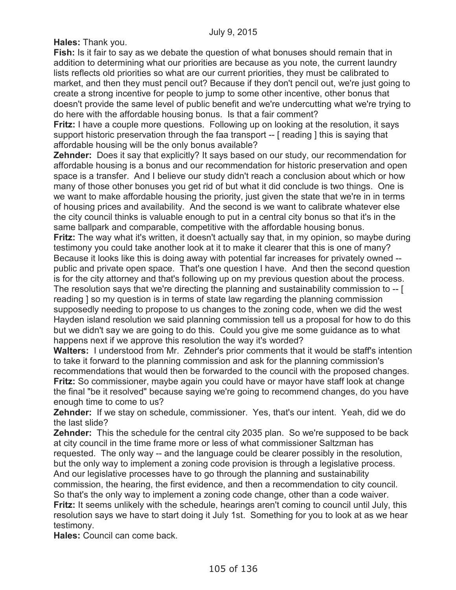**Hales:** Thank you.

**Fish:** Is it fair to say as we debate the question of what bonuses should remain that in addition to determining what our priorities are because as you note, the current laundry lists reflects old priorities so what are our current priorities, they must be calibrated to market, and then they must pencil out? Because if they don't pencil out, we're just going to create a strong incentive for people to jump to some other incentive, other bonus that doesn't provide the same level of public benefit and we're undercutting what we're trying to do here with the affordable housing bonus. Is that a fair comment?

**Fritz:** I have a couple more questions. Following up on looking at the resolution, it says support historic preservation through the faa transport -- [ reading ] this is saying that affordable housing will be the only bonus available?

**Zehnder:** Does it say that explicitly? It says based on our study, our recommendation for affordable housing is a bonus and our recommendation for historic preservation and open space is a transfer. And I believe our study didn't reach a conclusion about which or how many of those other bonuses you get rid of but what it did conclude is two things. One is we want to make affordable housing the priority, just given the state that we're in in terms of housing prices and availability. And the second is we want to calibrate whatever else the city council thinks is valuable enough to put in a central city bonus so that it's in the same ballpark and comparable, competitive with the affordable housing bonus.

**Fritz:** The way what it's written, it doesn't actually say that, in my opinion, so maybe during testimony you could take another look at it to make it clearer that this is one of many? Because it looks like this is doing away with potential far increases for privately owned - public and private open space. That's one question I have. And then the second question is for the city attorney and that's following up on my previous question about the process.

The resolution says that we're directing the planning and sustainability commission to -- [ reading ] so my question is in terms of state law regarding the planning commission supposedly needing to propose to us changes to the zoning code, when we did the west Hayden island resolution we said planning commission tell us a proposal for how to do this but we didn't say we are going to do this. Could you give me some guidance as to what happens next if we approve this resolution the way it's worded?

**Walters:** I understood from Mr. Zehnder's prior comments that it would be staff's intention to take it forward to the planning commission and ask for the planning commission's recommendations that would then be forwarded to the council with the proposed changes. **Fritz:** So commissioner, maybe again you could have or mayor have staff look at change the final "be it resolved" because saying we're going to recommend changes, do you have enough time to come to us?

**Zehnder:** If we stay on schedule, commissioner. Yes, that's our intent. Yeah, did we do the last slide?

**Zehnder:** This the schedule for the central city 2035 plan. So we're supposed to be back at city council in the time frame more or less of what commissioner Saltzman has requested. The only way -- and the language could be clearer possibly in the resolution, but the only way to implement a zoning code provision is through a legislative process. And our legislative processes have to go through the planning and sustainability commission, the hearing, the first evidence, and then a recommendation to city council. So that's the only way to implement a zoning code change, other than a code waiver. **Fritz:** It seems unlikely with the schedule, hearings aren't coming to council until July, this resolution says we have to start doing it July 1st. Something for you to look at as we hear

**Hales:** Council can come back.

testimony.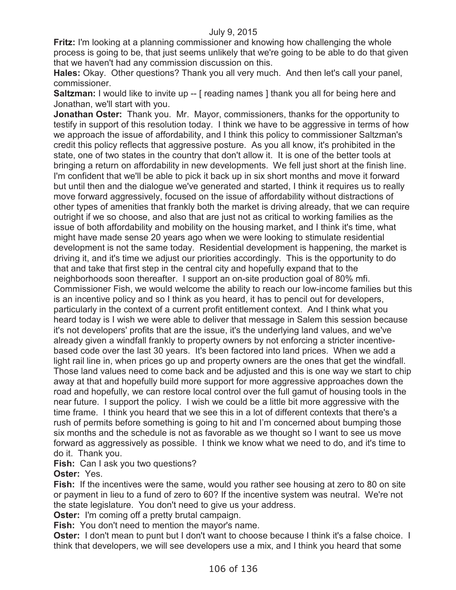**Fritz:** I'm looking at a planning commissioner and knowing how challenging the whole process is going to be, that just seems unlikely that we're going to be able to do that given that we haven't had any commission discussion on this.

**Hales:** Okay. Other questions? Thank you all very much. And then let's call your panel, commissioner.

**Saltzman:** I would like to invite up -- [ reading names ] thank you all for being here and Jonathan, we'll start with you.

**Jonathan Oster:** Thank you. Mr. Mayor, commissioners, thanks for the opportunity to testify in support of this resolution today. I think we have to be aggressive in terms of how we approach the issue of affordability, and I think this policy to commissioner Saltzman's credit this policy reflects that aggressive posture. As you all know, it's prohibited in the state, one of two states in the country that don't allow it. It is one of the better tools at bringing a return on affordability in new developments. We fell just short at the finish line. I'm confident that we'll be able to pick it back up in six short months and move it forward but until then and the dialogue we've generated and started, I think it requires us to really move forward aggressively, focused on the issue of affordability without distractions of other types of amenities that frankly both the market is driving already, that we can require outright if we so choose, and also that are just not as critical to working families as the issue of both affordability and mobility on the housing market, and I think it's time, what might have made sense 20 years ago when we were looking to stimulate residential development is not the same today. Residential development is happening, the market is driving it, and it's time we adjust our priorities accordingly. This is the opportunity to do that and take that first step in the central city and hopefully expand that to the neighborhoods soon thereafter. I support an on-site production goal of 80% mfi. Commissioner Fish, we would welcome the ability to reach our low-income families but this is an incentive policy and so I think as you heard, it has to pencil out for developers, particularly in the context of a current profit entitlement context. And I think what you heard today is I wish we were able to deliver that message in Salem this session because it's not developers' profits that are the issue, it's the underlying land values, and we've already given a windfall frankly to property owners by not enforcing a stricter incentivebased code over the last 30 years. It's been factored into land prices. When we add a light rail line in, when prices go up and property owners are the ones that get the windfall. Those land values need to come back and be adjusted and this is one way we start to chip away at that and hopefully build more support for more aggressive approaches down the road and hopefully, we can restore local control over the full gamut of housing tools in the near future. I support the policy. I wish we could be a little bit more aggressive with the time frame. I think you heard that we see this in a lot of different contexts that there's a rush of permits before something is going to hit and I'm concerned about bumping those six months and the schedule is not as favorable as we thought so I want to see us move forward as aggressively as possible. I think we know what we need to do, and it's time to do it. Thank you.

**Fish:** Can I ask you two questions?

**Oster:** Yes.

**Fish:** If the incentives were the same, would you rather see housing at zero to 80 on site or payment in lieu to a fund of zero to 60? If the incentive system was neutral. We're not the state legislature. You don't need to give us your address.

**Oster:** I'm coming off a pretty brutal campaign.

**Fish:** You don't need to mention the mayor's name.

**Oster:** I don't mean to punt but I don't want to choose because I think it's a false choice. I think that developers, we will see developers use a mix, and I think you heard that some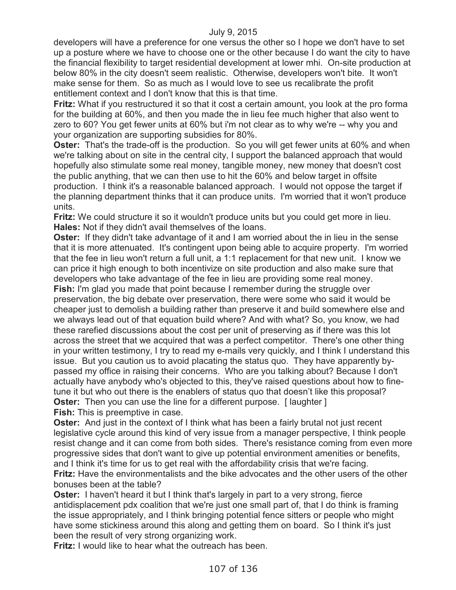developers will have a preference for one versus the other so I hope we don't have to set up a posture where we have to choose one or the other because I do want the city to have the financial flexibility to target residential development at lower mhi. On-site production at below 80% in the city doesn't seem realistic. Otherwise, developers won't bite. It won't make sense for them. So as much as I would love to see us recalibrate the profit entitlement context and I don't know that this is that time.

**Fritz:** What if you restructured it so that it cost a certain amount, you look at the pro forma for the building at 60%, and then you made the in lieu fee much higher that also went to zero to 60? You get fewer units at 60% but i'm not clear as to why we're -- why you and your organization are supporting subsidies for 80%.

**Oster:** That's the trade-off is the production. So you will get fewer units at 60% and when we're talking about on site in the central city, I support the balanced approach that would hopefully also stimulate some real money, tangible money, new money that doesn't cost the public anything, that we can then use to hit the 60% and below target in offsite production. I think it's a reasonable balanced approach. I would not oppose the target if the planning department thinks that it can produce units. I'm worried that it won't produce units.

**Fritz:** We could structure it so it wouldn't produce units but you could get more in lieu. **Hales:** Not if they didn't avail themselves of the loans.

**Oster:** If they didn't take advantage of it and I am worried about the in lieu in the sense that it is more attenuated. It's contingent upon being able to acquire property. I'm worried that the fee in lieu won't return a full unit, a 1:1 replacement for that new unit. I know we can price it high enough to both incentivize on site production and also make sure that developers who take advantage of the fee in lieu are providing some real money.

**Fish:** I'm glad you made that point because I remember during the struggle over preservation, the big debate over preservation, there were some who said it would be cheaper just to demolish a building rather than preserve it and build somewhere else and we always lead out of that equation build where? And with what? So, you know, we had these rarefied discussions about the cost per unit of preserving as if there was this lot across the street that we acquired that was a perfect competitor. There's one other thing in your written testimony, I try to read my e-mails very quickly, and I think I understand this issue. But you caution us to avoid placating the status quo. They have apparently bypassed my office in raising their concerns. Who are you talking about? Because I don't actually have anybody who's objected to this, they've raised questions about how to finetune it but who out there is the enablers of status quo that doesn't like this proposal? **Oster:** Then you can use the line for a different purpose. [ laughter ]

**Fish:** This is preemptive in case.

**Oster:** And just in the context of I think what has been a fairly brutal not just recent legislative cycle around this kind of very issue from a manager perspective, I think people resist change and it can come from both sides. There's resistance coming from even more progressive sides that don't want to give up potential environment amenities or benefits, and I think it's time for us to get real with the affordability crisis that we're facing. **Fritz:** Have the environmentalists and the bike advocates and the other users of the other bonuses been at the table?

**Oster:** I haven't heard it but I think that's largely in part to a very strong, fierce antidisplacement pdx coalition that we're just one small part of, that I do think is framing the issue appropriately, and I think bringing potential fence sitters or people who might have some stickiness around this along and getting them on board. So I think it's just been the result of very strong organizing work.

**Fritz:** I would like to hear what the outreach has been.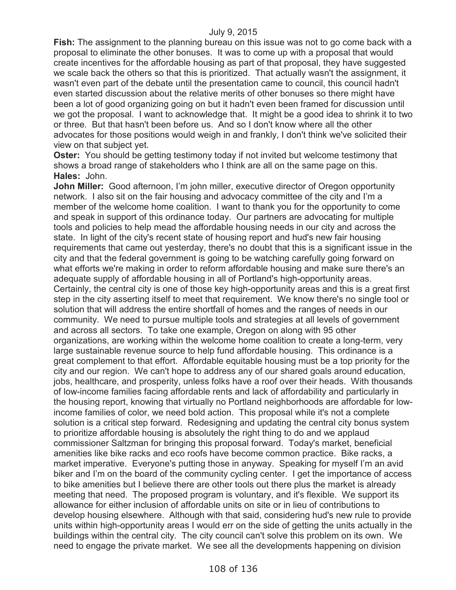**Fish:** The assignment to the planning bureau on this issue was not to go come back with a proposal to eliminate the other bonuses. It was to come up with a proposal that would create incentives for the affordable housing as part of that proposal, they have suggested we scale back the others so that this is prioritized. That actually wasn't the assignment, it wasn't even part of the debate until the presentation came to council, this council hadn't even started discussion about the relative merits of other bonuses so there might have been a lot of good organizing going on but it hadn't even been framed for discussion until we got the proposal. I want to acknowledge that. It might be a good idea to shrink it to two or three. But that hasn't been before us. And so I don't know where all the other advocates for those positions would weigh in and frankly, I don't think we've solicited their view on that subject yet.

**Oster:** You should be getting testimony today if not invited but welcome testimony that shows a broad range of stakeholders who I think are all on the same page on this. **Hales:** John.

**John Miller:** Good afternoon, I'm john miller, executive director of Oregon opportunity network. I also sit on the fair housing and advocacy committee of the city and I'm a member of the welcome home coalition. I want to thank you for the opportunity to come and speak in support of this ordinance today. Our partners are advocating for multiple tools and policies to help mead the affordable housing needs in our city and across the state. In light of the city's recent state of housing report and hud's new fair housing requirements that came out yesterday, there's no doubt that this is a significant issue in the city and that the federal government is going to be watching carefully going forward on what efforts we're making in order to reform affordable housing and make sure there's an adequate supply of affordable housing in all of Portland's high-opportunity areas. Certainly, the central city is one of those key high-opportunity areas and this is a great first step in the city asserting itself to meet that requirement. We know there's no single tool or solution that will address the entire shortfall of homes and the ranges of needs in our community. We need to pursue multiple tools and strategies at all levels of government and across all sectors. To take one example, Oregon on along with 95 other organizations, are working within the welcome home coalition to create a long-term, very large sustainable revenue source to help fund affordable housing. This ordinance is a great complement to that effort. Affordable equitable housing must be a top priority for the city and our region. We can't hope to address any of our shared goals around education, jobs, healthcare, and prosperity, unless folks have a roof over their heads. With thousands of low-income families facing affordable rents and lack of affordability and particularly in the housing report, knowing that virtually no Portland neighborhoods are affordable for lowincome families of color, we need bold action. This proposal while it's not a complete solution is a critical step forward. Redesigning and updating the central city bonus system to prioritize affordable housing is absolutely the right thing to do and we applaud commissioner Saltzman for bringing this proposal forward. Today's market, beneficial amenities like bike racks and eco roofs have become common practice. Bike racks, a market imperative. Everyone's putting those in anyway. Speaking for myself I'm an avid biker and I'm on the board of the community cycling center. I get the importance of access to bike amenities but I believe there are other tools out there plus the market is already meeting that need. The proposed program is voluntary, and it's flexible. We support its allowance for either inclusion of affordable units on site or in lieu of contributions to develop housing elsewhere. Although with that said, considering hud's new rule to provide units within high-opportunity areas I would err on the side of getting the units actually in the buildings within the central city. The city council can't solve this problem on its own. We need to engage the private market. We see all the developments happening on division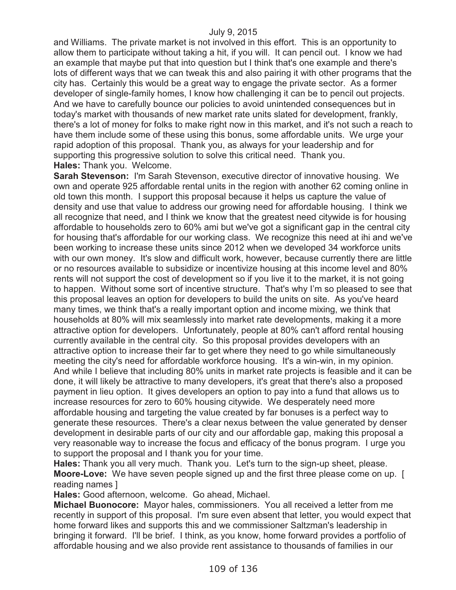and Williams. The private market is not involved in this effort. This is an opportunity to allow them to participate without taking a hit, if you will. It can pencil out. I know we had an example that maybe put that into question but I think that's one example and there's lots of different ways that we can tweak this and also pairing it with other programs that the city has. Certainly this would be a great way to engage the private sector. As a former developer of single-family homes, I know how challenging it can be to pencil out projects. And we have to carefully bounce our policies to avoid unintended consequences but in today's market with thousands of new market rate units slated for development, frankly, there's a lot of money for folks to make right now in this market, and it's not such a reach to have them include some of these using this bonus, some affordable units. We urge your rapid adoption of this proposal. Thank you, as always for your leadership and for supporting this progressive solution to solve this critical need. Thank you. **Hales:** Thank you. Welcome.

**Sarah Stevenson:** I'm Sarah Stevenson, executive director of innovative housing. We own and operate 925 affordable rental units in the region with another 62 coming online in old town this month. I support this proposal because it helps us capture the value of density and use that value to address our growing need for affordable housing. I think we all recognize that need, and I think we know that the greatest need citywide is for housing affordable to households zero to 60% ami but we've got a significant gap in the central city for housing that's affordable for our working class. We recognize this need at ihi and we've been working to increase these units since 2012 when we developed 34 workforce units with our own money. It's slow and difficult work, however, because currently there are little or no resources available to subsidize or incentivize housing at this income level and 80% rents will not support the cost of development so if you live it to the market, it is not going to happen. Without some sort of incentive structure. That's why I'm so pleased to see that this proposal leaves an option for developers to build the units on site. As you've heard many times, we think that's a really important option and income mixing, we think that households at 80% will mix seamlessly into market rate developments, making it a more attractive option for developers. Unfortunately, people at 80% can't afford rental housing currently available in the central city. So this proposal provides developers with an attractive option to increase their far to get where they need to go while simultaneously meeting the city's need for affordable workforce housing. It's a win-win, in my opinion. And while I believe that including 80% units in market rate projects is feasible and it can be done, it will likely be attractive to many developers, it's great that there's also a proposed payment in lieu option. It gives developers an option to pay into a fund that allows us to increase resources for zero to 60% housing citywide. We desperately need more affordable housing and targeting the value created by far bonuses is a perfect way to generate these resources. There's a clear nexus between the value generated by denser development in desirable parts of our city and our affordable gap, making this proposal a very reasonable way to increase the focus and efficacy of the bonus program. I urge you to support the proposal and I thank you for your time.

**Hales:** Thank you all very much. Thank you. Let's turn to the sign-up sheet, please. **Moore-Love:** We have seven people signed up and the first three please come on up. [ reading names ]

**Hales:** Good afternoon, welcome. Go ahead, Michael.

**Michael Buonocore:** Mayor hales, commissioners. You all received a letter from me recently in support of this proposal. I'm sure even absent that letter, you would expect that home forward likes and supports this and we commissioner Saltzman's leadership in bringing it forward. I'll be brief. I think, as you know, home forward provides a portfolio of affordable housing and we also provide rent assistance to thousands of families in our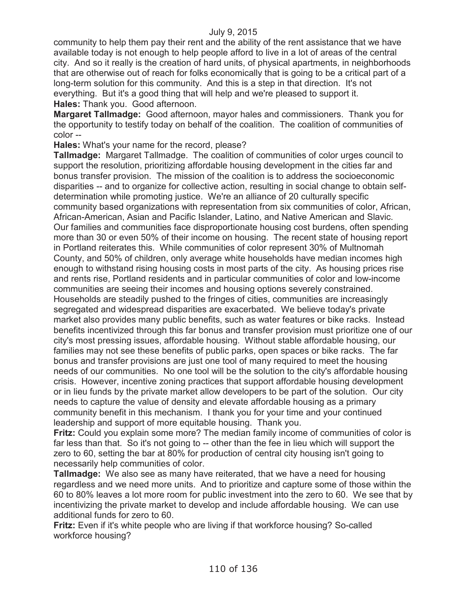community to help them pay their rent and the ability of the rent assistance that we have available today is not enough to help people afford to live in a lot of areas of the central city. And so it really is the creation of hard units, of physical apartments, in neighborhoods that are otherwise out of reach for folks economically that is going to be a critical part of a long-term solution for this community. And this is a step in that direction. It's not everything. But it's a good thing that will help and we're pleased to support it. **Hales:** Thank you. Good afternoon.

**Margaret Tallmadge:** Good afternoon, mayor hales and commissioners. Thank you for the opportunity to testify today on behalf of the coalition. The coalition of communities of color --

**Hales:** What's your name for the record, please?

**Tallmadge:** Margaret Tallmadge. The coalition of communities of color urges council to support the resolution, prioritizing affordable housing development in the cities far and bonus transfer provision. The mission of the coalition is to address the socioeconomic disparities -- and to organize for collective action, resulting in social change to obtain selfdetermination while promoting justice. We're an alliance of 20 culturally specific community based organizations with representation from six communities of color, African, African-American, Asian and Pacific Islander, Latino, and Native American and Slavic. Our families and communities face disproportionate housing cost burdens, often spending more than 30 or even 50% of their income on housing. The recent state of housing report in Portland reiterates this. While communities of color represent 30% of Multnomah County, and 50% of children, only average white households have median incomes high enough to withstand rising housing costs in most parts of the city. As housing prices rise and rents rise, Portland residents and in particular communities of color and low-income communities are seeing their incomes and housing options severely constrained. Households are steadily pushed to the fringes of cities, communities are increasingly segregated and widespread disparities are exacerbated. We believe today's private market also provides many public benefits, such as water features or bike racks. Instead benefits incentivized through this far bonus and transfer provision must prioritize one of our city's most pressing issues, affordable housing. Without stable affordable housing, our families may not see these benefits of public parks, open spaces or bike racks. The far bonus and transfer provisions are just one tool of many required to meet the housing needs of our communities. No one tool will be the solution to the city's affordable housing crisis. However, incentive zoning practices that support affordable housing development or in lieu funds by the private market allow developers to be part of the solution. Our city needs to capture the value of density and elevate affordable housing as a primary community benefit in this mechanism. I thank you for your time and your continued leadership and support of more equitable housing. Thank you.

**Fritz:** Could you explain some more? The median family income of communities of color is far less than that. So it's not going to -- other than the fee in lieu which will support the zero to 60, setting the bar at 80% for production of central city housing isn't going to necessarily help communities of color.

**Tallmadge:** We also see as many have reiterated, that we have a need for housing regardless and we need more units. And to prioritize and capture some of those within the 60 to 80% leaves a lot more room for public investment into the zero to 60. We see that by incentivizing the private market to develop and include affordable housing. We can use additional funds for zero to 60.

**Fritz:** Even if it's white people who are living if that workforce housing? So-called workforce housing?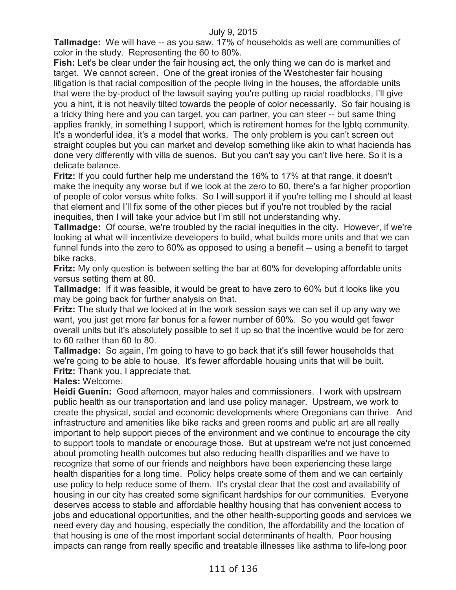**Tallmadge:** We will have -- as you saw, 17% of households as well are communities of color in the study. Representing the 60 to 80%.

**Fish:** Let's be clear under the fair housing act, the only thing we can do is market and target. We cannot screen. One of the great ironies of the Westchester fair housing litigation is that racial composition of the people living in the houses, the affordable units that were the by-product of the lawsuit saying you're putting up racial roadblocks, I'll give you a hint, it is not heavily tilted towards the people of color necessarily. So fair housing is a tricky thing here and you can target, you can partner, you can steer -- but same thing applies frankly, in something I support, which is retirement homes for the lgbtq community. It's a wonderful idea, it's a model that works. The only problem is you can't screen out straight couples but you can market and develop something like akin to what hacienda has done very differently with villa de suenos. But you can't say you can't live here. So it is a delicate balance.

**Fritz:** If you could further help me understand the 16% to 17% at that range, it doesn't make the inequity any worse but if we look at the zero to 60, there's a far higher proportion of people of color versus white folks. So I will support it if you're telling me I should at least that element and I'll fix some of the other pieces but if you're not troubled by the racial inequities, then I will take your advice but I'm still not understanding why.

**Tallmadge:** Of course, we're troubled by the racial inequities in the city. However, if we're looking at what will incentivize developers to build, what builds more units and that we can funnel funds into the zero to 60% as opposed to using a benefit -- using a benefit to target bike racks.

**Fritz:** My only question is between setting the bar at 60% for developing affordable units versus setting them at 80.

**Tallmadge:** If it was feasible, it would be great to have zero to 60% but it looks like you may be going back for further analysis on that.

**Fritz:** The study that we looked at in the work session says we can set it up any way we want, you just get more far bonus for a fewer number of 60%. So you would get fewer overall units but it's absolutely possible to set it up so that the incentive would be for zero to 60 rather than 60 to 80.

**Tallmadge:** So again, I'm going to have to go back that it's still fewer households that we're going to be able to house. It's fewer affordable housing units that will be built. **Fritz:** Thank you, I appreciate that.

**Hales:** Welcome.

**Heidi Guenin:** Good afternoon, mayor hales and commissioners. I work with upstream public health as our transportation and land use policy manager. Upstream, we work to create the physical, social and economic developments where Oregonians can thrive. And infrastructure and amenities like bike racks and green rooms and public art are all really important to help support pieces of the environment and we continue to encourage the city to support tools to mandate or encourage those. But at upstream we're not just concerned about promoting health outcomes but also reducing health disparities and we have to recognize that some of our friends and neighbors have been experiencing these large health disparities for a long time. Policy helps create some of them and we can certainly use policy to help reduce some of them. It's crystal clear that the cost and availability of housing in our city has created some significant hardships for our communities. Everyone deserves access to stable and affordable healthy housing that has convenient access to jobs and educational opportunities, and the other health-supporting goods and services we need every day and housing, especially the condition, the affordability and the location of that housing is one of the most important social determinants of health. Poor housing impacts can range from really specific and treatable illnesses like asthma to life-long poor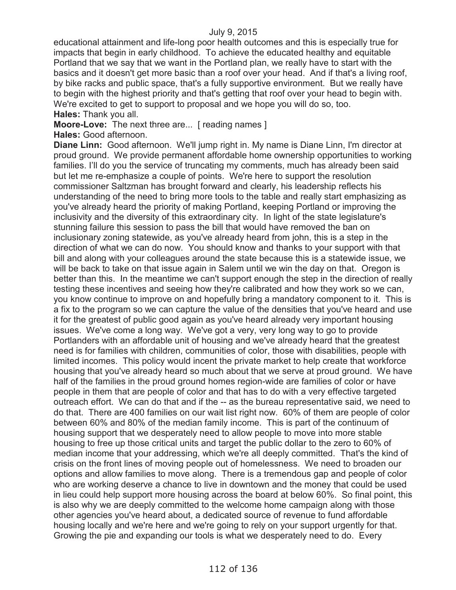educational attainment and life-long poor health outcomes and this is especially true for impacts that begin in early childhood. To achieve the educated healthy and equitable Portland that we say that we want in the Portland plan, we really have to start with the basics and it doesn't get more basic than a roof over your head. And if that's a living roof, by bike racks and public space, that's a fully supportive environment. But we really have to begin with the highest priority and that's getting that roof over your head to begin with. We're excited to get to support to proposal and we hope you will do so, too. **Hales:** Thank you all.

**Moore-Love:** The next three are... [ reading names ]

**Hales:** Good afternoon.

**Diane Linn:** Good afternoon. We'll jump right in. My name is Diane Linn, I'm director at proud ground. We provide permanent affordable home ownership opportunities to working families. I'll do you the service of truncating my comments, much has already been said but let me re-emphasize a couple of points. We're here to support the resolution commissioner Saltzman has brought forward and clearly, his leadership reflects his understanding of the need to bring more tools to the table and really start emphasizing as you've already heard the priority of making Portland, keeping Portland or improving the inclusivity and the diversity of this extraordinary city. In light of the state legislature's stunning failure this session to pass the bill that would have removed the ban on inclusionary zoning statewide, as you've already heard from john, this is a step in the direction of what we can do now. You should know and thanks to your support with that bill and along with your colleagues around the state because this is a statewide issue, we will be back to take on that issue again in Salem until we win the day on that. Oregon is better than this. In the meantime we can't support enough the step in the direction of really testing these incentives and seeing how they're calibrated and how they work so we can, you know continue to improve on and hopefully bring a mandatory component to it. This is a fix to the program so we can capture the value of the densities that you've heard and use it for the greatest of public good again as you've heard already very important housing issues. We've come a long way. We've got a very, very long way to go to provide Portlanders with an affordable unit of housing and we've already heard that the greatest need is for families with children, communities of color, those with disabilities, people with limited incomes. This policy would incent the private market to help create that workforce housing that you've already heard so much about that we serve at proud ground. We have half of the families in the proud ground homes region-wide are families of color or have people in them that are people of color and that has to do with a very effective targeted outreach effort. We can do that and if the -- as the bureau representative said, we need to do that. There are 400 families on our wait list right now. 60% of them are people of color between 60% and 80% of the median family income. This is part of the continuum of housing support that we desperately need to allow people to move into more stable housing to free up those critical units and target the public dollar to the zero to 60% of median income that your addressing, which we're all deeply committed. That's the kind of crisis on the front lines of moving people out of homelessness. We need to broaden our options and allow families to move along. There is a tremendous gap and people of color who are working deserve a chance to live in downtown and the money that could be used in lieu could help support more housing across the board at below 60%. So final point, this is also why we are deeply committed to the welcome home campaign along with those other agencies you've heard about, a dedicated source of revenue to fund affordable housing locally and we're here and we're going to rely on your support urgently for that. Growing the pie and expanding our tools is what we desperately need to do. Every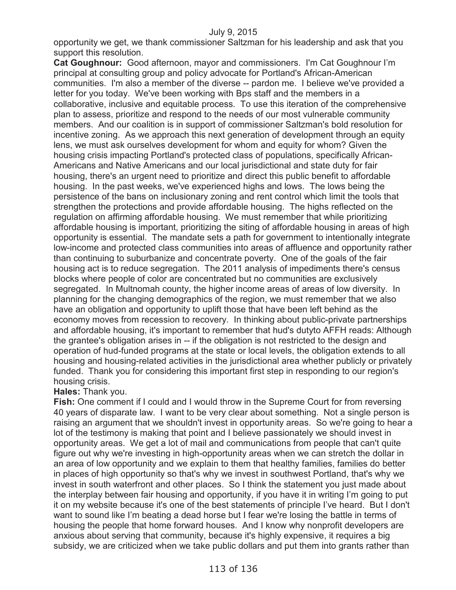opportunity we get, we thank commissioner Saltzman for his leadership and ask that you support this resolution.

**Cat Goughnour:** Good afternoon, mayor and commissioners. I'm Cat Goughnour I'm principal at consulting group and policy advocate for Portland's African-American communities. I'm also a member of the diverse -- pardon me. I believe we've provided a letter for you today. We've been working with Bps staff and the members in a collaborative, inclusive and equitable process. To use this iteration of the comprehensive plan to assess, prioritize and respond to the needs of our most vulnerable community members. And our coalition is in support of commissioner Saltzman's bold resolution for incentive zoning. As we approach this next generation of development through an equity lens, we must ask ourselves development for whom and equity for whom? Given the housing crisis impacting Portland's protected class of populations, specifically African-Americans and Native Americans and our local jurisdictional and state duty for fair housing, there's an urgent need to prioritize and direct this public benefit to affordable housing. In the past weeks, we've experienced highs and lows. The lows being the persistence of the bans on inclusionary zoning and rent control which limit the tools that strengthen the protections and provide affordable housing. The highs reflected on the regulation on affirming affordable housing. We must remember that while prioritizing affordable housing is important, prioritizing the siting of affordable housing in areas of high opportunity is essential. The mandate sets a path for government to intentionally integrate low-income and protected class communities into areas of affluence and opportunity rather than continuing to suburbanize and concentrate poverty. One of the goals of the fair housing act is to reduce segregation. The 2011 analysis of impediments there's census blocks where people of color are concentrated but no communities are exclusively segregated. In Multnomah county, the higher income areas of areas of low diversity. In planning for the changing demographics of the region, we must remember that we also have an obligation and opportunity to uplift those that have been left behind as the economy moves from recession to recovery. In thinking about public-private partnerships and affordable housing, it's important to remember that hud's dutyto AFFH reads: Although the grantee's obligation arises in -- if the obligation is not restricted to the design and operation of hud-funded programs at the state or local levels, the obligation extends to all housing and housing-related activities in the jurisdictional area whether publicly or privately funded. Thank you for considering this important first step in responding to our region's housing crisis.

### **Hales:** Thank you.

**Fish:** One comment if I could and I would throw in the Supreme Court for from reversing 40 years of disparate law. I want to be very clear about something. Not a single person is raising an argument that we shouldn't invest in opportunity areas. So we're going to hear a lot of the testimony is making that point and I believe passionately we should invest in opportunity areas. We get a lot of mail and communications from people that can't quite figure out why we're investing in high-opportunity areas when we can stretch the dollar in an area of low opportunity and we explain to them that healthy families, families do better in places of high opportunity so that's why we invest in southwest Portland, that's why we invest in south waterfront and other places. So I think the statement you just made about the interplay between fair housing and opportunity, if you have it in writing I'm going to put it on my website because it's one of the best statements of principle I've heard. But I don't want to sound like I'm beating a dead horse but I fear we're losing the battle in terms of housing the people that home forward houses. And I know why nonprofit developers are anxious about serving that community, because it's highly expensive, it requires a big subsidy, we are criticized when we take public dollars and put them into grants rather than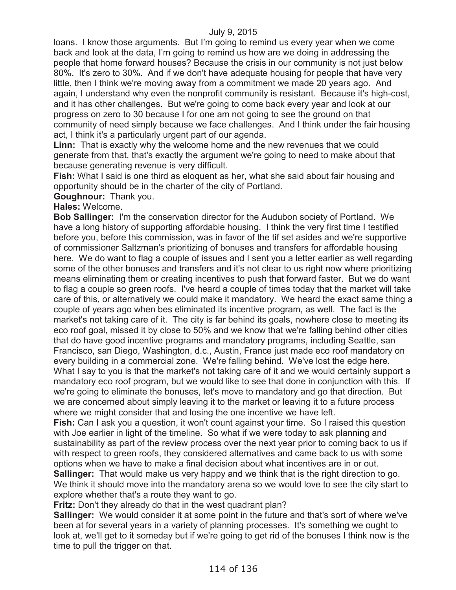loans. I know those arguments. But I'm going to remind us every year when we come back and look at the data, I'm going to remind us how are we doing in addressing the people that home forward houses? Because the crisis in our community is not just below 80%. It's zero to 30%. And if we don't have adequate housing for people that have very little, then I think we're moving away from a commitment we made 20 years ago. And again, I understand why even the nonprofit community is resistant. Because it's high-cost, and it has other challenges. But we're going to come back every year and look at our progress on zero to 30 because I for one am not going to see the ground on that community of need simply because we face challenges. And I think under the fair housing act, I think it's a particularly urgent part of our agenda.

**Linn:** That is exactly why the welcome home and the new revenues that we could generate from that, that's exactly the argument we're going to need to make about that because generating revenue is very difficult.

**Fish:** What I said is one third as eloquent as her, what she said about fair housing and opportunity should be in the charter of the city of Portland.

## **Goughnour:** Thank you.

### **Hales:** Welcome.

**Bob Sallinger:** I'm the conservation director for the Audubon society of Portland. We have a long history of supporting affordable housing. I think the very first time I testified before you, before this commission, was in favor of the tif set asides and we're supportive of commissioner Saltzman's prioritizing of bonuses and transfers for affordable housing here. We do want to flag a couple of issues and I sent you a letter earlier as well regarding some of the other bonuses and transfers and it's not clear to us right now where prioritizing means eliminating them or creating incentives to push that forward faster. But we do want to flag a couple so green roofs. I've heard a couple of times today that the market will take care of this, or alternatively we could make it mandatory. We heard the exact same thing a couple of years ago when bes eliminated its incentive program, as well. The fact is the market's not taking care of it. The city is far behind its goals, nowhere close to meeting its eco roof goal, missed it by close to 50% and we know that we're falling behind other cities that do have good incentive programs and mandatory programs, including Seattle, san Francisco, san Diego, Washington, d.c., Austin, France just made eco roof mandatory on every building in a commercial zone. We're falling behind. We've lost the edge here. What I say to you is that the market's not taking care of it and we would certainly support a mandatory eco roof program, but we would like to see that done in conjunction with this. If we're going to eliminate the bonuses, let's move to mandatory and go that direction. But we are concerned about simply leaving it to the market or leaving it to a future process where we might consider that and losing the one incentive we have left.

**Fish:** Can I ask you a question, it won't count against your time. So I raised this question with Joe earlier in light of the timeline. So what if we were today to ask planning and sustainability as part of the review process over the next year prior to coming back to us if with respect to green roofs, they considered alternatives and came back to us with some options when we have to make a final decision about what incentives are in or out. **Sallinger:** That would make us very happy and we think that is the right direction to go. We think it should move into the mandatory arena so we would love to see the city start to explore whether that's a route they want to go.

**Fritz:** Don't they already do that in the west quadrant plan?

**Sallinger:** We would consider it at some point in the future and that's sort of where we've been at for several years in a variety of planning processes. It's something we ought to look at, we'll get to it someday but if we're going to get rid of the bonuses I think now is the time to pull the trigger on that.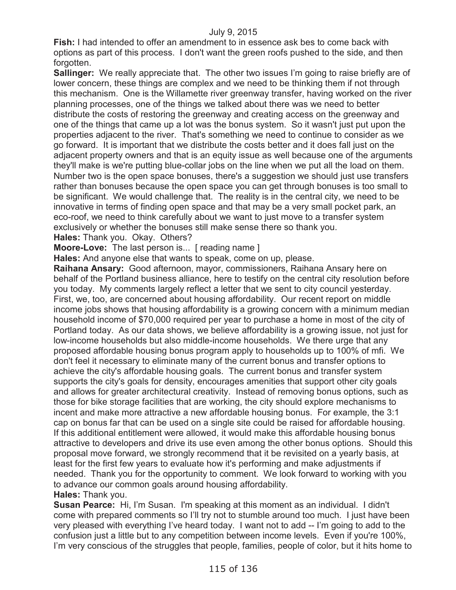**Fish:** I had intended to offer an amendment to in essence ask bes to come back with options as part of this process. I don't want the green roofs pushed to the side, and then forgotten.

**Sallinger:** We really appreciate that. The other two issues I'm going to raise briefly are of lower concern, these things are complex and we need to be thinking them if not through this mechanism. One is the Willamette river greenway transfer, having worked on the river planning processes, one of the things we talked about there was we need to better distribute the costs of restoring the greenway and creating access on the greenway and one of the things that came up a lot was the bonus system. So it wasn't just put upon the properties adjacent to the river. That's something we need to continue to consider as we go forward. It is important that we distribute the costs better and it does fall just on the adjacent property owners and that is an equity issue as well because one of the arguments they'll make is we're putting blue-collar jobs on the line when we put all the load on them. Number two is the open space bonuses, there's a suggestion we should just use transfers rather than bonuses because the open space you can get through bonuses is too small to be significant. We would challenge that. The reality is in the central city, we need to be innovative in terms of finding open space and that may be a very small pocket park, an eco-roof, we need to think carefully about we want to just move to a transfer system exclusively or whether the bonuses still make sense there so thank you.

**Hales:** Thank you. Okay. Others?

**Moore-Love:** The last person is... [ reading name ]

**Hales:** And anyone else that wants to speak, come on up, please.

**Raihana Ansary:** Good afternoon, mayor, commissioners, Raihana Ansary here on behalf of the Portland business alliance, here to testify on the central city resolution before you today. My comments largely reflect a letter that we sent to city council yesterday. First, we, too, are concerned about housing affordability. Our recent report on middle income jobs shows that housing affordability is a growing concern with a minimum median household income of \$70,000 required per year to purchase a home in most of the city of Portland today. As our data shows, we believe affordability is a growing issue, not just for low-income households but also middle-income households. We there urge that any proposed affordable housing bonus program apply to households up to 100% of mfi. We don't feel it necessary to eliminate many of the current bonus and transfer options to achieve the city's affordable housing goals. The current bonus and transfer system supports the city's goals for density, encourages amenities that support other city goals and allows for greater architectural creativity. Instead of removing bonus options, such as those for bike storage facilities that are working, the city should explore mechanisms to incent and make more attractive a new affordable housing bonus. For example, the 3:1 cap on bonus far that can be used on a single site could be raised for affordable housing. If this additional entitlement were allowed, it would make this affordable housing bonus attractive to developers and drive its use even among the other bonus options. Should this proposal move forward, we strongly recommend that it be revisited on a yearly basis, at least for the first few years to evaluate how it's performing and make adjustments if needed. Thank you for the opportunity to comment. We look forward to working with you to advance our common goals around housing affordability.

### **Hales:** Thank you.

**Susan Pearce:** Hi, I'm Susan. I'm speaking at this moment as an individual. I didn't come with prepared comments so I'll try not to stumble around too much. I just have been very pleased with everything I've heard today. I want not to add -- I'm going to add to the confusion just a little but to any competition between income levels. Even if you're 100%, I'm very conscious of the struggles that people, families, people of color, but it hits home to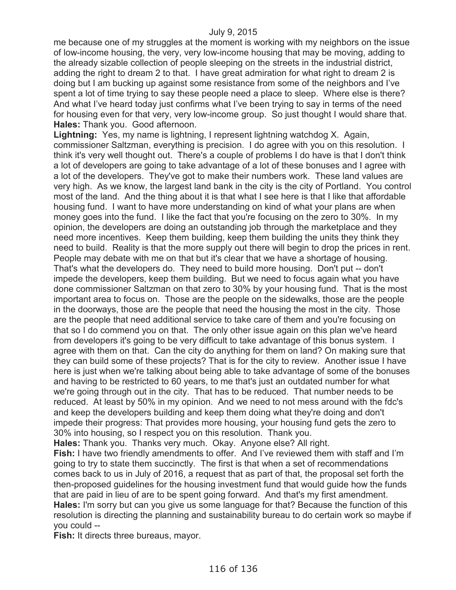me because one of my struggles at the moment is working with my neighbors on the issue of low-income housing, the very, very low-income housing that may be moving, adding to the already sizable collection of people sleeping on the streets in the industrial district, adding the right to dream 2 to that. I have great admiration for what right to dream 2 is doing but I am bucking up against some resistance from some of the neighbors and I've spent a lot of time trying to say these people need a place to sleep. Where else is there? And what I've heard today just confirms what I've been trying to say in terms of the need for housing even for that very, very low-income group. So just thought I would share that. **Hales:** Thank you. Good afternoon.

**Lightning:** Yes, my name is lightning, I represent lightning watchdog X. Again, commissioner Saltzman, everything is precision. I do agree with you on this resolution. I think it's very well thought out. There's a couple of problems I do have is that I don't think a lot of developers are going to take advantage of a lot of these bonuses and I agree with a lot of the developers. They've got to make their numbers work. These land values are very high. As we know, the largest land bank in the city is the city of Portland. You control most of the land. And the thing about it is that what I see here is that I like that affordable housing fund. I want to have more understanding on kind of what your plans are when money goes into the fund. I like the fact that you're focusing on the zero to 30%. In my opinion, the developers are doing an outstanding job through the marketplace and they need more incentives. Keep them building, keep them building the units they think they need to build. Reality is that the more supply out there will begin to drop the prices in rent. People may debate with me on that but it's clear that we have a shortage of housing. That's what the developers do. They need to build more housing. Don't put -- don't impede the developers, keep them building. But we need to focus again what you have done commissioner Saltzman on that zero to 30% by your housing fund. That is the most important area to focus on. Those are the people on the sidewalks, those are the people in the doorways, those are the people that need the housing the most in the city. Those are the people that need additional service to take care of them and you're focusing on that so I do commend you on that. The only other issue again on this plan we've heard from developers it's going to be very difficult to take advantage of this bonus system. I agree with them on that. Can the city do anything for them on land? On making sure that they can build some of these projects? That is for the city to review. Another issue I have here is just when we're talking about being able to take advantage of some of the bonuses and having to be restricted to 60 years, to me that's just an outdated number for what we're going through out in the city. That has to be reduced. That number needs to be reduced. At least by 50% in my opinion. And we need to not mess around with the fdc's and keep the developers building and keep them doing what they're doing and don't impede their progress: That provides more housing, your housing fund gets the zero to 30% into housing, so I respect you on this resolution. Thank you.

**Hales:** Thank you. Thanks very much. Okay. Anyone else? All right.

**Fish:** I have two friendly amendments to offer. And I've reviewed them with staff and I'm going to try to state them succinctly. The first is that when a set of recommendations comes back to us in July of 2016, a request that as part of that, the proposal set forth the then-proposed guidelines for the housing investment fund that would guide how the funds that are paid in lieu of are to be spent going forward. And that's my first amendment. **Hales:** I'm sorry but can you give us some language for that? Because the function of this resolution is directing the planning and sustainability bureau to do certain work so maybe if you could --

**Fish:** It directs three bureaus, mayor.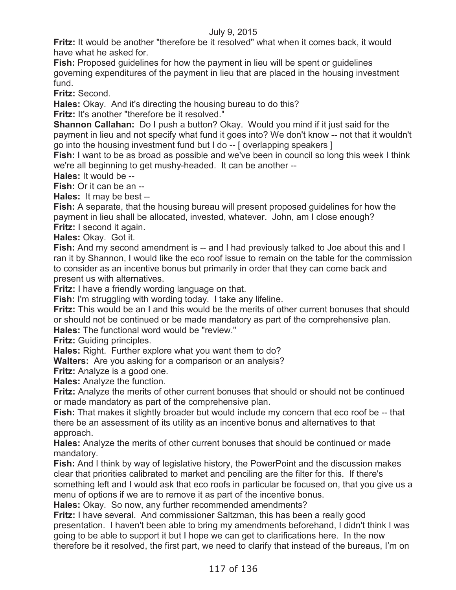**Fritz:** It would be another "therefore be it resolved" what when it comes back, it would have what he asked for.

**Fish:** Proposed guidelines for how the payment in lieu will be spent or guidelines governing expenditures of the payment in lieu that are placed in the housing investment fund.

**Fritz:** Second.

**Hales:** Okay. And it's directing the housing bureau to do this?

**Fritz:** It's another "therefore be it resolved."

**Shannon Callahan:** Do I push a button? Okay. Would you mind if it just said for the payment in lieu and not specify what fund it goes into? We don't know -- not that it wouldn't go into the housing investment fund but I do -- [ overlapping speakers ]

**Fish:** I want to be as broad as possible and we've been in council so long this week I think we're all beginning to get mushy-headed. It can be another --

**Hales:** It would be --

**Fish:** Or it can be an --

**Hales:** It may be best --

**Fish:** A separate, that the housing bureau will present proposed guidelines for how the payment in lieu shall be allocated, invested, whatever. John, am I close enough? **Fritz:** I second it again.

**Hales:** Okay. Got it.

**Fish:** And my second amendment is -- and I had previously talked to Joe about this and I ran it by Shannon, I would like the eco roof issue to remain on the table for the commission to consider as an incentive bonus but primarily in order that they can come back and present us with alternatives.

**Fritz:** I have a friendly wording language on that.

**Fish:** I'm struggling with wording today. I take any lifeline.

**Fritz:** This would be an I and this would be the merits of other current bonuses that should or should not be continued or be made mandatory as part of the comprehensive plan. **Hales:** The functional word would be "review."

**Fritz:** Guiding principles.

**Hales:** Right. Further explore what you want them to do?

**Walters:** Are you asking for a comparison or an analysis?

**Fritz:** Analyze is a good one.

**Hales:** Analyze the function.

**Fritz:** Analyze the merits of other current bonuses that should or should not be continued or made mandatory as part of the comprehensive plan.

**Fish:** That makes it slightly broader but would include my concern that eco roof be -- that there be an assessment of its utility as an incentive bonus and alternatives to that approach.

**Hales:** Analyze the merits of other current bonuses that should be continued or made mandatory.

**Fish:** And I think by way of legislative history, the PowerPoint and the discussion makes clear that priorities calibrated to market and penciling are the filter for this. If there's something left and I would ask that eco roofs in particular be focused on, that you give us a menu of options if we are to remove it as part of the incentive bonus.

**Hales:** Okay. So now, any further recommended amendments?

**Fritz:** I have several. And commissioner Saltzman, this has been a really good presentation. I haven't been able to bring my amendments beforehand, I didn't think I was going to be able to support it but I hope we can get to clarifications here. In the now therefore be it resolved, the first part, we need to clarify that instead of the bureaus, I'm on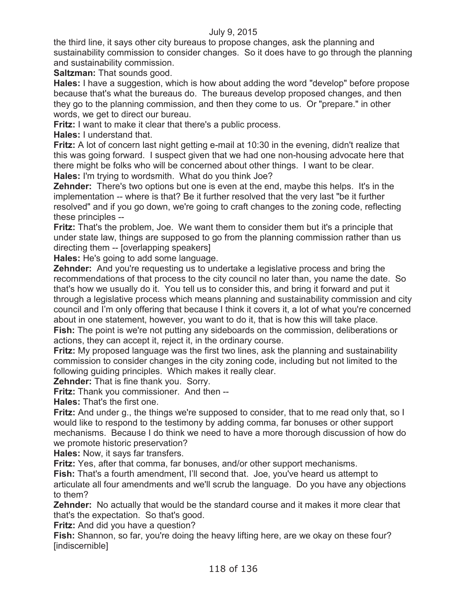the third line, it says other city bureaus to propose changes, ask the planning and sustainability commission to consider changes. So it does have to go through the planning and sustainability commission.

**Saltzman:** That sounds good.

**Hales:** I have a suggestion, which is how about adding the word "develop" before propose because that's what the bureaus do. The bureaus develop proposed changes, and then they go to the planning commission, and then they come to us. Or "prepare." in other words, we get to direct our bureau.

**Fritz:** I want to make it clear that there's a public process.

**Hales:** I understand that.

**Fritz:** A lot of concern last night getting e-mail at 10:30 in the evening, didn't realize that this was going forward. I suspect given that we had one non-housing advocate here that there might be folks who will be concerned about other things. I want to be clear. **Hales:** I'm trying to wordsmith. What do you think Joe?

**Zehnder:** There's two options but one is even at the end, maybe this helps. It's in the implementation -- where is that? Be it further resolved that the very last "be it further resolved" and if you go down, we're going to craft changes to the zoning code, reflecting these principles --

**Fritz:** That's the problem, Joe. We want them to consider them but it's a principle that under state law, things are supposed to go from the planning commission rather than us directing them -- [overlapping speakers]

**Hales:** He's going to add some language.

**Zehnder:** And you're requesting us to undertake a legislative process and bring the recommendations of that process to the city council no later than, you name the date. So that's how we usually do it. You tell us to consider this, and bring it forward and put it through a legislative process which means planning and sustainability commission and city council and I'm only offering that because I think it covers it, a lot of what you're concerned about in one statement, however, you want to do it, that is how this will take place. **Fish:** The point is we're not putting any sideboards on the commission, deliberations or actions, they can accept it, reject it, in the ordinary course.

**Fritz:** My proposed language was the first two lines, ask the planning and sustainability commission to consider changes in the city zoning code, including but not limited to the following guiding principles. Which makes it really clear.

**Zehnder:** That is fine thank you. Sorry.

**Fritz:** Thank you commissioner. And then --

**Hales:** That's the first one.

**Fritz:** And under g., the things we're supposed to consider, that to me read only that, so I would like to respond to the testimony by adding comma, far bonuses or other support mechanisms. Because I do think we need to have a more thorough discussion of how do we promote historic preservation?

**Hales:** Now, it says far transfers.

**Fritz:** Yes, after that comma, far bonuses, and/or other support mechanisms.

**Fish:** That's a fourth amendment, I'll second that. Joe, you've heard us attempt to articulate all four amendments and we'll scrub the language. Do you have any objections to them?

**Zehnder:** No actually that would be the standard course and it makes it more clear that that's the expectation. So that's good.

**Fritz:** And did you have a question?

**Fish:** Shannon, so far, you're doing the heavy lifting here, are we okay on these four? [indiscernible]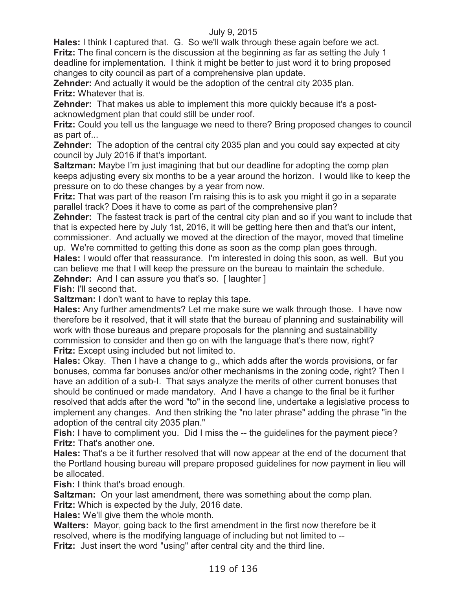**Hales:** I think I captured that. G. So we'll walk through these again before we act. **Fritz:** The final concern is the discussion at the beginning as far as setting the July 1 deadline for implementation. I think it might be better to just word it to bring proposed changes to city council as part of a comprehensive plan update.

**Zehnder:** And actually it would be the adoption of the central city 2035 plan. **Fritz:** Whatever that is.

**Zehnder:** That makes us able to implement this more quickly because it's a postacknowledgment plan that could still be under roof.

**Fritz:** Could you tell us the language we need to there? Bring proposed changes to council as part of...

**Zehnder:** The adoption of the central city 2035 plan and you could say expected at city council by July 2016 if that's important.

**Saltzman:** Maybe I'm just imagining that but our deadline for adopting the comp plan keeps adjusting every six months to be a year around the horizon. I would like to keep the pressure on to do these changes by a year from now.

**Fritz:** That was part of the reason I'm raising this is to ask you might it go in a separate parallel track? Does it have to come as part of the comprehensive plan?

**Zehnder:** The fastest track is part of the central city plan and so if you want to include that that is expected here by July 1st, 2016, it will be getting here then and that's our intent, commissioner. And actually we moved at the direction of the mayor, moved that timeline

up. We're committed to getting this done as soon as the comp plan goes through. **Hales:** I would offer that reassurance. I'm interested in doing this soon, as well. But you can believe me that I will keep the pressure on the bureau to maintain the schedule. **Zehnder:** And I can assure you that's so. [ laughter ]

**Fish:** I'll second that.

**Saltzman:** I don't want to have to replay this tape.

**Hales:** Any further amendments? Let me make sure we walk through those. I have now therefore be it resolved, that it will state that the bureau of planning and sustainability will work with those bureaus and prepare proposals for the planning and sustainability commission to consider and then go on with the language that's there now, right? **Fritz:** Except using included but not limited to.

**Hales:** Okay. Then I have a change to g., which adds after the words provisions, or far bonuses, comma far bonuses and/or other mechanisms in the zoning code, right? Then I have an addition of a sub-I. That says analyze the merits of other current bonuses that should be continued or made mandatory. And I have a change to the final be it further resolved that adds after the word "to" in the second line, undertake a legislative process to implement any changes. And then striking the "no later phrase" adding the phrase "in the adoption of the central city 2035 plan."

Fish: I have to compliment you. Did I miss the -- the guidelines for the payment piece? **Fritz:** That's another one.

**Hales:** That's a be it further resolved that will now appear at the end of the document that the Portland housing bureau will prepare proposed guidelines for now payment in lieu will be allocated.

**Fish:** I think that's broad enough.

**Saltzman:** On your last amendment, there was something about the comp plan. **Fritz:** Which is expected by the July, 2016 date.

**Hales:** We'll give them the whole month.

**Walters:** Mayor, going back to the first amendment in the first now therefore be it resolved, where is the modifying language of including but not limited to --

**Fritz:** Just insert the word "using" after central city and the third line.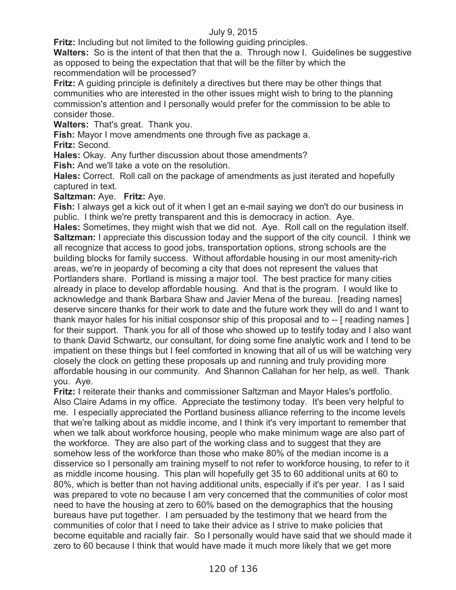**Fritz:** Including but not limited to the following guiding principles.

**Walters:** So is the intent of that then that the a. Through now I. Guidelines be suggestive as opposed to being the expectation that that will be the filter by which the recommendation will be processed?

**Fritz:** A guiding principle is definitely a directives but there may be other things that communities who are interested in the other issues might wish to bring to the planning commission's attention and I personally would prefer for the commission to be able to consider those.

**Walters:** That's great. Thank you.

**Fish:** Mayor I move amendments one through five as package a.

**Fritz:** Second.

**Hales:** Okay. Any further discussion about those amendments?

**Fish:** And we'll take a vote on the resolution.

**Hales:** Correct. Roll call on the package of amendments as just iterated and hopefully captured in text.

# **Saltzman:** Aye. **Fritz:** Aye.

**Fish:** I always get a kick out of it when I get an e-mail saying we don't do our business in public. I think we're pretty transparent and this is democracy in action. Aye.

**Hales:** Sometimes, they might wish that we did not. Aye. Roll call on the regulation itself. **Saltzman:** I appreciate this discussion today and the support of the city council. I think we all recognize that access to good jobs, transportation options, strong schools are the building blocks for family success. Without affordable housing in our most amenity-rich areas, we're in jeopardy of becoming a city that does not represent the values that Portlanders share. Portland is missing a major tool. The best practice for many cities already in place to develop affordable housing. And that is the program. I would like to acknowledge and thank Barbara Shaw and Javier Mena of the bureau. [reading names] deserve sincere thanks for their work to date and the future work they will do and I want to thank mayor hales for his initial cosponsor ship of this proposal and to -- [ reading names ] for their support. Thank you for all of those who showed up to testify today and I also want to thank David Schwartz, our consultant, for doing some fine analytic work and I tend to be impatient on these things but I feel comforted in knowing that all of us will be watching very closely the clock on getting these proposals up and running and truly providing more affordable housing in our community. And Shannon Callahan for her help, as well. Thank you. Aye.

**Fritz:** I reiterate their thanks and commissioner Saltzman and Mayor Hales's portfolio. Also Claire Adams in my office. Appreciate the testimony today. It's been very helpful to me. I especially appreciated the Portland business alliance referring to the income levels that we're talking about as middle income, and I think it's very important to remember that when we talk about workforce housing, people who make minimum wage are also part of the workforce. They are also part of the working class and to suggest that they are somehow less of the workforce than those who make 80% of the median income is a disservice so I personally am training myself to not refer to workforce housing, to refer to it as middle income housing. This plan will hopefully get 35 to 60 additional units at 60 to 80%, which is better than not having additional units, especially if it's per year. I as I said was prepared to vote no because I am very concerned that the communities of color most need to have the housing at zero to 60% based on the demographics that the housing bureaus have put together. I am persuaded by the testimony that we heard from the communities of color that I need to take their advice as I strive to make policies that become equitable and racially fair. So I personally would have said that we should made it zero to 60 because I think that would have made it much more likely that we get more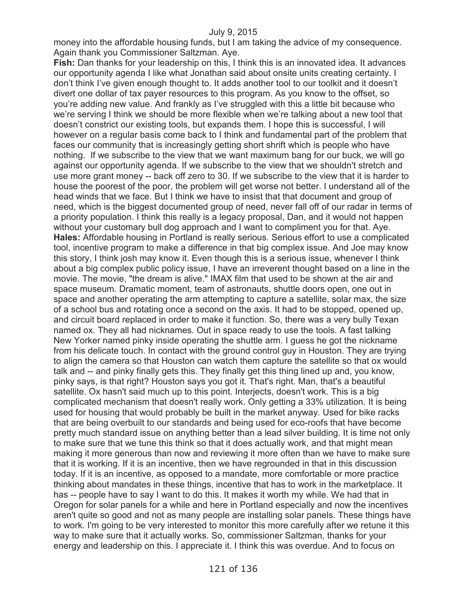money into the affordable housing funds, but I am taking the advice of my consequence. Again thank you Commissioner Saltzman. Aye.

**Fish:** Dan thanks for your leadership on this, I think this is an innovated idea. It advances our opportunity agenda I like what Jonathan said about onsite units creating certainty. I don't think I've given enough thought to. It adds another tool to our toolkit and it doesn't divert one dollar of tax payer resources to this program. As you know to the offset, so you're adding new value. And frankly as I've struggled with this a little bit because who we're serving I think we should be more flexible when we're talking about a new tool that doesn't constrict our existing tools, but expands them. I hope this is successful, I will however on a regular basis come back to I think and fundamental part of the problem that faces our community that is increasingly getting short shrift which is people who have nothing. If we subscribe to the view that we want maximum bang for our buck, we will go against our opportunity agenda. If we subscribe to the view that we shouldn't stretch and use more grant money -- back off zero to 30. If we subscribe to the view that it is harder to house the poorest of the poor, the problem will get worse not better. I understand all of the head winds that we face. But I think we have to insist that that document and group of need, which is the biggest documented group of need, never fall off of our radar in terms of a priority population. I think this really is a legacy proposal, Dan, and it would not happen without your customary bull dog approach and I want to compliment you for that. Aye. **Hales:** Affordable housing in Portland is really serious. Serious effort to use a complicated tool, incentive program to make a difference in that big complex issue. And Joe may know this story, I think josh may know it. Even though this is a serious issue, whenever I think about a big complex public policy issue, I have an irreverent thought based on a line in the movie. The movie, "the dream is alive." IMAX film that used to be shown at the air and space museum. Dramatic moment, team of astronauts, shuttle doors open, one out in space and another operating the arm attempting to capture a satellite, solar max, the size of a school bus and rotating once a second on the axis. It had to be stopped, opened up, and circuit board replaced in order to make it function. So, there was a very bully Texan named ox. They all had nicknames. Out in space ready to use the tools. A fast talking New Yorker named pinky inside operating the shuttle arm. I guess he got the nickname from his delicate touch. In contact with the ground control guy in Houston. They are trying to align the camera so that Houston can watch them capture the satellite so that ox would talk and -- and pinky finally gets this. They finally get this thing lined up and, you know, pinky says, is that right? Houston says you got it. That's right. Man, that's a beautiful satellite. Ox hasn't said much up to this point. Interjects, doesn't work. This is a big complicated mechanism that doesn't really work. Only getting a 33% utilization. It is being used for housing that would probably be built in the market anyway. Used for bike racks that are being overbuilt to our standards and being used for eco-roofs that have become pretty much standard issue on anything better than a lead silver building. It is time not only to make sure that we tune this think so that it does actually work, and that might mean making it more generous than now and reviewing it more often than we have to make sure that it is working. If it is an incentive, then we have regrounded in that in this discussion today. If it is an incentive, as opposed to a mandate, more comfortable or more practice thinking about mandates in these things, incentive that has to work in the marketplace. It has -- people have to say I want to do this. It makes it worth my while. We had that in Oregon for solar panels for a while and here in Portland especially and now the incentives aren't quite so good and not as many people are installing solar panels. These things have to work. I'm going to be very interested to monitor this more carefully after we retune it this way to make sure that it actually works. So, commissioner Saltzman, thanks for your energy and leadership on this. I appreciate it. I think this was overdue. And to focus on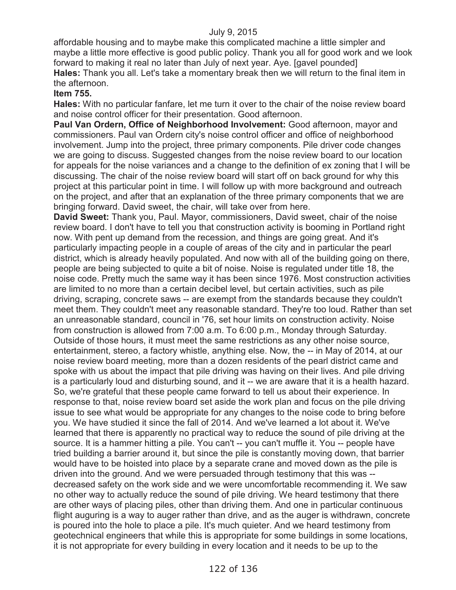affordable housing and to maybe make this complicated machine a little simpler and maybe a little more effective is good public policy. Thank you all for good work and we look forward to making it real no later than July of next year. Aye. [gavel pounded] **Hales:** Thank you all. Let's take a momentary break then we will return to the final item in the afternoon.

### **Item 755.**

**Hales:** With no particular fanfare, let me turn it over to the chair of the noise review board and noise control officer for their presentation. Good afternoon.

**Paul Van Ordern, Office of Neighborhood Involvement:** Good afternoon, mayor and commissioners. Paul van Ordern city's noise control officer and office of neighborhood involvement. Jump into the project, three primary components. Pile driver code changes we are going to discuss. Suggested changes from the noise review board to our location for appeals for the noise variances and a change to the definition of ex zoning that I will be discussing. The chair of the noise review board will start off on back ground for why this project at this particular point in time. I will follow up with more background and outreach on the project, and after that an explanation of the three primary components that we are bringing forward. David sweet, the chair, will take over from here.

**David Sweet:** Thank you, Paul. Mayor, commissioners, David sweet, chair of the noise review board. I don't have to tell you that construction activity is booming in Portland right now. With pent up demand from the recession, and things are going great. And it's particularly impacting people in a couple of areas of the city and in particular the pearl district, which is already heavily populated. And now with all of the building going on there, people are being subjected to quite a bit of noise. Noise is regulated under title 18, the noise code. Pretty much the same way it has been since 1976. Most construction activities are limited to no more than a certain decibel level, but certain activities, such as pile driving, scraping, concrete saws -- are exempt from the standards because they couldn't meet them. They couldn't meet any reasonable standard. They're too loud. Rather than set an unreasonable standard, council in '76, set hour limits on construction activity. Noise from construction is allowed from 7:00 a.m. To 6:00 p.m., Monday through Saturday. Outside of those hours, it must meet the same restrictions as any other noise source, entertainment, stereo, a factory whistle, anything else. Now, the -- in May of 2014, at our noise review board meeting, more than a dozen residents of the pearl district came and spoke with us about the impact that pile driving was having on their lives. And pile driving is a particularly loud and disturbing sound, and it -- we are aware that it is a health hazard. So, we're grateful that these people came forward to tell us about their experience. In response to that, noise review board set aside the work plan and focus on the pile driving issue to see what would be appropriate for any changes to the noise code to bring before you. We have studied it since the fall of 2014. And we've learned a lot about it. We've learned that there is apparently no practical way to reduce the sound of pile driving at the source. It is a hammer hitting a pile. You can't -- you can't muffle it. You -- people have tried building a barrier around it, but since the pile is constantly moving down, that barrier would have to be hoisted into place by a separate crane and moved down as the pile is driven into the ground. And we were persuaded through testimony that this was - decreased safety on the work side and we were uncomfortable recommending it. We saw no other way to actually reduce the sound of pile driving. We heard testimony that there are other ways of placing piles, other than driving them. And one in particular continuous flight auguring is a way to auger rather than drive, and as the auger is withdrawn, concrete is poured into the hole to place a pile. It's much quieter. And we heard testimony from geotechnical engineers that while this is appropriate for some buildings in some locations, it is not appropriate for every building in every location and it needs to be up to the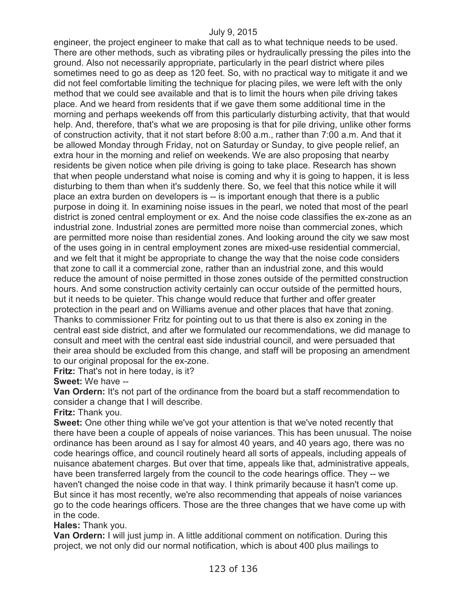engineer, the project engineer to make that call as to what technique needs to be used. There are other methods, such as vibrating piles or hydraulically pressing the piles into the ground. Also not necessarily appropriate, particularly in the pearl district where piles sometimes need to go as deep as 120 feet. So, with no practical way to mitigate it and we did not feel comfortable limiting the technique for placing piles, we were left with the only method that we could see available and that is to limit the hours when pile driving takes place. And we heard from residents that if we gave them some additional time in the morning and perhaps weekends off from this particularly disturbing activity, that that would help. And, therefore, that's what we are proposing is that for pile driving, unlike other forms of construction activity, that it not start before 8:00 a.m., rather than 7:00 a.m. And that it be allowed Monday through Friday, not on Saturday or Sunday, to give people relief, an extra hour in the morning and relief on weekends. We are also proposing that nearby residents be given notice when pile driving is going to take place. Research has shown that when people understand what noise is coming and why it is going to happen, it is less disturbing to them than when it's suddenly there. So, we feel that this notice while it will place an extra burden on developers is -- is important enough that there is a public purpose in doing it. In examining noise issues in the pearl, we noted that most of the pearl district is zoned central employment or ex. And the noise code classifies the ex-zone as an industrial zone. Industrial zones are permitted more noise than commercial zones, which are permitted more noise than residential zones. And looking around the city we saw most of the uses going in in central employment zones are mixed-use residential commercial, and we felt that it might be appropriate to change the way that the noise code considers that zone to call it a commercial zone, rather than an industrial zone, and this would reduce the amount of noise permitted in those zones outside of the permitted construction hours. And some construction activity certainly can occur outside of the permitted hours, but it needs to be quieter. This change would reduce that further and offer greater protection in the pearl and on Williams avenue and other places that have that zoning. Thanks to commissioner Fritz for pointing out to us that there is also ex zoning in the central east side district, and after we formulated our recommendations, we did manage to consult and meet with the central east side industrial council, and were persuaded that their area should be excluded from this change, and staff will be proposing an amendment to our original proposal for the ex-zone.

**Fritz:** That's not in here today, is it?

**Sweet:** We have --

**Van Ordern:** It's not part of the ordinance from the board but a staff recommendation to consider a change that I will describe.

**Fritz:** Thank you.

**Sweet:** One other thing while we've got your attention is that we've noted recently that there have been a couple of appeals of noise variances. This has been unusual. The noise ordinance has been around as I say for almost 40 years, and 40 years ago, there was no code hearings office, and council routinely heard all sorts of appeals, including appeals of nuisance abatement charges. But over that time, appeals like that, administrative appeals, have been transferred largely from the council to the code hearings office. They -- we haven't changed the noise code in that way. I think primarily because it hasn't come up. But since it has most recently, we're also recommending that appeals of noise variances go to the code hearings officers. Those are the three changes that we have come up with in the code.

**Hales:** Thank you.

**Van Ordern:** I will just jump in. A little additional comment on notification. During this project, we not only did our normal notification, which is about 400 plus mailings to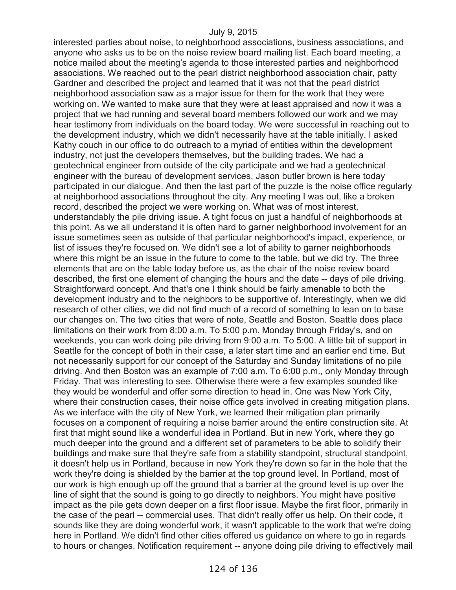interested parties about noise, to neighborhood associations, business associations, and anyone who asks us to be on the noise review board mailing list. Each board meeting, a notice mailed about the meeting's agenda to those interested parties and neighborhood associations. We reached out to the pearl district neighborhood association chair, patty Gardner and described the project and learned that it was not that the pearl district neighborhood association saw as a major issue for them for the work that they were working on. We wanted to make sure that they were at least appraised and now it was a project that we had running and several board members followed our work and we may hear testimony from individuals on the board today. We were successful in reaching out to the development industry, which we didn't necessarily have at the table initially. I asked Kathy couch in our office to do outreach to a myriad of entities within the development industry, not just the developers themselves, but the building trades. We had a geotechnical engineer from outside of the city participate and we had a geotechnical engineer with the bureau of development services, Jason butler brown is here today participated in our dialogue. And then the last part of the puzzle is the noise office regularly at neighborhood associations throughout the city. Any meeting I was out, like a broken record, described the project we were working on. What was of most interest, understandably the pile driving issue. A tight focus on just a handful of neighborhoods at this point. As we all understand it is often hard to garner neighborhood involvement for an issue sometimes seen as outside of that particular neighborhood's impact, experience, or list of issues they're focused on. We didn't see a lot of ability to garner neighborhoods where this might be an issue in the future to come to the table, but we did try. The three elements that are on the table today before us, as the chair of the noise review board described, the first one element of changing the hours and the date -- days of pile driving. Straightforward concept. And that's one I think should be fairly amenable to both the development industry and to the neighbors to be supportive of. Interestingly, when we did research of other cities, we did not find much of a record of something to lean on to base our changes on. The two cities that were of note, Seattle and Boston. Seattle does place limitations on their work from 8:00 a.m. To 5:00 p.m. Monday through Friday's, and on weekends, you can work doing pile driving from 9:00 a.m. To 5:00. A little bit of support in Seattle for the concept of both in their case, a later start time and an earlier end time. But not necessarily support for our concept of the Saturday and Sunday limitations of no pile driving. And then Boston was an example of 7:00 a.m. To 6:00 p.m., only Monday through Friday. That was interesting to see. Otherwise there were a few examples sounded like they would be wonderful and offer some direction to head in. One was New York City, where their construction cases, their noise office gets involved in creating mitigation plans. As we interface with the city of New York, we learned their mitigation plan primarily focuses on a component of requiring a noise barrier around the entire construction site. At first that might sound like a wonderful idea in Portland. But in new York, where they go much deeper into the ground and a different set of parameters to be able to solidify their buildings and make sure that they're safe from a stability standpoint, structural standpoint, it doesn't help us in Portland, because in new York they're down so far in the hole that the work they're doing is shielded by the barrier at the top ground level. In Portland, most of our work is high enough up off the ground that a barrier at the ground level is up over the line of sight that the sound is going to go directly to neighbors. You might have positive impact as the pile gets down deeper on a first floor issue. Maybe the first floor, primarily in the case of the pearl -- commercial uses. That didn't really offer us help. On their code, it sounds like they are doing wonderful work, it wasn't applicable to the work that we're doing here in Portland. We didn't find other cities offered us guidance on where to go in regards to hours or changes. Notification requirement -- anyone doing pile driving to effectively mail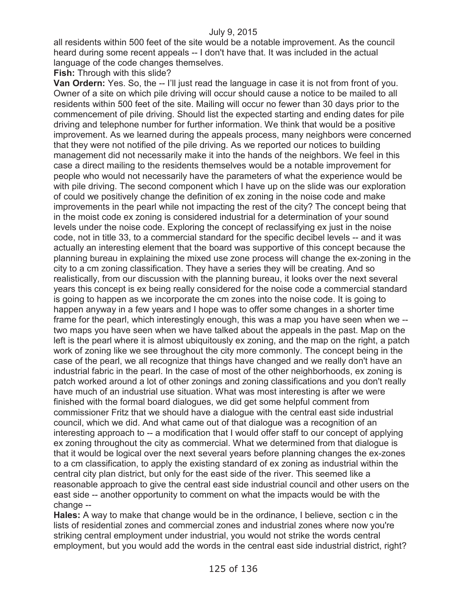all residents within 500 feet of the site would be a notable improvement. As the council heard during some recent appeals -- I don't have that. It was included in the actual language of the code changes themselves.

**Fish:** Through with this slide?

**Van Ordern:** Yes. So, the -- I'll just read the language in case it is not from front of you. Owner of a site on which pile driving will occur should cause a notice to be mailed to all residents within 500 feet of the site. Mailing will occur no fewer than 30 days prior to the commencement of pile driving. Should list the expected starting and ending dates for pile driving and telephone number for further information. We think that would be a positive improvement. As we learned during the appeals process, many neighbors were concerned that they were not notified of the pile driving. As we reported our notices to building management did not necessarily make it into the hands of the neighbors. We feel in this case a direct mailing to the residents themselves would be a notable improvement for people who would not necessarily have the parameters of what the experience would be with pile driving. The second component which I have up on the slide was our exploration of could we positively change the definition of ex zoning in the noise code and make improvements in the pearl while not impacting the rest of the city? The concept being that in the moist code ex zoning is considered industrial for a determination of your sound levels under the noise code. Exploring the concept of reclassifying ex just in the noise code, not in title 33, to a commercial standard for the specific decibel levels -- and it was actually an interesting element that the board was supportive of this concept because the planning bureau in explaining the mixed use zone process will change the ex-zoning in the city to a cm zoning classification. They have a series they will be creating. And so realistically, from our discussion with the planning bureau, it looks over the next several years this concept is ex being really considered for the noise code a commercial standard is going to happen as we incorporate the cm zones into the noise code. It is going to happen anyway in a few years and I hope was to offer some changes in a shorter time frame for the pearl, which interestingly enough, this was a map you have seen when we - two maps you have seen when we have talked about the appeals in the past. Map on the left is the pearl where it is almost ubiquitously ex zoning, and the map on the right, a patch work of zoning like we see throughout the city more commonly. The concept being in the case of the pearl, we all recognize that things have changed and we really don't have an industrial fabric in the pearl. In the case of most of the other neighborhoods, ex zoning is patch worked around a lot of other zonings and zoning classifications and you don't really have much of an industrial use situation. What was most interesting is after we were finished with the formal board dialogues, we did get some helpful comment from commissioner Fritz that we should have a dialogue with the central east side industrial council, which we did. And what came out of that dialogue was a recognition of an interesting approach to -- a modification that I would offer staff to our concept of applying ex zoning throughout the city as commercial. What we determined from that dialogue is that it would be logical over the next several years before planning changes the ex-zones to a cm classification, to apply the existing standard of ex zoning as industrial within the central city plan district, but only for the east side of the river. This seemed like a reasonable approach to give the central east side industrial council and other users on the east side -- another opportunity to comment on what the impacts would be with the change --

**Hales:** A way to make that change would be in the ordinance, I believe, section c in the lists of residential zones and commercial zones and industrial zones where now you're striking central employment under industrial, you would not strike the words central employment, but you would add the words in the central east side industrial district, right?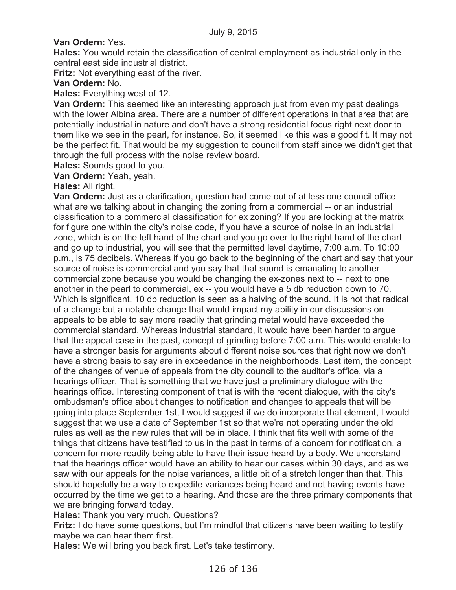# **Van Ordern:** Yes.

**Hales:** You would retain the classification of central employment as industrial only in the central east side industrial district.

**Fritz:** Not everything east of the river.

# **Van Ordern:** No.

**Hales:** Everything west of 12.

**Van Ordern:** This seemed like an interesting approach just from even my past dealings with the lower Albina area. There are a number of different operations in that area that are potentially industrial in nature and don't have a strong residential focus right next door to them like we see in the pearl, for instance. So, it seemed like this was a good fit. It may not be the perfect fit. That would be my suggestion to council from staff since we didn't get that through the full process with the noise review board.

**Hales:** Sounds good to you.

**Van Ordern:** Yeah, yeah.

## **Hales:** All right.

**Van Ordern:** Just as a clarification, question had come out of at less one council office what are we talking about in changing the zoning from a commercial -- or an industrial classification to a commercial classification for ex zoning? If you are looking at the matrix for figure one within the city's noise code, if you have a source of noise in an industrial zone, which is on the left hand of the chart and you go over to the right hand of the chart and go up to industrial, you will see that the permitted level daytime, 7:00 a.m. To 10:00 p.m., is 75 decibels. Whereas if you go back to the beginning of the chart and say that your source of noise is commercial and you say that that sound is emanating to another commercial zone because you would be changing the ex-zones next to -- next to one another in the pearl to commercial, ex -- you would have a 5 db reduction down to 70. Which is significant. 10 db reduction is seen as a halving of the sound. It is not that radical of a change but a notable change that would impact my ability in our discussions on appeals to be able to say more readily that grinding metal would have exceeded the commercial standard. Whereas industrial standard, it would have been harder to argue that the appeal case in the past, concept of grinding before 7:00 a.m. This would enable to have a stronger basis for arguments about different noise sources that right now we don't have a strong basis to say are in exceedance in the neighborhoods. Last item, the concept of the changes of venue of appeals from the city council to the auditor's office, via a hearings officer. That is something that we have just a preliminary dialogue with the hearings office. Interesting component of that is with the recent dialogue, with the city's ombudsman's office about changes to notification and changes to appeals that will be going into place September 1st, I would suggest if we do incorporate that element, I would suggest that we use a date of September 1st so that we're not operating under the old rules as well as the new rules that will be in place. I think that fits well with some of the things that citizens have testified to us in the past in terms of a concern for notification, a concern for more readily being able to have their issue heard by a body. We understand that the hearings officer would have an ability to hear our cases within 30 days, and as we saw with our appeals for the noise variances, a little bit of a stretch longer than that. This should hopefully be a way to expedite variances being heard and not having events have occurred by the time we get to a hearing. And those are the three primary components that we are bringing forward today.

**Hales:** Thank you very much. Questions?

**Fritz:** I do have some questions, but I'm mindful that citizens have been waiting to testify maybe we can hear them first.

**Hales:** We will bring you back first. Let's take testimony.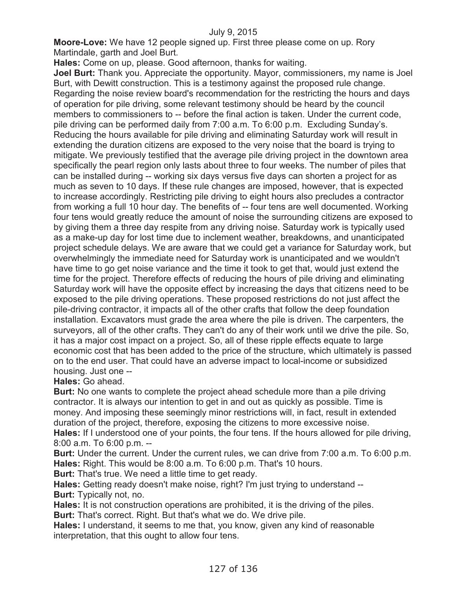**Moore-Love:** We have 12 people signed up. First three please come on up. Rory Martindale, garth and Joel Burt.

**Hales:** Come on up, please. Good afternoon, thanks for waiting.

**Joel Burt:** Thank you. Appreciate the opportunity. Mayor, commissioners, my name is Joel Burt, with Dewitt construction. This is a testimony against the proposed rule change. Regarding the noise review board's recommendation for the restricting the hours and days of operation for pile driving, some relevant testimony should be heard by the council members to commissioners to -- before the final action is taken. Under the current code, pile driving can be performed daily from 7:00 a.m. To 6:00 p.m. Excluding Sunday's. Reducing the hours available for pile driving and eliminating Saturday work will result in extending the duration citizens are exposed to the very noise that the board is trying to mitigate. We previously testified that the average pile driving project in the downtown area specifically the pearl region only lasts about three to four weeks. The number of piles that can be installed during -- working six days versus five days can shorten a project for as much as seven to 10 days. If these rule changes are imposed, however, that is expected to increase accordingly. Restricting pile driving to eight hours also precludes a contractor from working a full 10 hour day. The benefits of -- four tens are well documented. Working four tens would greatly reduce the amount of noise the surrounding citizens are exposed to by giving them a three day respite from any driving noise. Saturday work is typically used as a make-up day for lost time due to inclement weather, breakdowns, and unanticipated project schedule delays. We are aware that we could get a variance for Saturday work, but overwhelmingly the immediate need for Saturday work is unanticipated and we wouldn't have time to go get noise variance and the time it took to get that, would just extend the time for the project. Therefore effects of reducing the hours of pile driving and eliminating Saturday work will have the opposite effect by increasing the days that citizens need to be exposed to the pile driving operations. These proposed restrictions do not just affect the pile-driving contractor, it impacts all of the other crafts that follow the deep foundation installation. Excavators must grade the area where the pile is driven. The carpenters, the surveyors, all of the other crafts. They can't do any of their work until we drive the pile. So, it has a major cost impact on a project. So, all of these ripple effects equate to large economic cost that has been added to the price of the structure, which ultimately is passed on to the end user. That could have an adverse impact to local-income or subsidized housing. Just one --

**Hales:** Go ahead.

**Burt:** No one wants to complete the project ahead schedule more than a pile driving contractor. It is always our intention to get in and out as quickly as possible. Time is money. And imposing these seemingly minor restrictions will, in fact, result in extended duration of the project, therefore, exposing the citizens to more excessive noise. **Hales:** If I understood one of your points, the four tens. If the hours allowed for pile driving, 8:00 a.m. To 6:00 p.m. --

**Burt:** Under the current. Under the current rules, we can drive from 7:00 a.m. To 6:00 p.m. **Hales:** Right. This would be 8:00 a.m. To 6:00 p.m. That's 10 hours.

**Burt:** That's true. We need a little time to get ready.

**Hales:** Getting ready doesn't make noise, right? I'm just trying to understand -- **Burt:** Typically not, no.

**Hales:** It is not construction operations are prohibited, it is the driving of the piles. **Burt:** That's correct. Right. But that's what we do. We drive pile.

**Hales:** I understand, it seems to me that, you know, given any kind of reasonable interpretation, that this ought to allow four tens.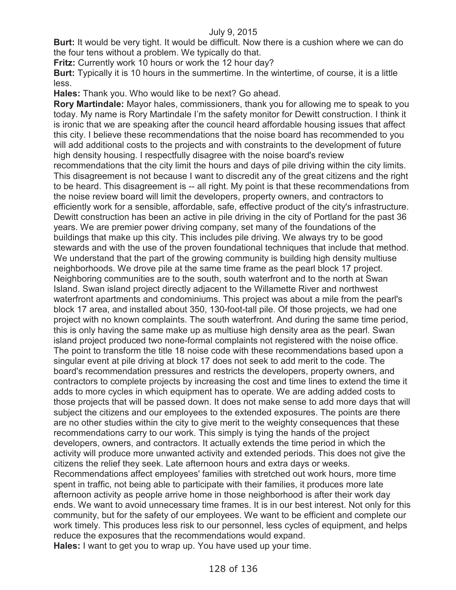**Burt:** It would be very tight. It would be difficult. Now there is a cushion where we can do the four tens without a problem. We typically do that.

**Fritz:** Currently work 10 hours or work the 12 hour day?

**Burt:** Typically it is 10 hours in the summertime. In the wintertime, of course, it is a little less.

**Hales:** Thank you. Who would like to be next? Go ahead.

**Rory Martindale:** Mayor hales, commissioners, thank you for allowing me to speak to you today. My name is Rory Martindale I'm the safety monitor for Dewitt construction. I think it is ironic that we are speaking after the council heard affordable housing issues that affect this city. I believe these recommendations that the noise board has recommended to you will add additional costs to the projects and with constraints to the development of future high density housing. I respectfully disagree with the noise board's review recommendations that the city limit the hours and days of pile driving within the city limits. This disagreement is not because I want to discredit any of the great citizens and the right to be heard. This disagreement is -- all right. My point is that these recommendations from the noise review board will limit the developers, property owners, and contractors to efficiently work for a sensible, affordable, safe, effective product of the city's infrastructure. Dewitt construction has been an active in pile driving in the city of Portland for the past 36 years. We are premier power driving company, set many of the foundations of the buildings that make up this city. This includes pile driving. We always try to be good stewards and with the use of the proven foundational techniques that include that method. We understand that the part of the growing community is building high density multiuse neighborhoods. We drove pile at the same time frame as the pearl block 17 project. Neighboring communities are to the south, south waterfront and to the north at Swan Island. Swan island project directly adjacent to the Willamette River and northwest waterfront apartments and condominiums. This project was about a mile from the pearl's block 17 area, and installed about 350, 130-foot-tall pile. Of those projects, we had one project with no known complaints. The south waterfront. And during the same time period, this is only having the same make up as multiuse high density area as the pearl. Swan island project produced two none-formal complaints not registered with the noise office. The point to transform the title 18 noise code with these recommendations based upon a singular event at pile driving at block 17 does not seek to add merit to the code. The board's recommendation pressures and restricts the developers, property owners, and contractors to complete projects by increasing the cost and time lines to extend the time it adds to more cycles in which equipment has to operate. We are adding added costs to those projects that will be passed down. It does not make sense to add more days that will subject the citizens and our employees to the extended exposures. The points are there are no other studies within the city to give merit to the weighty consequences that these recommendations carry to our work. This simply is tying the hands of the project developers, owners, and contractors. It actually extends the time period in which the activity will produce more unwanted activity and extended periods. This does not give the citizens the relief they seek. Late afternoon hours and extra days or weeks. Recommendations affect employees' families with stretched out work hours, more time spent in traffic, not being able to participate with their families, it produces more late afternoon activity as people arrive home in those neighborhood is after their work day ends. We want to avoid unnecessary time frames. It is in our best interest. Not only for this community, but for the safety of our employees. We want to be efficient and complete our work timely. This produces less risk to our personnel, less cycles of equipment, and helps reduce the exposures that the recommendations would expand. **Hales:** I want to get you to wrap up. You have used up your time.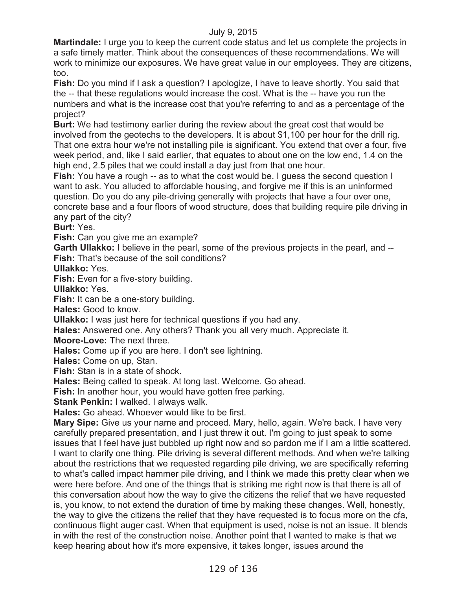**Martindale:** I urge you to keep the current code status and let us complete the projects in a safe timely matter. Think about the consequences of these recommendations. We will work to minimize our exposures. We have great value in our employees. They are citizens, too.

**Fish:** Do you mind if I ask a question? I apologize, I have to leave shortly. You said that the -- that these regulations would increase the cost. What is the -- have you run the numbers and what is the increase cost that you're referring to and as a percentage of the project?

**Burt:** We had testimony earlier during the review about the great cost that would be involved from the geotechs to the developers. It is about \$1,100 per hour for the drill rig. That one extra hour we're not installing pile is significant. You extend that over a four, five week period, and, like I said earlier, that equates to about one on the low end, 1.4 on the high end, 2.5 piles that we could install a day just from that one hour.

**Fish:** You have a rough -- as to what the cost would be. I guess the second question I want to ask. You alluded to affordable housing, and forgive me if this is an uninformed question. Do you do any pile-driving generally with projects that have a four over one, concrete base and a four floors of wood structure, does that building require pile driving in any part of the city?

**Burt:** Yes.

**Fish:** Can you give me an example?

**Garth Ullakko:** I believe in the pearl, some of the previous projects in the pearl, and -- **Fish:** That's because of the soil conditions?

**Ullakko:** Yes.

**Fish:** Even for a five-story building.

**Ullakko:** Yes.

**Fish:** It can be a one-story building.

**Hales:** Good to know.

**Ullakko:** I was just here for technical questions if you had any.

**Hales:** Answered one. Any others? Thank you all very much. Appreciate it.

**Moore-Love:** The next three.

**Hales:** Come up if you are here. I don't see lightning.

**Hales:** Come on up, Stan.

**Fish:** Stan is in a state of shock.

**Hales:** Being called to speak. At long last. Welcome. Go ahead.

**Fish:** In another hour, you would have gotten free parking.

**Stank Penkin:** I walked. I always walk.

**Hales:** Go ahead. Whoever would like to be first.

**Mary Sipe:** Give us your name and proceed. Mary, hello, again. We're back. I have very carefully prepared presentation, and I just threw it out. I'm going to just speak to some issues that I feel have just bubbled up right now and so pardon me if I am a little scattered. I want to clarify one thing. Pile driving is several different methods. And when we're talking about the restrictions that we requested regarding pile driving, we are specifically referring to what's called impact hammer pile driving, and I think we made this pretty clear when we were here before. And one of the things that is striking me right now is that there is all of this conversation about how the way to give the citizens the relief that we have requested is, you know, to not extend the duration of time by making these changes. Well, honestly, the way to give the citizens the relief that they have requested is to focus more on the cfa, continuous flight auger cast. When that equipment is used, noise is not an issue. It blends in with the rest of the construction noise. Another point that I wanted to make is that we keep hearing about how it's more expensive, it takes longer, issues around the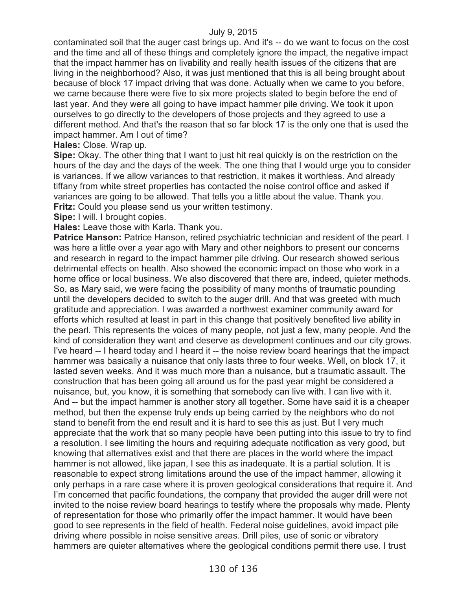contaminated soil that the auger cast brings up. And it's -- do we want to focus on the cost and the time and all of these things and completely ignore the impact, the negative impact that the impact hammer has on livability and really health issues of the citizens that are living in the neighborhood? Also, it was just mentioned that this is all being brought about because of block 17 impact driving that was done. Actually when we came to you before, we came because there were five to six more projects slated to begin before the end of last year. And they were all going to have impact hammer pile driving. We took it upon ourselves to go directly to the developers of those projects and they agreed to use a different method. And that's the reason that so far block 17 is the only one that is used the impact hammer. Am I out of time?

### **Hales:** Close. Wrap up.

**Sipe:** Okay. The other thing that I want to just hit real quickly is on the restriction on the hours of the day and the days of the week. The one thing that I would urge you to consider is variances. If we allow variances to that restriction, it makes it worthless. And already tiffany from white street properties has contacted the noise control office and asked if variances are going to be allowed. That tells you a little about the value. Thank you. **Fritz:** Could you please send us your written testimony.

**Sipe:** I will. I brought copies.

**Hales:** Leave those with Karla. Thank you.

**Patrice Hanson:** Patrice Hanson, retired psychiatric technician and resident of the pearl. I was here a little over a year ago with Mary and other neighbors to present our concerns and research in regard to the impact hammer pile driving. Our research showed serious detrimental effects on health. Also showed the economic impact on those who work in a home office or local business. We also discovered that there are, indeed, quieter methods. So, as Mary said, we were facing the possibility of many months of traumatic pounding until the developers decided to switch to the auger drill. And that was greeted with much gratitude and appreciation. I was awarded a northwest examiner community award for efforts which resulted at least in part in this change that positively benefited live ability in the pearl. This represents the voices of many people, not just a few, many people. And the kind of consideration they want and deserve as development continues and our city grows. I've heard -- I heard today and I heard it -- the noise review board hearings that the impact hammer was basically a nuisance that only lasts three to four weeks. Well, on block 17, it lasted seven weeks. And it was much more than a nuisance, but a traumatic assault. The construction that has been going all around us for the past year might be considered a nuisance, but, you know, it is something that somebody can live with. I can live with it. And -- but the impact hammer is another story all together. Some have said it is a cheaper method, but then the expense truly ends up being carried by the neighbors who do not stand to benefit from the end result and it is hard to see this as just. But I very much appreciate that the work that so many people have been putting into this issue to try to find a resolution. I see limiting the hours and requiring adequate notification as very good, but knowing that alternatives exist and that there are places in the world where the impact hammer is not allowed, like japan, I see this as inadequate. It is a partial solution. It is reasonable to expect strong limitations around the use of the impact hammer, allowing it only perhaps in a rare case where it is proven geological considerations that require it. And I'm concerned that pacific foundations, the company that provided the auger drill were not invited to the noise review board hearings to testify where the proposals why made. Plenty of representation for those who primarily offer the impact hammer. It would have been good to see represents in the field of health. Federal noise guidelines, avoid impact pile driving where possible in noise sensitive areas. Drill piles, use of sonic or vibratory hammers are quieter alternatives where the geological conditions permit there use. I trust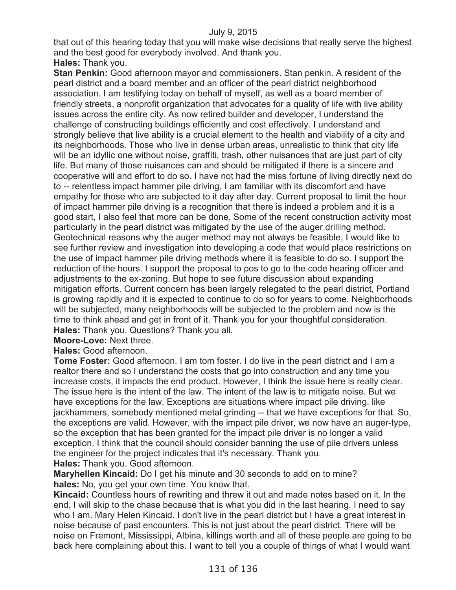that out of this hearing today that you will make wise decisions that really serve the highest and the best good for everybody involved. And thank you. **Hales:** Thank you.

**Stan Penkin:** Good afternoon mayor and commissioners. Stan penkin. A resident of the pearl district and a board member and an officer of the pearl district neighborhood association. I am testifying today on behalf of myself, as well as a board member of friendly streets, a nonprofit organization that advocates for a quality of life with live ability issues across the entire city. As now retired builder and developer, I understand the challenge of constructing buildings efficiently and cost effectively. I understand and strongly believe that live ability is a crucial element to the health and viability of a city and its neighborhoods. Those who live in dense urban areas, unrealistic to think that city life will be an idyllic one without noise, graffiti, trash, other nuisances that are just part of city life. But many of those nuisances can and should be mitigated if there is a sincere and cooperative will and effort to do so. I have not had the miss fortune of living directly next do to -- relentless impact hammer pile driving, I am familiar with its discomfort and have empathy for those who are subjected to it day after day. Current proposal to limit the hour of impact hammer pile driving is a recognition that there is indeed a problem and it is a good start, I also feel that more can be done. Some of the recent construction activity most particularly in the pearl district was mitigated by the use of the auger drilling method. Geotechnical reasons why the auger method may not always be feasible, I would like to see further review and investigation into developing a code that would place restrictions on the use of impact hammer pile driving methods where it is feasible to do so. I support the reduction of the hours. I support the proposal to pos to go to the code hearing officer and adjustments to the ex-zoning. But hope to see future discussion about expanding mitigation efforts. Current concern has been largely relegated to the pearl district, Portland is growing rapidly and it is expected to continue to do so for years to come. Neighborhoods will be subjected, many neighborhoods will be subjected to the problem and now is the time to think ahead and get in front of it. Thank you for your thoughtful consideration. **Hales:** Thank you. Questions? Thank you all.

**Moore-Love:** Next three.

**Hales:** Good afternoon.

**Tome Foster:** Good afternoon. I am tom foster. I do live in the pearl district and I am a realtor there and so I understand the costs that go into construction and any time you increase costs, it impacts the end product. However, I think the issue here is really clear. The issue here is the intent of the law. The intent of the law is to mitigate noise. But we have exceptions for the law. Exceptions are situations where impact pile driving, like jackhammers, somebody mentioned metal grinding -- that we have exceptions for that. So, the exceptions are valid. However, with the impact pile driver, we now have an auger-type, so the exception that has been granted for the impact pile driver is no longer a valid exception. I think that the council should consider banning the use of pile drivers unless the engineer for the project indicates that it's necessary. Thank you. **Hales:** Thank you. Good afternoon.

**Maryhellen Kincaid:** Do I get his minute and 30 seconds to add on to mine? **hales:** No, you get your own time. You know that.

**Kincaid:** Countless hours of rewriting and threw it out and made notes based on it. In the end, I will skip to the chase because that is what you did in the last hearing. I need to say who I am. Mary Helen Kincaid. I don't live in the pearl district but I have a great interest in noise because of past encounters. This is not just about the pearl district. There will be noise on Fremont, Mississippi, Albina, killings worth and all of these people are going to be back here complaining about this. I want to tell you a couple of things of what I would want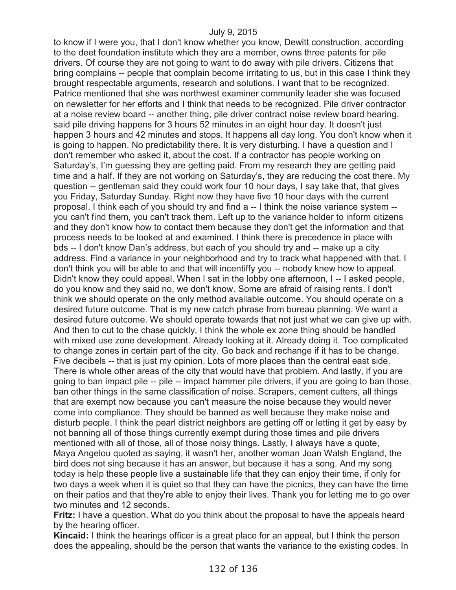to know if I were you, that I don't know whether you know, Dewitt construction, according to the deet foundation institute which they are a member, owns three patents for pile drivers. Of course they are not going to want to do away with pile drivers. Citizens that bring complains -- people that complain become irritating to us, but in this case I think they brought respectable arguments, research and solutions. I want that to be recognized. Patrice mentioned that she was northwest examiner community leader she was focused on newsletter for her efforts and I think that needs to be recognized. Pile driver contractor at a noise review board -- another thing, pile driver contract noise review board hearing, said pile driving happens for 3 hours 52 minutes in an eight hour day. It doesn't just happen 3 hours and 42 minutes and stops. It happens all day long. You don't know when it is going to happen. No predictability there. It is very disturbing. I have a question and I don't remember who asked it, about the cost. If a contractor has people working on Saturday's, I'm guessing they are getting paid. From my research they are getting paid time and a half. If they are not working on Saturday's, they are reducing the cost there. My question -- gentleman said they could work four 10 hour days, I say take that, that gives you Friday, Saturday Sunday. Right now they have five 10 hour days with the current proposal. I think each of you should try and find a -- I think the noise variance system - you can't find them, you can't track them. Left up to the variance holder to inform citizens and they don't know how to contact them because they don't get the information and that process needs to be looked at and examined. I think there is precedence in place with bds -- I don't know Dan's address, but each of you should try and -- make up a city address. Find a variance in your neighborhood and try to track what happened with that. I don't think you will be able to and that will incentiffy you -- nobody knew how to appeal. Didn't know they could appeal. When I sat in the lobby one afternoon, I -- I asked people, do you know and they said no, we don't know. Some are afraid of raising rents. I don't think we should operate on the only method available outcome. You should operate on a desired future outcome. That is my new catch phrase from bureau planning. We want a desired future outcome. We should operate towards that not just what we can give up with. And then to cut to the chase quickly, I think the whole ex zone thing should be handled with mixed use zone development. Already looking at it. Already doing it. Too complicated to change zones in certain part of the city. Go back and rechange if it has to be change. Five decibels -- that is just my opinion. Lots of more places than the central east side. There is whole other areas of the city that would have that problem. And lastly, if you are going to ban impact pile -- pile -- impact hammer pile drivers, if you are going to ban those, ban other things in the same classification of noise. Scrapers, cement cutters, all things that are exempt now because you can't measure the noise because they would never come into compliance. They should be banned as well because they make noise and disturb people. I think the pearl district neighbors are getting off or letting it get by easy by not banning all of those things currently exempt during those times and pile drivers mentioned with all of those, all of those noisy things. Lastly, I always have a quote, Maya Angelou quoted as saying, it wasn't her, another woman Joan Walsh England, the bird does not sing because it has an answer, but because it has a song. And my song today is help these people live a sustainable life that they can enjoy their time, if only for two days a week when it is quiet so that they can have the picnics, they can have the time on their patios and that they're able to enjoy their lives. Thank you for letting me to go over two minutes and 12 seconds.

**Fritz:** I have a question. What do you think about the proposal to have the appeals heard by the hearing officer.

**Kincaid:** I think the hearings officer is a great place for an appeal, but I think the person does the appealing, should be the person that wants the variance to the existing codes. In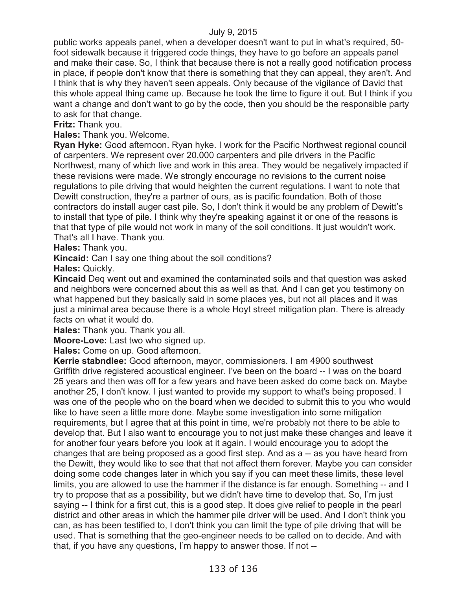public works appeals panel, when a developer doesn't want to put in what's required, 50 foot sidewalk because it triggered code things, they have to go before an appeals panel and make their case. So, I think that because there is not a really good notification process in place, if people don't know that there is something that they can appeal, they aren't. And I think that is why they haven't seen appeals. Only because of the vigilance of David that this whole appeal thing came up. Because he took the time to figure it out. But I think if you want a change and don't want to go by the code, then you should be the responsible party to ask for that change.

**Fritz:** Thank you.

**Hales:** Thank you. Welcome.

**Ryan Hyke:** Good afternoon. Ryan hyke. I work for the Pacific Northwest regional council of carpenters. We represent over 20,000 carpenters and pile drivers in the Pacific Northwest, many of which live and work in this area. They would be negatively impacted if these revisions were made. We strongly encourage no revisions to the current noise regulations to pile driving that would heighten the current regulations. I want to note that Dewitt construction, they're a partner of ours, as is pacific foundation. Both of those contractors do install auger cast pile. So, I don't think it would be any problem of Dewitt's to install that type of pile. I think why they're speaking against it or one of the reasons is that that type of pile would not work in many of the soil conditions. It just wouldn't work. That's all I have. Thank you.

**Hales:** Thank you.

**Kincaid:** Can I say one thing about the soil conditions?

**Hales:** Quickly.

**Kincaid** Deq went out and examined the contaminated soils and that question was asked and neighbors were concerned about this as well as that. And I can get you testimony on what happened but they basically said in some places yes, but not all places and it was just a minimal area because there is a whole Hoyt street mitigation plan. There is already facts on what it would do.

**Hales:** Thank you. Thank you all.

**Moore-Love:** Last two who signed up.

**Hales:** Come on up. Good afternoon.

**Kerrie stabndlee:** Good afternoon, mayor, commissioners. I am 4900 southwest Griffith drive registered acoustical engineer. I've been on the board -- I was on the board 25 years and then was off for a few years and have been asked do come back on. Maybe another 25, I don't know. I just wanted to provide my support to what's being proposed. I was one of the people who on the board when we decided to submit this to you who would like to have seen a little more done. Maybe some investigation into some mitigation requirements, but I agree that at this point in time, we're probably not there to be able to develop that. But I also want to encourage you to not just make these changes and leave it for another four years before you look at it again. I would encourage you to adopt the changes that are being proposed as a good first step. And as a -- as you have heard from the Dewitt, they would like to see that that not affect them forever. Maybe you can consider doing some code changes later in which you say if you can meet these limits, these level limits, you are allowed to use the hammer if the distance is far enough. Something -- and I try to propose that as a possibility, but we didn't have time to develop that. So, I'm just saying -- I think for a first cut, this is a good step. It does give relief to people in the pearl district and other areas in which the hammer pile driver will be used. And I don't think you can, as has been testified to, I don't think you can limit the type of pile driving that will be used. That is something that the geo-engineer needs to be called on to decide. And with that, if you have any questions, I'm happy to answer those. If not --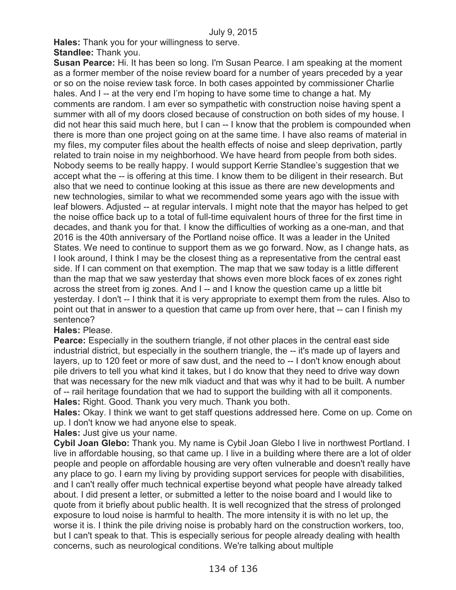**Hales:** Thank you for your willingness to serve.

**Standlee:** Thank you.

**Susan Pearce:** Hi. It has been so long. I'm Susan Pearce. I am speaking at the moment as a former member of the noise review board for a number of years preceded by a year or so on the noise review task force. In both cases appointed by commissioner Charlie hales. And I -- at the very end I'm hoping to have some time to change a hat. My comments are random. I am ever so sympathetic with construction noise having spent a summer with all of my doors closed because of construction on both sides of my house. I did not hear this said much here, but I can -- I know that the problem is compounded when there is more than one project going on at the same time. I have also reams of material in my files, my computer files about the health effects of noise and sleep deprivation, partly related to train noise in my neighborhood. We have heard from people from both sides. Nobody seems to be really happy. I would support Kerrie Standlee's suggestion that we accept what the -- is offering at this time. I know them to be diligent in their research. But also that we need to continue looking at this issue as there are new developments and new technologies, similar to what we recommended some years ago with the issue with leaf blowers. Adjusted -- at regular intervals. I might note that the mayor has helped to get the noise office back up to a total of full-time equivalent hours of three for the first time in decades, and thank you for that. I know the difficulties of working as a one-man, and that 2016 is the 40th anniversary of the Portland noise office. It was a leader in the United States. We need to continue to support them as we go forward. Now, as I change hats, as I look around, I think I may be the closest thing as a representative from the central east side. If I can comment on that exemption. The map that we saw today is a little different than the map that we saw yesterday that shows even more block faces of ex zones right across the street from ig zones. And I -- and I know the question came up a little bit yesterday. I don't -- I think that it is very appropriate to exempt them from the rules. Also to point out that in answer to a question that came up from over here, that -- can I finish my sentence?

# **Hales:** Please.

**Pearce:** Especially in the southern triangle, if not other places in the central east side industrial district, but especially in the southern triangle, the -- it's made up of layers and layers, up to 120 feet or more of saw dust, and the need to -- I don't know enough about pile drivers to tell you what kind it takes, but I do know that they need to drive way down that was necessary for the new mlk viaduct and that was why it had to be built. A number of -- rail heritage foundation that we had to support the building with all it components. **Hales:** Right. Good. Thank you very much. Thank you both.

**Hales:** Okay. I think we want to get staff questions addressed here. Come on up. Come on up. I don't know we had anyone else to speak.

**Hales:** Just give us your name.

**Cybil Joan Glebo:** Thank you. My name is Cybil Joan Glebo I live in northwest Portland. I live in affordable housing, so that came up. I live in a building where there are a lot of older people and people on affordable housing are very often vulnerable and doesn't really have any place to go. I earn my living by providing support services for people with disabilities, and I can't really offer much technical expertise beyond what people have already talked about. I did present a letter, or submitted a letter to the noise board and I would like to quote from it briefly about public health. It is well recognized that the stress of prolonged exposure to loud noise is harmful to health. The more intensity it is with no let up, the worse it is. I think the pile driving noise is probably hard on the construction workers, too, but I can't speak to that. This is especially serious for people already dealing with health concerns, such as neurological conditions. We're talking about multiple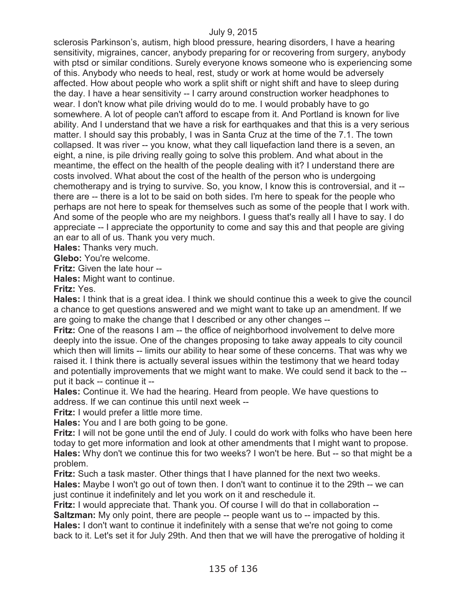sclerosis Parkinson's, autism, high blood pressure, hearing disorders, I have a hearing sensitivity, migraines, cancer, anybody preparing for or recovering from surgery, anybody with ptsd or similar conditions. Surely everyone knows someone who is experiencing some of this. Anybody who needs to heal, rest, study or work at home would be adversely affected. How about people who work a split shift or night shift and have to sleep during the day. I have a hear sensitivity -- I carry around construction worker headphones to wear. I don't know what pile driving would do to me. I would probably have to go somewhere. A lot of people can't afford to escape from it. And Portland is known for live ability. And I understand that we have a risk for earthquakes and that this is a very serious matter. I should say this probably, I was in Santa Cruz at the time of the 7.1. The town collapsed. It was river -- you know, what they call liquefaction land there is a seven, an eight, a nine, is pile driving really going to solve this problem. And what about in the meantime, the effect on the health of the people dealing with it? I understand there are costs involved. What about the cost of the health of the person who is undergoing chemotherapy and is trying to survive. So, you know, I know this is controversial, and it - there are -- there is a lot to be said on both sides. I'm here to speak for the people who perhaps are not here to speak for themselves such as some of the people that I work with. And some of the people who are my neighbors. I guess that's really all I have to say. I do appreciate -- I appreciate the opportunity to come and say this and that people are giving an ear to all of us. Thank you very much.

**Hales:** Thanks very much.

**Glebo:** You're welcome.

**Fritz:** Given the late hour --

**Hales:** Might want to continue.

**Fritz:** Yes.

**Hales:** I think that is a great idea. I think we should continue this a week to give the council a chance to get questions answered and we might want to take up an amendment. If we are going to make the change that I described or any other changes --

**Fritz:** One of the reasons I am -- the office of neighborhood involvement to delve more deeply into the issue. One of the changes proposing to take away appeals to city council which then will limits -- limits our ability to hear some of these concerns. That was why we raised it. I think there is actually several issues within the testimony that we heard today and potentially improvements that we might want to make. We could send it back to the - put it back -- continue it --

**Hales:** Continue it. We had the hearing. Heard from people. We have questions to address. If we can continue this until next week --

**Fritz:** I would prefer a little more time.

**Hales:** You and I are both going to be gone.

**Fritz:** I will not be gone until the end of July. I could do work with folks who have been here today to get more information and look at other amendments that I might want to propose. **Hales:** Why don't we continue this for two weeks? I won't be here. But -- so that might be a problem.

**Fritz:** Such a task master. Other things that I have planned for the next two weeks.

**Hales:** Maybe I won't go out of town then. I don't want to continue it to the 29th -- we can just continue it indefinitely and let you work on it and reschedule it.

**Fritz:** I would appreciate that. Thank you. Of course I will do that in collaboration --**Saltzman:** My only point, there are people -- people want us to -- impacted by this.

**Hales:** I don't want to continue it indefinitely with a sense that we're not going to come back to it. Let's set it for July 29th. And then that we will have the prerogative of holding it